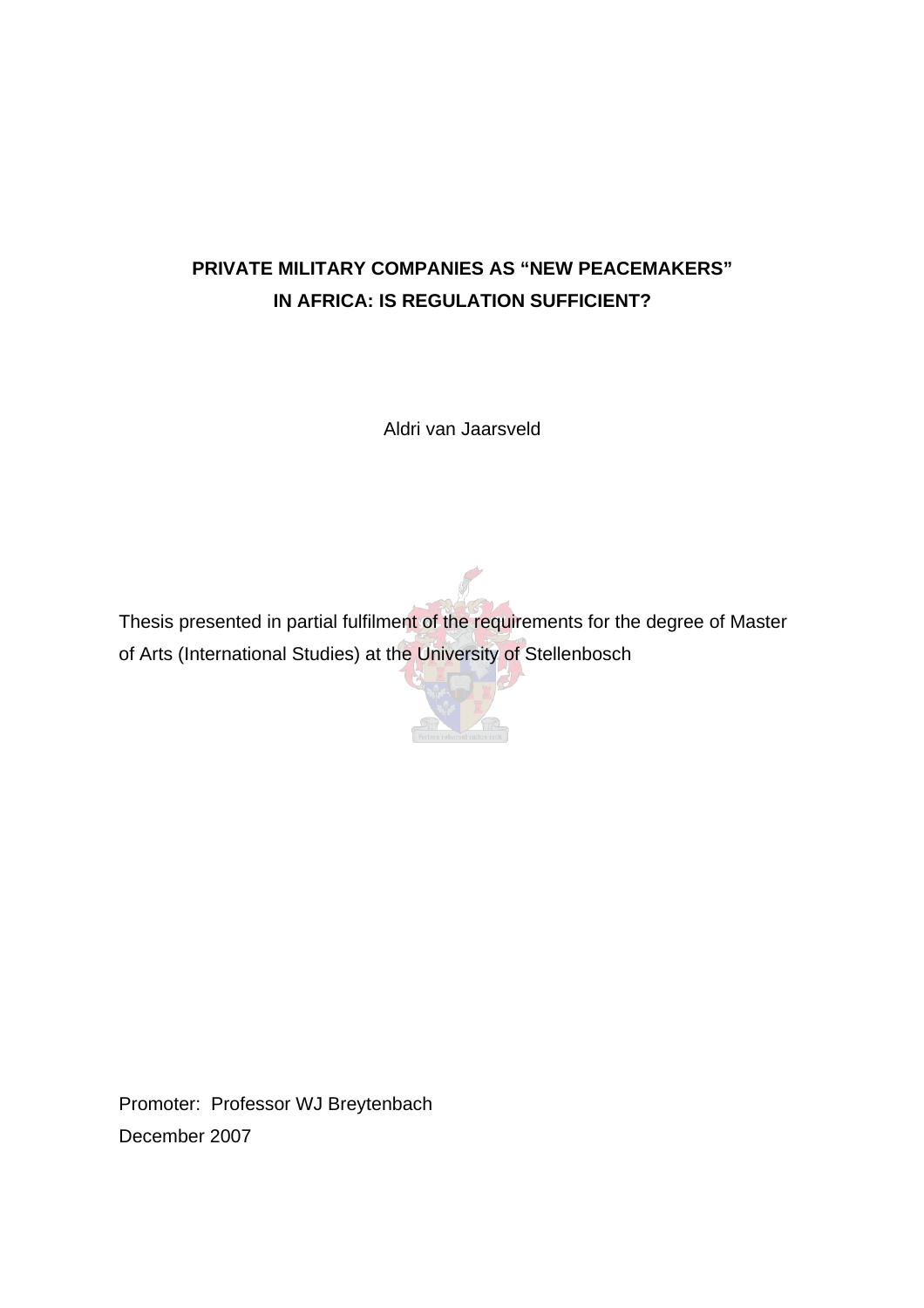# **PRIVATE MILITARY COMPANIES AS "NEW PEACEMAKERS" IN AFRICA: IS REGULATION SUFFICIENT?**

Aldri van Jaarsveld

Thesis presented in partial fulfilment of the requirements for the degree of Master of Arts (International Studies) at the University of Stellenbosch

 $\sqrt{2}$ 

Promoter: Professor WJ Breytenbach December 2007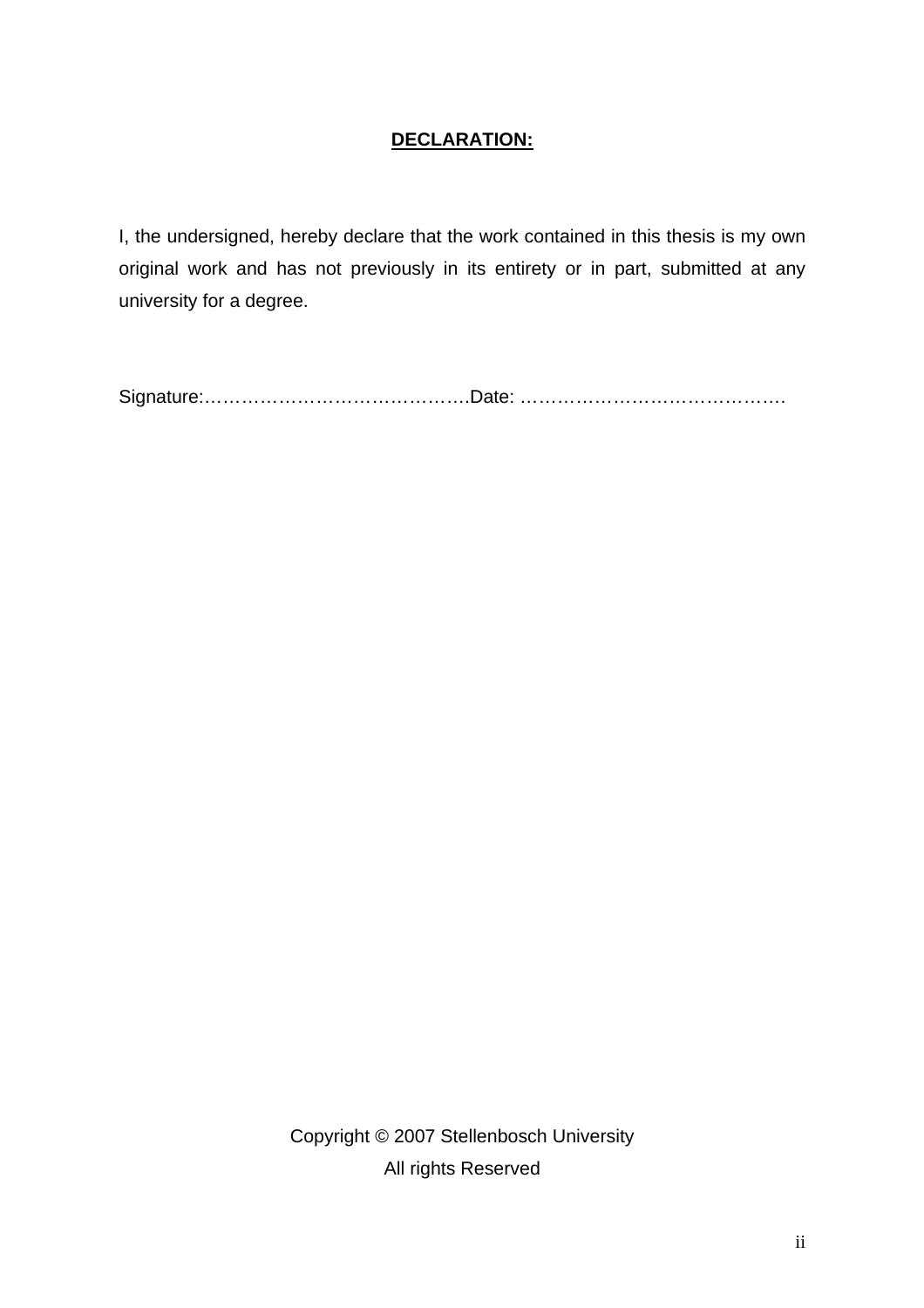# **DECLARATION:**

I, the undersigned, hereby declare that the work contained in this thesis is my own original work and has not previously in its entirety or in part, submitted at any university for a degree.

Signature:…………………………………….Date: …………………………………….

Copyright © 2007 Stellenbosch University All rights Reserved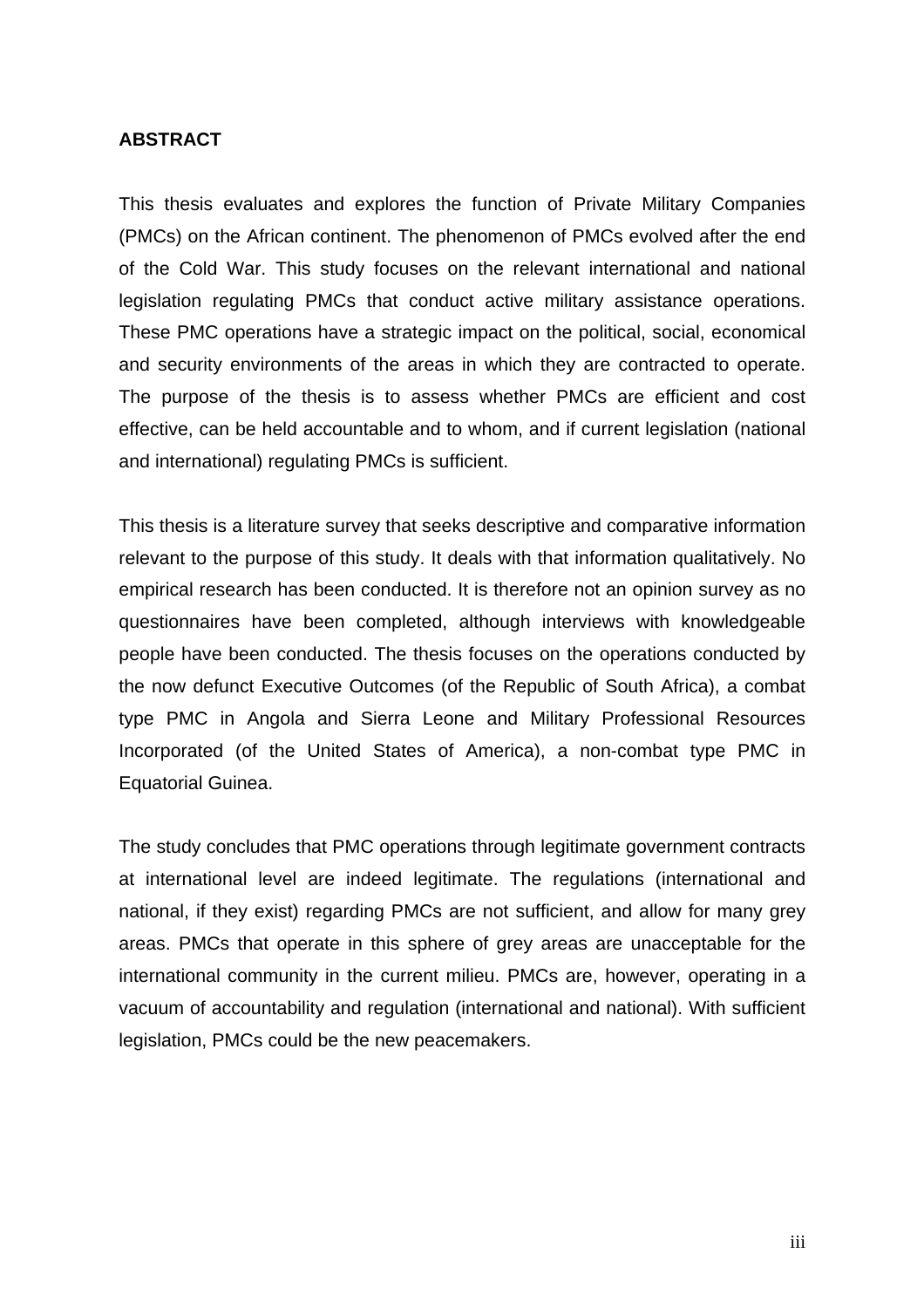## **ABSTRACT**

This thesis evaluates and explores the function of Private Military Companies (PMCs) on the African continent. The phenomenon of PMCs evolved after the end of the Cold War. This study focuses on the relevant international and national legislation regulating PMCs that conduct active military assistance operations. These PMC operations have a strategic impact on the political, social, economical and security environments of the areas in which they are contracted to operate. The purpose of the thesis is to assess whether PMCs are efficient and cost effective, can be held accountable and to whom, and if current legislation (national and international) regulating PMCs is sufficient.

This thesis is a literature survey that seeks descriptive and comparative information relevant to the purpose of this study. It deals with that information qualitatively. No empirical research has been conducted. It is therefore not an opinion survey as no questionnaires have been completed, although interviews with knowledgeable people have been conducted. The thesis focuses on the operations conducted by the now defunct Executive Outcomes (of the Republic of South Africa), a combat type PMC in Angola and Sierra Leone and Military Professional Resources Incorporated (of the United States of America), a non-combat type PMC in Equatorial Guinea.

The study concludes that PMC operations through legitimate government contracts at international level are indeed legitimate. The regulations (international and national, if they exist) regarding PMCs are not sufficient, and allow for many grey areas. PMCs that operate in this sphere of grey areas are unacceptable for the international community in the current milieu. PMCs are, however, operating in a vacuum of accountability and regulation (international and national). With sufficient legislation, PMCs could be the new peacemakers.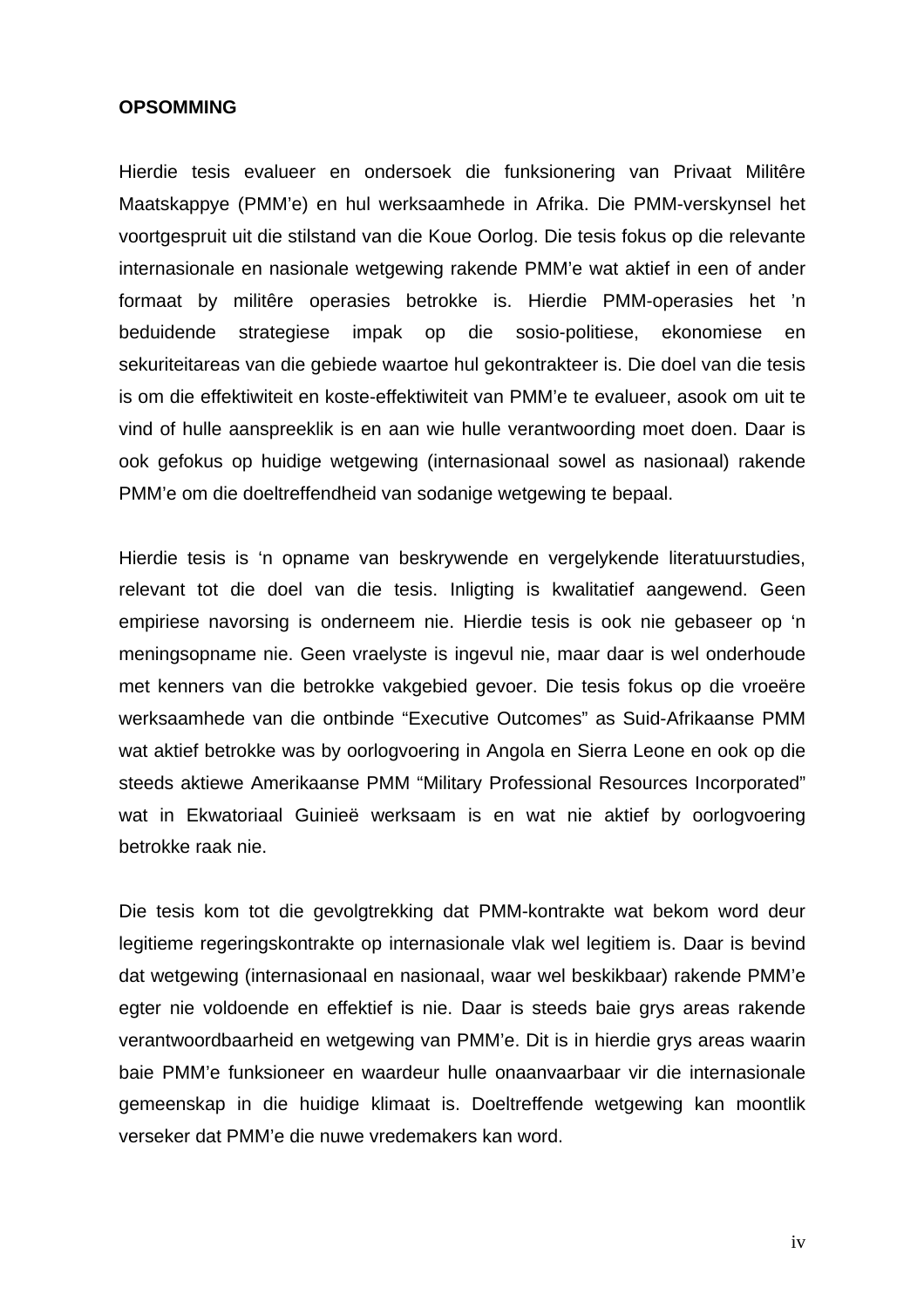#### **OPSOMMING**

Hierdie tesis evalueer en ondersoek die funksionering van Privaat Militêre Maatskappye (PMM'e) en hul werksaamhede in Afrika. Die PMM-verskynsel het voortgespruit uit die stilstand van die Koue Oorlog. Die tesis fokus op die relevante internasionale en nasionale wetgewing rakende PMM'e wat aktief in een of ander formaat by militêre operasies betrokke is. Hierdie PMM-operasies het 'n beduidende strategiese impak op die sosio-politiese, ekonomiese en sekuriteitareas van die gebiede waartoe hul gekontrakteer is. Die doel van die tesis is om die effektiwiteit en koste-effektiwiteit van PMM'e te evalueer, asook om uit te vind of hulle aanspreeklik is en aan wie hulle verantwoording moet doen. Daar is ook gefokus op huidige wetgewing (internasionaal sowel as nasionaal) rakende PMM'e om die doeltreffendheid van sodanige wetgewing te bepaal.

Hierdie tesis is 'n opname van beskrywende en vergelykende literatuurstudies, relevant tot die doel van die tesis. Inligting is kwalitatief aangewend. Geen empiriese navorsing is onderneem nie. Hierdie tesis is ook nie gebaseer op 'n meningsopname nie. Geen vraelyste is ingevul nie, maar daar is wel onderhoude met kenners van die betrokke vakgebied gevoer. Die tesis fokus op die vroeëre werksaamhede van die ontbinde "Executive Outcomes" as Suid-Afrikaanse PMM wat aktief betrokke was by oorlogvoering in Angola en Sierra Leone en ook op die steeds aktiewe Amerikaanse PMM "Military Professional Resources Incorporated" wat in Ekwatoriaal Guinieë werksaam is en wat nie aktief by oorlogvoering betrokke raak nie.

Die tesis kom tot die gevolgtrekking dat PMM-kontrakte wat bekom word deur legitieme regeringskontrakte op internasionale vlak wel legitiem is. Daar is bevind dat wetgewing (internasionaal en nasionaal, waar wel beskikbaar) rakende PMM'e egter nie voldoende en effektief is nie. Daar is steeds baie grys areas rakende verantwoordbaarheid en wetgewing van PMM'e. Dit is in hierdie grys areas waarin baie PMM'e funksioneer en waardeur hulle onaanvaarbaar vir die internasionale gemeenskap in die huidige klimaat is. Doeltreffende wetgewing kan moontlik verseker dat PMM'e die nuwe vredemakers kan word.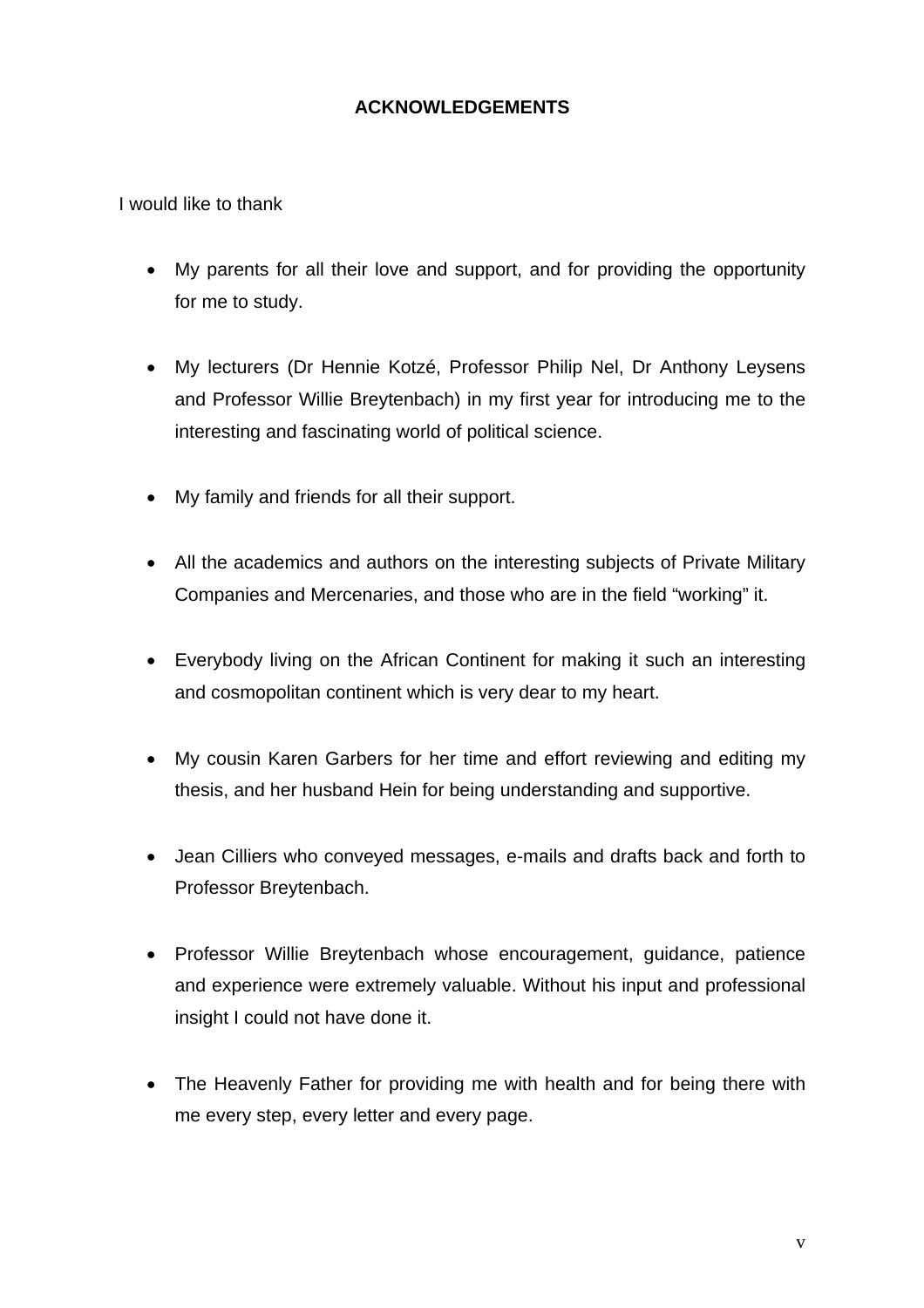# **ACKNOWLEDGEMENTS**

I would like to thank

- My parents for all their love and support, and for providing the opportunity for me to study.
- My lecturers (Dr Hennie Kotzé, Professor Philip Nel, Dr Anthony Leysens and Professor Willie Breytenbach) in my first year for introducing me to the interesting and fascinating world of political science.
- My family and friends for all their support.
- All the academics and authors on the interesting subjects of Private Military Companies and Mercenaries, and those who are in the field "working" it.
- Everybody living on the African Continent for making it such an interesting and cosmopolitan continent which is very dear to my heart.
- My cousin Karen Garbers for her time and effort reviewing and editing my thesis, and her husband Hein for being understanding and supportive.
- Jean Cilliers who conveyed messages, e-mails and drafts back and forth to Professor Breytenbach.
- Professor Willie Breytenbach whose encouragement, guidance, patience and experience were extremely valuable. Without his input and professional insight I could not have done it.
- The Heavenly Father for providing me with health and for being there with me every step, every letter and every page.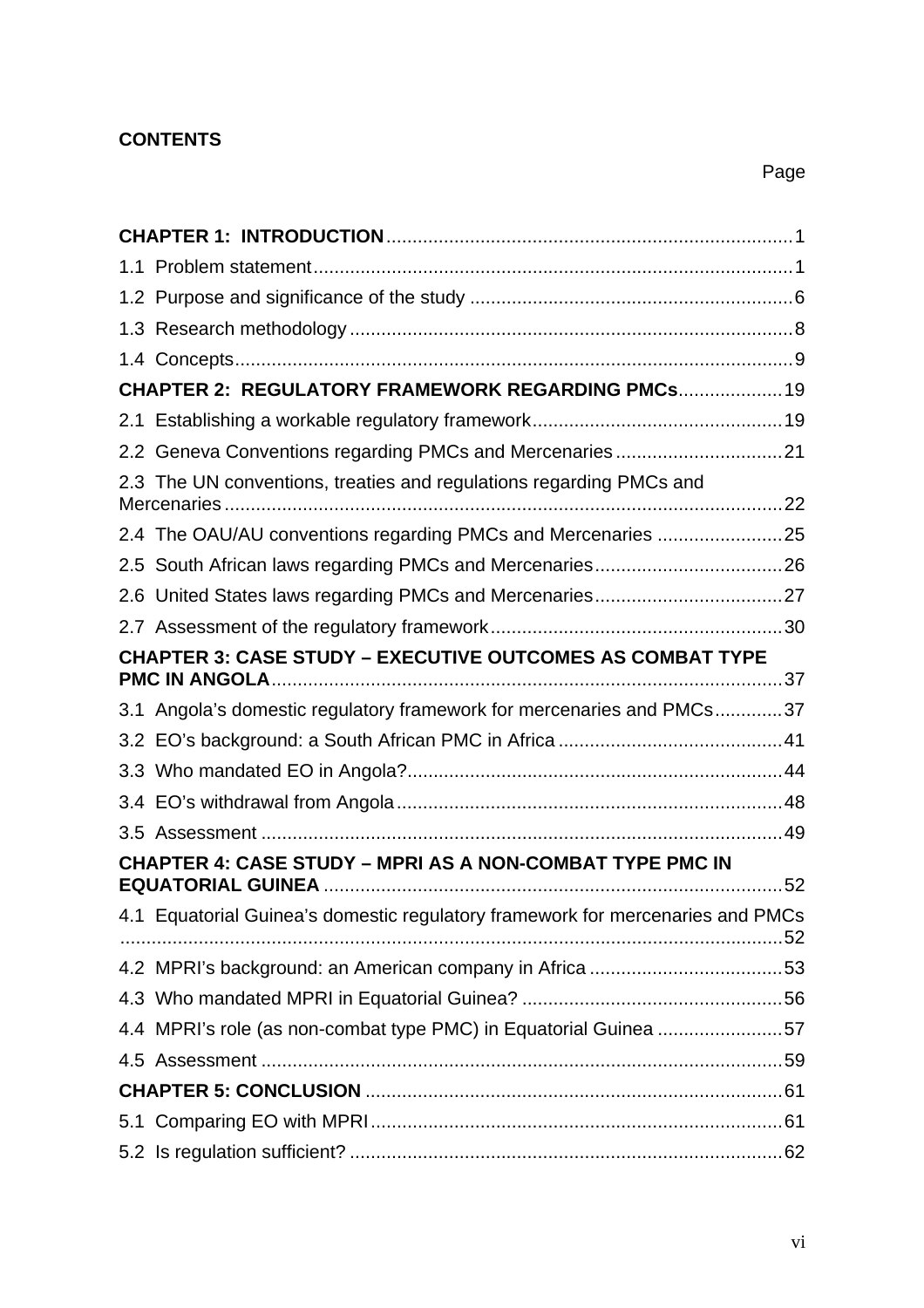# **CONTENTS**

| <b>CHAPTER 2: REGULATORY FRAMEWORK REGARDING PMCs 19</b> |                                                                                |  |  |
|----------------------------------------------------------|--------------------------------------------------------------------------------|--|--|
|                                                          |                                                                                |  |  |
|                                                          | 2.2 Geneva Conventions regarding PMCs and Mercenaries21                        |  |  |
|                                                          | 2.3 The UN conventions, treaties and regulations regarding PMCs and            |  |  |
|                                                          | 2.4 The OAU/AU conventions regarding PMCs and Mercenaries 25                   |  |  |
|                                                          |                                                                                |  |  |
|                                                          |                                                                                |  |  |
|                                                          |                                                                                |  |  |
|                                                          | <b>CHAPTER 3: CASE STUDY - EXECUTIVE OUTCOMES AS COMBAT TYPE</b>               |  |  |
|                                                          |                                                                                |  |  |
|                                                          | 3.1 Angola's domestic regulatory framework for mercenaries and PMCs37          |  |  |
|                                                          |                                                                                |  |  |
|                                                          |                                                                                |  |  |
|                                                          |                                                                                |  |  |
|                                                          |                                                                                |  |  |
|                                                          | <b>CHAPTER 4: CASE STUDY - MPRI AS A NON-COMBAT TYPE PMC IN</b>                |  |  |
|                                                          | 4.1 Equatorial Guinea's domestic regulatory framework for mercenaries and PMCs |  |  |
|                                                          |                                                                                |  |  |
|                                                          |                                                                                |  |  |
|                                                          | 4.4 MPRI's role (as non-combat type PMC) in Equatorial Guinea 57               |  |  |
|                                                          |                                                                                |  |  |
|                                                          |                                                                                |  |  |
|                                                          |                                                                                |  |  |
|                                                          |                                                                                |  |  |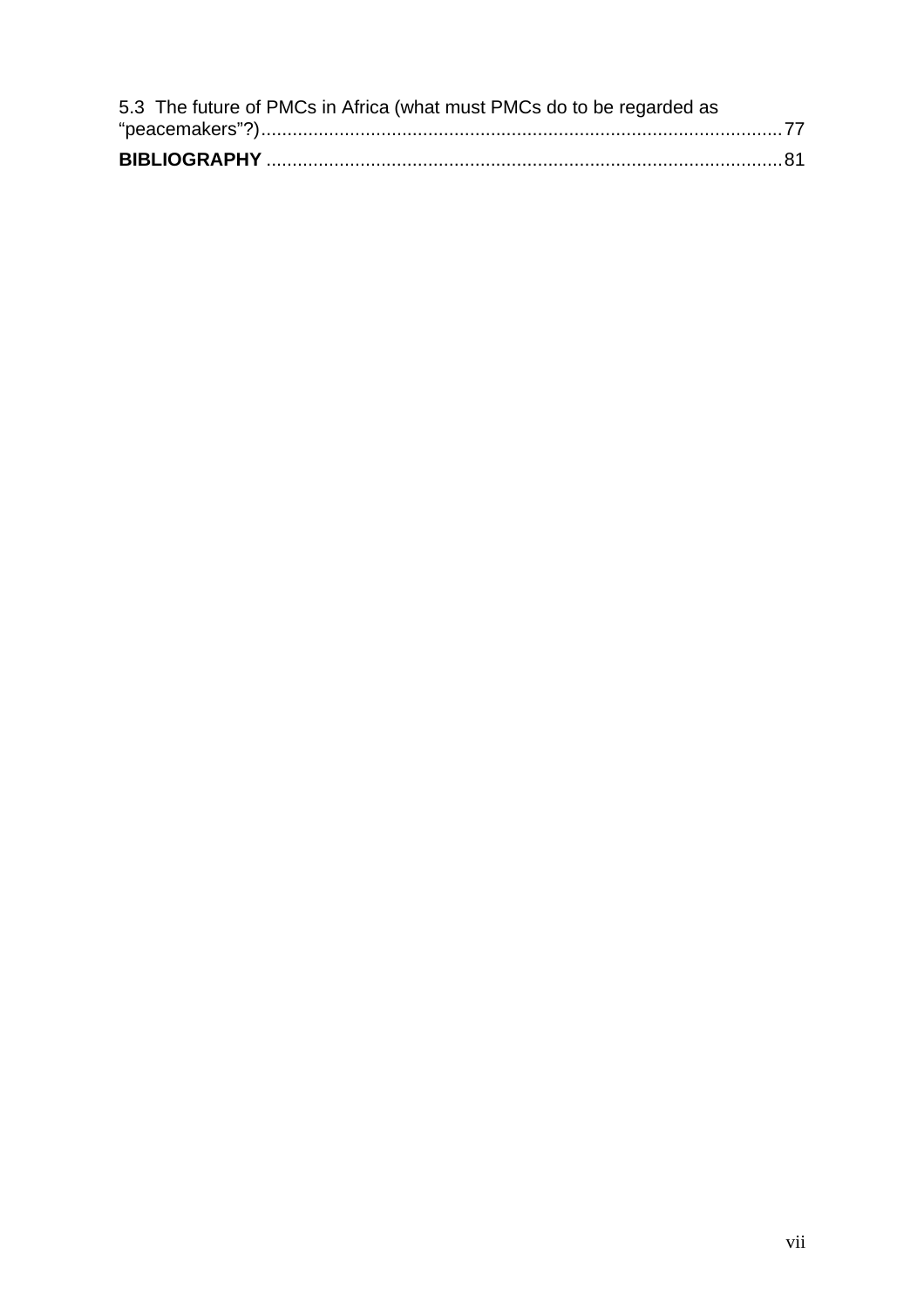| 5.3 The future of PMCs in Africa (what must PMCs do to be regarded as |  |
|-----------------------------------------------------------------------|--|
|                                                                       |  |
|                                                                       |  |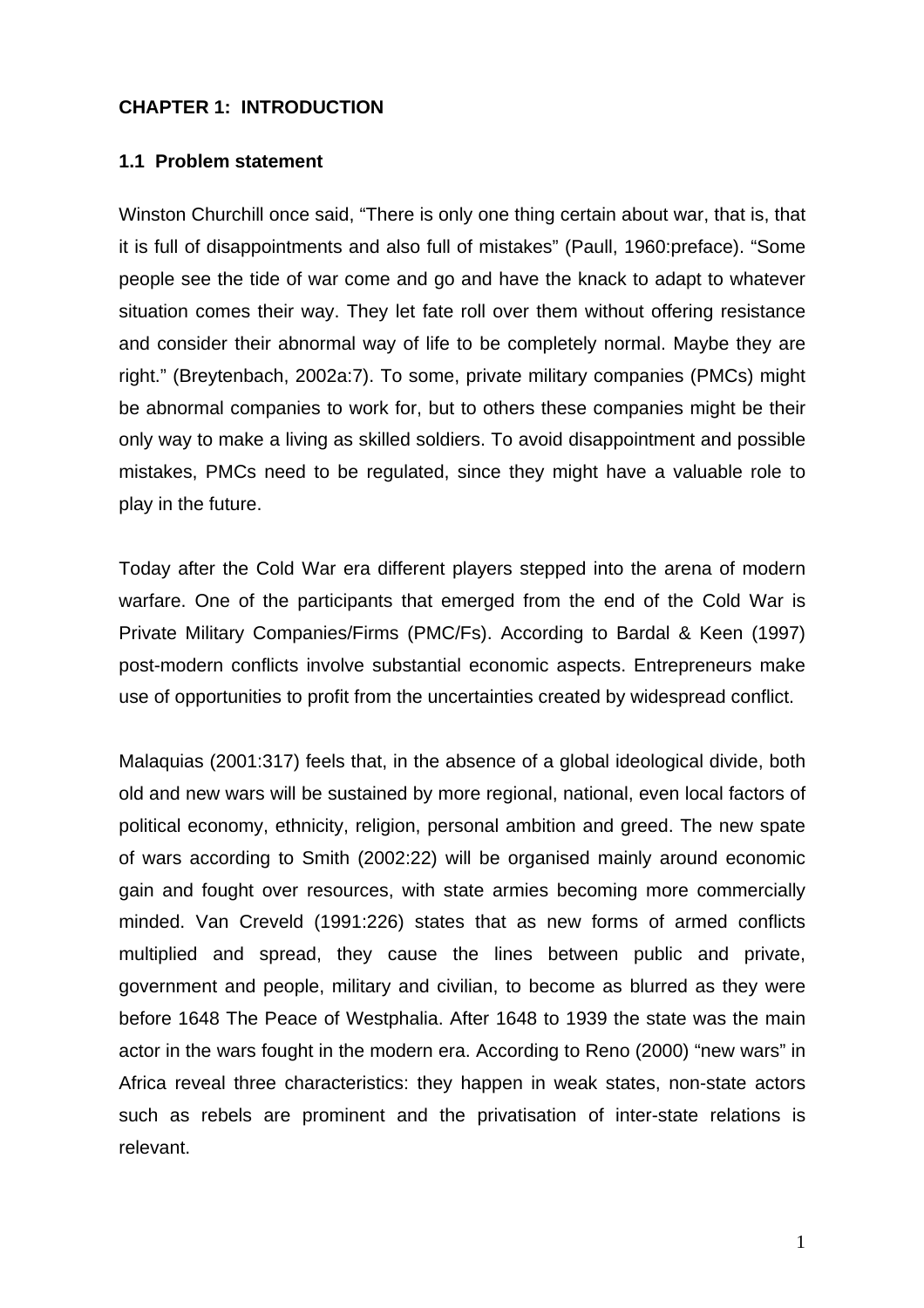### <span id="page-7-0"></span>**CHAPTER 1: INTRODUCTION**

#### **1.1 Problem statement**

Winston Churchill once said, "There is only one thing certain about war, that is, that it is full of disappointments and also full of mistakes" (Paull, 1960:preface). "Some people see the tide of war come and go and have the knack to adapt to whatever situation comes their way. They let fate roll over them without offering resistance and consider their abnormal way of life to be completely normal. Maybe they are right." (Breytenbach, 2002a:7). To some, private military companies (PMCs) might be abnormal companies to work for, but to others these companies might be their only way to make a living as skilled soldiers. To avoid disappointment and possible mistakes, PMCs need to be regulated, since they might have a valuable role to play in the future.

Today after the Cold War era different players stepped into the arena of modern warfare. One of the participants that emerged from the end of the Cold War is Private Military Companies/Firms (PMC/Fs). According to Bardal & Keen (1997) post-modern conflicts involve substantial economic aspects. Entrepreneurs make use of opportunities to profit from the uncertainties created by widespread conflict.

Malaquias (2001:317) feels that, in the absence of a global ideological divide, both old and new wars will be sustained by more regional, national, even local factors of political economy, ethnicity, religion, personal ambition and greed. The new spate of wars according to Smith (2002:22) will be organised mainly around economic gain and fought over resources, with state armies becoming more commercially minded. Van Creveld (1991:226) states that as new forms of armed conflicts multiplied and spread, they cause the lines between public and private, government and people, military and civilian, to become as blurred as they were before 1648 The Peace of Westphalia. After 1648 to 1939 the state was the main actor in the wars fought in the modern era. According to Reno (2000) "new wars" in Africa reveal three characteristics: they happen in weak states, non-state actors such as rebels are prominent and the privatisation of inter-state relations is relevant.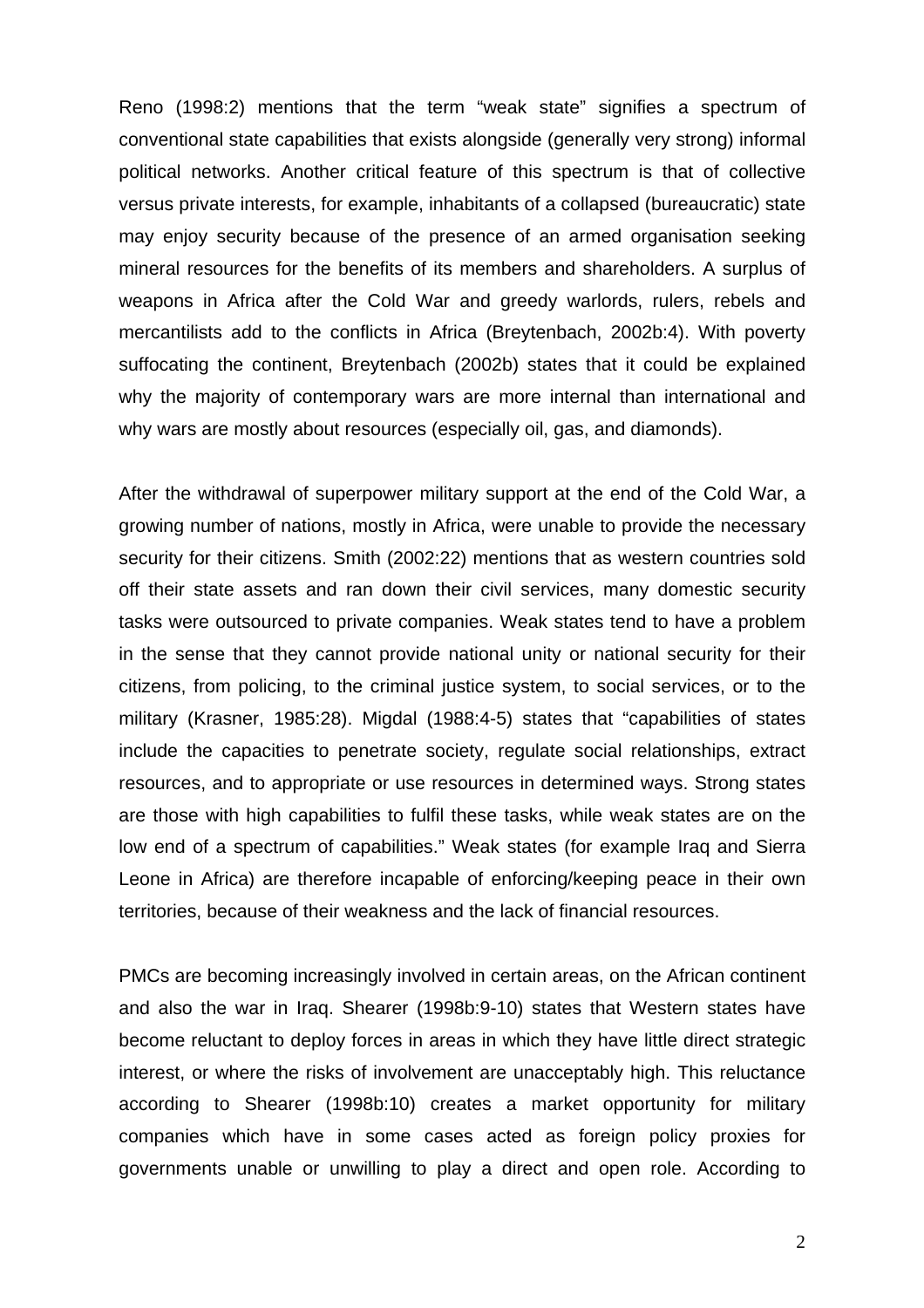Reno (1998:2) mentions that the term "weak state" signifies a spectrum of conventional state capabilities that exists alongside (generally very strong) informal political networks. Another critical feature of this spectrum is that of collective versus private interests, for example, inhabitants of a collapsed (bureaucratic) state may enjoy security because of the presence of an armed organisation seeking mineral resources for the benefits of its members and shareholders. A surplus of weapons in Africa after the Cold War and greedy warlords, rulers, rebels and mercantilists add to the conflicts in Africa (Breytenbach, 2002b:4). With poverty suffocating the continent, Breytenbach (2002b) states that it could be explained why the majority of contemporary wars are more internal than international and why wars are mostly about resources (especially oil, gas, and diamonds).

After the withdrawal of superpower military support at the end of the Cold War, a growing number of nations, mostly in Africa, were unable to provide the necessary security for their citizens. Smith (2002:22) mentions that as western countries sold off their state assets and ran down their civil services, many domestic security tasks were outsourced to private companies. Weak states tend to have a problem in the sense that they cannot provide national unity or national security for their citizens, from policing, to the criminal justice system, to social services, or to the military (Krasner, 1985:28). Migdal (1988:4-5) states that "capabilities of states include the capacities to penetrate society, regulate social relationships, extract resources, and to appropriate or use resources in determined ways. Strong states are those with high capabilities to fulfil these tasks, while weak states are on the low end of a spectrum of capabilities." Weak states (for example Iraq and Sierra Leone in Africa) are therefore incapable of enforcing/keeping peace in their own territories, because of their weakness and the lack of financial resources.

PMCs are becoming increasingly involved in certain areas, on the African continent and also the war in Iraq. Shearer (1998b:9-10) states that Western states have become reluctant to deploy forces in areas in which they have little direct strategic interest, or where the risks of involvement are unacceptably high. This reluctance according to Shearer (1998b:10) creates a market opportunity for military companies which have in some cases acted as foreign policy proxies for governments unable or unwilling to play a direct and open role. According to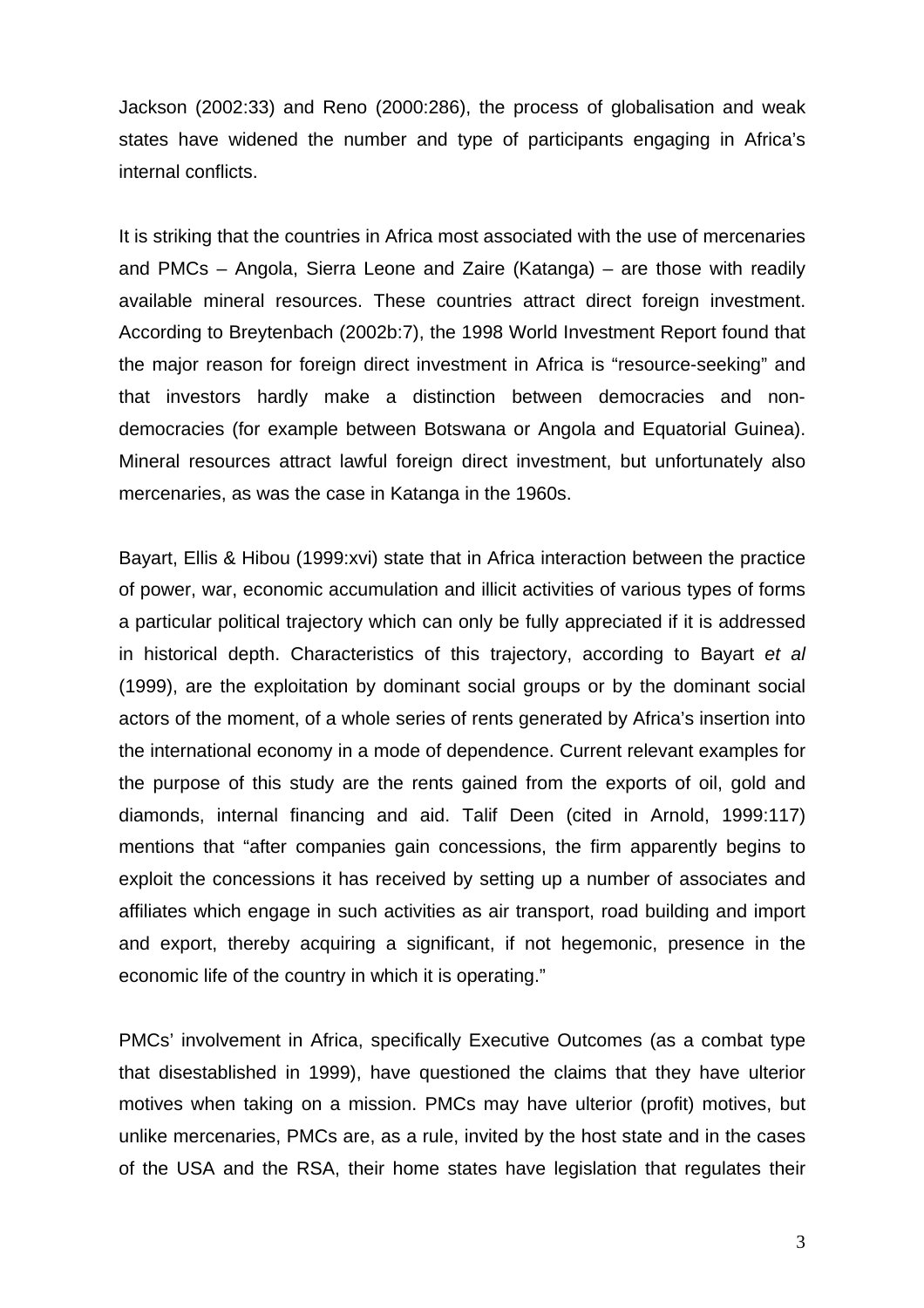Jackson (2002:33) and Reno (2000:286), the process of globalisation and weak states have widened the number and type of participants engaging in Africa's internal conflicts.

It is striking that the countries in Africa most associated with the use of mercenaries and PMCs – Angola, Sierra Leone and Zaire (Katanga) – are those with readily available mineral resources. These countries attract direct foreign investment. According to Breytenbach (2002b:7), the 1998 World Investment Report found that the major reason for foreign direct investment in Africa is "resource-seeking" and that investors hardly make a distinction between democracies and nondemocracies (for example between Botswana or Angola and Equatorial Guinea). Mineral resources attract lawful foreign direct investment, but unfortunately also mercenaries, as was the case in Katanga in the 1960s.

Bayart, Ellis & Hibou (1999:xvi) state that in Africa interaction between the practice of power, war, economic accumulation and illicit activities of various types of forms a particular political trajectory which can only be fully appreciated if it is addressed in historical depth. Characteristics of this trajectory, according to Bayart *et al* (1999), are the exploitation by dominant social groups or by the dominant social actors of the moment, of a whole series of rents generated by Africa's insertion into the international economy in a mode of dependence. Current relevant examples for the purpose of this study are the rents gained from the exports of oil, gold and diamonds, internal financing and aid. Talif Deen (cited in Arnold, 1999:117) mentions that "after companies gain concessions, the firm apparently begins to exploit the concessions it has received by setting up a number of associates and affiliates which engage in such activities as air transport, road building and import and export, thereby acquiring a significant, if not hegemonic, presence in the economic life of the country in which it is operating."

PMCs' involvement in Africa, specifically Executive Outcomes (as a combat type that disestablished in 1999), have questioned the claims that they have ulterior motives when taking on a mission. PMCs may have ulterior (profit) motives, but unlike mercenaries, PMCs are, as a rule, invited by the host state and in the cases of the USA and the RSA, their home states have legislation that regulates their

3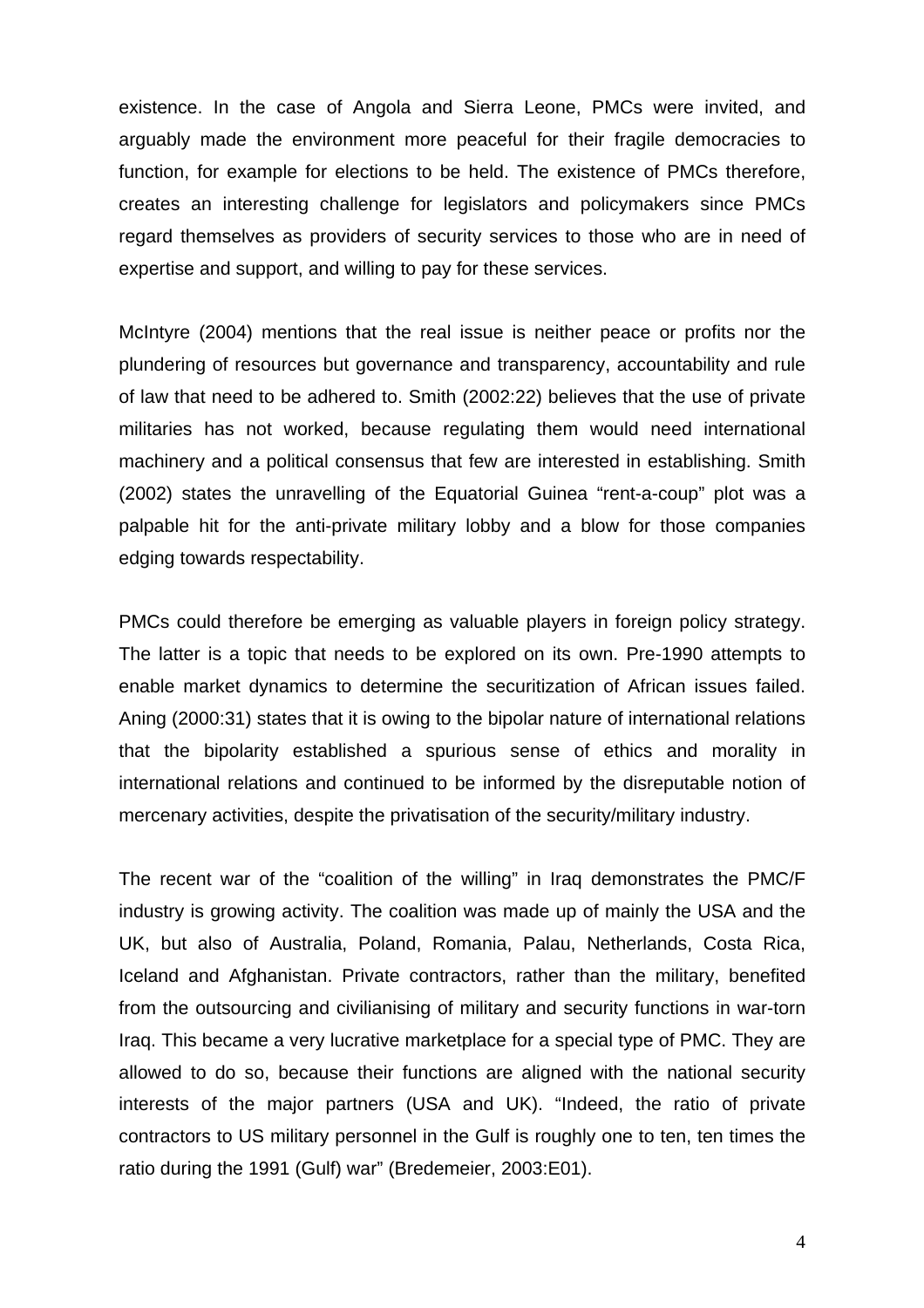existence. In the case of Angola and Sierra Leone, PMCs were invited, and arguably made the environment more peaceful for their fragile democracies to function, for example for elections to be held. The existence of PMCs therefore, creates an interesting challenge for legislators and policymakers since PMCs regard themselves as providers of security services to those who are in need of expertise and support, and willing to pay for these services.

McIntyre (2004) mentions that the real issue is neither peace or profits nor the plundering of resources but governance and transparency, accountability and rule of law that need to be adhered to. Smith (2002:22) believes that the use of private militaries has not worked, because regulating them would need international machinery and a political consensus that few are interested in establishing. Smith (2002) states the unravelling of the Equatorial Guinea "rent-a-coup" plot was a palpable hit for the anti-private military lobby and a blow for those companies edging towards respectability.

PMCs could therefore be emerging as valuable players in foreign policy strategy. The latter is a topic that needs to be explored on its own. Pre-1990 attempts to enable market dynamics to determine the securitization of African issues failed. Aning (2000:31) states that it is owing to the bipolar nature of international relations that the bipolarity established a spurious sense of ethics and morality in international relations and continued to be informed by the disreputable notion of mercenary activities, despite the privatisation of the security/military industry.

The recent war of the "coalition of the willing" in Iraq demonstrates the PMC/F industry is growing activity. The coalition was made up of mainly the USA and the UK, but also of Australia, Poland, Romania, Palau, Netherlands, Costa Rica, Iceland and Afghanistan. Private contractors, rather than the military, benefited from the outsourcing and civilianising of military and security functions in war-torn Iraq. This became a very lucrative marketplace for a special type of PMC. They are allowed to do so, because their functions are aligned with the national security interests of the major partners (USA and UK). "Indeed, the ratio of private contractors to US military personnel in the Gulf is roughly one to ten, ten times the ratio during the 1991 (Gulf) war" (Bredemeier, 2003:E01).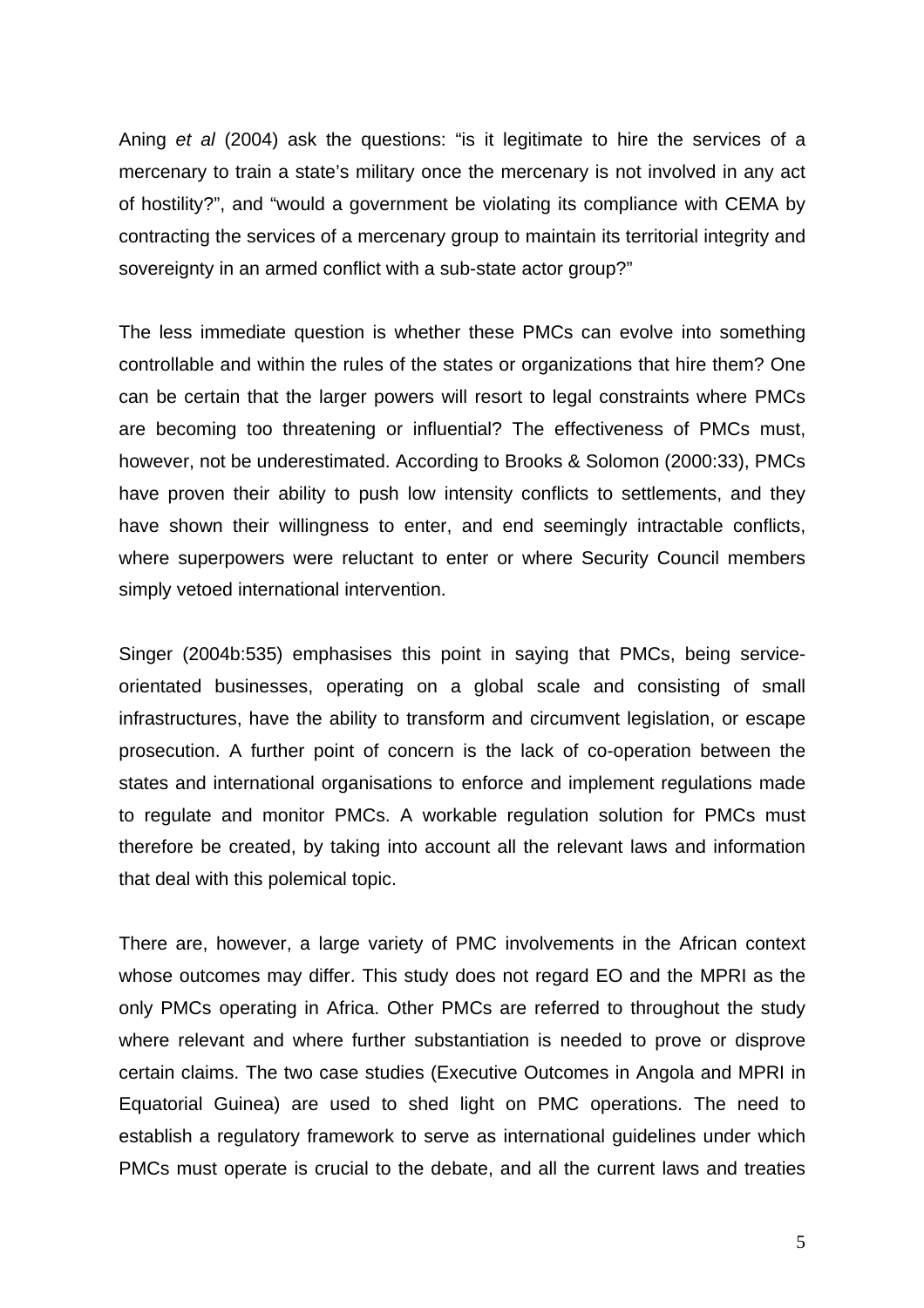Aning *et al* (2004) ask the questions: "is it legitimate to hire the services of a mercenary to train a state's military once the mercenary is not involved in any act of hostility?", and "would a government be violating its compliance with CEMA by contracting the services of a mercenary group to maintain its territorial integrity and sovereignty in an armed conflict with a sub-state actor group?"

The less immediate question is whether these PMCs can evolve into something controllable and within the rules of the states or organizations that hire them? One can be certain that the larger powers will resort to legal constraints where PMCs are becoming too threatening or influential? The effectiveness of PMCs must, however, not be underestimated. According to Brooks & Solomon (2000:33), PMCs have proven their ability to push low intensity conflicts to settlements, and they have shown their willingness to enter, and end seemingly intractable conflicts, where superpowers were reluctant to enter or where Security Council members simply vetoed international intervention.

Singer (2004b:535) emphasises this point in saying that PMCs, being serviceorientated businesses, operating on a global scale and consisting of small infrastructures, have the ability to transform and circumvent legislation, or escape prosecution. A further point of concern is the lack of co-operation between the states and international organisations to enforce and implement regulations made to regulate and monitor PMCs. A workable regulation solution for PMCs must therefore be created, by taking into account all the relevant laws and information that deal with this polemical topic.

There are, however, a large variety of PMC involvements in the African context whose outcomes may differ. This study does not regard EO and the MPRI as the only PMCs operating in Africa. Other PMCs are referred to throughout the study where relevant and where further substantiation is needed to prove or disprove certain claims. The two case studies (Executive Outcomes in Angola and MPRI in Equatorial Guinea) are used to shed light on PMC operations. The need to establish a regulatory framework to serve as international guidelines under which PMCs must operate is crucial to the debate, and all the current laws and treaties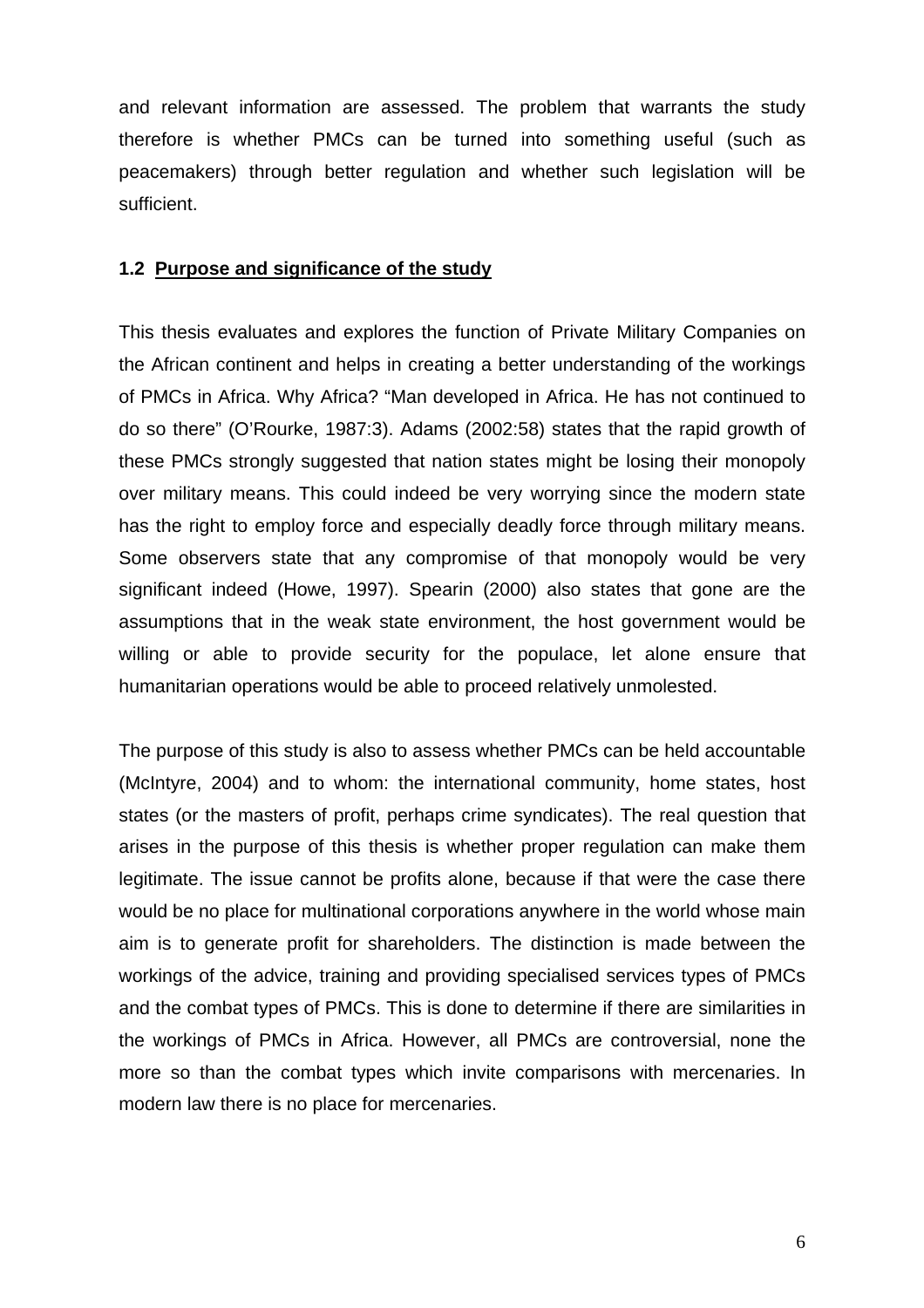<span id="page-12-0"></span>and relevant information are assessed. The problem that warrants the study therefore is whether PMCs can be turned into something useful (such as peacemakers) through better regulation and whether such legislation will be sufficient.

### **1.2 Purpose and significance of the study**

This thesis evaluates and explores the function of Private Military Companies on the African continent and helps in creating a better understanding of the workings of PMCs in Africa. Why Africa? "Man developed in Africa. He has not continued to do so there" (O'Rourke, 1987:3). Adams (2002:58) states that the rapid growth of these PMCs strongly suggested that nation states might be losing their monopoly over military means. This could indeed be very worrying since the modern state has the right to employ force and especially deadly force through military means. Some observers state that any compromise of that monopoly would be very significant indeed (Howe, 1997). Spearin (2000) also states that gone are the assumptions that in the weak state environment, the host government would be willing or able to provide security for the populace, let alone ensure that humanitarian operations would be able to proceed relatively unmolested.

The purpose of this study is also to assess whether PMCs can be held accountable (McIntyre, 2004) and to whom: the international community, home states, host states (or the masters of profit, perhaps crime syndicates). The real question that arises in the purpose of this thesis is whether proper regulation can make them legitimate. The issue cannot be profits alone, because if that were the case there would be no place for multinational corporations anywhere in the world whose main aim is to generate profit for shareholders. The distinction is made between the workings of the advice, training and providing specialised services types of PMCs and the combat types of PMCs. This is done to determine if there are similarities in the workings of PMCs in Africa. However, all PMCs are controversial, none the more so than the combat types which invite comparisons with mercenaries. In modern law there is no place for mercenaries.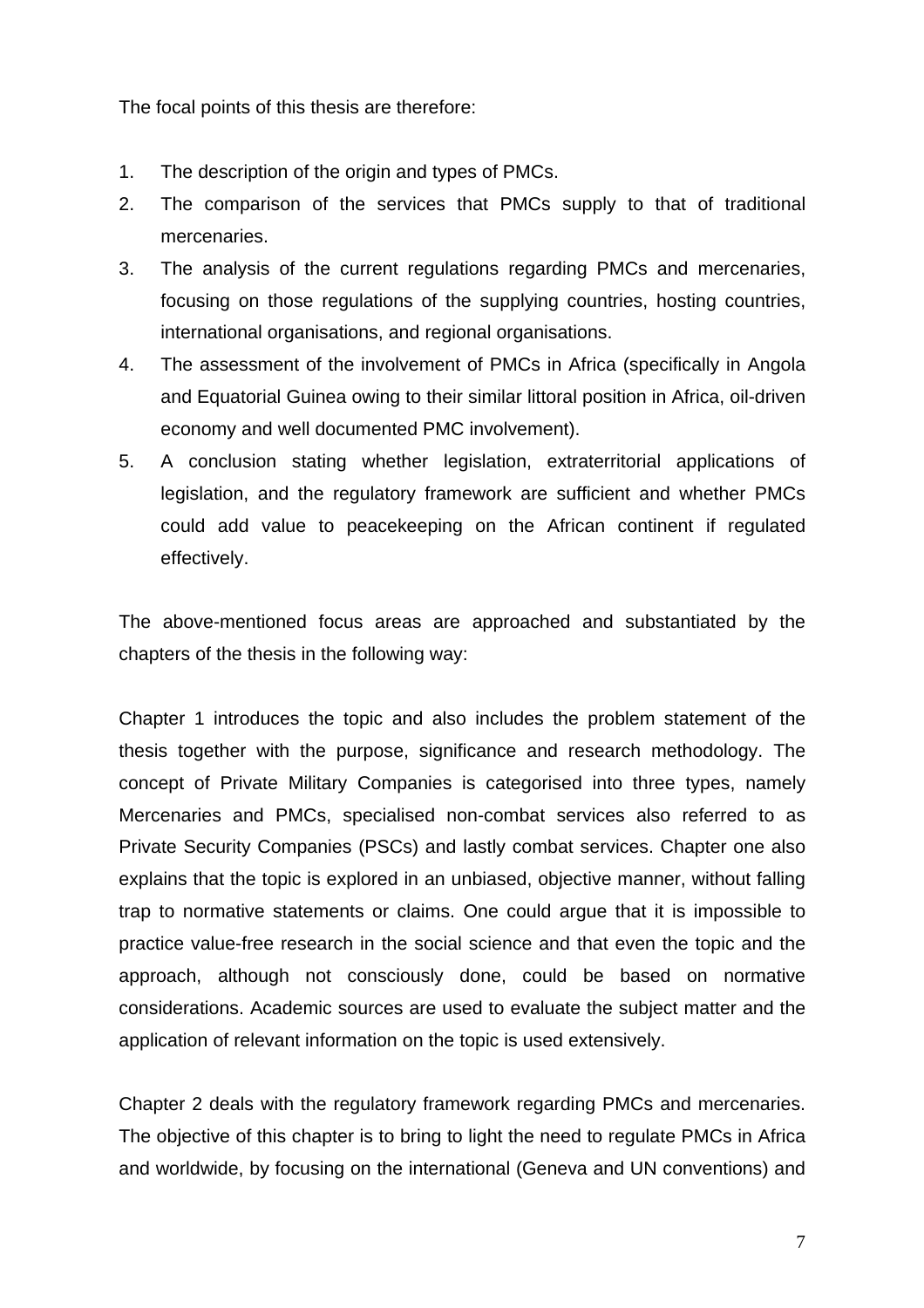The focal points of this thesis are therefore:

- 1. The description of the origin and types of PMCs.
- 2. The comparison of the services that PMCs supply to that of traditional mercenaries.
- 3. The analysis of the current regulations regarding PMCs and mercenaries, focusing on those regulations of the supplying countries, hosting countries, international organisations, and regional organisations.
- 4. The assessment of the involvement of PMCs in Africa (specifically in Angola and Equatorial Guinea owing to their similar littoral position in Africa, oil-driven economy and well documented PMC involvement).
- 5. A conclusion stating whether legislation, extraterritorial applications of legislation, and the regulatory framework are sufficient and whether PMCs could add value to peacekeeping on the African continent if regulated effectively.

The above-mentioned focus areas are approached and substantiated by the chapters of the thesis in the following way:

Chapter 1 introduces the topic and also includes the problem statement of the thesis together with the purpose, significance and research methodology. The concept of Private Military Companies is categorised into three types, namely Mercenaries and PMCs, specialised non-combat services also referred to as Private Security Companies (PSCs) and lastly combat services. Chapter one also explains that the topic is explored in an unbiased, objective manner, without falling trap to normative statements or claims. One could argue that it is impossible to practice value-free research in the social science and that even the topic and the approach, although not consciously done, could be based on normative considerations. Academic sources are used to evaluate the subject matter and the application of relevant information on the topic is used extensively.

Chapter 2 deals with the regulatory framework regarding PMCs and mercenaries. The objective of this chapter is to bring to light the need to regulate PMCs in Africa and worldwide, by focusing on the international (Geneva and UN conventions) and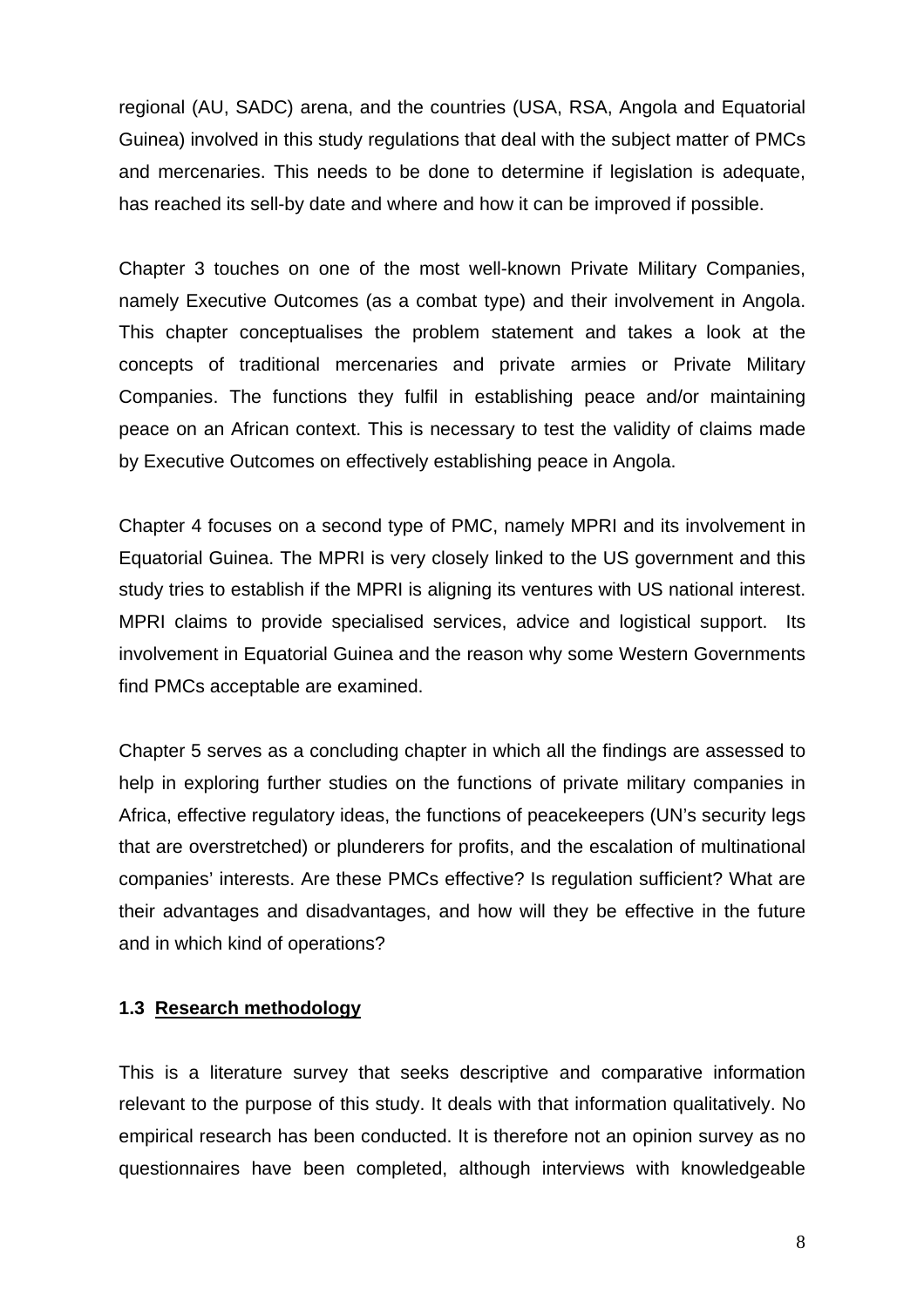<span id="page-14-0"></span>regional (AU, SADC) arena, and the countries (USA, RSA, Angola and Equatorial Guinea) involved in this study regulations that deal with the subject matter of PMCs and mercenaries. This needs to be done to determine if legislation is adequate, has reached its sell-by date and where and how it can be improved if possible.

Chapter 3 touches on one of the most well-known Private Military Companies, namely Executive Outcomes (as a combat type) and their involvement in Angola. This chapter conceptualises the problem statement and takes a look at the concepts of traditional mercenaries and private armies or Private Military Companies. The functions they fulfil in establishing peace and/or maintaining peace on an African context. This is necessary to test the validity of claims made by Executive Outcomes on effectively establishing peace in Angola.

Chapter 4 focuses on a second type of PMC, namely MPRI and its involvement in Equatorial Guinea. The MPRI is very closely linked to the US government and this study tries to establish if the MPRI is aligning its ventures with US national interest. MPRI claims to provide specialised services, advice and logistical support. Its involvement in Equatorial Guinea and the reason why some Western Governments find PMCs acceptable are examined.

Chapter 5 serves as a concluding chapter in which all the findings are assessed to help in exploring further studies on the functions of private military companies in Africa, effective regulatory ideas, the functions of peacekeepers (UN's security legs that are overstretched) or plunderers for profits, and the escalation of multinational companies' interests. Are these PMCs effective? Is regulation sufficient? What are their advantages and disadvantages, and how will they be effective in the future and in which kind of operations?

## **1.3 Research methodology**

This is a literature survey that seeks descriptive and comparative information relevant to the purpose of this study. It deals with that information qualitatively. No empirical research has been conducted. It is therefore not an opinion survey as no questionnaires have been completed, although interviews with knowledgeable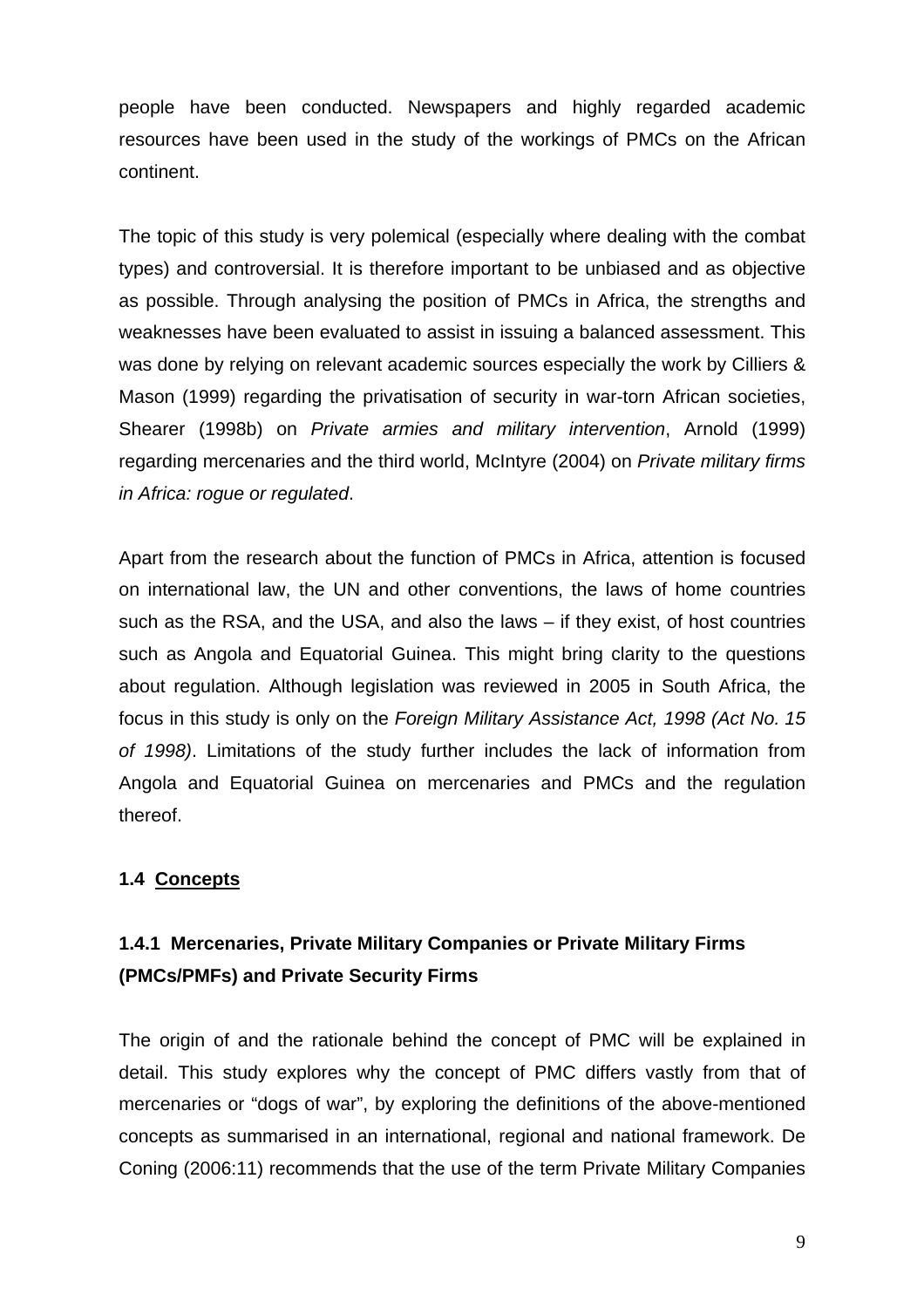<span id="page-15-0"></span>people have been conducted. Newspapers and highly regarded academic resources have been used in the study of the workings of PMCs on the African continent.

The topic of this study is very polemical (especially where dealing with the combat types) and controversial. It is therefore important to be unbiased and as objective as possible. Through analysing the position of PMCs in Africa, the strengths and weaknesses have been evaluated to assist in issuing a balanced assessment. This was done by relying on relevant academic sources especially the work by Cilliers & Mason (1999) regarding the privatisation of security in war-torn African societies, Shearer (1998b) on *Private armies and military intervention*, Arnold (1999) regarding mercenaries and the third world, McIntyre (2004) on *Private military firms in Africa: rogue or regulated*.

Apart from the research about the function of PMCs in Africa, attention is focused on international law, the UN and other conventions, the laws of home countries such as the RSA, and the USA, and also the laws – if they exist, of host countries such as Angola and Equatorial Guinea. This might bring clarity to the questions about regulation. Although legislation was reviewed in 2005 in South Africa, the focus in this study is only on the *Foreign Military Assistance Act, 1998 (Act No. 15 of 1998)*. Limitations of the study further includes the lack of information from Angola and Equatorial Guinea on mercenaries and PMCs and the regulation thereof.

# **1.4 Concepts**

# **1.4.1 Mercenaries, Private Military Companies or Private Military Firms (PMCs/PMFs) and Private Security Firms**

The origin of and the rationale behind the concept of PMC will be explained in detail. This study explores why the concept of PMC differs vastly from that of mercenaries or "dogs of war", by exploring the definitions of the above-mentioned concepts as summarised in an international, regional and national framework. De Coning (2006:11) recommends that the use of the term Private Military Companies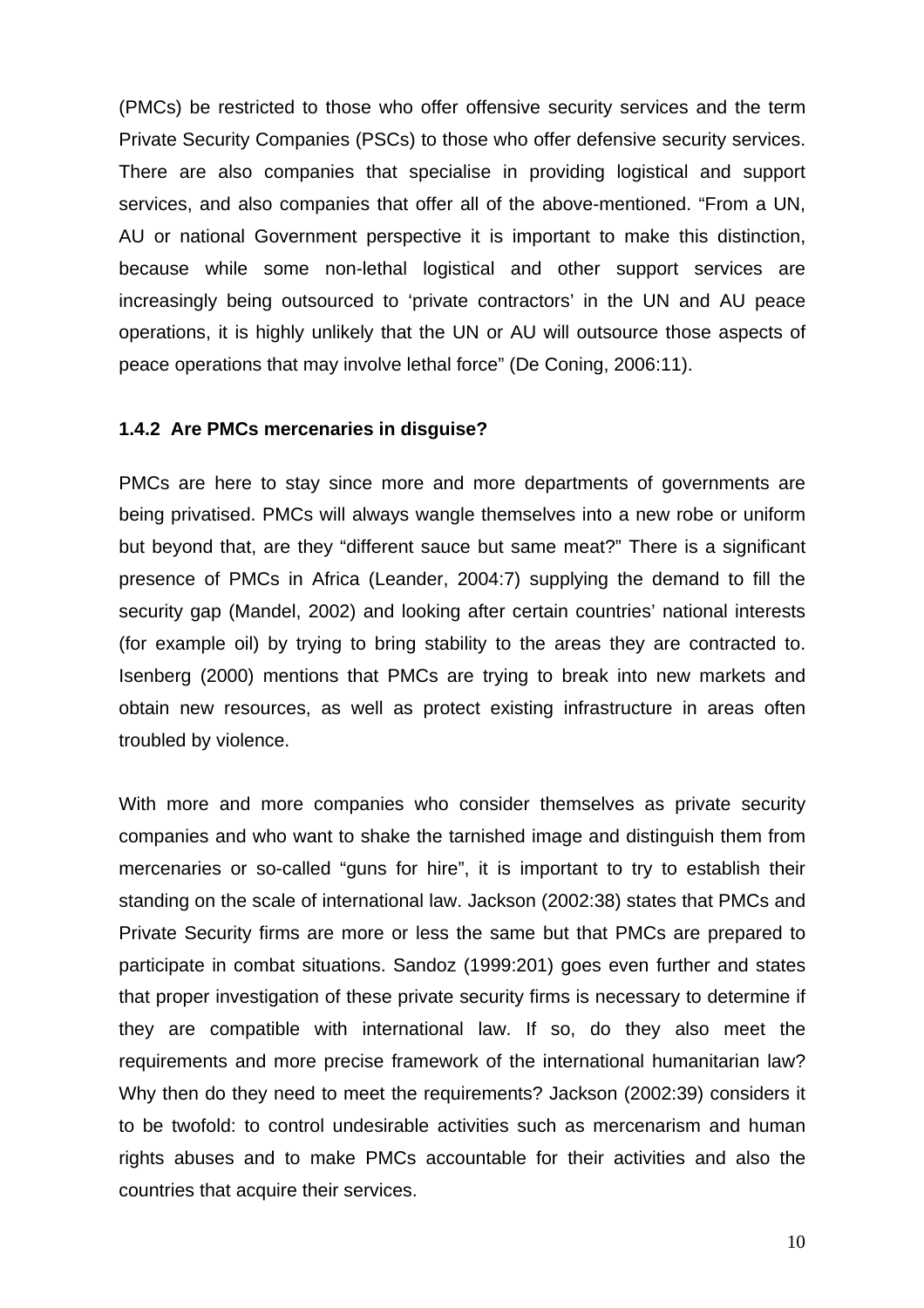(PMCs) be restricted to those who offer offensive security services and the term Private Security Companies (PSCs) to those who offer defensive security services. There are also companies that specialise in providing logistical and support services, and also companies that offer all of the above-mentioned. "From a UN, AU or national Government perspective it is important to make this distinction, because while some non-lethal logistical and other support services are increasingly being outsourced to 'private contractors' in the UN and AU peace operations, it is highly unlikely that the UN or AU will outsource those aspects of peace operations that may involve lethal force" (De Coning, 2006:11).

#### **1.4.2 Are PMCs mercenaries in disguise?**

PMCs are here to stay since more and more departments of governments are being privatised. PMCs will always wangle themselves into a new robe or uniform but beyond that, are they "different sauce but same meat?" There is a significant presence of PMCs in Africa (Leander, 2004:7) supplying the demand to fill the security gap (Mandel, 2002) and looking after certain countries' national interests (for example oil) by trying to bring stability to the areas they are contracted to. Isenberg (2000) mentions that PMCs are trying to break into new markets and obtain new resources, as well as protect existing infrastructure in areas often troubled by violence.

With more and more companies who consider themselves as private security companies and who want to shake the tarnished image and distinguish them from mercenaries or so-called "guns for hire", it is important to try to establish their standing on the scale of international law. Jackson (2002:38) states that PMCs and Private Security firms are more or less the same but that PMCs are prepared to participate in combat situations. Sandoz (1999:201) goes even further and states that proper investigation of these private security firms is necessary to determine if they are compatible with international law. If so, do they also meet the requirements and more precise framework of the international humanitarian law? Why then do they need to meet the requirements? Jackson (2002:39) considers it to be twofold: to control undesirable activities such as mercenarism and human rights abuses and to make PMCs accountable for their activities and also the countries that acquire their services.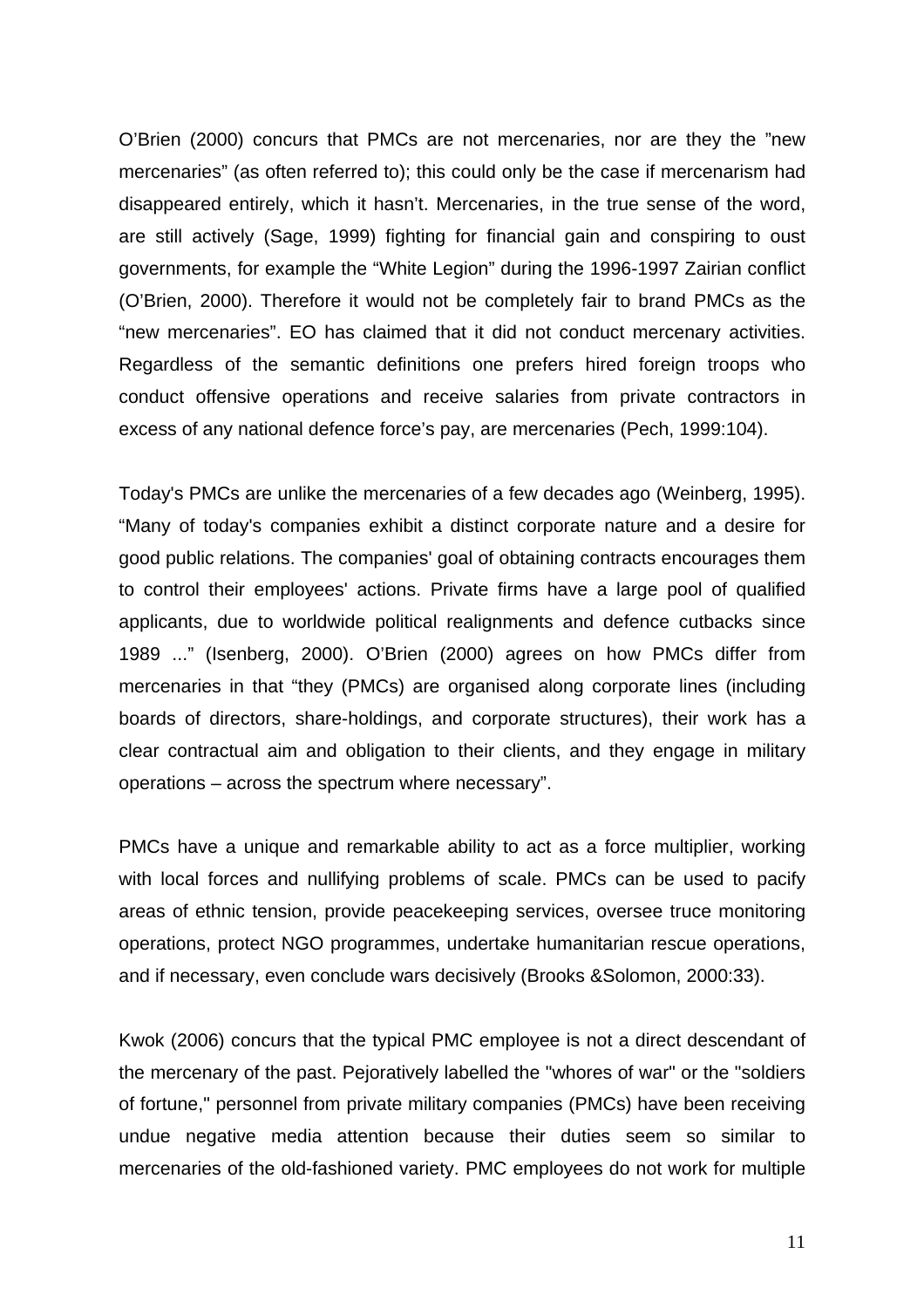O'Brien (2000) concurs that PMCs are not mercenaries, nor are they the "new mercenaries" (as often referred to); this could only be the case if mercenarism had disappeared entirely, which it hasn't. Mercenaries, in the true sense of the word, are still actively (Sage, 1999) fighting for financial gain and conspiring to oust governments, for example the "White Legion" during the 1996-1997 Zairian conflict (O'Brien, 2000). Therefore it would not be completely fair to brand PMCs as the "new mercenaries". EO has claimed that it did not conduct mercenary activities. Regardless of the semantic definitions one prefers hired foreign troops who conduct offensive operations and receive salaries from private contractors in excess of any national defence force's pay, are mercenaries (Pech, 1999:104).

Today's PMCs are unlike the mercenaries of a few decades ago (Weinberg, 1995). "Many of today's companies exhibit a distinct corporate nature and a desire for good public relations. The companies' goal of obtaining contracts encourages them to control their employees' actions. Private firms have a large pool of qualified applicants, due to worldwide political realignments and defence cutbacks since 1989 ..." (Isenberg, 2000). O'Brien (2000) agrees on how PMCs differ from mercenaries in that "they (PMCs) are organised along corporate lines (including boards of directors, share-holdings, and corporate structures), their work has a clear contractual aim and obligation to their clients, and they engage in military operations – across the spectrum where necessary".

PMCs have a unique and remarkable ability to act as a force multiplier, working with local forces and nullifying problems of scale. PMCs can be used to pacify areas of ethnic tension, provide peacekeeping services, oversee truce monitoring operations, protect NGO programmes, undertake humanitarian rescue operations, and if necessary, even conclude wars decisively (Brooks &Solomon, 2000:33).

Kwok (2006) concurs that the typical PMC employee is not a direct descendant of the mercenary of the past. Pejoratively labelled the "whores of war" or the "soldiers of fortune," personnel from private military companies (PMCs) have been receiving undue negative media attention because their duties seem so similar to mercenaries of the old-fashioned variety. PMC employees do not work for multiple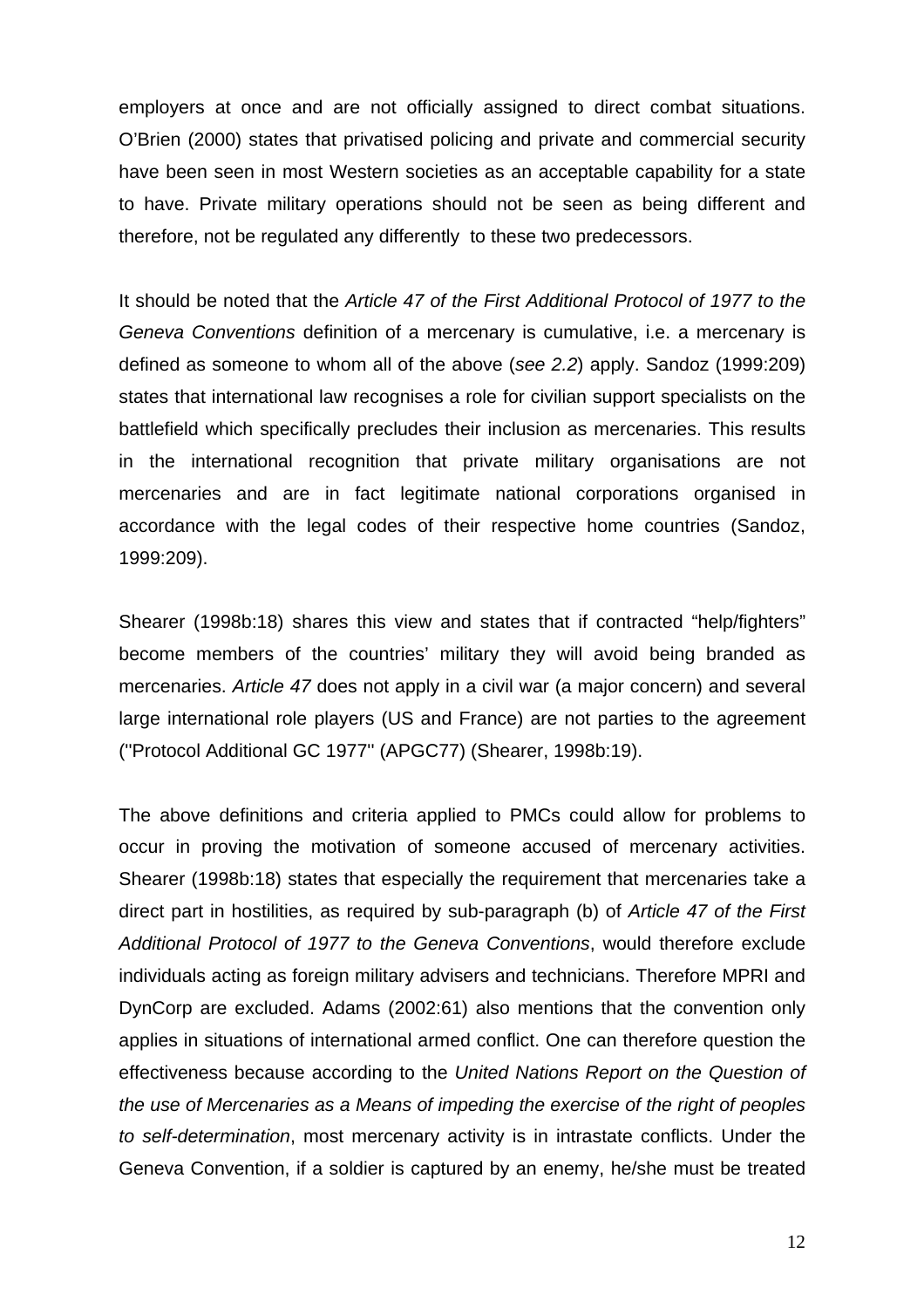employers at once and are not officially assigned to direct combat situations. O'Brien (2000) states that privatised policing and private and commercial security have been seen in most Western societies as an acceptable capability for a state to have. Private military operations should not be seen as being different and therefore, not be regulated any differently to these two predecessors.

It should be noted that the *Article 47 of the First Additional Protocol of 1977 to the Geneva Conventions* definition of a mercenary is cumulative, i.e. a mercenary is defined as someone to whom all of the above (*see 2.2*) apply. Sandoz (1999:209) states that international law recognises a role for civilian support specialists on the battlefield which specifically precludes their inclusion as mercenaries. This results in the international recognition that private military organisations are not mercenaries and are in fact legitimate national corporations organised in accordance with the legal codes of their respective home countries (Sandoz, 1999:209).

Shearer (1998b:18) shares this view and states that if contracted "help/fighters" become members of the countries' military they will avoid being branded as mercenaries. *Article 47* does not apply in a civil war (a major concern) and several large international role players (US and France) are not parties to the agreement (''Protocol Additional GC 1977'' (APGC77) (Shearer, 1998b:19).

The above definitions and criteria applied to PMCs could allow for problems to occur in proving the motivation of someone accused of mercenary activities. Shearer (1998b:18) states that especially the requirement that mercenaries take a direct part in hostilities, as required by sub-paragraph (b) of *Article 47 of the First Additional Protocol of 1977 to the Geneva Conventions*, would therefore exclude individuals acting as foreign military advisers and technicians. Therefore MPRI and DynCorp are excluded. Adams (2002:61) also mentions that the convention only applies in situations of international armed conflict. One can therefore question the effectiveness because according to the *United Nations Report on the Question of the use of Mercenaries as a Means of impeding the exercise of the right of peoples to self-determination*, most mercenary activity is in intrastate conflicts. Under the Geneva Convention, if a soldier is captured by an enemy, he/she must be treated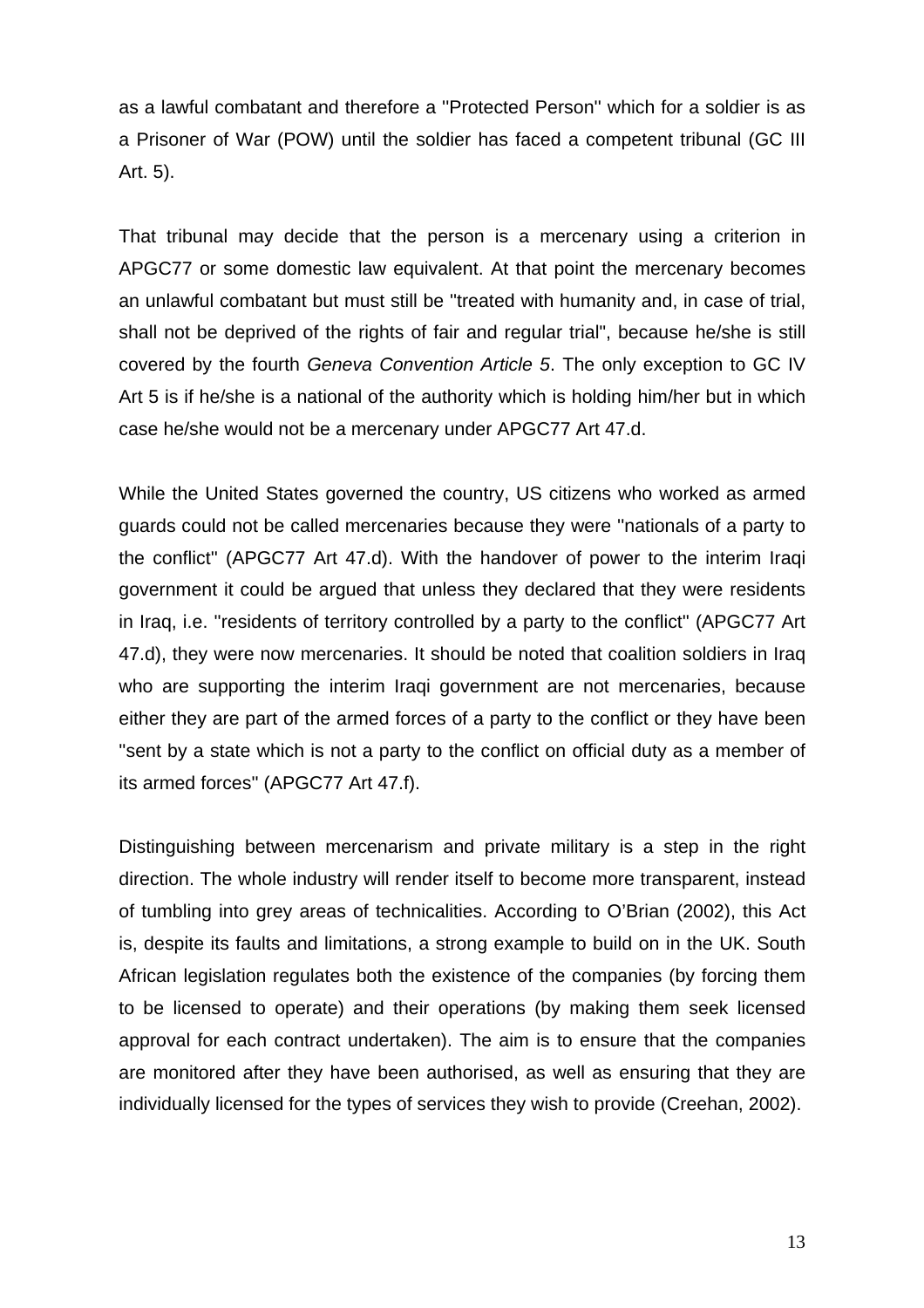as a [lawful combatant](http://www.witwik.com/lawful_combatant) and therefore a ''Protected Person'' which for a soldier is as a Prisoner of War (POW) until the soldier has faced a [competent tribunal](http://www.witwik.com/competent_tribunal) (GC III Art. 5).

That tribunal may decide that the person is a mercenary using a criterion in APGC77 or some domestic law equivalent. At that point the mercenary becomes an [unlawful combatant](http://www.witwik.com/unlawful_combatant) but must still be ''treated with humanity and, in case of trial, shall not be deprived of the rights of fair and regular trial", because he/she is still covered by the fourth *Geneva Convention Article 5*. The only exception to GC IV Art 5 is if he/she is a national of the authority which is holding him/her but in which case he/she would not be a mercenary under APGC77 Art 47.d.

While the United States governed the country, US citizens who worked as armed guards could not be called mercenaries because they were ''nationals of a party to the conflict'' (APGC77 Art 47.d). With the handover of power to the interim Iraqi government it could be argued that unless they declared that they were residents in Iraq, i.e. ''residents of territory controlled by a party to the conflict'' (APGC77 Art 47.d), they were now mercenaries. It should be noted that coalition soldiers in Iraq who are supporting the interim Iraqi government are not mercenaries, because either they are part of the armed forces of a party to the conflict or they have been ''sent by a state which is not a party to the conflict on official duty as a member of its armed forces'' (APGC77 Art 47.f).

Distinguishing between mercenarism and private military is a step in the right direction. The whole industry will render itself to become more transparent, instead of tumbling into grey areas of technicalities. According to O'Brian (2002), this Act is, despite its faults and limitations, a strong example to build on in the UK. South African legislation regulates both the existence of the companies (by forcing them to be licensed to operate) and their operations (by making them seek licensed approval for each contract undertaken). The aim is to ensure that the companies are monitored after they have been authorised, as well as ensuring that they are individually licensed for the types of services they wish to provide (Creehan, 2002).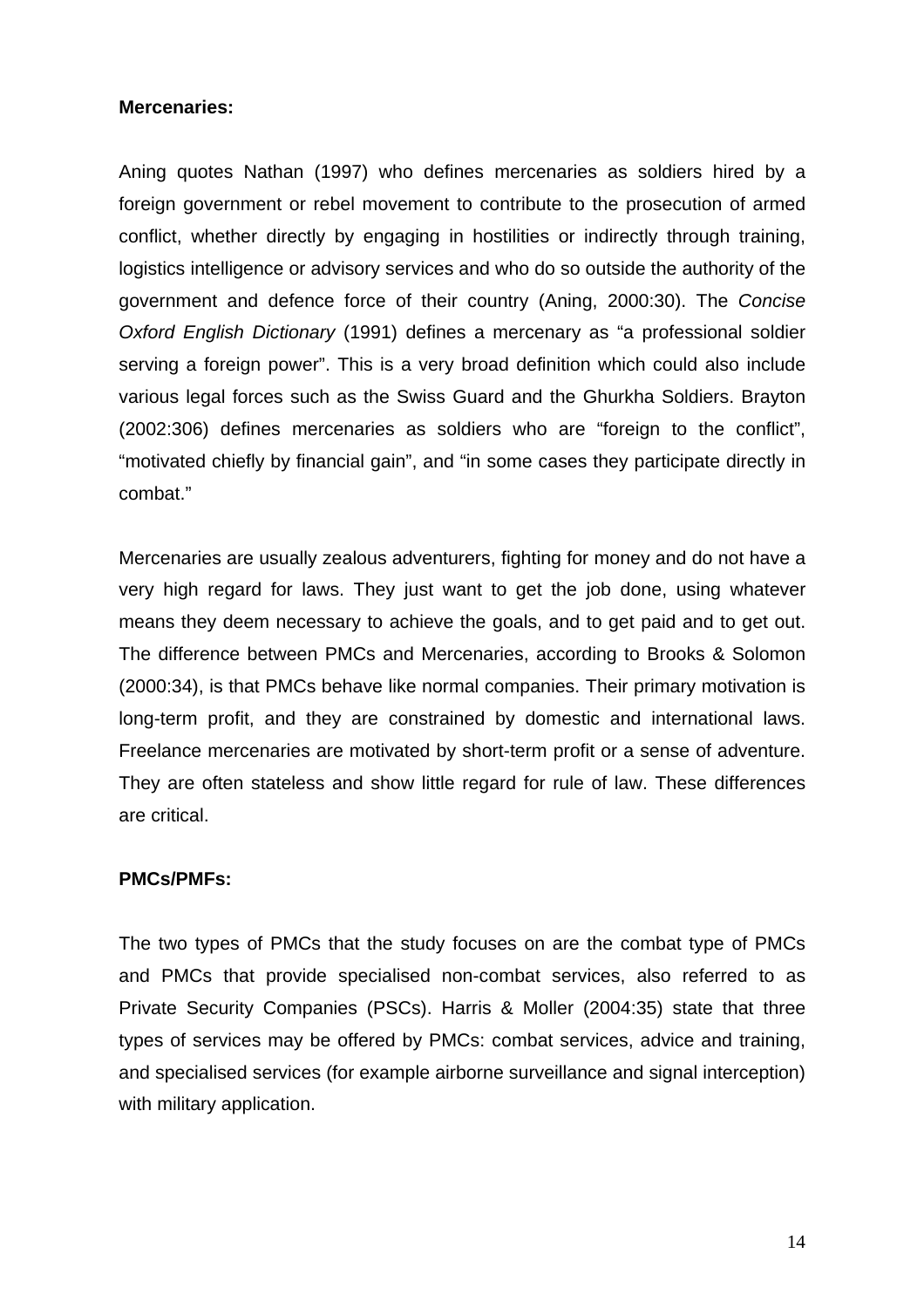#### **Mercenaries:**

Aning quotes Nathan (1997) who defines mercenaries as soldiers hired by a foreign government or rebel movement to contribute to the prosecution of armed conflict, whether directly by engaging in hostilities or indirectly through training, logistics intelligence or advisory services and who do so outside the authority of the government and defence force of their country (Aning, 2000:30). The *Concise Oxford English Dictionary* (1991) defines a mercenary as "a professional soldier serving a foreign power". This is a very broad definition which could also include various legal forces such as the Swiss Guard and the Ghurkha Soldiers. Brayton (2002:306) defines mercenaries as soldiers who are "foreign to the conflict", "motivated chiefly by financial gain", and "in some cases they participate directly in combat."

Mercenaries are usually zealous adventurers, fighting for money and do not have a very high regard for laws. They just want to get the job done, using whatever means they deem necessary to achieve the goals, and to get paid and to get out. The difference between PMCs and Mercenaries, according to Brooks & Solomon (2000:34), is that PMCs behave like normal companies. Their primary motivation is long-term profit, and they are constrained by domestic and international laws. Freelance mercenaries are motivated by short-term profit or a sense of adventure. They are often stateless and show little regard for rule of law. These differences are critical.

#### **PMCs/PMFs:**

The two types of PMCs that the study focuses on are the combat type of PMCs and PMCs that provide specialised non-combat services, also referred to as Private Security Companies (PSCs). Harris & Moller (2004:35) state that three types of services may be offered by PMCs: combat services, advice and training, and specialised services (for example airborne surveillance and signal interception) with military application.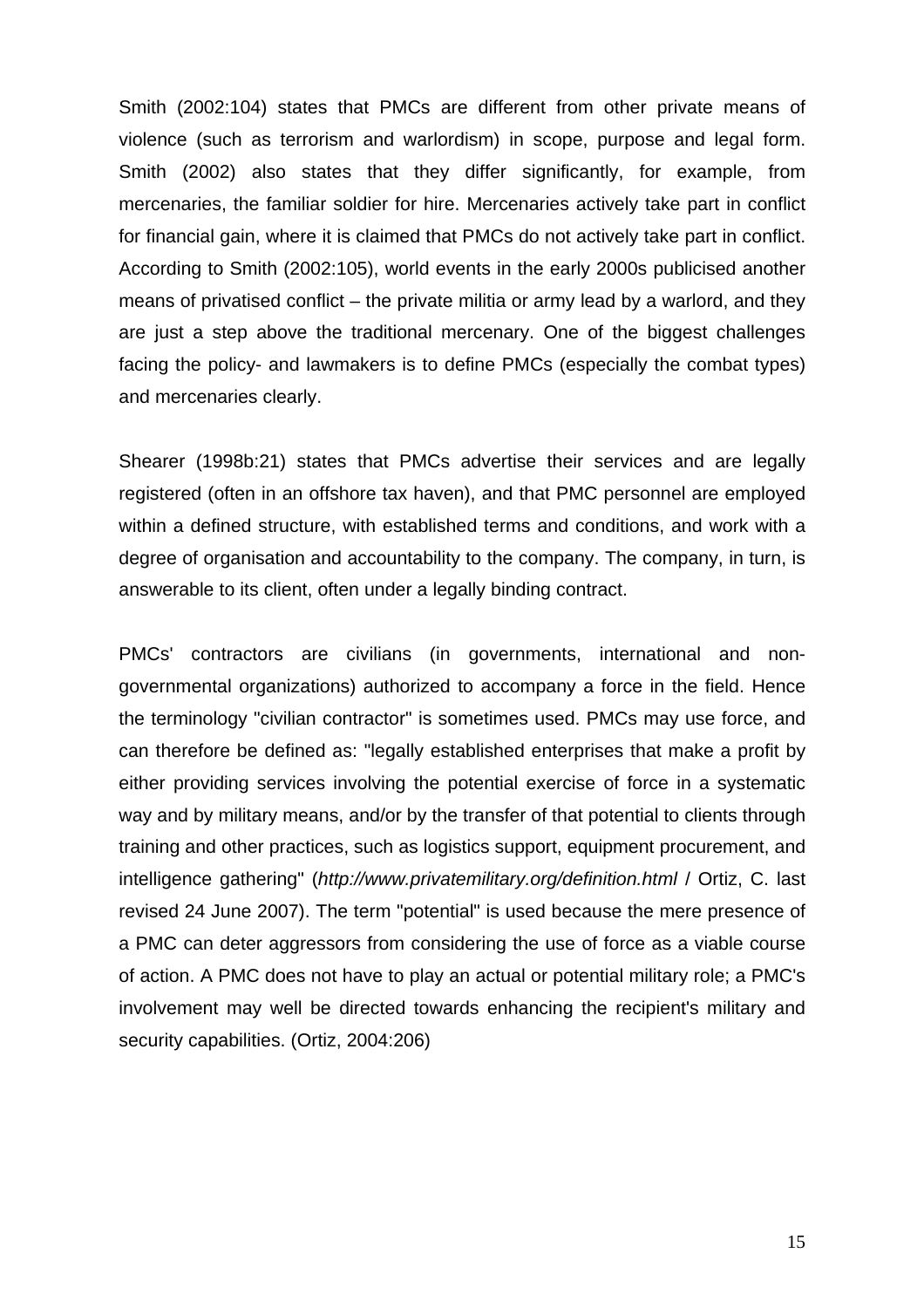Smith (2002:104) states that PMCs are different from other private means of violence (such as terrorism and warlordism) in scope, purpose and legal form. Smith (2002) also states that they differ significantly, for example, from mercenaries, the familiar soldier for hire. Mercenaries actively take part in conflict for financial gain, where it is claimed that PMCs do not actively take part in conflict. According to Smith (2002:105), world events in the early 2000s publicised another means of privatised conflict – the private militia or army lead by a warlord, and they are just a step above the traditional mercenary. One of the biggest challenges facing the policy- and lawmakers is to define PMCs (especially the combat types) and mercenaries clearly.

Shearer (1998b:21) states that PMCs advertise their services and are legally registered (often in an offshore tax haven), and that PMC personnel are employed within a defined structure, with established terms and conditions, and work with a degree of organisation and accountability to the company. The company, in turn, is answerable to its client, often under a legally binding contract.

PMCs' contractors are civilians (in governments, international and nongovernmental organizations) authorized to accompany a force in the field. Hence the terminology "civilian contractor" is sometimes used. PMCs may use force, and can therefore be defined as: "legally established enterprises that make a profit by either providing services involving the potential exercise of force in a systematic way and by military means, and/or by the transfer of that potential to clients through training and other practices, such as logistics support, equipment procurement, and intelligence gathering" (*<http://www.privatemilitary.org/definition.html>* / Ortiz, C. last revised 24 June 2007). The term "potential" is used because the mere presence of a PMC can deter aggressors from considering the use of force as a viable course of action. A PMC does not have to play an actual or potential military role; a PMC's involvement may well be directed towards enhancing the recipient's military and security capabilities. (Ortiz, 2004:206)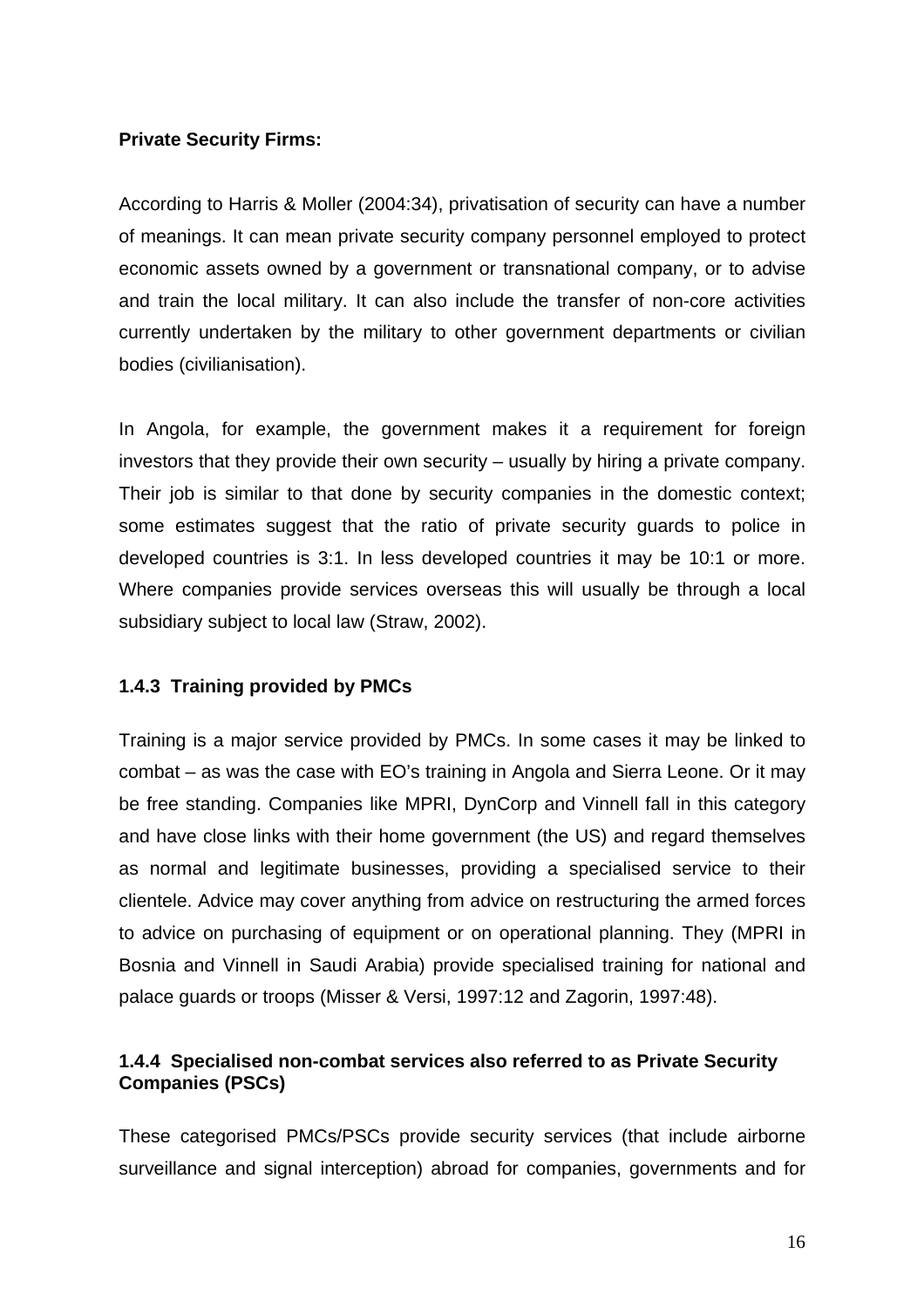## **Private Security Firms:**

According to Harris & Moller (2004:34), privatisation of security can have a number of meanings. It can mean private security company personnel employed to protect economic assets owned by a government or transnational company, or to advise and train the local military. It can also include the transfer of non-core activities currently undertaken by the military to other government departments or civilian bodies (civilianisation).

In Angola, for example, the government makes it a requirement for foreign investors that they provide their own security – usually by hiring a private company. Their job is similar to that done by security companies in the domestic context; some estimates suggest that the ratio of private security guards to police in developed countries is 3:1. In less developed countries it may be 10:1 or more. Where companies provide services overseas this will usually be through a local subsidiary subject to local law (Straw, 2002).

# **1.4.3 Training provided by PMCs**

Training is a major service provided by PMCs. In some cases it may be linked to combat – as was the case with EO's training in Angola and Sierra Leone. Or it may be free standing. Companies like MPRI, DynCorp and Vinnell fall in this category and have close links with their home government (the US) and regard themselves as normal and legitimate businesses, providing a specialised service to their clientele. Advice may cover anything from advice on restructuring the armed forces to advice on purchasing of equipment or on operational planning. They (MPRI in Bosnia and Vinnell in Saudi Arabia) provide specialised training for national and palace guards or troops (Misser & Versi, 1997:12 and Zagorin, 1997:48).

## **1.4.4 Specialised non-combat services also referred to as Private Security Companies (PSCs)**

These categorised PMCs/PSCs provide security services (that include airborne surveillance and signal interception) abroad for companies, governments and for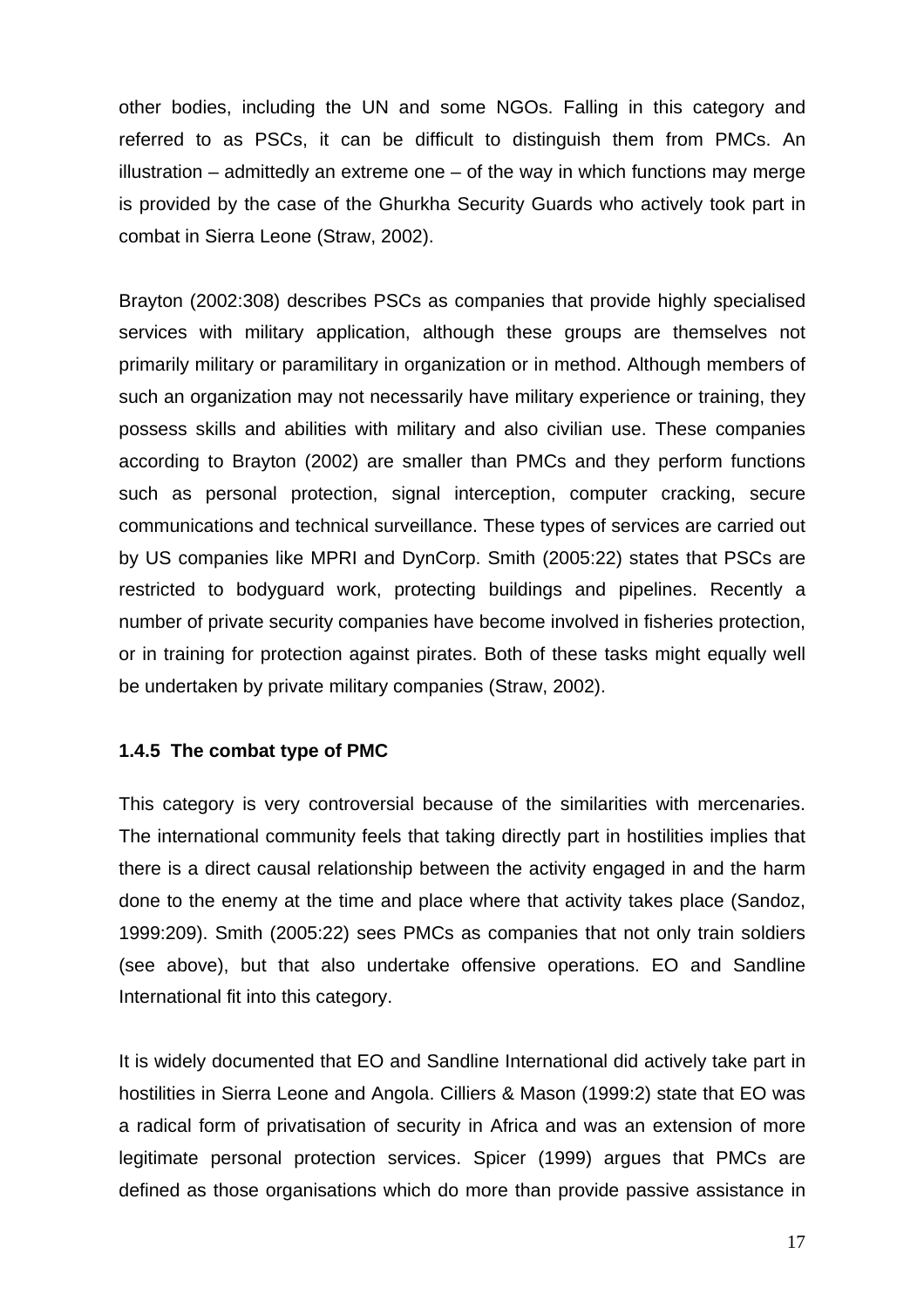other bodies, including the UN and some NGOs. Falling in this category and referred to as PSCs, it can be difficult to distinguish them from PMCs. An illustration – admittedly an extreme one – of the way in which functions may merge is provided by the case of the Ghurkha Security Guards who actively took part in combat in Sierra Leone (Straw, 2002).

Brayton (2002:308) describes PSCs as companies that provide highly specialised services with military application, although these groups are themselves not primarily military or paramilitary in organization or in method. Although members of such an organization may not necessarily have military experience or training, they possess skills and abilities with military and also civilian use. These companies according to Brayton (2002) are smaller than PMCs and they perform functions such as personal protection, signal interception, computer cracking, secure communications and technical surveillance. These types of services are carried out by US companies like MPRI and DynCorp. Smith (2005:22) states that PSCs are restricted to bodyguard work, protecting buildings and pipelines. Recently a number of private security companies have become involved in fisheries protection, or in training for protection against pirates. Both of these tasks might equally well be undertaken by private military companies (Straw, 2002).

## **1.4.5 The combat type of PMC**

This category is very controversial because of the similarities with mercenaries. The international community feels that taking directly part in hostilities implies that there is a direct causal relationship between the activity engaged in and the harm done to the enemy at the time and place where that activity takes place (Sandoz, 1999:209). Smith (2005:22) sees PMCs as companies that not only train soldiers (see above), but that also undertake offensive operations. EO and Sandline International fit into this category.

It is widely documented that EO and Sandline International did actively take part in hostilities in Sierra Leone and Angola. Cilliers & Mason (1999:2) state that EO was a radical form of privatisation of security in Africa and was an extension of more legitimate personal protection services. Spicer (1999) argues that PMCs are defined as those organisations which do more than provide passive assistance in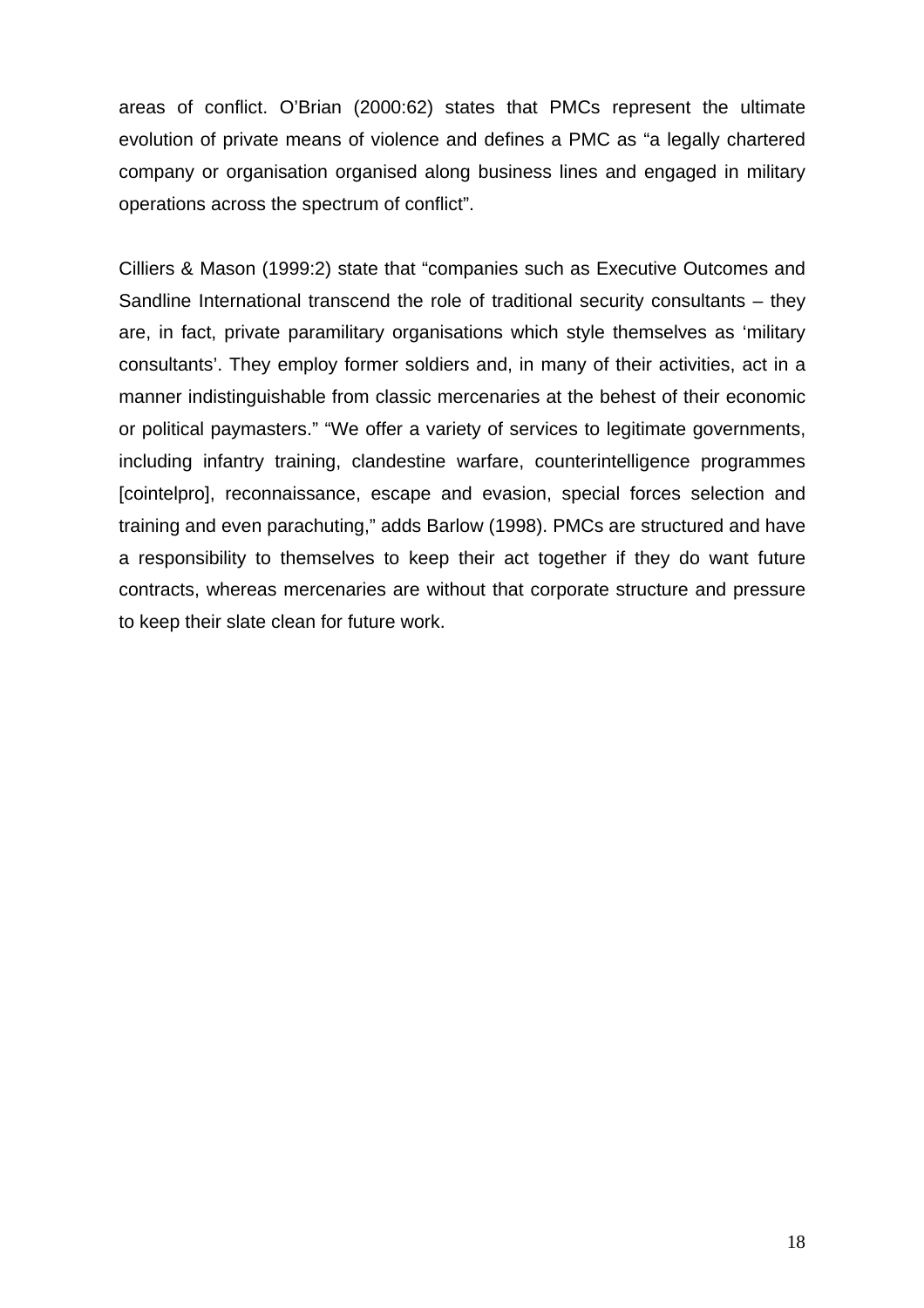areas of conflict. O'Brian (2000:62) states that PMCs represent the ultimate evolution of private means of violence and defines a PMC as "a legally chartered company or organisation organised along business lines and engaged in military operations across the spectrum of conflict".

Cilliers & Mason (1999:2) state that "companies such as Executive Outcomes and Sandline International transcend the role of traditional security consultants – they are, in fact, private paramilitary organisations which style themselves as 'military consultants'. They employ former soldiers and, in many of their activities, act in a manner indistinguishable from classic mercenaries at the behest of their economic or political paymasters." "We offer a variety of services to legitimate governments, including infantry training, clandestine warfare, counterintelligence programmes [cointelpro], reconnaissance, escape and evasion, special forces selection and training and even parachuting," adds Barlow (1998). PMCs are structured and have a responsibility to themselves to keep their act together if they do want future contracts, whereas mercenaries are without that corporate structure and pressure to keep their slate clean for future work.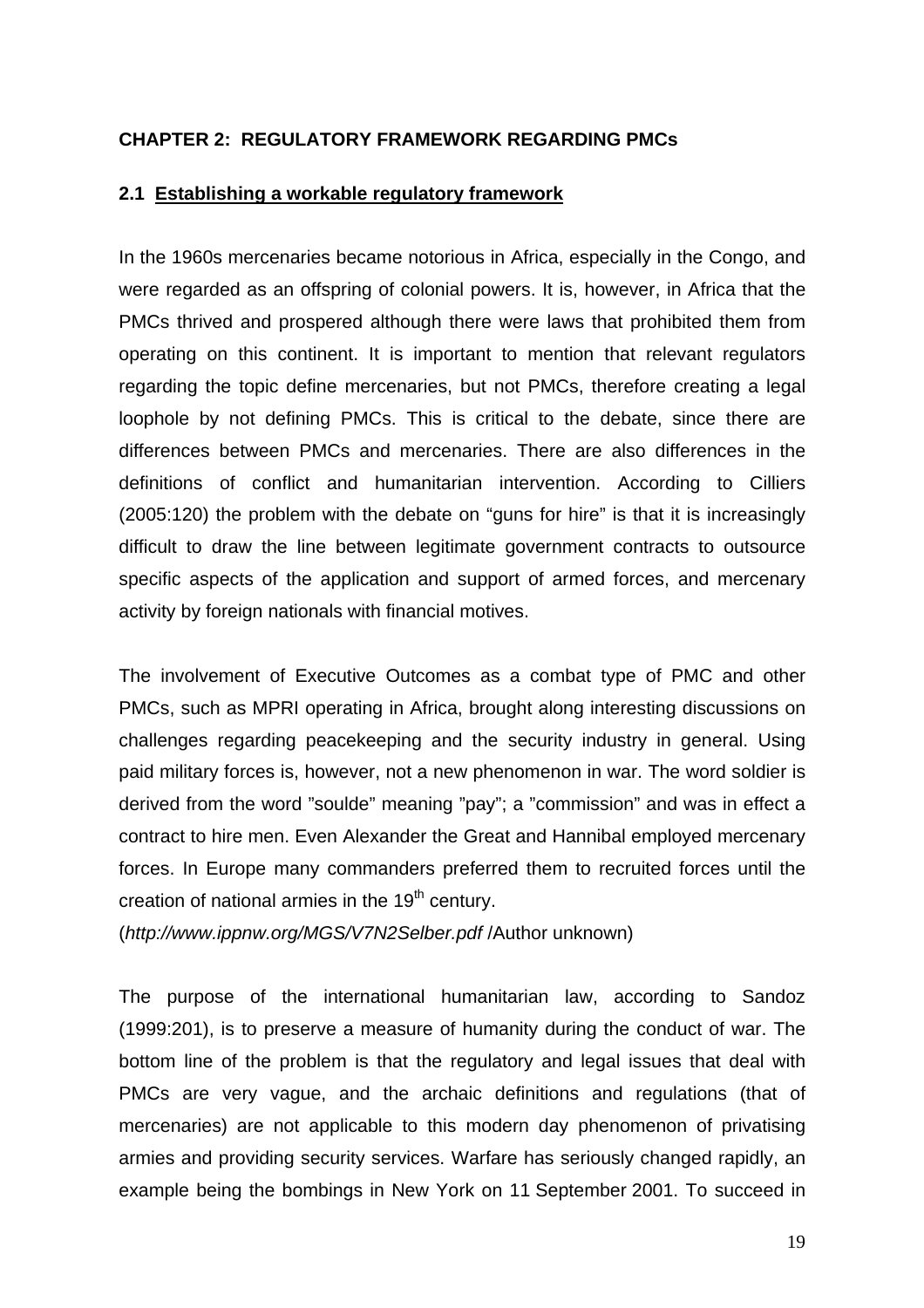## <span id="page-25-0"></span>**CHAPTER 2: REGULATORY FRAMEWORK REGARDING PMCs**

### **2.1 Establishing a workable regulatory framework**

In the 1960s mercenaries became notorious in Africa, especially in the Congo, and were regarded as an offspring of colonial powers. It is, however, in Africa that the PMCs thrived and prospered although there were laws that prohibited them from operating on this continent. It is important to mention that relevant regulators regarding the topic define mercenaries, but not PMCs, therefore creating a legal loophole by not defining PMCs. This is critical to the debate, since there are differences between PMCs and mercenaries. There are also differences in the definitions of conflict and humanitarian intervention. According to Cilliers (2005:120) the problem with the debate on "guns for hire" is that it is increasingly difficult to draw the line between legitimate government contracts to outsource specific aspects of the application and support of armed forces, and mercenary activity by foreign nationals with financial motives.

The involvement of Executive Outcomes as a combat type of PMC and other PMCs, such as MPRI operating in Africa, brought along interesting discussions on challenges regarding peacekeeping and the security industry in general. Using paid military forces is, however, not a new phenomenon in war. The word soldier is derived from the word "soulde" meaning "pay"; a "commission" and was in effect a contract to hire men. Even Alexander the Great and Hannibal employed mercenary forces. In Europe many commanders preferred them to recruited forces until the creation of national armies in the  $19<sup>th</sup>$  century.

(*<http://www.ippnw.org/MGS/V7N2Selber.pdf>* /Author unknown)

The purpose of the international humanitarian law, according to Sandoz (1999:201), is to preserve a measure of humanity during the conduct of war. The bottom line of the problem is that the regulatory and legal issues that deal with PMCs are very vague, and the archaic definitions and regulations (that of mercenaries) are not applicable to this modern day phenomenon of privatising armies and providing security services. Warfare has seriously changed rapidly, an example being the bombings in New York on 11 September 2001. To succeed in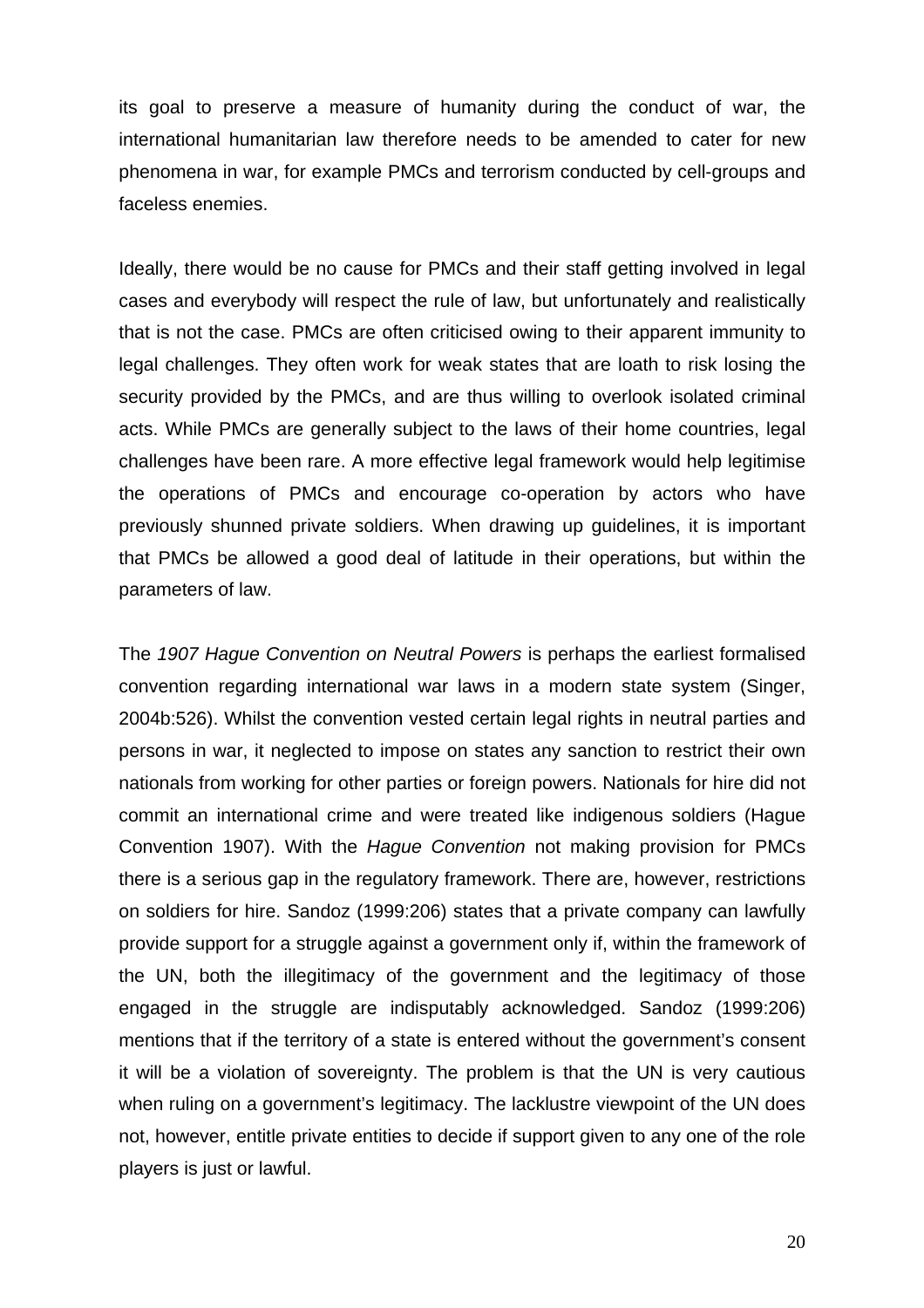its goal to preserve a measure of humanity during the conduct of war, the international humanitarian law therefore needs to be amended to cater for new phenomena in war, for example PMCs and terrorism conducted by cell-groups and faceless enemies.

Ideally, there would be no cause for PMCs and their staff getting involved in legal cases and everybody will respect the rule of law, but unfortunately and realistically that is not the case. PMCs are often criticised owing to their apparent immunity to legal challenges. They often work for weak states that are loath to risk losing the security provided by the PMCs, and are thus willing to overlook isolated criminal acts. While PMCs are generally subject to the laws of their home countries, legal challenges have been rare. A more effective legal framework would help legitimise the operations of PMCs and encourage co-operation by actors who have previously shunned private soldiers. When drawing up guidelines, it is important that PMCs be allowed a good deal of latitude in their operations, but within the parameters of law.

The *1907 Hague Convention on Neutral Powers* is perhaps the earliest formalised convention regarding international war laws in a modern state system (Singer, 2004b:526). Whilst the convention vested certain legal rights in neutral parties and persons in war, it neglected to impose on states any sanction to restrict their own nationals from working for other parties or foreign powers. Nationals for hire did not commit an international crime and were treated like indigenous soldiers (Hague Convention 1907). With the *Hague Convention* not making provision for PMCs there is a serious gap in the regulatory framework. There are, however, restrictions on soldiers for hire. Sandoz (1999:206) states that a private company can lawfully provide support for a struggle against a government only if, within the framework of the UN, both the illegitimacy of the government and the legitimacy of those engaged in the struggle are indisputably acknowledged. Sandoz (1999:206) mentions that if the territory of a state is entered without the government's consent it will be a violation of sovereignty. The problem is that the UN is very cautious when ruling on a government's legitimacy. The lacklustre viewpoint of the UN does not, however, entitle private entities to decide if support given to any one of the role players is just or lawful.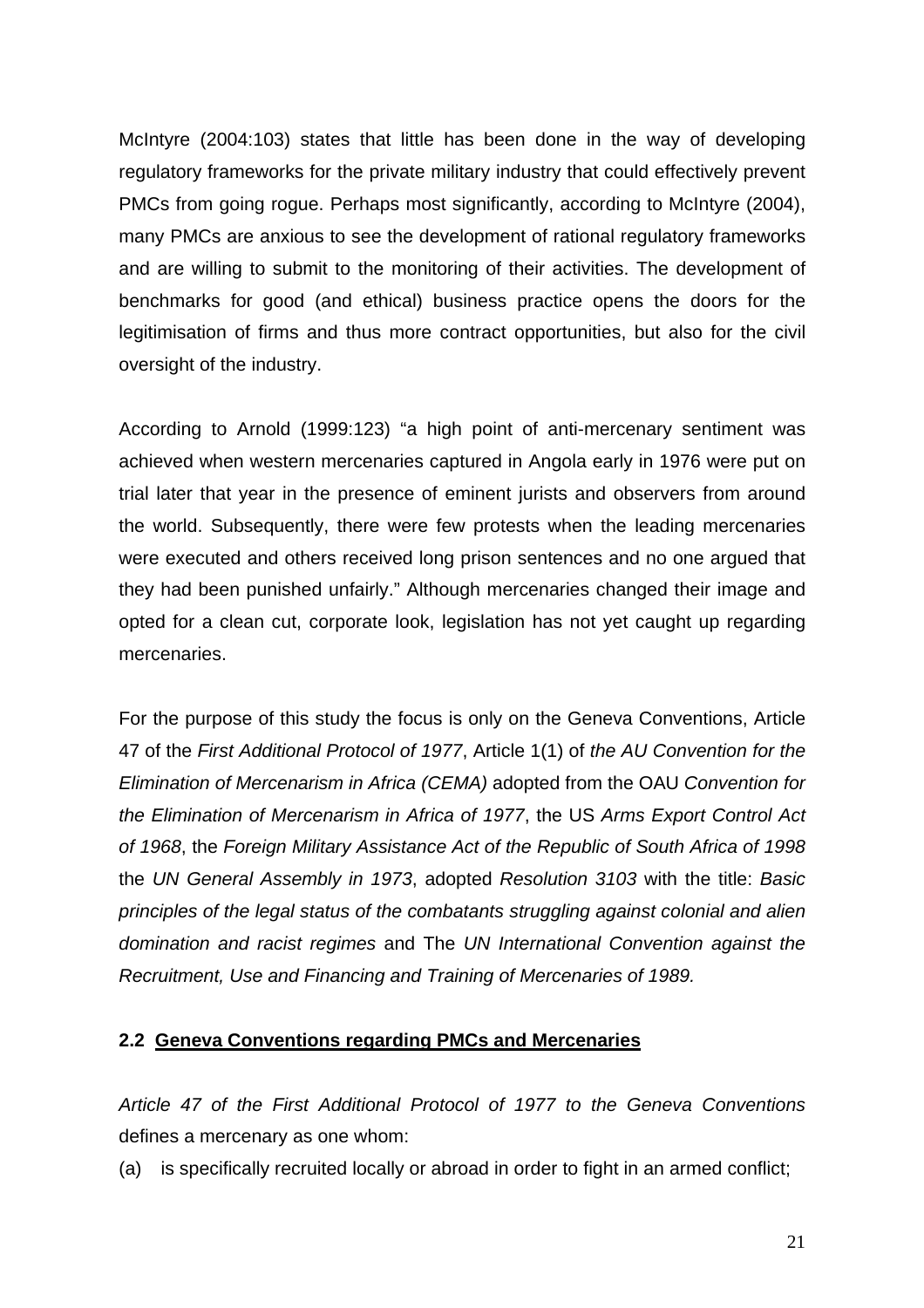<span id="page-27-0"></span>McIntyre (2004:103) states that little has been done in the way of developing regulatory frameworks for the private military industry that could effectively prevent PMCs from going rogue. Perhaps most significantly, according to McIntyre (2004), many PMCs are anxious to see the development of rational regulatory frameworks and are willing to submit to the monitoring of their activities. The development of benchmarks for good (and ethical) business practice opens the doors for the legitimisation of firms and thus more contract opportunities, but also for the civil oversight of the industry.

According to Arnold (1999:123) "a high point of anti-mercenary sentiment was achieved when western mercenaries captured in Angola early in 1976 were put on trial later that year in the presence of eminent jurists and observers from around the world. Subsequently, there were few protests when the leading mercenaries were executed and others received long prison sentences and no one argued that they had been punished unfairly." Although mercenaries changed their image and opted for a clean cut, corporate look, legislation has not yet caught up regarding mercenaries.

For the purpose of this study the focus is only on the Geneva Conventions, Article 47 of the *First Additional Protocol of 1977*, Article 1(1) of *the AU Convention for the Elimination of Mercenarism in Africa (CEMA)* adopted from the OAU *Convention for the Elimination of Mercenarism in Africa of 1977*, the US *Arms Export Control Act of 1968*, the *Foreign Military Assistance Act of the Republic of South Africa of 1998* the *UN General Assembly in 1973*, adopted *Resolution 3103* with the title: *Basic principles of the legal status of the combatants struggling against colonial and alien domination and racist regimes* and The *UN International Convention against the Recruitment, Use and Financing and Training of Mercenaries of 1989.*

## **2.2 Geneva Conventions regarding PMCs and Mercenaries**

*Article 47 of the First Additional Protocol of 1977 to the Geneva Conventions* defines a mercenary as one whom:

(a) is specifically recruited locally or abroad in order to fight in an armed conflict;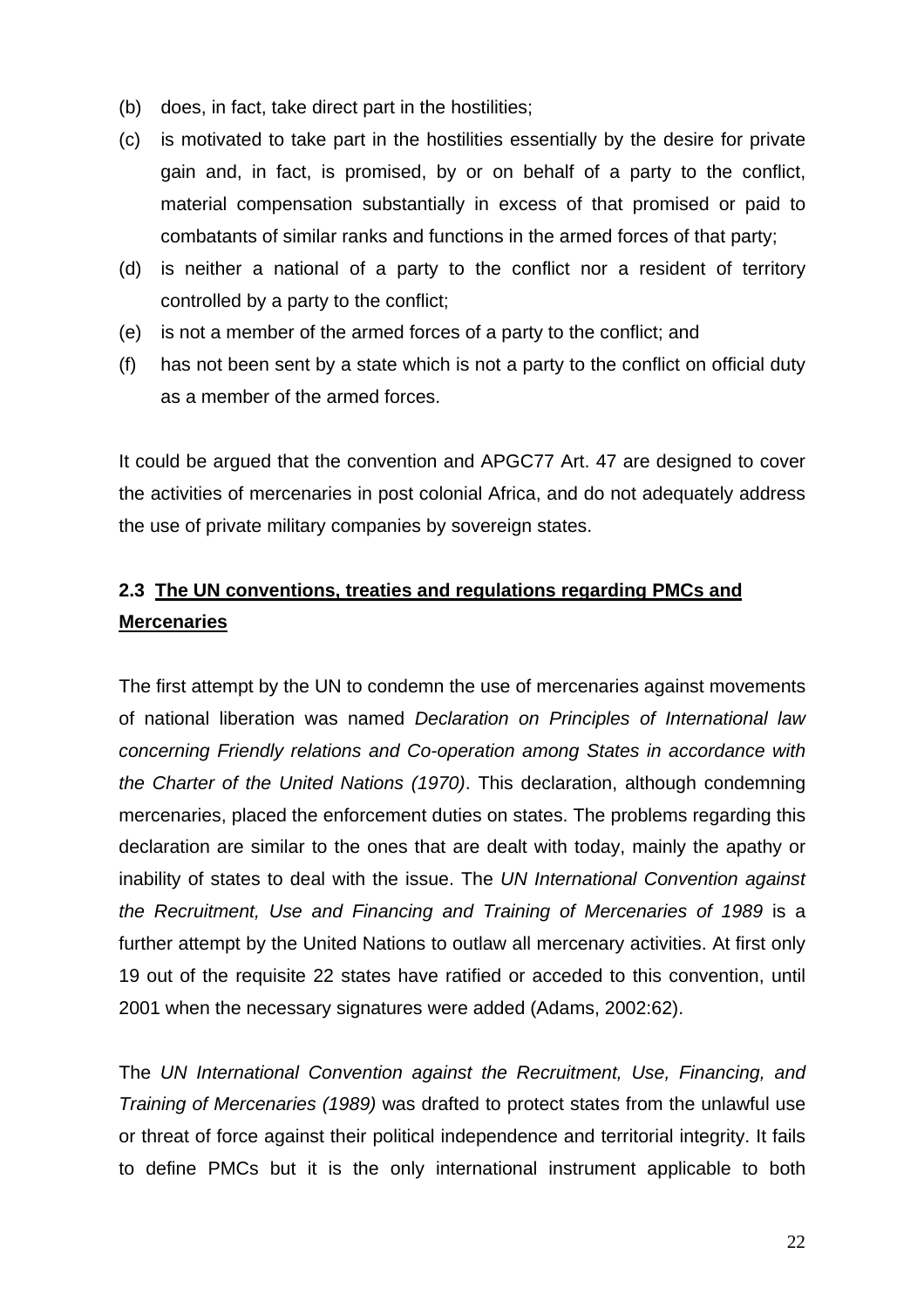- <span id="page-28-0"></span>(b) does, in fact, take direct part in the hostilities;
- (c) is motivated to take part in the hostilities essentially by the desire for private gain and, in fact, is promised, by or on behalf of a party to the conflict, material compensation substantially in excess of that promised or paid to combatants of similar ranks and functions in the armed forces of that party;
- (d) is neither a national of a party to the conflict nor a resident of territory controlled by a party to the conflict;
- (e) is not a member of the armed forces of a party to the conflict; and
- (f) has not been sent by a state which is not a party to the conflict on official duty as a member of the armed forces.

It could be argued that the convention and APGC77 Art. 47 are designed to cover the activities of mercenaries in post colonial Africa, and do not adequately address the use of [private military companies](http://en.wikipedia.org/wiki/Mercenary#Private_military_company_.28PMC.29#Private_military_company_.28PMC.29) by [sovereign states](http://en.wikipedia.org/wiki/Sovereign_state).

# **2.3 The UN conventions, treaties and regulations regarding PMCs and Mercenaries**

The first attempt by the UN to condemn the use of mercenaries against movements of national liberation was named *Declaration on Principles of International law concerning Friendly relations and Co-operation among States in accordance with the Charter of the United Nations (1970)*. This declaration, although condemning mercenaries, placed the enforcement duties on states. The problems regarding this declaration are similar to the ones that are dealt with today, mainly the apathy or inability of states to deal with the issue. The *UN International Convention against the Recruitment, Use and Financing and Training of Mercenaries of 1989* is a further attempt by the United Nations to outlaw all mercenary activities. At first only 19 out of the requisite 22 states have ratified or acceded to this convention, until 2001 when the necessary signatures were added (Adams, 2002:62).

The *UN International Convention against the Recruitment, Use, Financing, and Training of Mercenaries (1989)* was drafted to protect states from the unlawful use or threat of force against their political independence and territorial integrity. It fails to define PMCs but it is the only international instrument applicable to both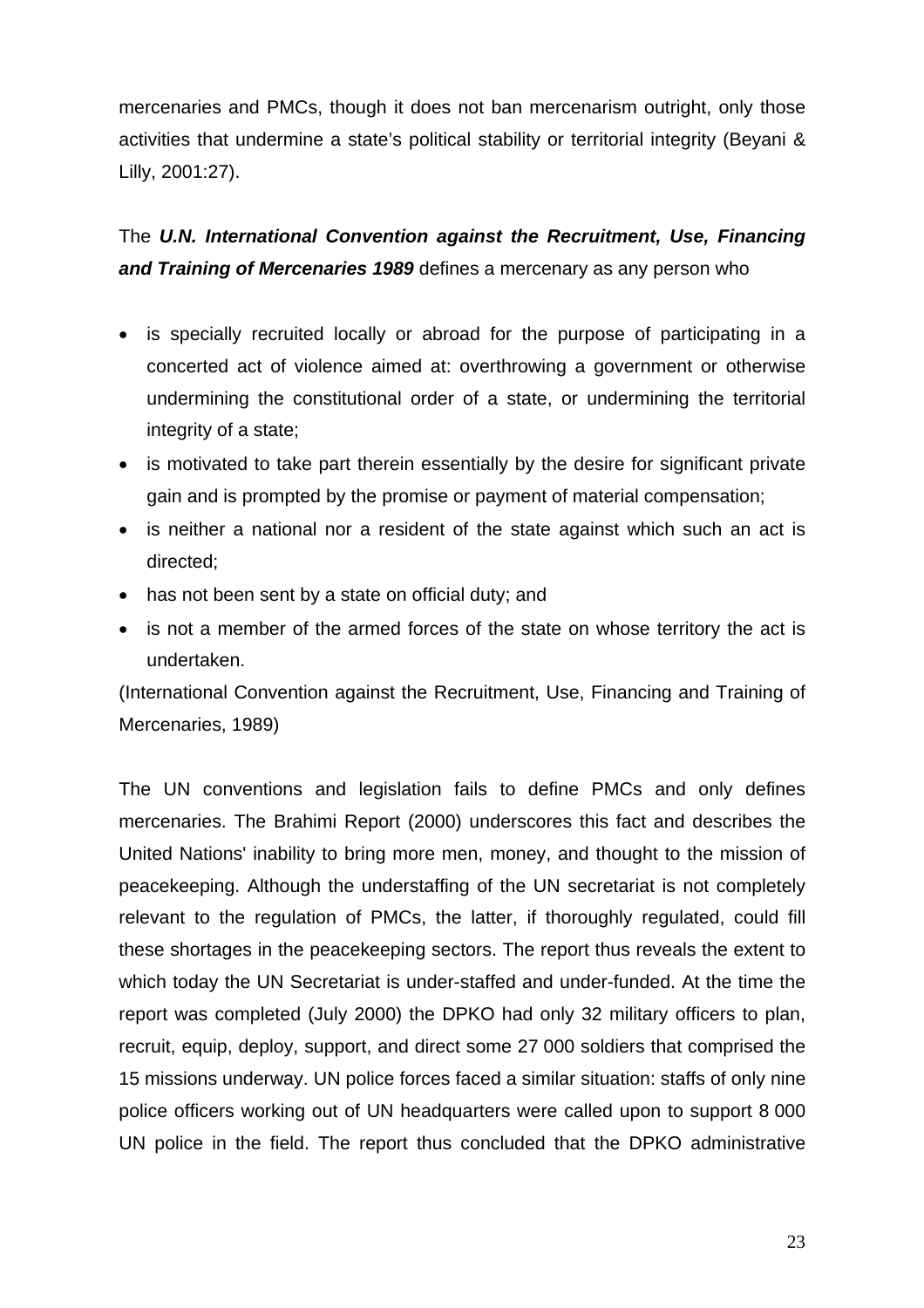mercenaries and PMCs, though it does not ban mercenarism outright, only those activities that undermine a state's political stability or territorial integrity (Beyani & Lilly, 2001:27).

# The *U.N. International Convention against the Recruitment, Use, Financing and Training of Mercenaries 1989* defines a mercenary as any person who

- is specially recruited locally or abroad for the purpose of participating in a concerted act of violence aimed at: overthrowing a government or otherwise undermining the constitutional order of a state, or undermining the territorial integrity of a state;
- is motivated to take part therein essentially by the desire for significant private gain and is prompted by the promise or payment of material compensation;
- is neither a national nor a resident of the state against which such an act is directed;
- has not been sent by a state on official duty; and
- is not a member of the armed forces of the state on whose territory the act is undertaken.

(International Convention against the Recruitment, Use, Financing and Training of Mercenaries, 1989)

The UN conventions and legislation fails to define PMCs and only defines mercenaries. The Brahimi Report (2000) underscores this fact and describes the United Nations' inability to bring more men, money, and thought to the mission of peacekeeping. Although the understaffing of the UN secretariat is not completely relevant to the regulation of PMCs, the latter, if thoroughly regulated, could fill these shortages in the peacekeeping sectors. The report thus reveals the extent to which today the UN Secretariat is under-staffed and under-funded. At the time the report was completed (July 2000) the DPKO had only 32 military officers to plan, recruit, equip, deploy, support, and direct some 27 000 soldiers that comprised the 15 missions underway. UN police forces faced a similar situation: staffs of only nine police officers working out of UN headquarters were called upon to support 8 000 UN police in the field. The report thus concluded that the DPKO administrative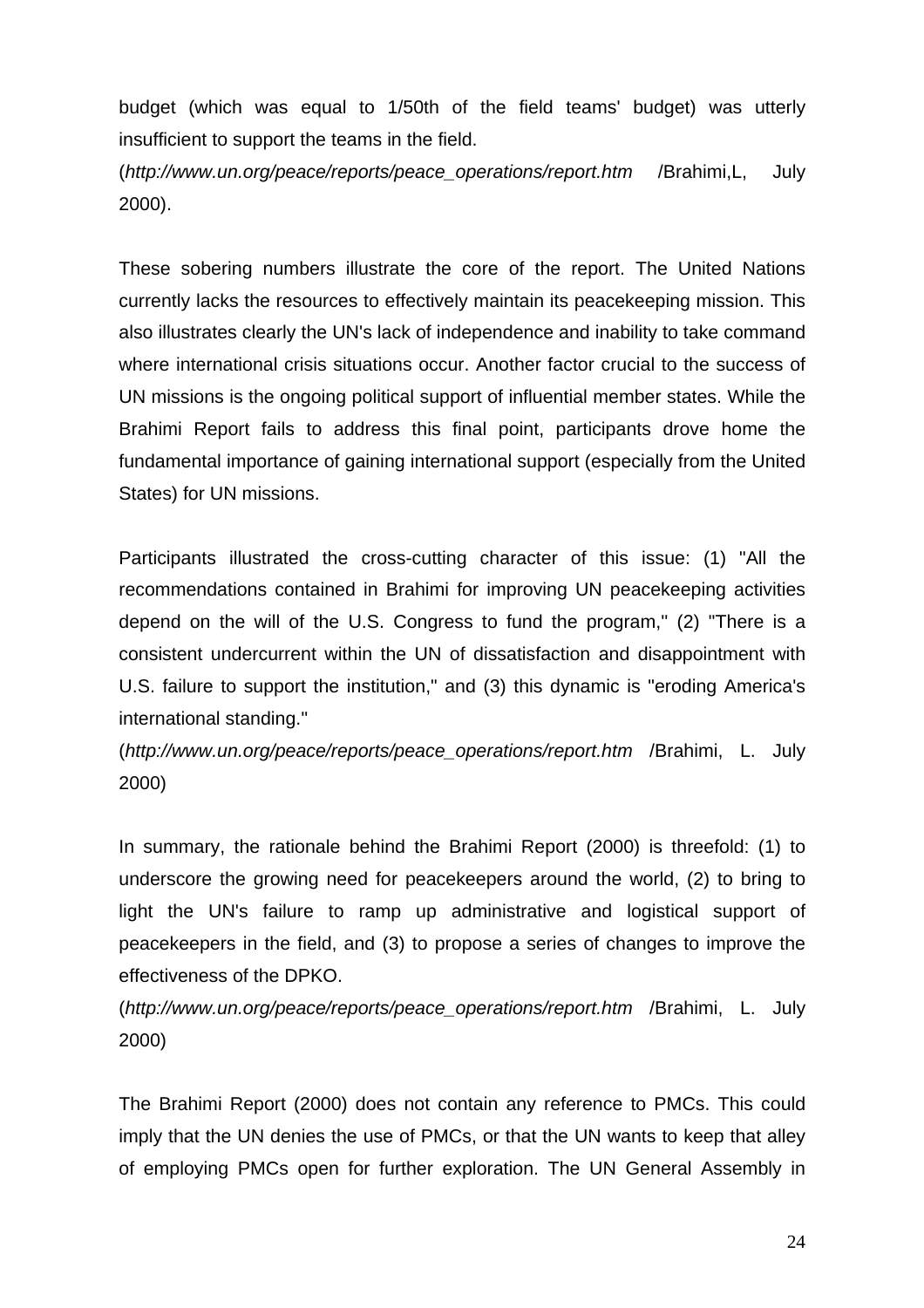budget (which was equal to 1/50th of the field teams' budget) was utterly insufficient to support the teams in the field.

(*[http://www.un.org/peace/reports/peace\\_operations/report.htm](http://www.un.org/peace/reports/peace_operations/report.htm)* /Brahimi,L, July 2000).

These sobering numbers illustrate the core of the report. The United Nations currently lacks the resources to effectively maintain its peacekeeping mission. This also illustrates clearly the UN's lack of independence and inability to take command where international crisis situations occur. Another factor crucial to the success of UN missions is the ongoing political support of influential member states. While the Brahimi Report fails to address this final point, participants drove home the fundamental importance of gaining international support (especially from the United States) for UN missions.

Participants illustrated the cross-cutting character of this issue: (1) "All the recommendations contained in Brahimi for improving UN peacekeeping activities depend on the will of the U.S. Congress to fund the program,'' (2) "There is a consistent undercurrent within the UN of dissatisfaction and disappointment with U.S. failure to support the institution," and (3) this dynamic is "eroding America's international standing."

(*[http://www.un.org/peace/reports/peace\\_operations/report.htm](http://www.un.org/peace/reports/peace_operations/report.htm)* /Brahimi, L. July 2000)

In summary, the rationale behind the Brahimi Report (2000) is threefold: (1) to underscore the growing need for peacekeepers around the world, (2) to bring to light the UN's failure to ramp up administrative and logistical support of peacekeepers in the field, and (3) to propose a series of changes to improve the effectiveness of the DPKO.

(*[http://www.un.org/peace/reports/peace\\_operations/report.htm](http://www.un.org/peace/reports/peace_operations/report.htm)* /Brahimi, L. July 2000)

The Brahimi Report (2000) does not contain any reference to PMCs. This could imply that the UN denies the use of PMCs, or that the UN wants to keep that alley of employing PMCs open for further exploration. The UN General Assembly in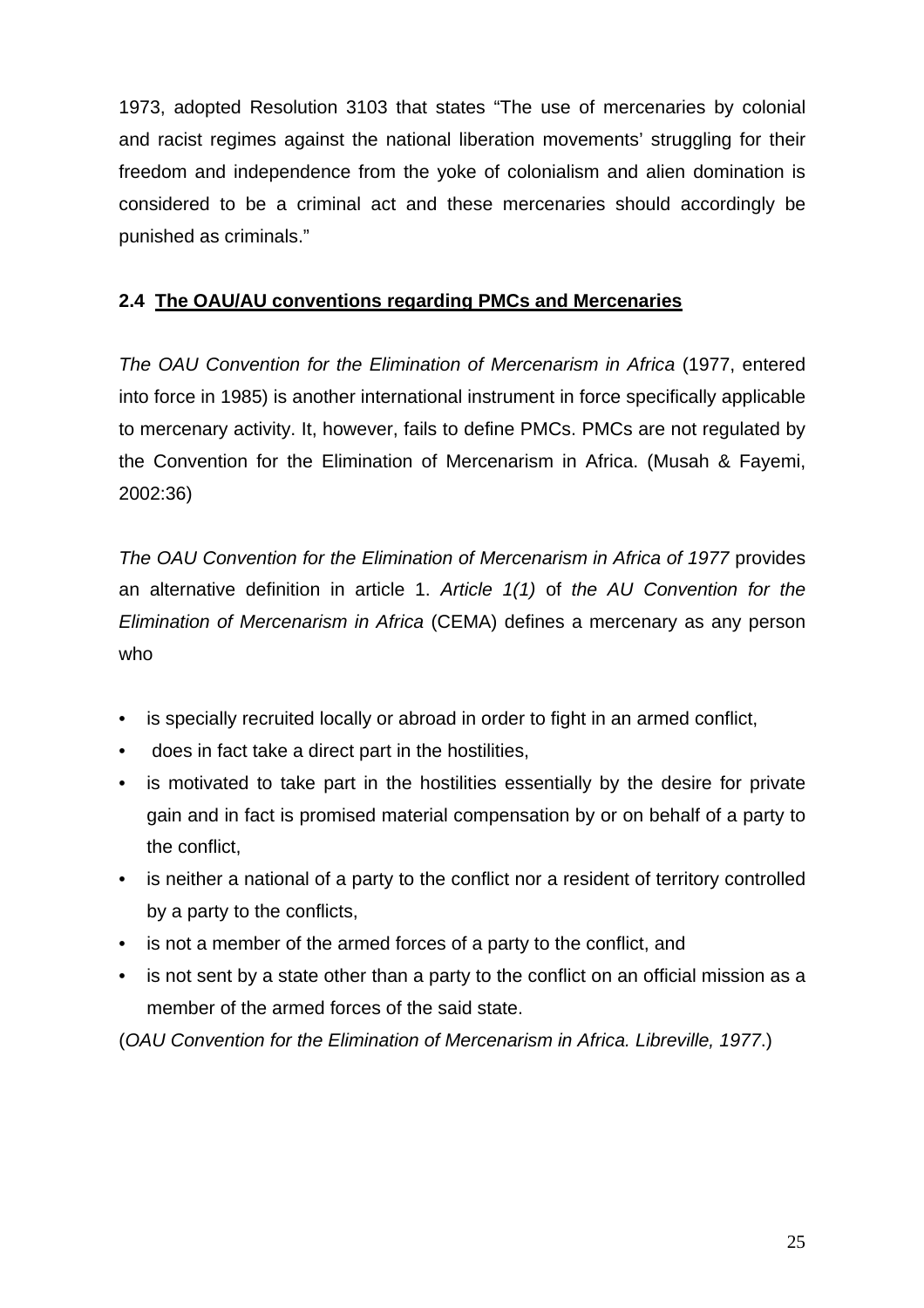<span id="page-31-0"></span>1973, adopted Resolution 3103 that states "The use of mercenaries by colonial and racist regimes against the national liberation movements' struggling for their freedom and independence from the yoke of colonialism and alien domination is considered to be a criminal act and these mercenaries should accordingly be punished as criminals."

# **2.4 The OAU/AU conventions regarding PMCs and Mercenaries**

*The OAU Convention for the Elimination of Mercenarism in Africa* (1977, entered into force in 1985) is another international instrument in force specifically applicable to mercenary activity. It, however, fails to define PMCs. PMCs are not regulated by the Convention for the Elimination of Mercenarism in Africa. (Musah & Fayemi, 2002:36)

*The OAU Convention for the Elimination of Mercenarism in Africa of 1977* provides an alternative definition in article 1. *Article 1(1)* of *the AU Convention for the Elimination of Mercenarism in Africa* (CEMA) defines a mercenary as any person who

- is specially recruited locally or abroad in order to fight in an armed conflict,
- does in fact take a direct part in the hostilities,
- is motivated to take part in the hostilities essentially by the desire for private gain and in fact is promised material compensation by or on behalf of a party to the conflict,
- is neither a national of a party to the conflict nor a resident of territory controlled by a party to the conflicts,
- is not a member of the armed forces of a party to the conflict, and
- is not sent by a state other than a party to the conflict on an official mission as a member of the armed forces of the said state.

(*OAU Convention for the Elimination of Mercenarism in Africa. Libreville, 1977*.)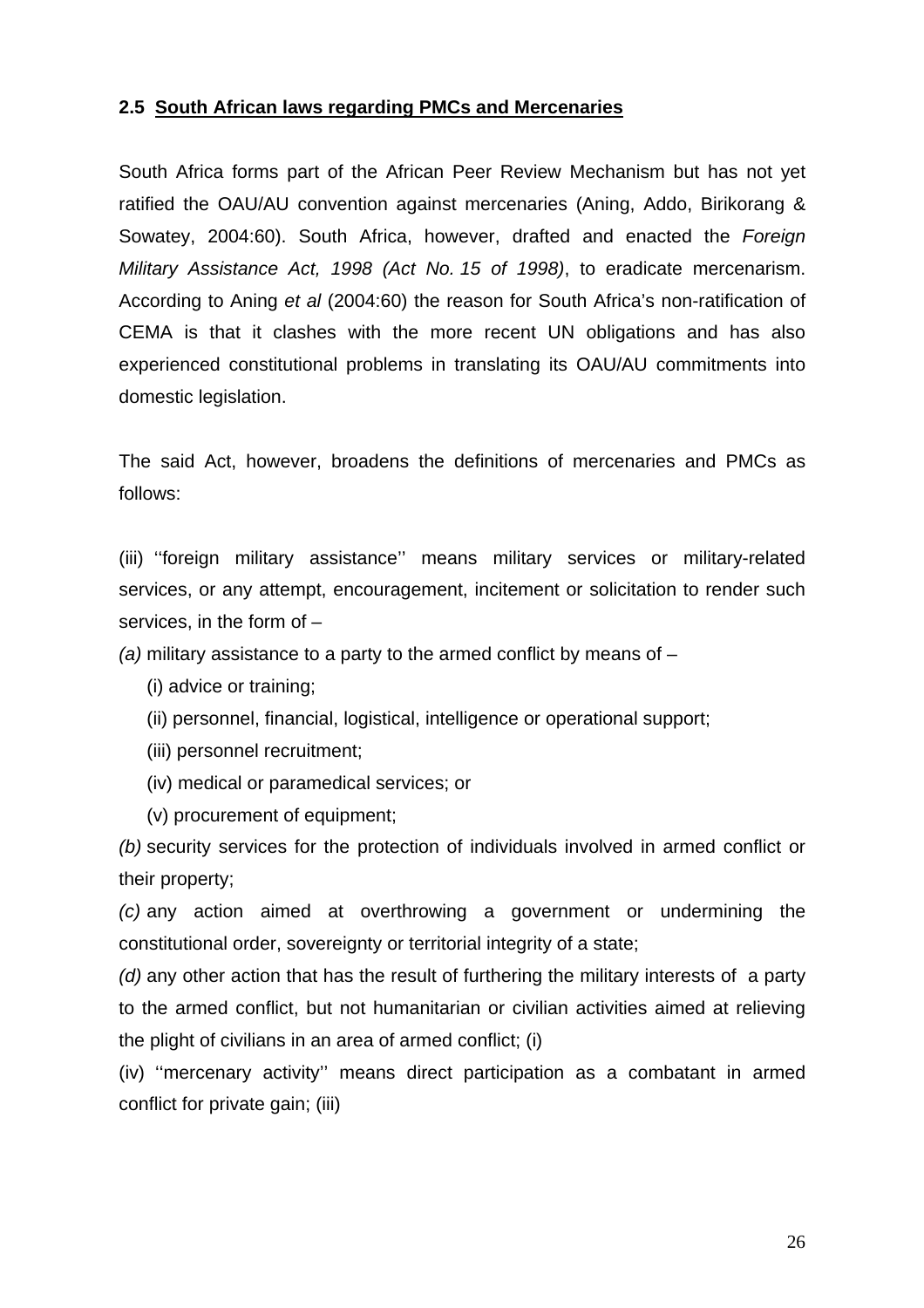## <span id="page-32-0"></span>**2.5 South African laws regarding PMCs and Mercenaries**

South Africa forms part of the African Peer Review Mechanism but has not yet ratified the OAU/AU convention against mercenaries (Aning, Addo, Birikorang & Sowatey, 2004:60). South Africa, however, drafted and enacted the *Foreign Military Assistance Act, 1998 (Act No. 15 of 1998)*, to eradicate mercenarism. According to Aning *et al* (2004:60) the reason for South Africa's non-ratification of CEMA is that it clashes with the more recent UN obligations and has also experienced constitutional problems in translating its OAU/AU commitments into domestic legislation.

The said Act, however, broadens the definitions of mercenaries and PMCs as follows:

(iii) ''foreign military assistance'' means military services or military-related services, or any attempt, encouragement, incitement or solicitation to render such services, in the form of –

*(a)* military assistance to a party to the armed conflict by means of –

- (i) advice or training;
- (ii) personnel, financial, logistical, intelligence or operational support;
- (iii) personnel recruitment;
- (iv) medical or paramedical services; or
- (v) procurement of equipment;

*(b)* security services for the protection of individuals involved in armed conflict or their property;

*(c)* any action aimed at overthrowing a government or undermining the constitutional order, sovereignty or territorial integrity of a state;

*(d)* any other action that has the result of furthering the military interests of a party to the armed conflict, but not humanitarian or civilian activities aimed at relieving the plight of civilians in an area of armed conflict; (i)

(iv) ''mercenary activity'' means direct participation as a combatant in armed conflict for private gain; (iii)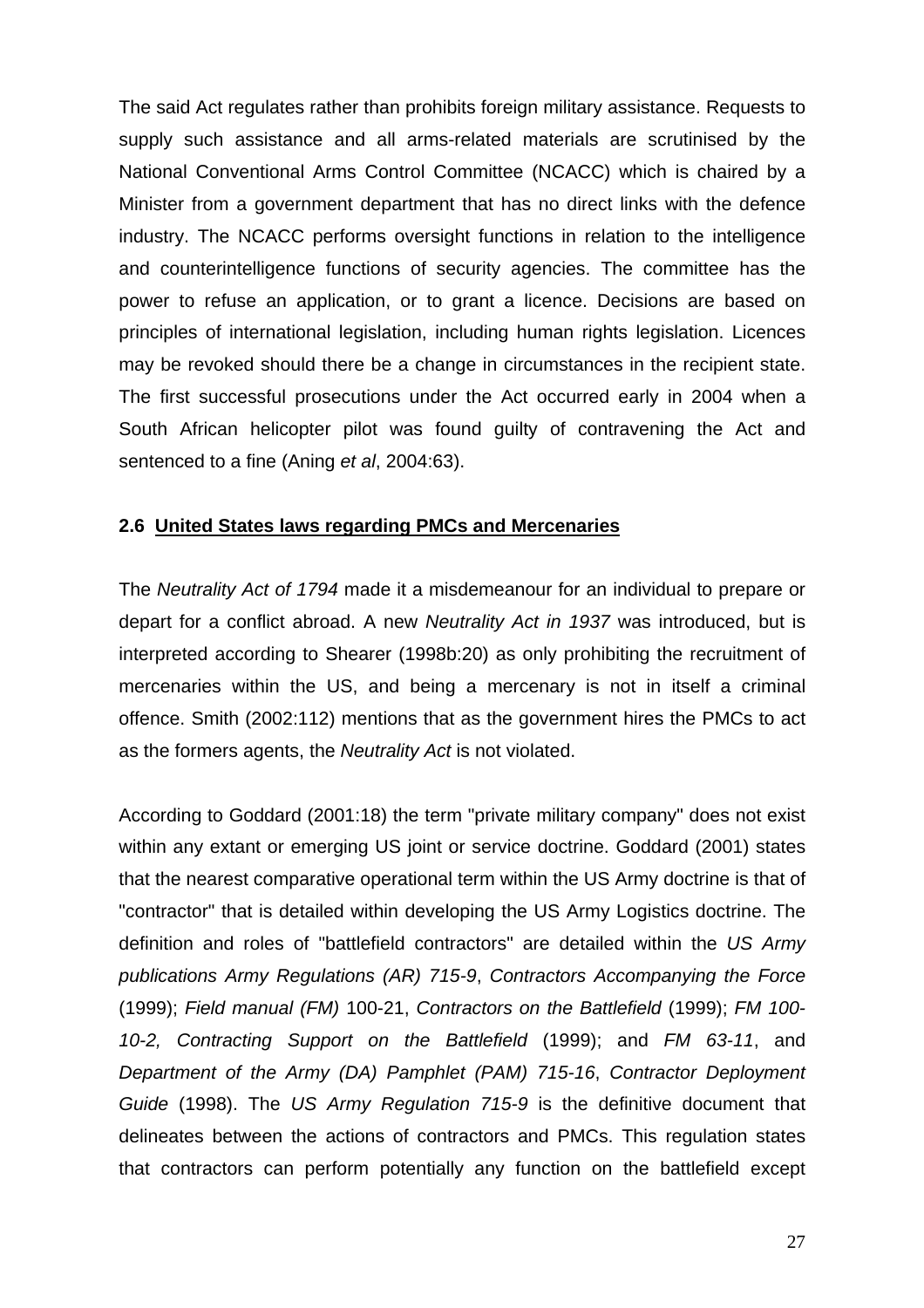<span id="page-33-0"></span>The said Act regulates rather than prohibits foreign military assistance. Requests to supply such assistance and all arms-related materials are scrutinised by the National Conventional Arms Control Committee (NCACC) which is chaired by a Minister from a government department that has no direct links with the defence industry. The NCACC performs oversight functions in relation to the intelligence and counterintelligence functions of security agencies. The committee has the power to refuse an application, or to grant a licence. Decisions are based on principles of international legislation, including human rights legislation. Licences may be revoked should there be a change in circumstances in the recipient state. The first successful prosecutions under the Act occurred early in 2004 when a South African helicopter pilot was found guilty of contravening the Act and sentenced to a fine (Aning *et al*, 2004:63).

## **2.6 United States laws regarding PMCs and Mercenaries**

The *Neutrality Act of 1794* made it a misdemeanour for an individual to prepare or depart for a conflict abroad. A new *Neutrality Act in 1937* was introduced, but is interpreted according to Shearer (1998b:20) as only prohibiting the recruitment of mercenaries within the US, and being a mercenary is not in itself a criminal offence. Smith (2002:112) mentions that as the government hires the PMCs to act as the formers agents, the *Neutrality Act* is not violated.

According to Goddard (2001:18) the term "private military company" does not exist within any extant or emerging US joint or service doctrine. Goddard (2001) states that the nearest comparative operational term within the US Army doctrine is that of "contractor" that is detailed within developing the US Army Logistics doctrine. The definition and roles of "battlefield contractors" are detailed within the *US Army publications Army Regulations (AR) 715-9*, *Contractors Accompanying the Force* (1999); *Field manual (FM)* 100-21, *Contractors on the Battlefield* (1999); *FM 100- 10-2, Contracting Support on the Battlefield* (1999); and *FM 63-11*, and *Department of the Army (DA) Pamphlet (PAM) 715-16*, *Contractor Deployment Guide* (1998). The *US Army Regulation 715-9* is the definitive document that delineates between the actions of contractors and PMCs. This regulation states that contractors can perform potentially any function on the battlefield except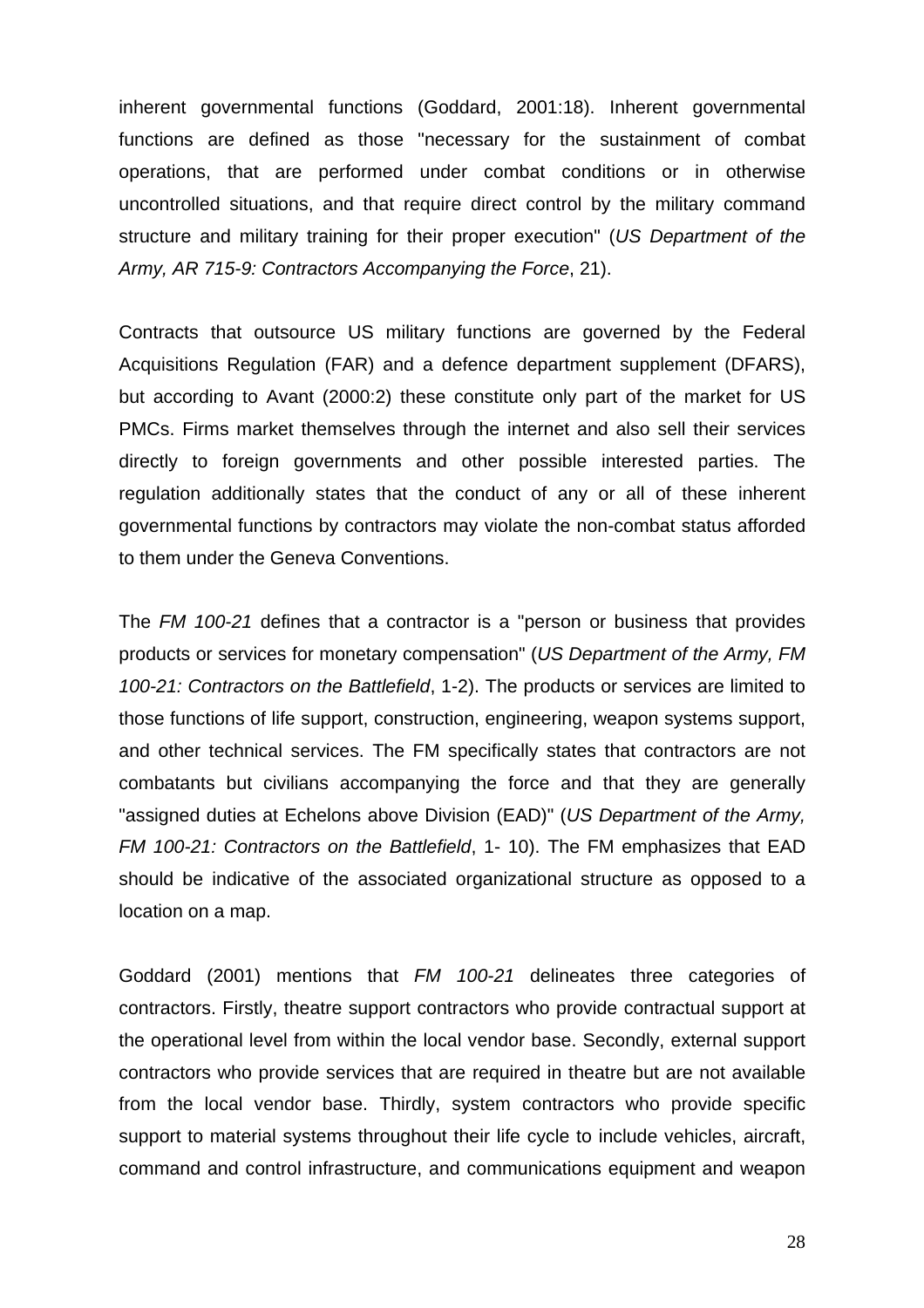inherent governmental functions (Goddard, 2001:18). Inherent governmental functions are defined as those "necessary for the sustainment of combat operations, that are performed under combat conditions or in otherwise uncontrolled situations, and that require direct control by the military command structure and military training for their proper execution" (*US Department of the Army, AR 715-9: Contractors Accompanying the Force*, 21).

Contracts that outsource US military functions are governed by the Federal Acquisitions Regulation (FAR) and a defence department supplement (DFARS), but according to Avant (2000:2) these constitute only part of the market for US PMCs. Firms market themselves through the internet and also sell their services directly to foreign governments and other possible interested parties. The regulation additionally states that the conduct of any or all of these inherent [governmenta](http://www.globalsecurity.org/cgi-bin/texis.cgi/webinator/search/?query=Continuity+of+government+nuclear+forces&pr=default&order=r&cmd=context&id=42b616763#hit31#hit31)l functions by contractors may violate the non-combat status afforded to them under the Geneva Conventions.

The *FM 100-21* defines that a contractor is a "person or business that provides products or services for monetary compensation" (*US Department of the Army, FM 100-21: Contractors on the Battlefield*, 1-2). The products or services are limited to those functions of life support, construction, engineering, weapon systems support, and other technical services. The FM specifically states that contractors are not combatants but civilians accompanying the force and that they are generally "assigned duties at Echelons above Division (EAD)" (*US Department of the Army, FM 100-21: Contractors on the Battlefield*, 1- 10). The FM emphasizes that EAD should be indicative of the associated organizational structure as opposed to a location on a map.

Goddard (2001) mentions that *FM 100-21* delineates three categories of contractors. Firstly, theatre support contractors who provide contractual support at the operational level from within the local vendor base. Secondly, external support contractors who provide services that are required in theatre but are not available from the local vendor base. Thirdly, system contractors who provide specific support to material systems throughout their life cycle to include vehicles, aircraft, command and control infrastructure, and communications equipment and weapon

28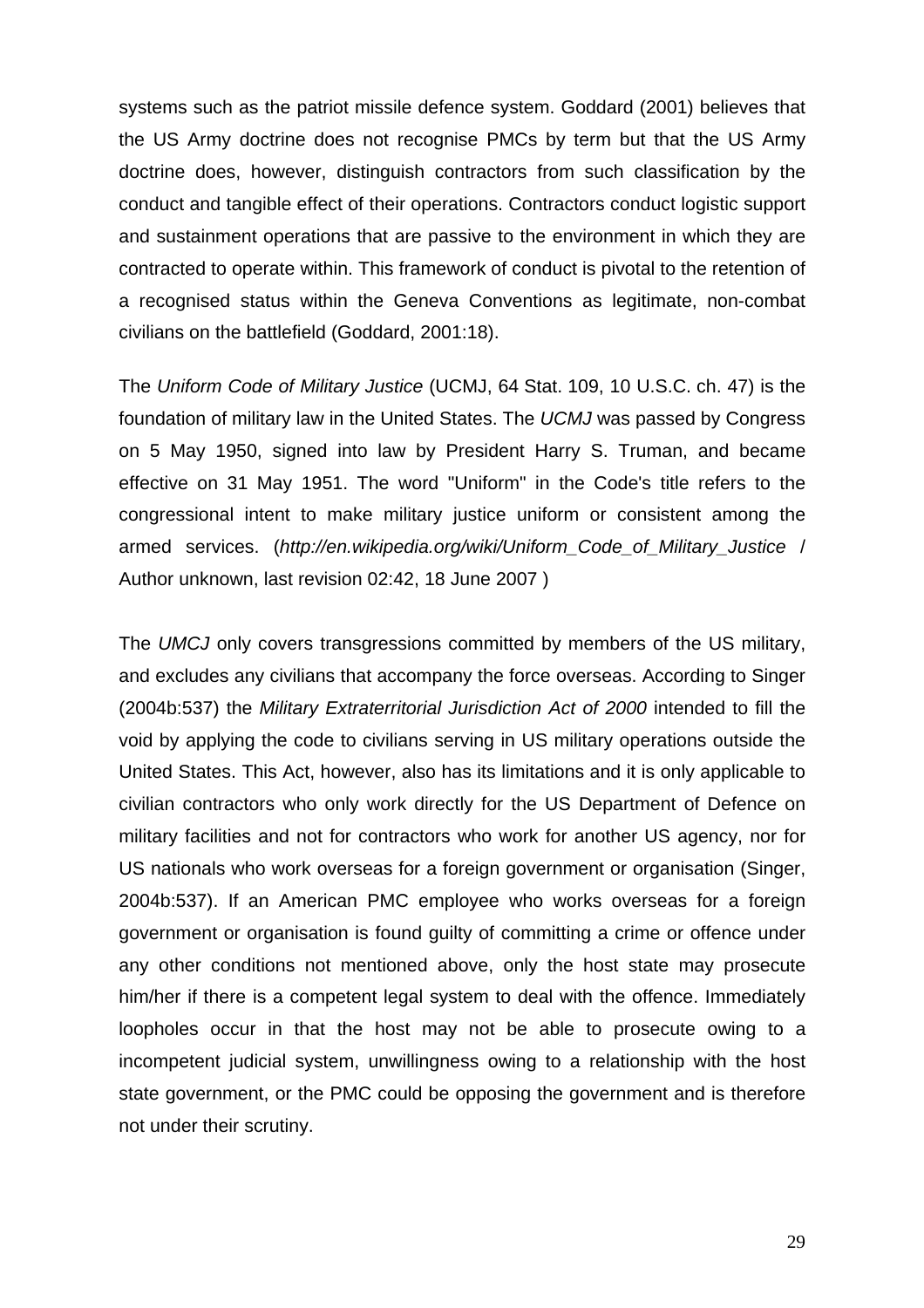systems such as the patriot missile defence system. Goddard (2001) believes that the US Army doctrine does not recognise PMCs by term but that the US Army doctrine does, however, distinguish contractors from such classification by the conduct and tangible effect of their operations. Contractors conduct logistic support and sustainment operations that are passive to the environment in which they are contracted to operate within. This framework of conduct is pivotal to the retention of a recognised status within the Geneva Conventions as legitimate, non-combat civilians on the battlefield (Goddard, 2001:18).

The *Uniform Code of Military Justice* (UCMJ, 64 [Stat.](http://en.wikipedia.org/wiki/United_States_Statutes_at_Large) 109, [10 U.S.C.](http://en.wikipedia.org/wiki/Title_10_of_the_United_States_Code) [ch. 47\)](http://www.law.cornell.edu/uscode/10/ch47.html) is the foundation of [military law](http://en.wikipedia.org/wiki/Military_law) in the [United States](http://en.wikipedia.org/wiki/United_States). The *UCMJ* was passed by Congress on 5 May 1950, signed into law by President Harry S. Truman, and became effective on 31 May 1951. The word "Uniform" in the Code's title refers to the congressional intent to make military justice uniform or consistent among the armed services. (*[http://en.wikipedia.org/wiki/Uniform\\_Code\\_of\\_Military\\_Justice](http://en.wikipedia.org/wiki/Uniform_Code_of_Military_Justice)* / Author unknown, last revision 02:42, 18 June 2007 )

The *UMCJ* only covers transgressions committed by members of the US military, and excludes any civilians that accompany the force overseas. According to Singer (2004b:537) the *Military Extraterritorial Jurisdiction Act of 2000* intended to fill the void by applying the code to civilians serving in US military operations outside the United States. This Act, however, also has its limitations and it is only applicable to civilian contractors who only work directly for the US Department of Defence on military facilities and not for contractors who work for another US agency, nor for US nationals who work overseas for a foreign government or organisation (Singer, 2004b:537). If an American PMC employee who works overseas for a foreign government or organisation is found guilty of committing a crime or offence under any other conditions not mentioned above, only the host state may prosecute him/her if there is a competent legal system to deal with the offence. Immediately loopholes occur in that the host may not be able to prosecute owing to a incompetent judicial system, unwillingness owing to a relationship with the host state government, or the PMC could be opposing the government and is therefore not under their scrutiny.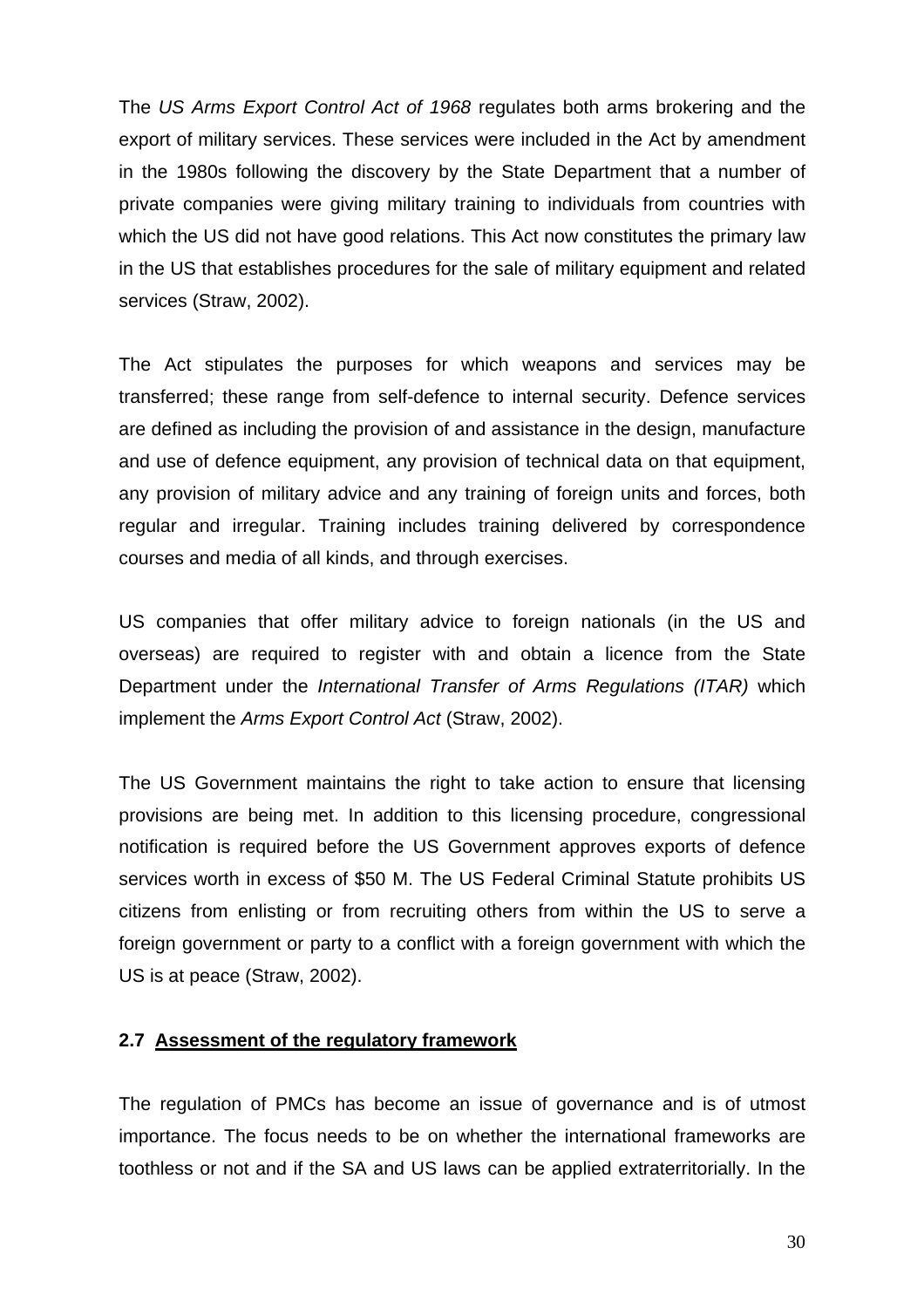The *US Arms Export Control Act of 1968* regulates both arms brokering and the export of military services. These services were included in the Act by amendment in the 1980s following the discovery by the State Department that a number of private companies were giving military training to individuals from countries with which the US did not have good relations. This Act now constitutes the primary law in the US that establishes procedures for the sale of military equipment and related services (Straw, 2002).

The Act stipulates the purposes for which weapons and services may be transferred; these range from self-defence to internal security. Defence services are defined as including the provision of and assistance in the design, manufacture and use of defence equipment, any provision of technical data on that equipment, any provision of military advice and any training of foreign units and forces, both regular and irregular. Training includes training delivered by correspondence courses and media of all kinds, and through exercises.

US companies that offer military advice to foreign nationals (in the US and overseas) are required to register with and obtain a licence from the State Department under the *International Transfer of Arms Regulations (ITAR)* which implement the *Arms Export Control Act* (Straw, 2002).

The US Government maintains the right to take action to ensure that licensing provisions are being met. In addition to this licensing procedure, congressional notification is required before the US Government approves exports of defence services worth in excess of \$50 M. The US Federal Criminal Statute prohibits US citizens from enlisting or from recruiting others from within the US to serve a foreign government or party to a conflict with a foreign government with which the US is at peace (Straw, 2002).

## **2.7 Assessment of the regulatory framework**

The regulation of PMCs has become an issue of governance and is of utmost importance. The focus needs to be on whether the international frameworks are toothless or not and if the SA and US laws can be applied extraterritorially. In the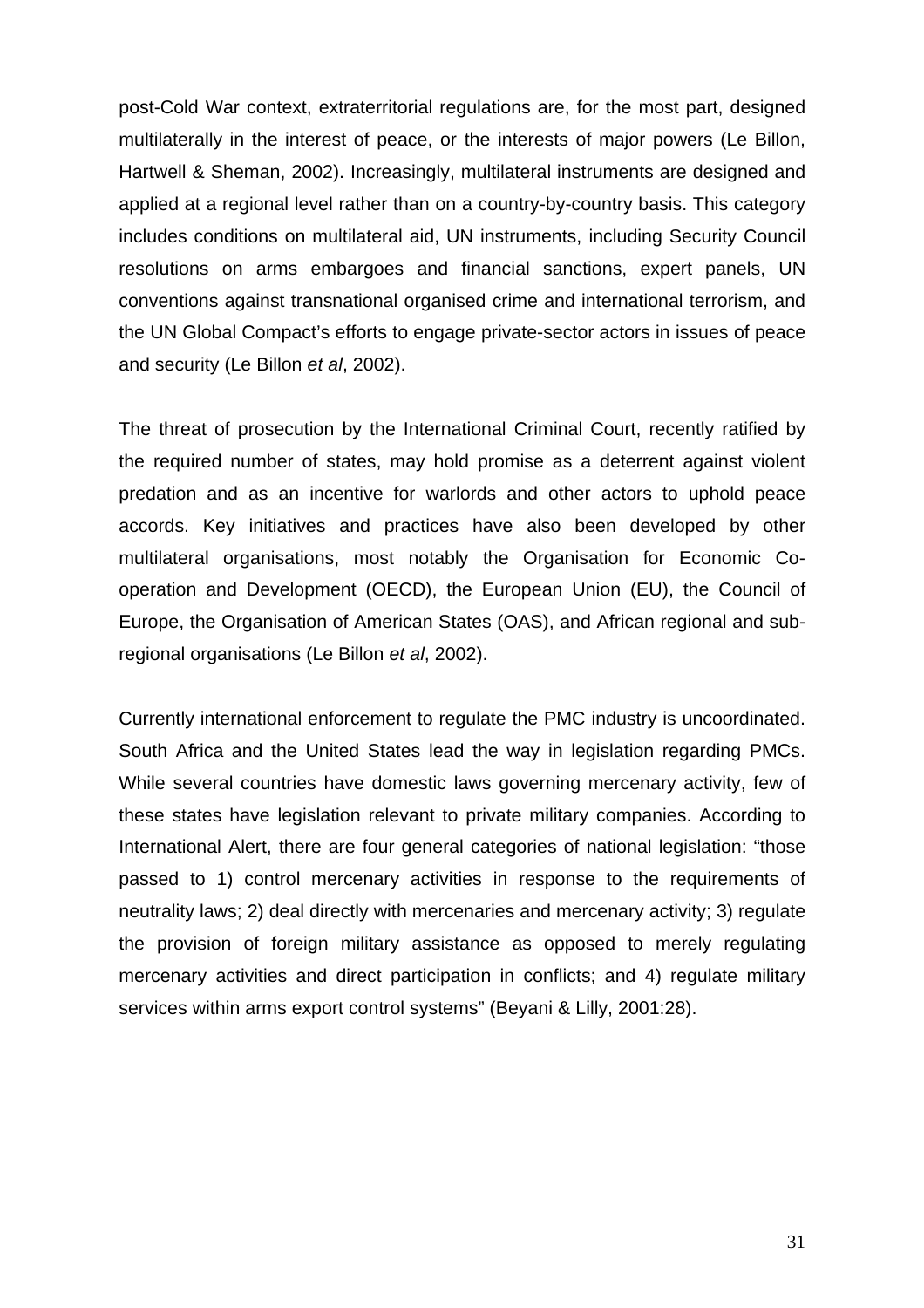post-Cold War context, extraterritorial regulations are, for the most part, designed multilaterally in the interest of peace, or the interests of major powers (Le Billon, Hartwell & Sheman, 2002). Increasingly, multilateral instruments are designed and applied at a regional level rather than on a country-by-country basis. This category includes conditions on multilateral aid, UN instruments, including Security Council resolutions on arms embargoes and financial sanctions, expert panels, UN conventions against transnational organised crime and international terrorism, and the UN Global Compact's efforts to engage private-sector actors in issues of peace and security (Le Billon *et al*, 2002).

The threat of prosecution by the International Criminal Court, recently ratified by the required number of states, may hold promise as a deterrent against violent predation and as an incentive for warlords and other actors to uphold peace accords. Key initiatives and practices have also been developed by other multilateral organisations, most notably the Organisation for Economic Cooperation and Development (OECD), the European Union (EU), the Council of Europe, the Organisation of American States (OAS), and African regional and subregional organisations (Le Billon *et al*, 2002).

Currently international enforcement to regulate the PMC industry is uncoordinated. South Africa and the United States lead the way in legislation regarding PMCs. While several countries have domestic laws governing mercenary activity, few of these states have legislation relevant to private military companies. According to International Alert, there are four general categories of national legislation: "those passed to 1) control mercenary activities in response to the requirements of neutrality laws; 2) deal directly with mercenaries and mercenary activity; 3) regulate the provision of foreign military assistance as opposed to merely regulating mercenary activities and direct participation in conflicts; and 4) regulate military services within arms export control systems" (Beyani & Lilly, 2001:28).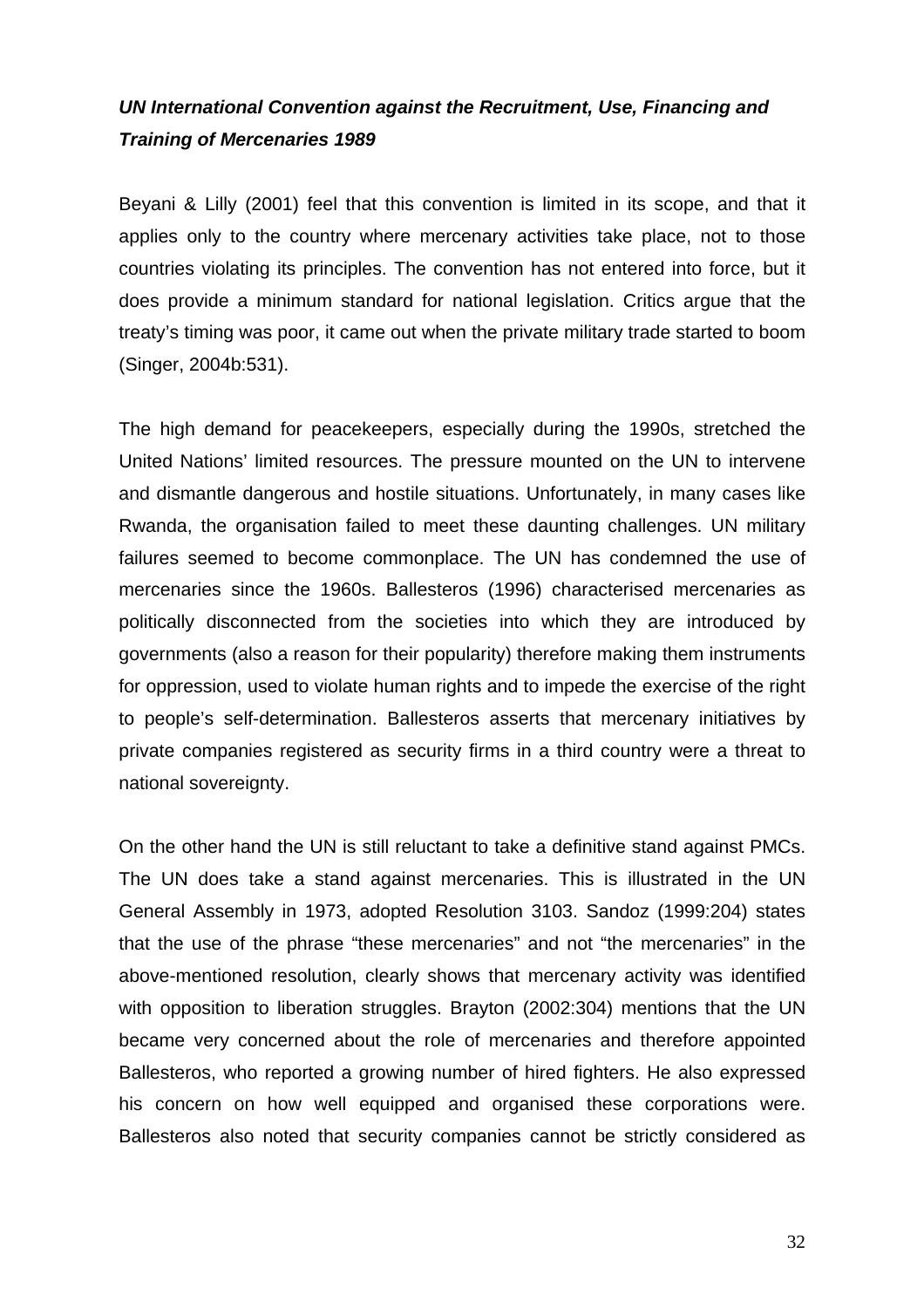# *UN International Convention against the Recruitment, Use, Financing and Training of Mercenaries 1989*

Beyani & Lilly (2001) feel that this convention is limited in its scope, and that it applies only to the country where mercenary activities take place, not to those countries violating its principles. The convention has not entered into force, but it does provide a minimum standard for national legislation. Critics argue that the treaty's timing was poor, it came out when the private military trade started to boom (Singer, 2004b:531).

The high demand for peacekeepers, especially during the 1990s, stretched the United Nations' limited resources. The pressure mounted on the UN to intervene and dismantle dangerous and hostile situations. Unfortunately, in many cases like Rwanda, the organisation failed to meet these daunting challenges. UN military failures seemed to become commonplace. The UN has condemned the use of mercenaries since the 1960s. Ballesteros (1996) characterised mercenaries as politically disconnected from the societies into which they are introduced by governments (also a reason for their popularity) therefore making them instruments for oppression, used to violate human rights and to impede the exercise of the right to people's self-determination. Ballesteros asserts that mercenary initiatives by private companies registered as security firms in a third country were a threat to national sovereignty.

On the other hand the UN is still reluctant to take a definitive stand against PMCs. The UN does take a stand against mercenaries. This is illustrated in the UN General Assembly in 1973, adopted Resolution 3103. Sandoz (1999:204) states that the use of the phrase "these mercenaries" and not "the mercenaries" in the above-mentioned resolution, clearly shows that mercenary activity was identified with opposition to liberation struggles. Brayton (2002:304) mentions that the UN became very concerned about the role of mercenaries and therefore appointed Ballesteros, who reported a growing number of hired fighters. He also expressed his concern on how well equipped and organised these corporations were. Ballesteros also noted that security companies cannot be strictly considered as

32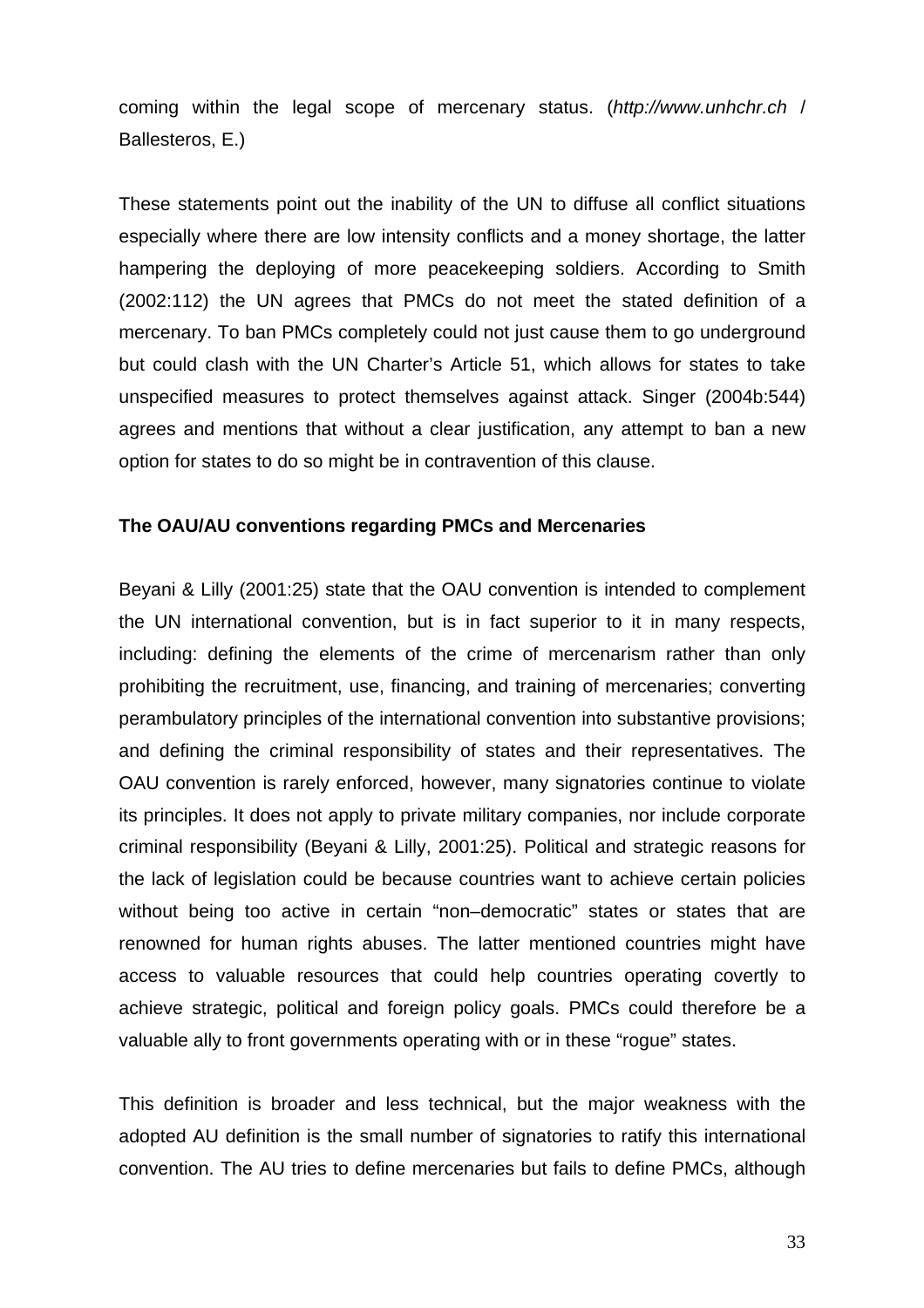coming within the legal scope of mercenary status. (*http://[www.unhchr.ch](http://www.unhchr.ch/)* / Ballesteros, E.)

These statements point out the inability of the UN to diffuse all conflict situations especially where there are low intensity conflicts and a money shortage, the latter hampering the deploying of more peacekeeping soldiers. According to Smith (2002:112) the UN agrees that PMCs do not meet the stated definition of a mercenary. To ban PMCs completely could not just cause them to go underground but could clash with the UN Charter's Article 51, which allows for states to take unspecified measures to protect themselves against attack. Singer (2004b:544) agrees and mentions that without a clear justification, any attempt to ban a new option for states to do so might be in contravention of this clause.

#### **The OAU/AU conventions regarding PMCs and Mercenaries**

Beyani & Lilly (2001:25) state that the OAU convention is intended to complement the UN international convention, but is in fact superior to it in many respects, including: defining the elements of the crime of mercenarism rather than only prohibiting the recruitment, use, financing, and training of mercenaries; converting perambulatory principles of the international convention into substantive provisions; and defining the criminal responsibility of states and their representatives. The OAU convention is rarely enforced, however, many signatories continue to violate its principles. It does not apply to private military companies, nor include corporate criminal responsibility (Beyani & Lilly, 2001:25). Political and strategic reasons for the lack of legislation could be because countries want to achieve certain policies without being too active in certain "non-democratic" states or states that are renowned for human rights abuses. The latter mentioned countries might have access to valuable resources that could help countries operating covertly to achieve strategic, political and foreign policy goals. PMCs could therefore be a valuable ally to front governments operating with or in these "rogue" states.

This definition is broader and less technical, but the major weakness with the adopted AU definition is the small number of signatories to ratify this international convention. The AU tries to define mercenaries but fails to define PMCs, although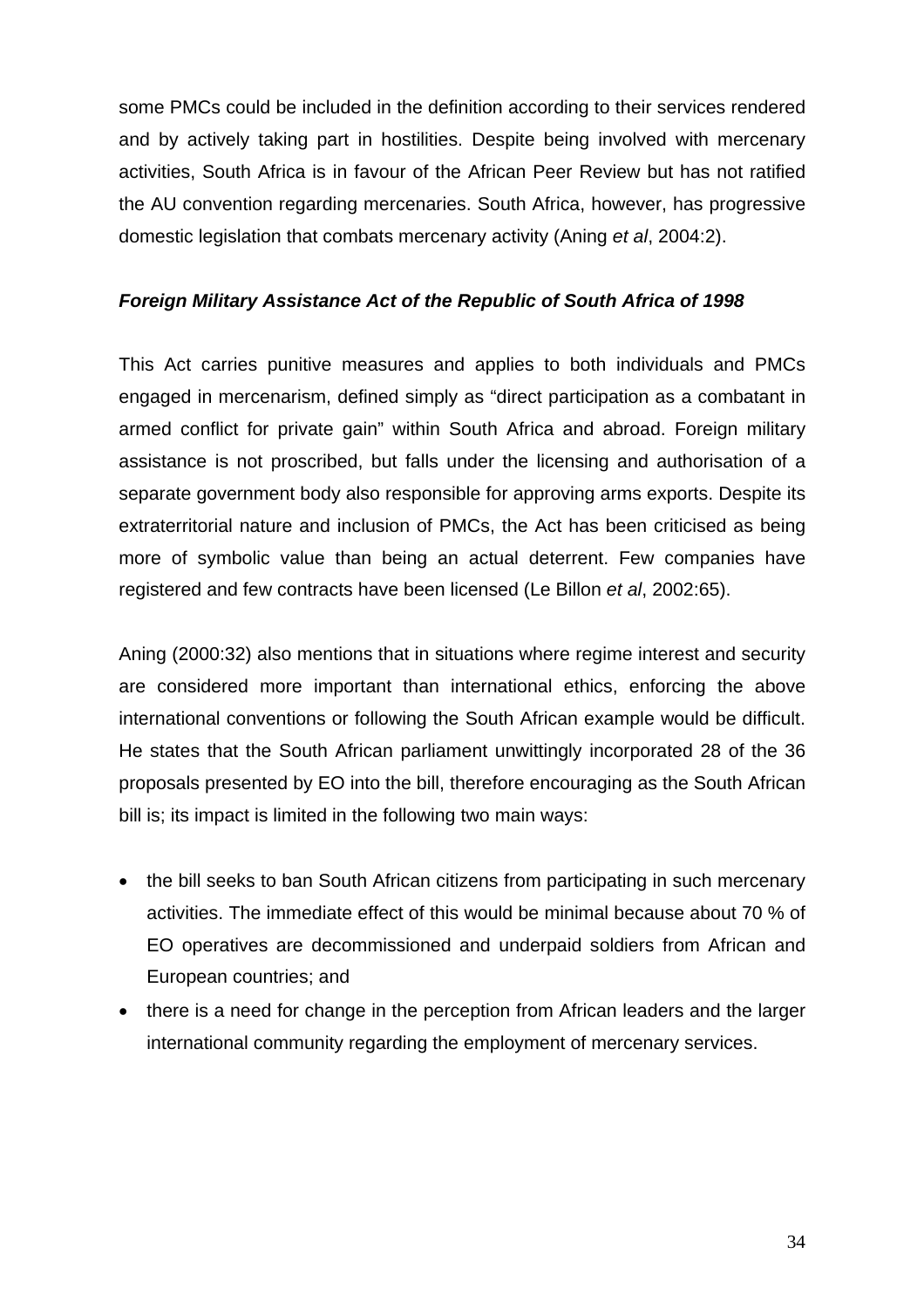some PMCs could be included in the definition according to their services rendered and by actively taking part in hostilities. Despite being involved with mercenary activities, South Africa is in favour of the African Peer Review but has not ratified the AU convention regarding mercenaries. South Africa, however, has progressive domestic legislation that combats mercenary activity (Aning *et al*, 2004:2).

## *Foreign Military Assistance Act of the Republic of South Africa of 1998*

This Act carries punitive measures and applies to both individuals and PMCs engaged in mercenarism, defined simply as "direct participation as a combatant in armed conflict for private gain" within South Africa and abroad. Foreign military assistance is not proscribed, but falls under the licensing and authorisation of a separate government body also responsible for approving arms exports. Despite its extraterritorial nature and inclusion of PMCs, the Act has been criticised as being more of symbolic value than being an actual deterrent. Few companies have registered and few contracts have been licensed (Le Billon *et al*, 2002:65).

Aning (2000:32) also mentions that in situations where regime interest and security are considered more important than international ethics, enforcing the above international conventions or following the South African example would be difficult. He states that the South African parliament unwittingly incorporated 28 of the 36 proposals presented by EO into the bill, therefore encouraging as the South African bill is; its impact is limited in the following two main ways:

- the bill seeks to ban South African citizens from participating in such mercenary activities. The immediate effect of this would be minimal because about 70 % of EO operatives are decommissioned and underpaid soldiers from African and European countries; and
- there is a need for change in the perception from African leaders and the larger international community regarding the employment of mercenary services.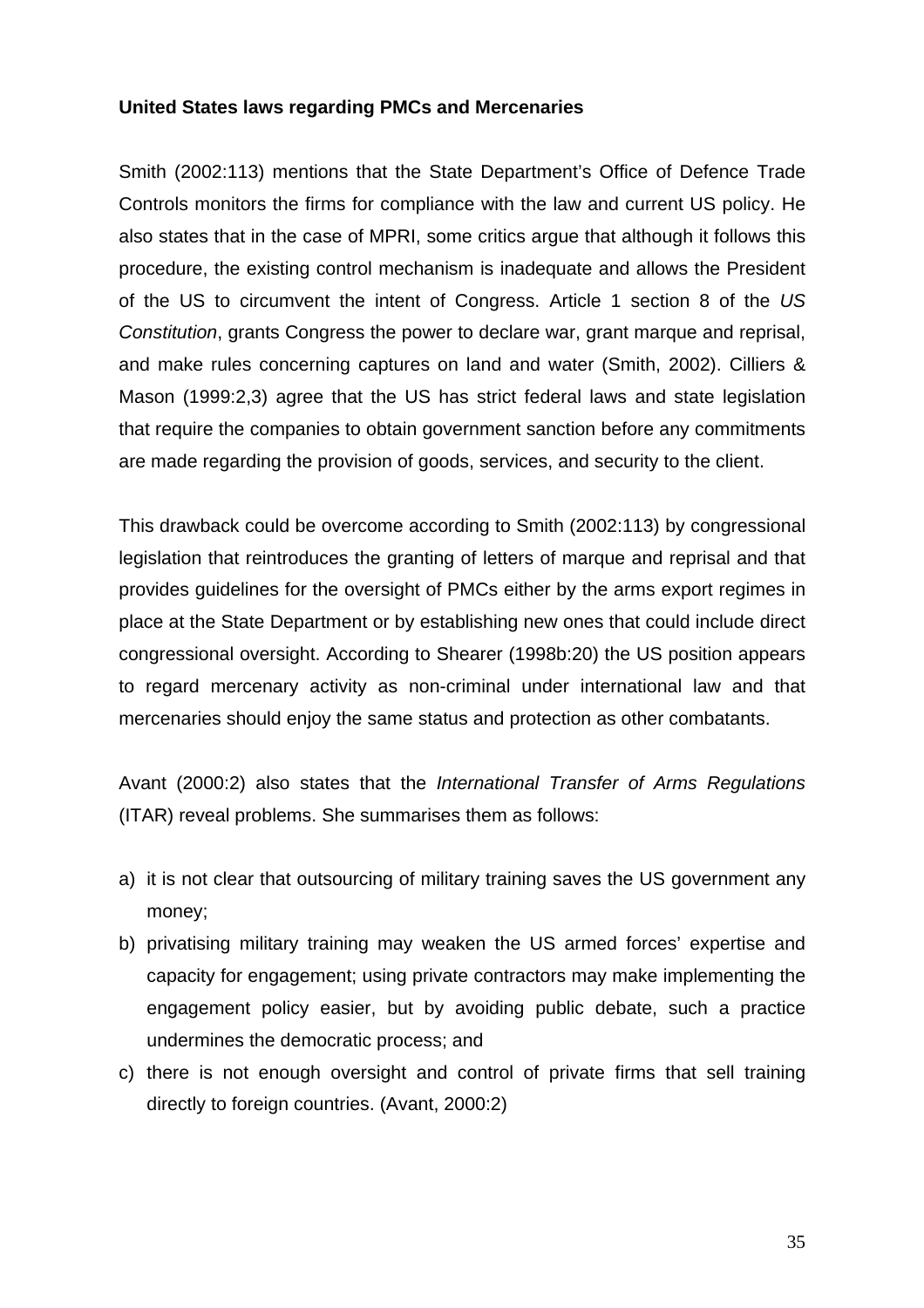## **United States laws regarding PMCs and Mercenaries**

Smith (2002:113) mentions that the State Department's Office of Defence Trade Controls monitors the firms for compliance with the law and current US policy. He also states that in the case of MPRI, some critics argue that although it follows this procedure, the existing control mechanism is inadequate and allows the President of the US to circumvent the intent of Congress. Article 1 section 8 of the *US Constitution*, grants Congress the power to declare war, grant marque and reprisal, and make rules concerning captures on land and water (Smith, 2002). Cilliers & Mason (1999:2,3) agree that the US has strict federal laws and state legislation that require the companies to obtain government sanction before any commitments are made regarding the provision of goods, services, and security to the client.

This drawback could be overcome according to Smith (2002:113) by congressional legislation that reintroduces the granting of letters of marque and reprisal and that provides guidelines for the oversight of PMCs either by the arms export regimes in place at the State Department or by establishing new ones that could include direct congressional oversight. According to Shearer (1998b:20) the US position appears to regard mercenary activity as non-criminal under international law and that mercenaries should enjoy the same status and protection as other combatants.

Avant (2000:2) also states that the *International Transfer of Arms Regulations* (ITAR) reveal problems. She summarises them as follows:

- a) it is not clear that outsourcing of military training saves the US government any money;
- b) privatising military training may weaken the US armed forces' expertise and capacity for engagement; using private contractors may make implementing the engagement policy easier, but by avoiding public debate, such a practice undermines the democratic process; and
- c) there is not enough oversight and control of private firms that sell training directly to foreign countries. (Avant, 2000:2)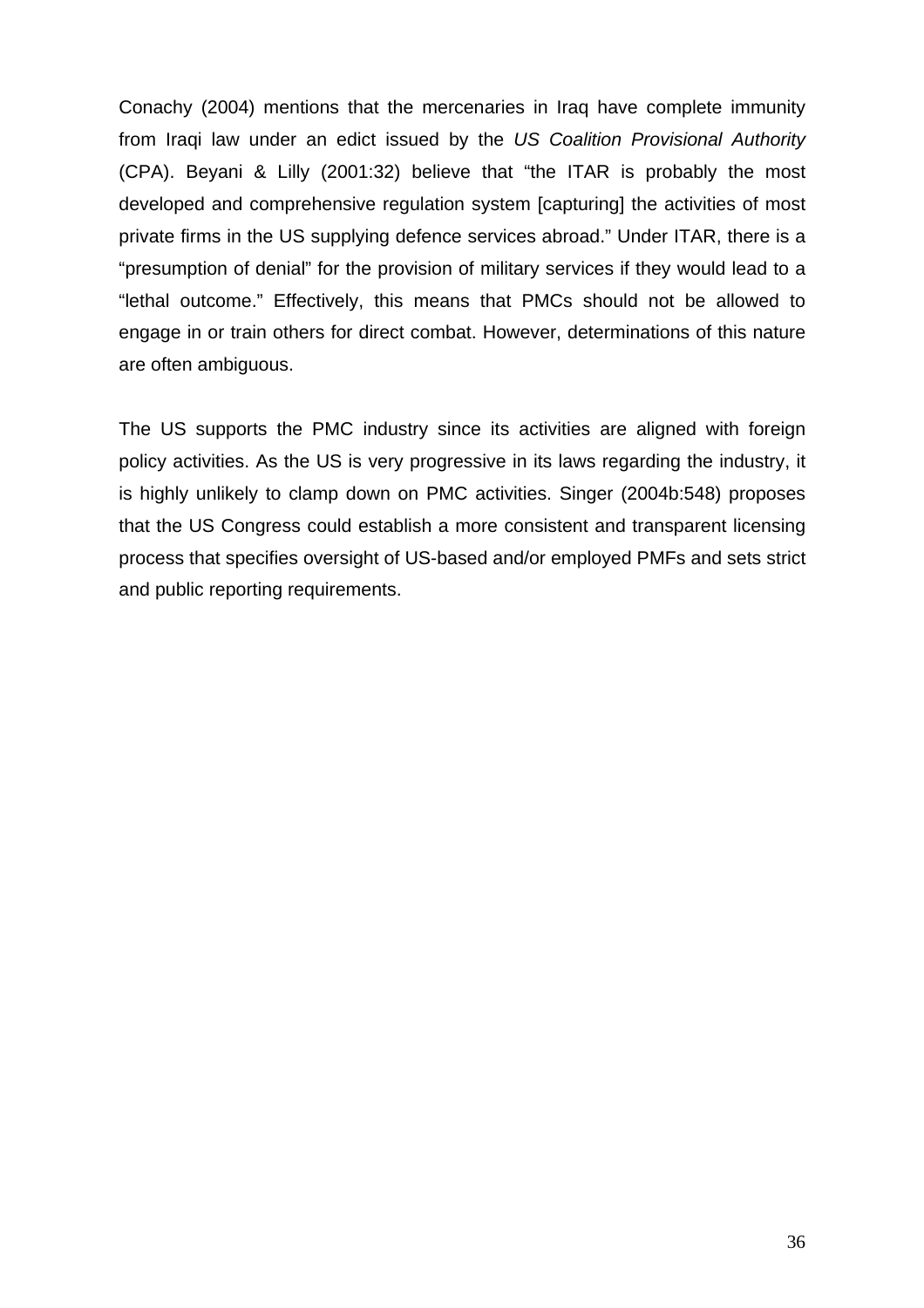Conachy (2004) mentions that the mercenaries in Iraq have complete immunity from Iraqi law under an edict issued by the *US Coalition Provisional Authority* (CPA). Beyani & Lilly (2001:32) believe that "the ITAR is probably the most developed and comprehensive regulation system [capturing] the activities of most private firms in the US supplying defence services abroad." Under ITAR, there is a "presumption of denial" for the provision of military services if they would lead to a "lethal outcome." Effectively, this means that PMCs should not be allowed to engage in or train others for direct combat. However, determinations of this nature are often ambiguous.

The US supports the PMC industry since its activities are aligned with foreign policy activities. As the US is very progressive in its laws regarding the industry, it is highly unlikely to clamp down on PMC activities. Singer (2004b:548) proposes that the US Congress could establish a more consistent and transparent licensing process that specifies oversight of US-based and/or employed PMFs and sets strict and public reporting requirements.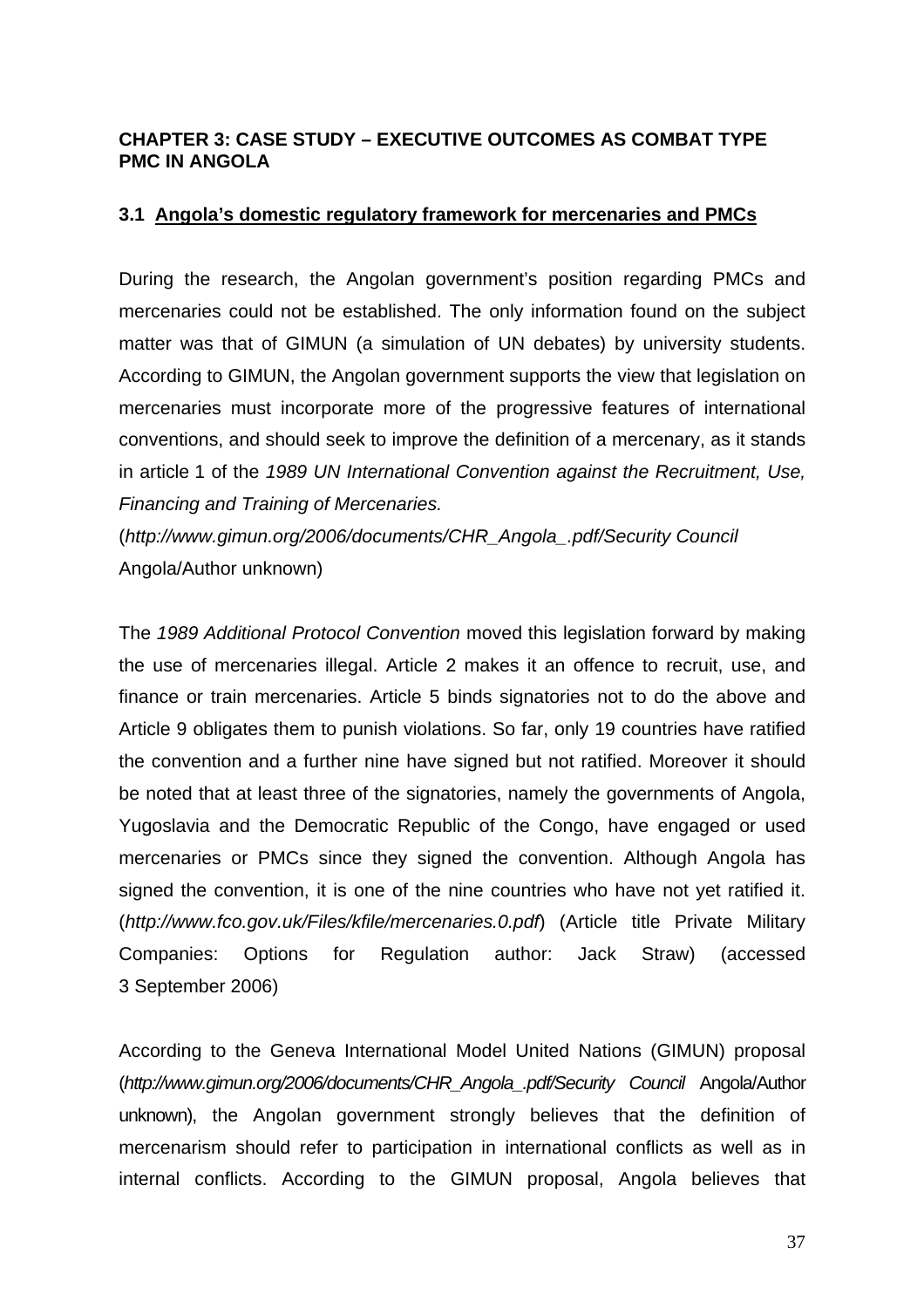## **CHAPTER 3: CASE STUDY – EXECUTIVE OUTCOMES AS COMBAT TYPE PMC IN ANGOLA**

## **3.1 Angola's domestic regulatory framework for mercenaries and PMCs**

During the research, the Angolan government's position regarding PMCs and mercenaries could not be established. The only information found on the subject matter was that of GIMUN (a simulation of UN debates) by university students. According to GIMUN, the Angolan government supports the view that legislation on mercenaries must incorporate more of the progressive features of international conventions, and should seek to improve the definition of a mercenary, as it stands in article 1 of the *1989 UN International Convention against the Recruitment, Use, Financing and Training of Mercenaries.* 

(*[http://www.gimun.org/2006/documents/CHR\\_Angola\\_.pdf/Security Council](http://www.gimun.org/2006/documents/CHR_Angola_.pdf/Security%20Council)* Angola/Author unknown)

The *1989 Additional Protocol Convention* moved this legislation forward by making the use of mercenaries illegal. Article 2 makes it an offence to recruit, use, and finance or train mercenaries. Article 5 binds signatories not to do the above and Article 9 obligates them to punish violations. So far, only 19 countries have ratified the convention and a further nine have signed but not ratified. Moreover it should be noted that at least three of the signatories, namely the governments of Angola, Yugoslavia and the Democratic Republic of the Congo, have engaged or used mercenaries or PMCs since they signed the convention. Although Angola has signed the convention, it is one of the nine countries who have not yet ratified it. (*<http://www.fco.gov.uk/Files/kfile/mercenaries.0.pdf>*) (Article title Private Military Companies: Options for Regulation author: Jack Straw) (accessed 3 September 2006)

According to the Geneva International Model United Nations (GIMUN) proposal (*[http://www.gimun.org/2006/documents/CHR\\_Angola\\_.pdf/Security Council](http://www.gimun.org/2006/documents/CHR_Angola_.pdf/Security%20Council)* Angola/Author unknown), the Angolan government strongly believes that the definition of mercenarism should refer to participation in international conflicts as well as in internal conflicts. According to the GIMUN proposal, Angola believes that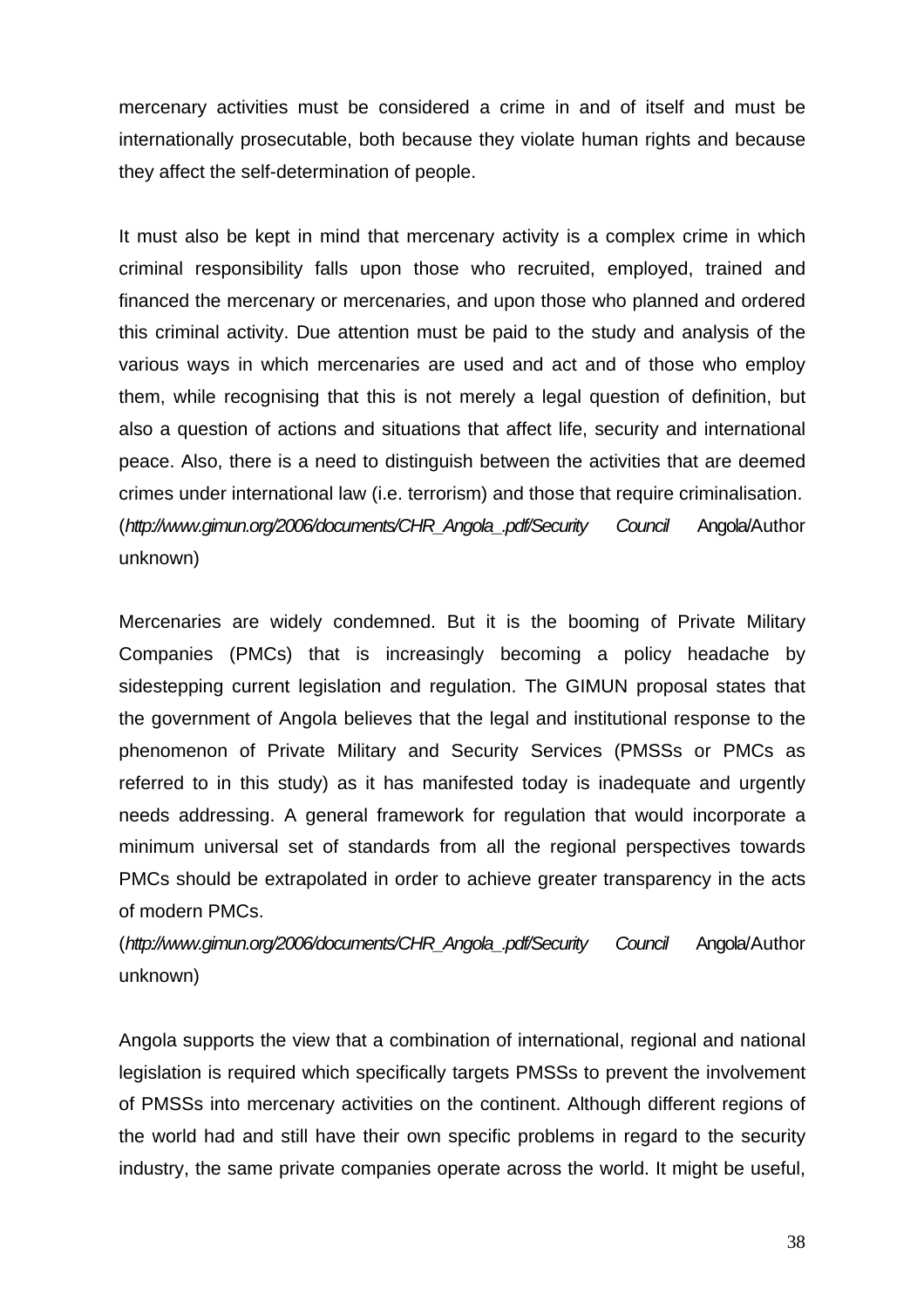mercenary activities must be considered a crime in and of itself and must be internationally prosecutable, both because they violate human rights and because they affect the self-determination of people.

It must also be kept in mind that mercenary activity is a complex crime in which criminal responsibility falls upon those who recruited, employed, trained and financed the mercenary or mercenaries, and upon those who planned and ordered this criminal activity. Due attention must be paid to the study and analysis of the various ways in which mercenaries are used and act and of those who employ them, while recognising that this is not merely a legal question of definition, but also a question of actions and situations that affect life, security and international peace. Also, there is a need to distinguish between the activities that are deemed crimes under international law (i.e. terrorism) and those that require criminalisation. (*[http://www.gimun.org/2006/documents/CHR\\_Angola\\_.pdf/Security Council](http://www.gimun.org/2006/documents/CHR_Angola_.pdf/Security%20Council)* Angola/Author unknown)

Mercenaries are widely condemned. But it is the booming of Private Military Companies (PMCs) that is increasingly becoming a policy headache by sidestepping current legislation and regulation. The GIMUN proposal states that the government of Angola believes that the legal and institutional response to the phenomenon of Private Military and Security Services (PMSSs or PMCs as referred to in this study) as it has manifested today is inadequate and urgently needs addressing. A general framework for regulation that would incorporate a minimum universal set of standards from all the regional perspectives towards PMCs should be extrapolated in order to achieve greater transparency in the acts of modern PMCs.

# (*[http://www.gimun.org/2006/documents/CHR\\_Angola\\_.pdf/Security Council](http://www.gimun.org/2006/documents/CHR_Angola_.pdf/Security%20Council)* Angola/Author unknown)

Angola supports the view that a combination of international, regional and national legislation is required which specifically targets PMSSs to prevent the involvement of PMSSs into mercenary activities on the continent. Although different regions of the world had and still have their own specific problems in regard to the security industry, the same private companies operate across the world. It might be useful,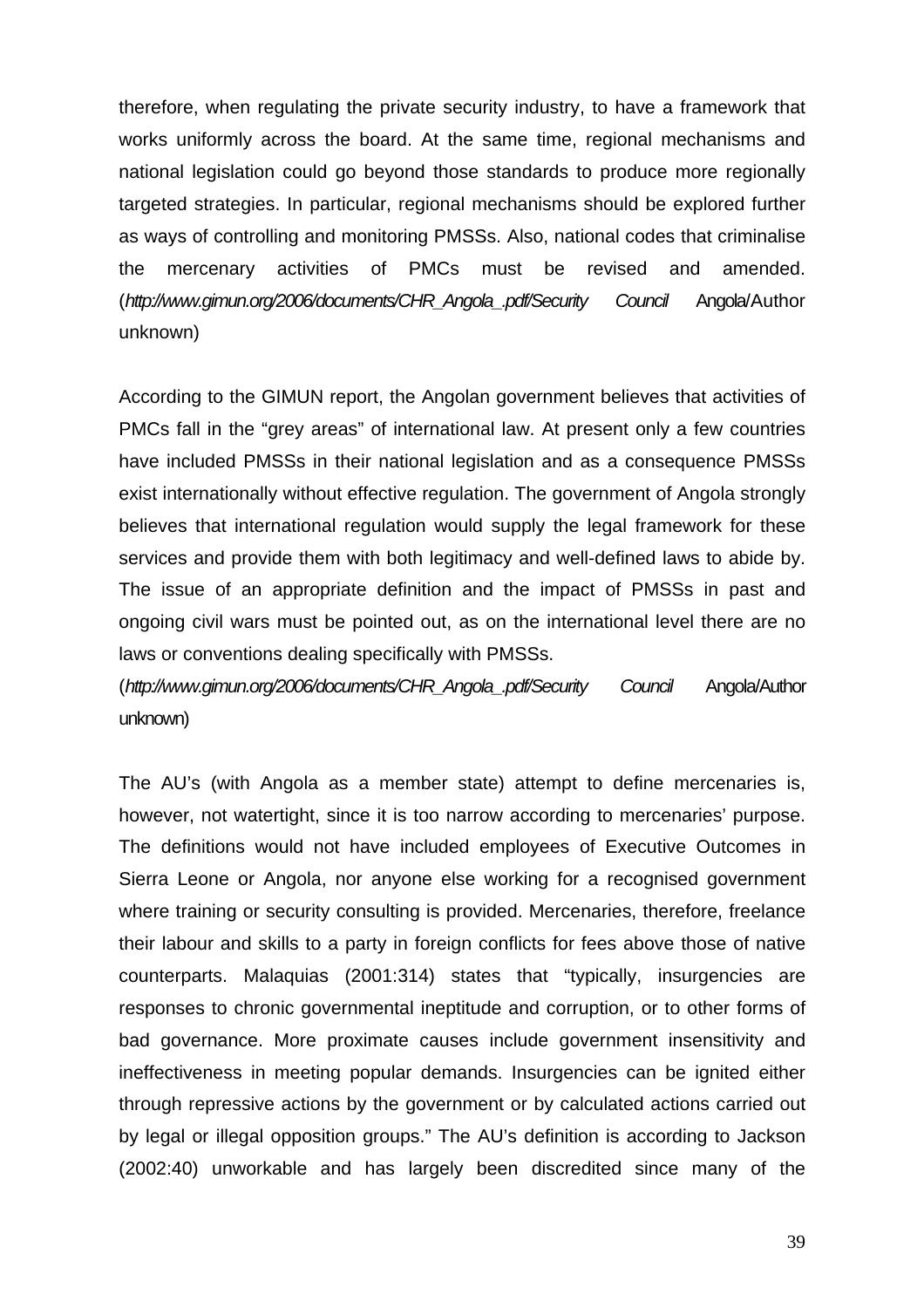therefore, when regulating the private security industry, to have a framework that works uniformly across the board. At the same time, regional mechanisms and national legislation could go beyond those standards to produce more regionally targeted strategies. In particular, regional mechanisms should be explored further as ways of controlling and monitoring PMSSs. Also, national codes that criminalise the mercenary activities of PMCs must be revised and amended. (*[http://www.gimun.org/2006/documents/CHR\\_Angola\\_.pdf/Security Council](http://www.gimun.org/2006/documents/CHR_Angola_.pdf/Security%20Council)* Angola/Author unknown)

According to the GIMUN report, the Angolan government believes that activities of PMCs fall in the "grey areas" of international law. At present only a few countries have included PMSSs in their national legislation and as a consequence PMSSs exist internationally without effective regulation. The government of Angola strongly believes that international regulation would supply the legal framework for these services and provide them with both legitimacy and well-defined laws to abide by. The issue of an appropriate definition and the impact of PMSSs in past and ongoing civil wars must be pointed out, as on the international level there are no laws or conventions dealing specifically with PMSSs.

(*[http://www.gimun.org/2006/documents/CHR\\_Angola\\_.pdf/Security Council](http://www.gimun.org/2006/documents/CHR_Angola_.pdf/Security%20Council)* Angola/Author unknown)

The AU's (with Angola as a member state) attempt to define mercenaries is, however, not watertight, since it is too narrow according to mercenaries' purpose. The definitions would not have included employees of Executive Outcomes in Sierra Leone or Angola, nor anyone else working for a recognised government where training or security consulting is provided. Mercenaries, therefore, freelance their labour and skills to a party in foreign conflicts for fees above those of native counterparts. Malaquias (2001:314) states that "typically, insurgencies are responses to chronic governmental ineptitude and corruption, or to other forms of bad governance. More proximate causes include government insensitivity and ineffectiveness in meeting popular demands. Insurgencies can be ignited either through repressive actions by the government or by calculated actions carried out by legal or illegal opposition groups." The AU's definition is according to Jackson (2002:40) unworkable and has largely been discredited since many of the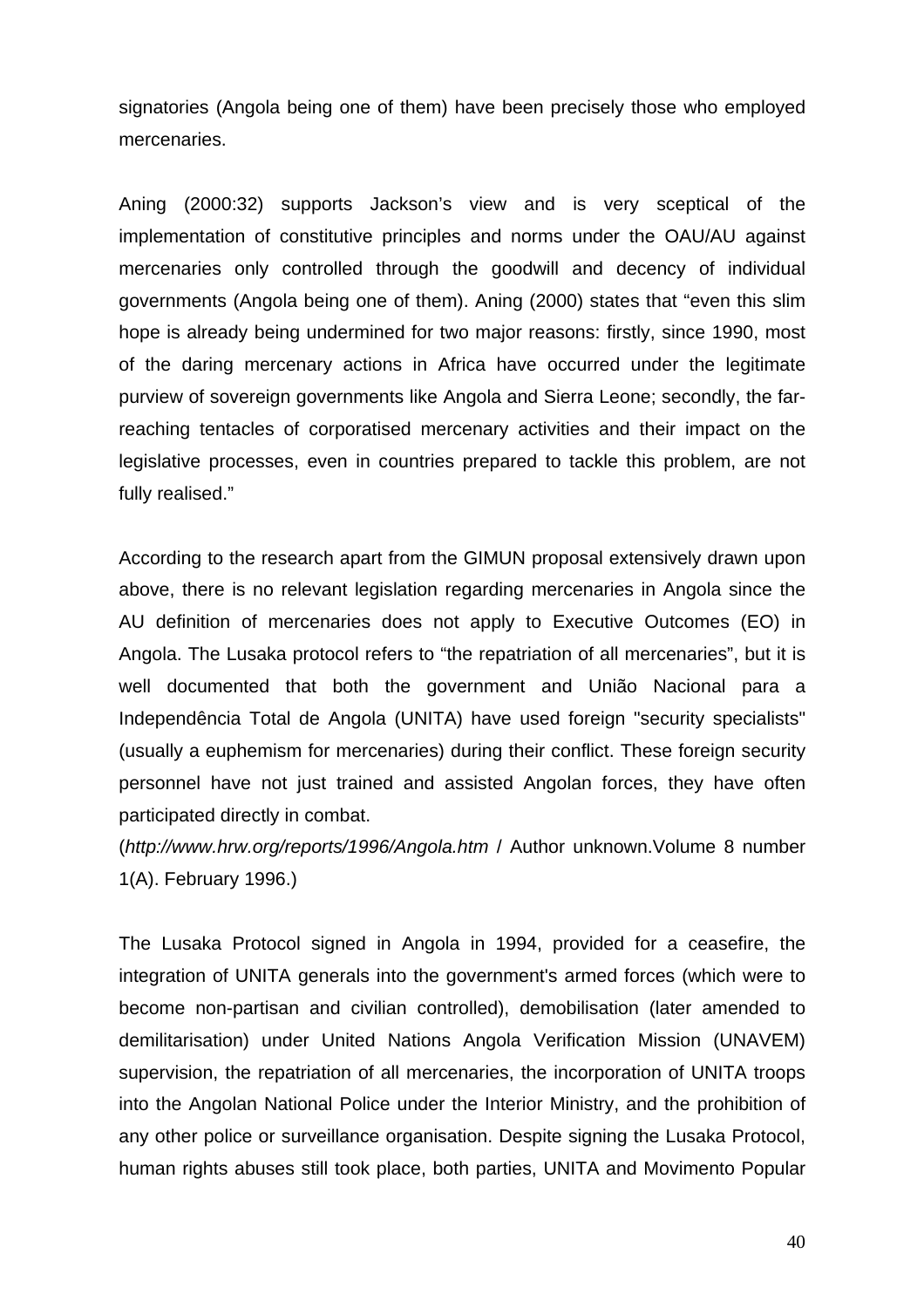signatories (Angola being one of them) have been precisely those who employed mercenaries.

Aning (2000:32) supports Jackson's view and is very sceptical of the implementation of constitutive principles and norms under the OAU/AU against mercenaries only controlled through the goodwill and decency of individual governments (Angola being one of them). Aning (2000) states that "even this slim hope is already being undermined for two major reasons: firstly, since 1990, most of the daring mercenary actions in Africa have occurred under the legitimate purview of sovereign governments like Angola and Sierra Leone; secondly, the farreaching tentacles of corporatised mercenary activities and their impact on the legislative processes, even in countries prepared to tackle this problem, are not fully realised."

According to the research apart from the GIMUN proposal extensively drawn upon above, there is no relevant legislation regarding mercenaries in Angola since the AU definition of mercenaries does not apply to Executive Outcomes (EO) in Angola. The Lusaka protocol refers to "the repatriation of all mercenaries", but it is well documented that both the government and União Nacional para a Independência Total de Angola (UNITA) have used foreign "security specialists" (usually a euphemism for mercenaries) during their conflict. These foreign security personnel have not just trained and assisted Angolan forces, they have often participated directly in combat.

(*<http://www.hrw.org/reports/1996/Angola.htm>* / Author unknown.Volume 8 number 1(A). February 1996.)

The Lusaka Protocol signed in Angola in 1994, provided for a ceasefire, the integration of UNITA generals into the government's armed forces (which were to become non-partisan and civilian controlled), demobilisation (later amended to demilitarisation) under United Nations Angola Verification Mission (UNAVEM) supervision, the repatriation of all mercenaries, the incorporation of UNITA troops into the Angolan National Police under the Interior Ministry, and the prohibition of any other police or surveillance organisation. Despite signing the Lusaka Protocol, human rights abuses still took place, both parties, UNITA and Movimento Popular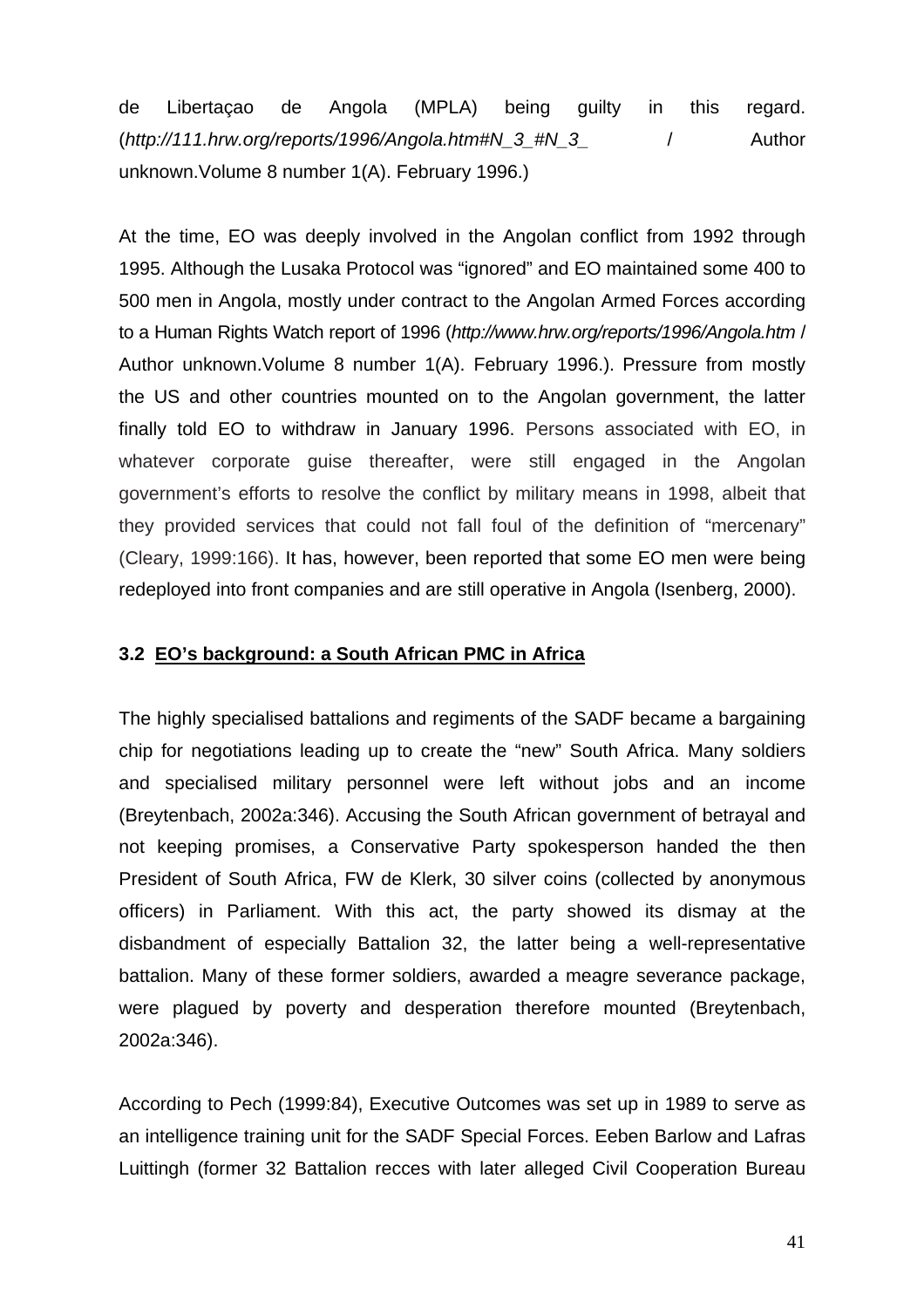de Libertaçao de Angola (MPLA) being guilty in this regard. (*[http://111.hrw.org/reports/1996/Angola.htm#N\\_3\\_#N\\_3\\_](http://111.hrw.org/reports/1996/Angola.htm#N_3_#N_3_)* / Author unknown.Volume 8 number 1(A). February 1996.)

At the time, EO was deeply involved in the Angolan conflict from 1992 through 1995. Although the Lusaka Protocol was "ignored" and EO maintained some 400 to 500 men in Angola, mostly under contract to the Angolan Armed Forces according to a Human Rights Watch report of 1996 (*<http://www.hrw.org/reports/1996/Angola.htm>* / Author unknown.Volume 8 number 1(A). February 1996.). Pressure from mostly the US and other countries mounted on to the Angolan government, the latter finally told EO to withdraw in January 1996. Persons associated with EO, in whatever corporate guise thereafter, were still engaged in the Angolan government's efforts to resolve the conflict by military means in 1998, albeit that they provided services that could not fall foul of the definition of "mercenary" (Cleary, 1999:166). It has, however, been reported that some EO men were being redeployed into front companies and are still operative in Angola (Isenberg, 2000).

## **3.2 EO's background: a South African PMC in Africa**

The highly specialised battalions and regiments of the SADF became a bargaining chip for negotiations leading up to create the "new" South Africa. Many soldiers and specialised military personnel were left without jobs and an income (Breytenbach, 2002a:346). Accusing the South African government of betrayal and not keeping promises, a Conservative Party spokesperson handed the then President of South Africa, FW de Klerk, 30 silver coins (collected by anonymous officers) in Parliament. With this act, the party showed its dismay at the disbandment of especially Battalion 32, the latter being a well-representative battalion. Many of these former soldiers, awarded a meagre severance package, were plagued by poverty and desperation therefore mounted (Breytenbach, 2002a:346).

According to Pech (1999:84), Executive Outcomes was set up in 1989 to serve as an intelligence training unit for the SADF Special Forces. Eeben Barlow and Lafras Luittingh (former 32 Battalion recces with later alleged Civil Cooperation Bureau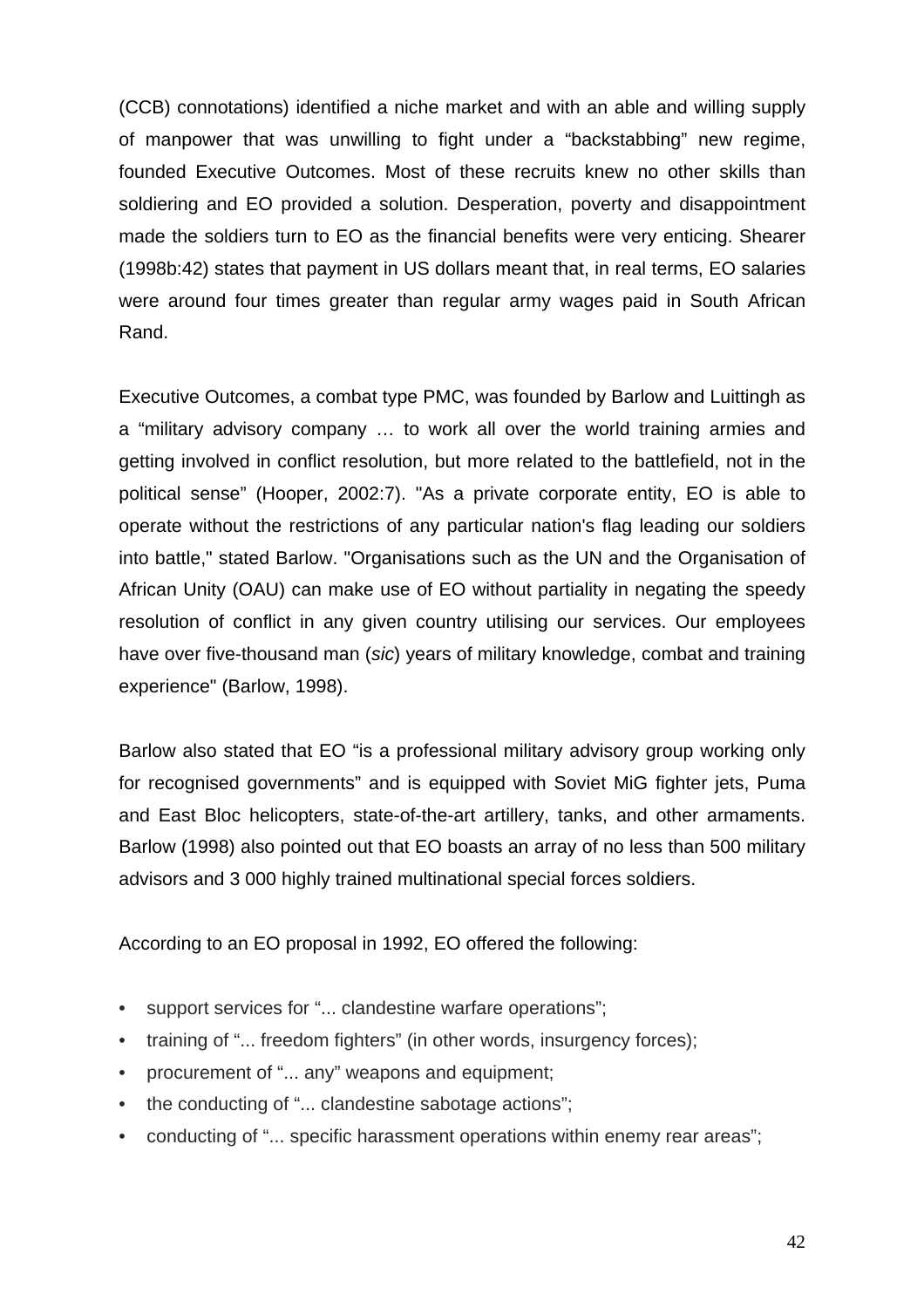(CCB) connotations) identified a niche market and with an able and willing supply of manpower that was unwilling to fight under a "backstabbing" new regime, founded Executive Outcomes. Most of these recruits knew no other skills than soldiering and EO provided a solution. Desperation, poverty and disappointment made the soldiers turn to EO as the financial benefits were very enticing. Shearer (1998b:42) states that payment in US dollars meant that, in real terms, EO salaries were around four times greater than regular army wages paid in South African Rand.

Executive Outcomes, a combat type PMC, was founded by Barlow and Luittingh as a "military advisory company … to work all over the world training armies and getting involved in conflict resolution, but more related to the battlefield, not in the political sense" (Hooper, 2002:7). "As a private corporate entity, EO is able to operate without the restrictions of any particular nation's flag leading our soldiers into battle," stated Barlow. "Organisations such as the UN and the Organisation of African Unity (OAU) can make use of EO without partiality in negating the speedy resolution of conflict in any given country utilising our services. Our employees have over five-thousand man (*sic*) years of military knowledge, combat and training experience" (Barlow, 1998).

Barlow also stated that EO "is a professional military advisory group working only for recognised governments" and is equipped with Soviet MiG fighter jets, Puma and East Bloc helicopters, state-of-the-art artillery, tanks, and other armaments. Barlow (1998) also pointed out that EO boasts an array of no less than 500 military advisors and 3 000 highly trained multinational special forces soldiers.

According to an EO proposal in 1992, EO offered the following:

- support services for "... clandestine warfare operations";
- training of "... freedom fighters" (in other words, insurgency forces);
- procurement of "... any" weapons and equipment;
- the conducting of "... clandestine sabotage actions";
- conducting of "... specific harassment operations within enemy rear areas";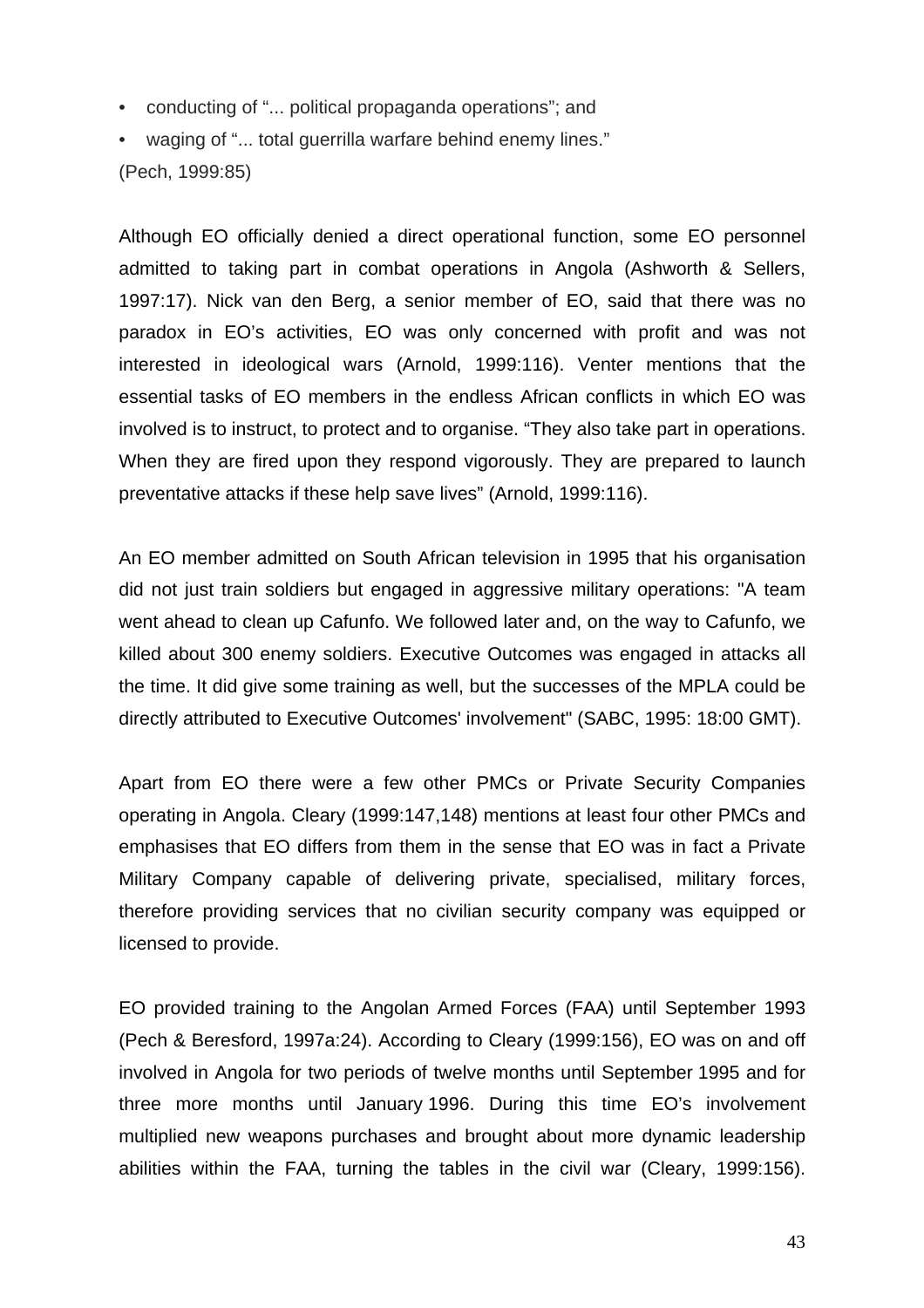- conducting of "... political propaganda operations"; and
- waging of "... total guerrilla warfare behind enemy lines." (Pech, 1999:85)

Although EO officially denied a direct operational function, some EO personnel admitted to taking part in combat operations in Angola (Ashworth & Sellers, 1997:17). Nick van den Berg, a senior member of EO, said that there was no paradox in EO's activities, EO was only concerned with profit and was not interested in ideological wars (Arnold, 1999:116). Venter mentions that the essential tasks of EO members in the endless African conflicts in which EO was involved is to instruct, to protect and to organise. "They also take part in operations. When they are fired upon they respond vigorously. They are prepared to launch preventative attacks if these help save lives" (Arnold, 1999:116).

An EO member admitted on South African television in 1995 that his organisation did not just train soldiers but engaged in aggressive military operations: "A team went ahead to clean up Cafunfo. We followed later and, on the way to Cafunfo, we killed about 300 enemy soldiers. Executive Outcomes was engaged in attacks all the time. It did give some training as well, but the successes of the MPLA could be directly attributed to Executive Outcomes' involvement" (SABC, 1995: 18:00 GMT).

Apart from EO there were a few other PMCs or Private Security Companies operating in Angola. Cleary (1999:147,148) mentions at least four other PMCs and emphasises that EO differs from them in the sense that EO was in fact a Private Military Company capable of delivering private, specialised, military forces, therefore providing services that no civilian security company was equipped or licensed to provide.

EO provided training to the Angolan Armed Forces (FAA) until September 1993 (Pech & Beresford, 1997a:24). According to Cleary (1999:156), EO was on and off involved in Angola for two periods of twelve months until September 1995 and for three more months until January 1996. During this time EO's involvement multiplied new weapons purchases and brought about more dynamic leadership abilities within the FAA, turning the tables in the civil war (Cleary, 1999:156).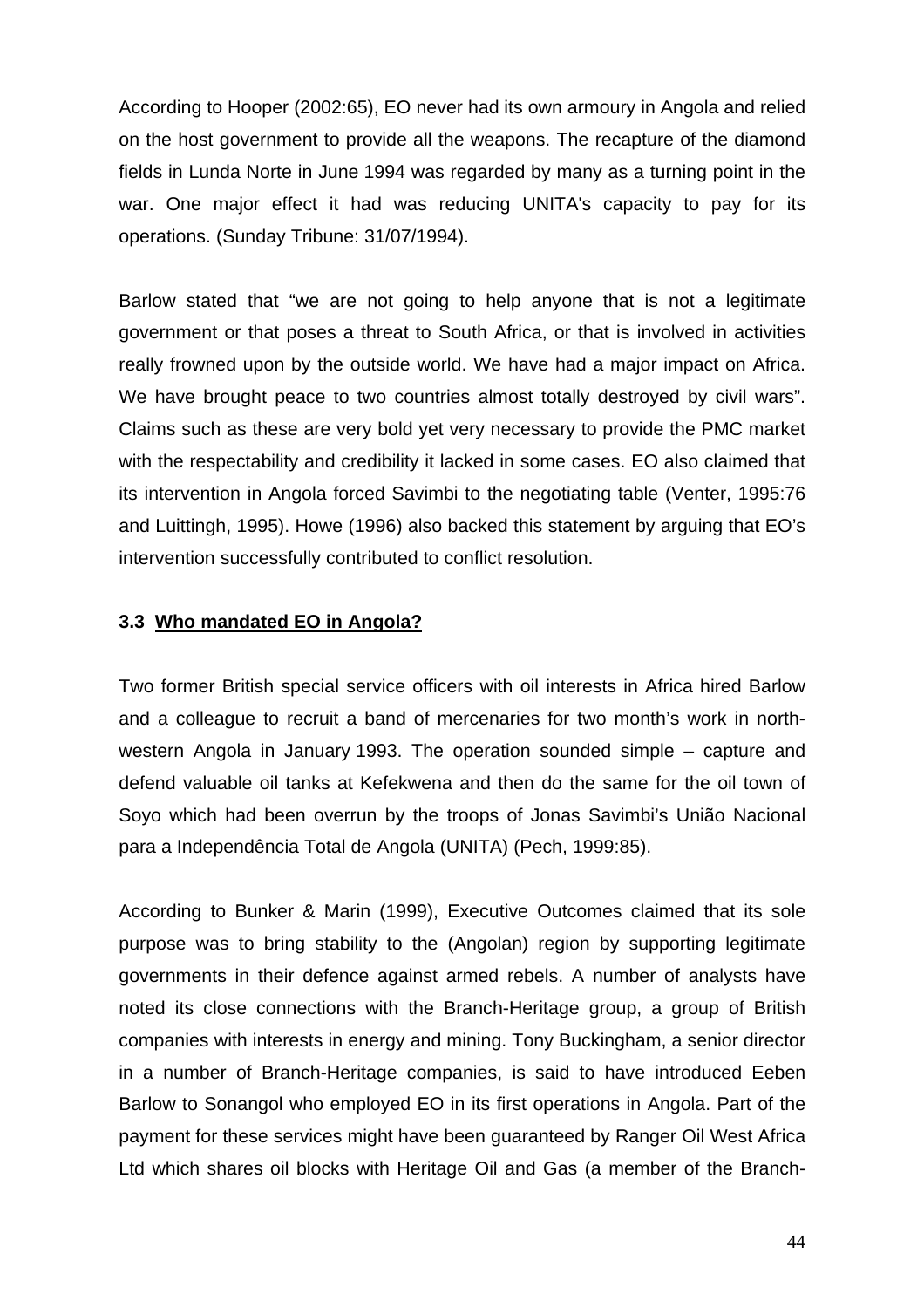According to Hooper (2002:65), EO never had its own armoury in Angola and relied on the host government to provide all the weapons. The recapture of the diamond fields in Lunda Norte in June 1994 was regarded by many as a turning point in the war. One major effect it had was reducing UNITA's capacity to pay for its operations. (Sunday Tribune: 31/07/1994).

Barlow stated that "we are not going to help anyone that is not a legitimate government or that poses a threat to South Africa, or that is involved in activities really frowned upon by the outside world. We have had a major impact on Africa. We have brought peace to two countries almost totally destroyed by civil wars". Claims such as these are very bold yet very necessary to provide the PMC market with the respectability and credibility it lacked in some cases. EO also claimed that its intervention in Angola forced Savimbi to the negotiating table (Venter, 1995:76 and Luittingh, 1995). Howe (1996) also backed this statement by arguing that EO's intervention successfully contributed to conflict resolution.

## **3.3 Who mandated EO in Angola?**

Two former British special service officers with oil interests in Africa hired Barlow and a colleague to recruit a band of mercenaries for two month's work in northwestern Angola in January 1993. The operation sounded simple – capture and defend valuable oil tanks at Kefekwena and then do the same for the oil town of Soyo which had been overrun by the troops of Jonas Savimbi's União Nacional para a Independência Total de Angola (UNITA) (Pech, 1999:85).

According to Bunker & Marin (1999), Executive Outcomes claimed that its sole purpose was to bring stability to the (Angolan) region by supporting legitimate governments in their defence against armed rebels. A number of analysts have noted its close connections with the Branch-Heritage group, a group of British companies with interests in energy and mining. Tony Buckingham, a senior director in a number of Branch-Heritage companies, is said to have introduced Eeben Barlow to Sonangol who employed EO in its first operations in Angola. Part of the payment for these services might have been guaranteed by Ranger Oil West Africa Ltd which shares oil blocks with Heritage Oil and Gas (a member of the Branch-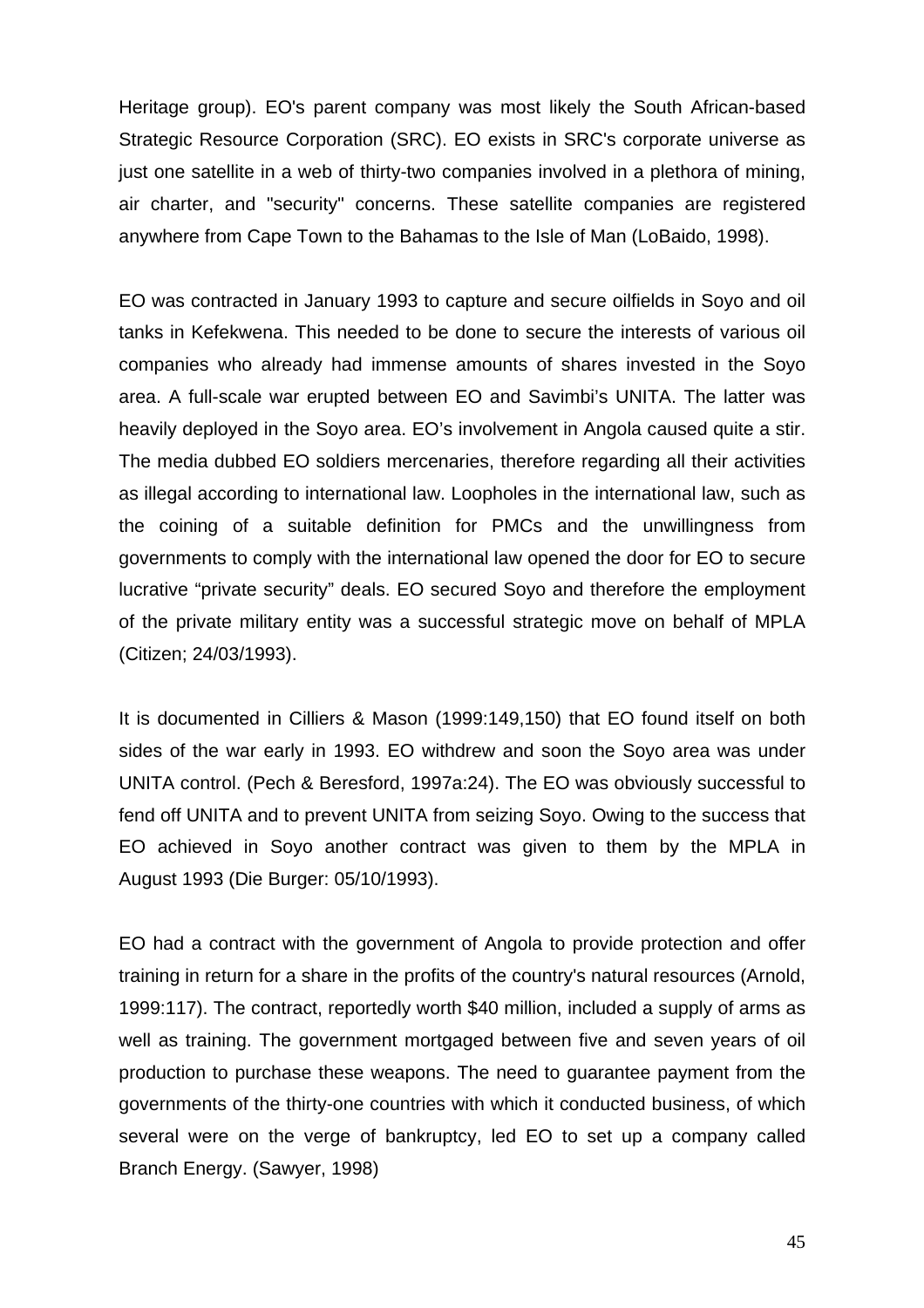Heritage group). EO's parent company was most likely the South African-based Strategic Resource Corporation (SRC). EO exists in SRC's corporate universe as just one satellite in a web of thirty-two companies involved in a plethora of mining, air charter, and "security" concerns. These satellite companies are registered anywhere from Cape Town to the Bahamas to the Isle of Man (LoBaido, 1998).

EO was contracted in January 1993 to capture and secure oilfields in Soyo and oil tanks in Kefekwena. This needed to be done to secure the interests of various oil companies who already had immense amounts of shares invested in the Soyo area. A full-scale war erupted between EO and Savimbi's UNITA. The latter was heavily deployed in the Soyo area. EO's involvement in Angola caused quite a stir. The media dubbed EO soldiers mercenaries, therefore regarding all their activities as illegal according to international law. Loopholes in the international law, such as the coining of a suitable definition for PMCs and the unwillingness from governments to comply with the international law opened the door for EO to secure lucrative "private security" deals. EO secured Soyo and therefore the employment of the private military entity was a successful strategic move on behalf of MPLA (Citizen; 24/03/1993).

It is documented in Cilliers & Mason (1999:149,150) that EO found itself on both sides of the war early in 1993. EO withdrew and soon the Soyo area was under UNITA control. (Pech & Beresford, 1997a:24). The EO was obviously successful to fend off UNITA and to prevent UNITA from seizing Soyo. Owing to the success that EO achieved in Soyo another contract was given to them by the MPLA in August 1993 (Die Burger: 05/10/1993).

EO had a contract with the government of Angola to provide protection and offer training in return for a share in the profits of the country's natural resources (Arnold, 1999:117). The contract, reportedly worth \$40 million, included a supply of arms as well as training. The government mortgaged between five and seven years of oil production to purchase these weapons. The need to guarantee payment from the governments of the thirty-one countries with which it conducted business, of which several were on the verge of bankruptcy, led EO to set up a company called Branch Energy. (Sawyer, 1998)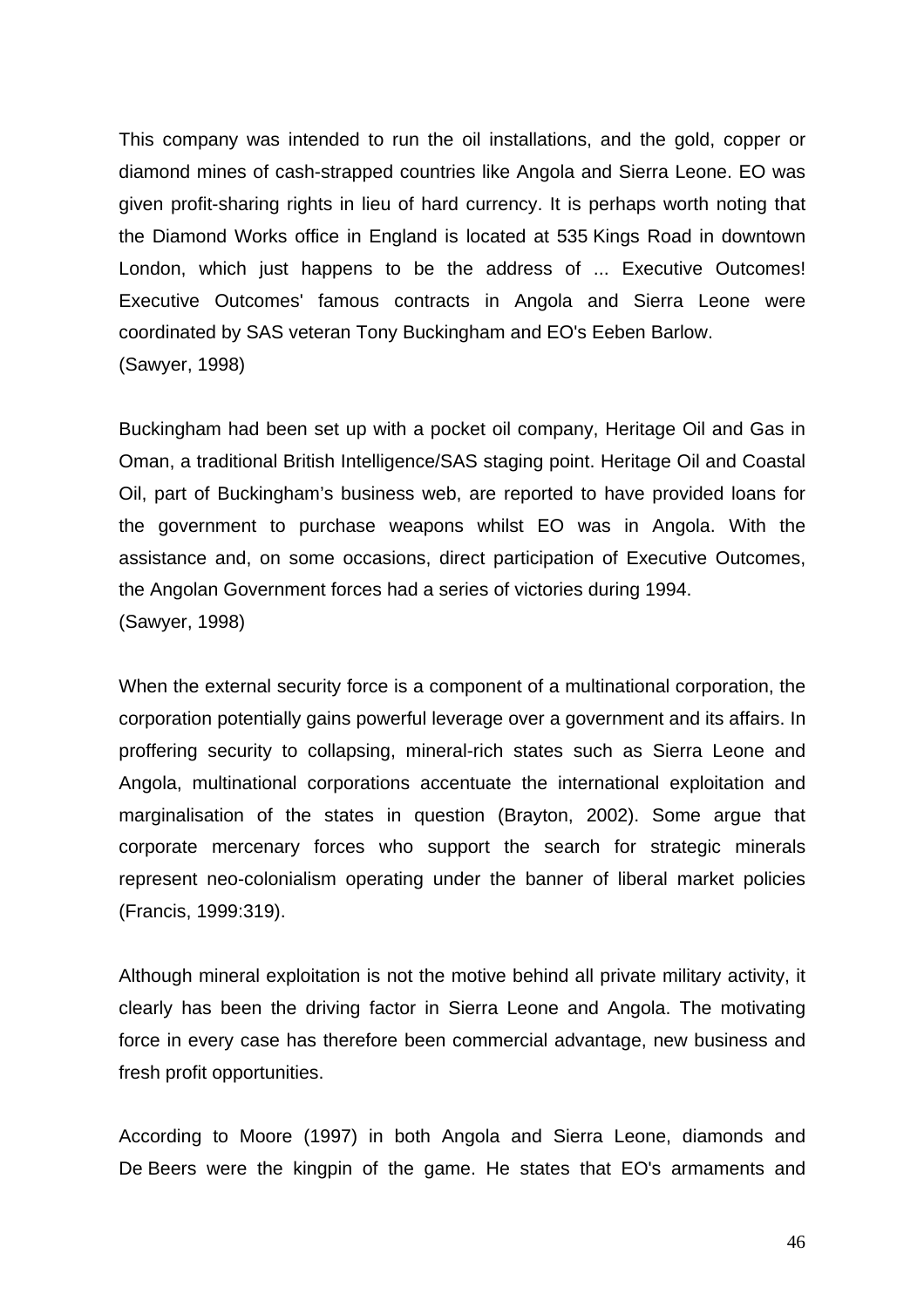This company was intended to run the oil installations, and the gold, copper or diamond mines of cash-strapped countries like Angola and Sierra Leone. EO was given profit-sharing rights in lieu of hard currency. It is perhaps worth noting that the Diamond Works office in England is located at 535 Kings Road in downtown London, which just happens to be the address of ... Executive Outcomes! Executive Outcomes' famous contracts in Angola and Sierra Leone were coordinated by SAS veteran Tony Buckingham and EO's Eeben Barlow. (Sawyer, 1998)

Buckingham had been set up with a pocket oil company, Heritage Oil and Gas in Oman, a traditional British Intelligence/SAS staging point. Heritage Oil and Coastal Oil, part of Buckingham's business web, are reported to have provided loans for the government to purchase weapons whilst EO was in Angola. With the assistance and, on some occasions, direct participation of Executive Outcomes, the Angolan Government forces had a series of victories during 1994. (Sawyer, 1998)

When the external security force is a component of a multinational corporation, the corporation potentially gains powerful leverage over a government and its affairs. In proffering security to collapsing, mineral-rich states such as Sierra Leone and Angola, multinational corporations accentuate the international exploitation and marginalisation of the states in question (Brayton, 2002). Some argue that corporate mercenary forces who support the search for strategic minerals represent neo-colonialism operating under the banner of liberal market policies (Francis, 1999:319).

Although mineral exploitation is not the motive behind all private military activity, it clearly has been the driving factor in Sierra Leone and Angola. The motivating force in every case has therefore been commercial advantage, new business and fresh profit opportunities.

According to Moore (1997) in both Angola and Sierra Leone, diamonds and De Beers were the kingpin of the game. He states that EO's armaments and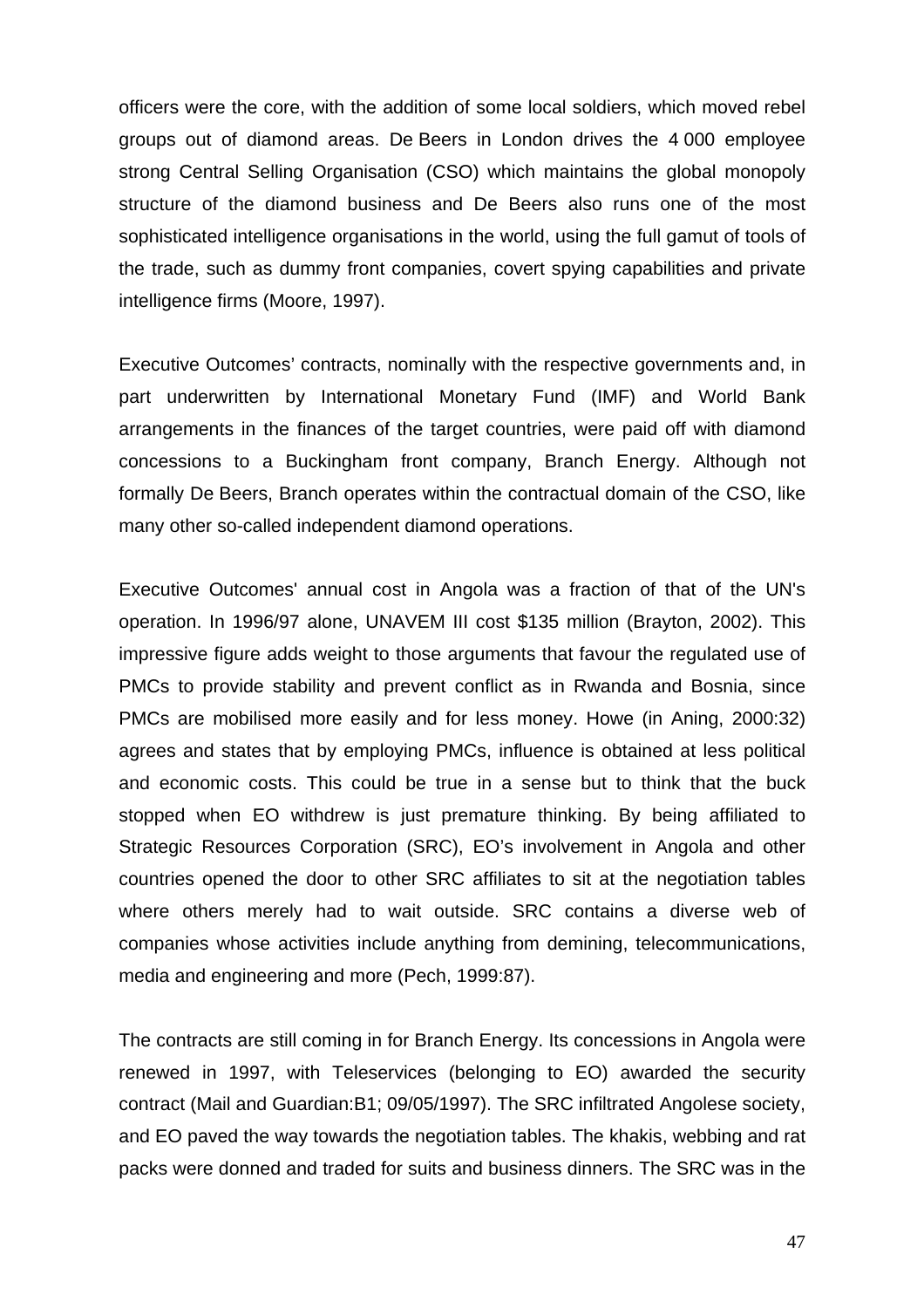officers were the core, with the addition of some local soldiers, which moved rebel groups out of diamond areas. De Beers in London drives the 4 000 employee strong Central Selling Organisation (CSO) which maintains the global monopoly structure of the diamond business and De Beers also runs one of the most sophisticated intelligence organisations in the world, using the full gamut of tools of the trade, such as dummy front companies, covert spying capabilities and private intelligence firms (Moore, 1997).

Executive Outcomes' contracts, nominally with the respective governments and, in part underwritten by International Monetary Fund (IMF) and World Bank arrangements in the finances of the target countries, were paid off with diamond concessions to a Buckingham front company, Branch Energy. Although not formally De Beers, Branch operates within the contractual domain of the CSO, like many other so-called independent diamond operations.

Executive Outcomes' annual cost in Angola was a fraction of that of the UN's operation. In 1996/97 alone, UNAVEM III cost \$135 million (Brayton, 2002). This impressive figure adds weight to those arguments that favour the regulated use of PMCs to provide stability and prevent conflict as in Rwanda and Bosnia, since PMCs are mobilised more easily and for less money. Howe (in Aning, 2000:32) agrees and states that by employing PMCs, influence is obtained at less political and economic costs. This could be true in a sense but to think that the buck stopped when EO withdrew is just premature thinking. By being affiliated to Strategic Resources Corporation (SRC), EO's involvement in Angola and other countries opened the door to other SRC affiliates to sit at the negotiation tables where others merely had to wait outside. SRC contains a diverse web of companies whose activities include anything from demining, telecommunications, media and engineering and more (Pech, 1999:87).

The contracts are still coming in for Branch Energy. Its concessions in Angola were renewed in 1997, with Teleservices (belonging to EO) awarded the security contract (Mail and Guardian:B1; 09/05/1997). The SRC infiltrated Angolese society, and EO paved the way towards the negotiation tables. The khakis, webbing and rat packs were donned and traded for suits and business dinners. The SRC was in the

47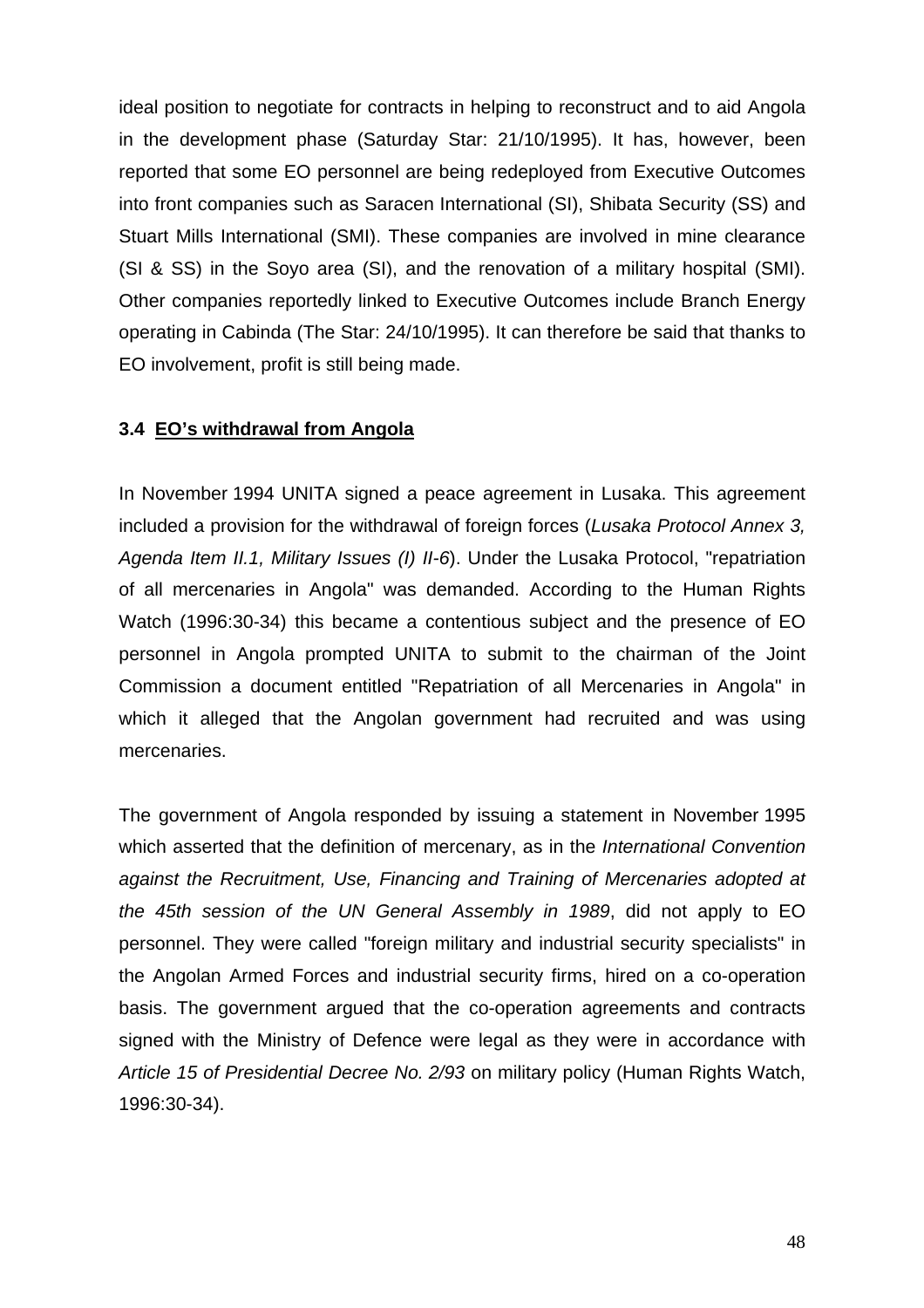ideal position to negotiate for contracts in helping to reconstruct and to aid Angola in the development phase (Saturday Star: 21/10/1995). It has, however, been reported that some EO personnel are being redeployed from Executive Outcomes into front companies such as Saracen International (SI), Shibata Security (SS) and Stuart Mills International (SMI). These companies are involved in mine clearance (SI & SS) in the Soyo area (SI), and the renovation of a military hospital (SMI). Other companies reportedly linked to Executive Outcomes include Branch Energy operating in Cabinda (The Star: 24/10/1995). It can therefore be said that thanks to EO involvement, profit is still being made.

## **3.4 EO's withdrawal from Angola**

In November 1994 UNITA signed a peace agreement in Lusaka. This agreement included a provision for the withdrawal of foreign forces (*Lusaka Protocol Annex 3, Agenda Item II.1, Military Issues (I) II-6*). Under the Lusaka Protocol, "repatriation of all mercenaries in Angola" was demanded. According to the Human Rights Watch (1996:30-34) this became a contentious subject and the presence of EO personnel in Angola prompted UNITA to submit to the chairman of the Joint Commission a document entitled "Repatriation of all Mercenaries in Angola" in which it alleged that the Angolan government had recruited and was using mercenaries.

The government of Angola responded by issuing a statement in November 1995 which asserted that the definition of mercenary, as in the *International Convention against the Recruitment, Use, Financing and Training of Mercenaries adopted at the 45th session of the UN General Assembly in 1989*, did not apply to EO personnel. They were called "foreign military and industrial security specialists" in the Angolan Armed Forces and industrial security firms, hired on a co-operation basis. The government argued that the co-operation agreements and contracts signed with the Ministry of Defence were legal as they were in accordance with *Article 15 of Presidential Decree No. 2/93* on military policy (Human Rights Watch, 1996:30-34).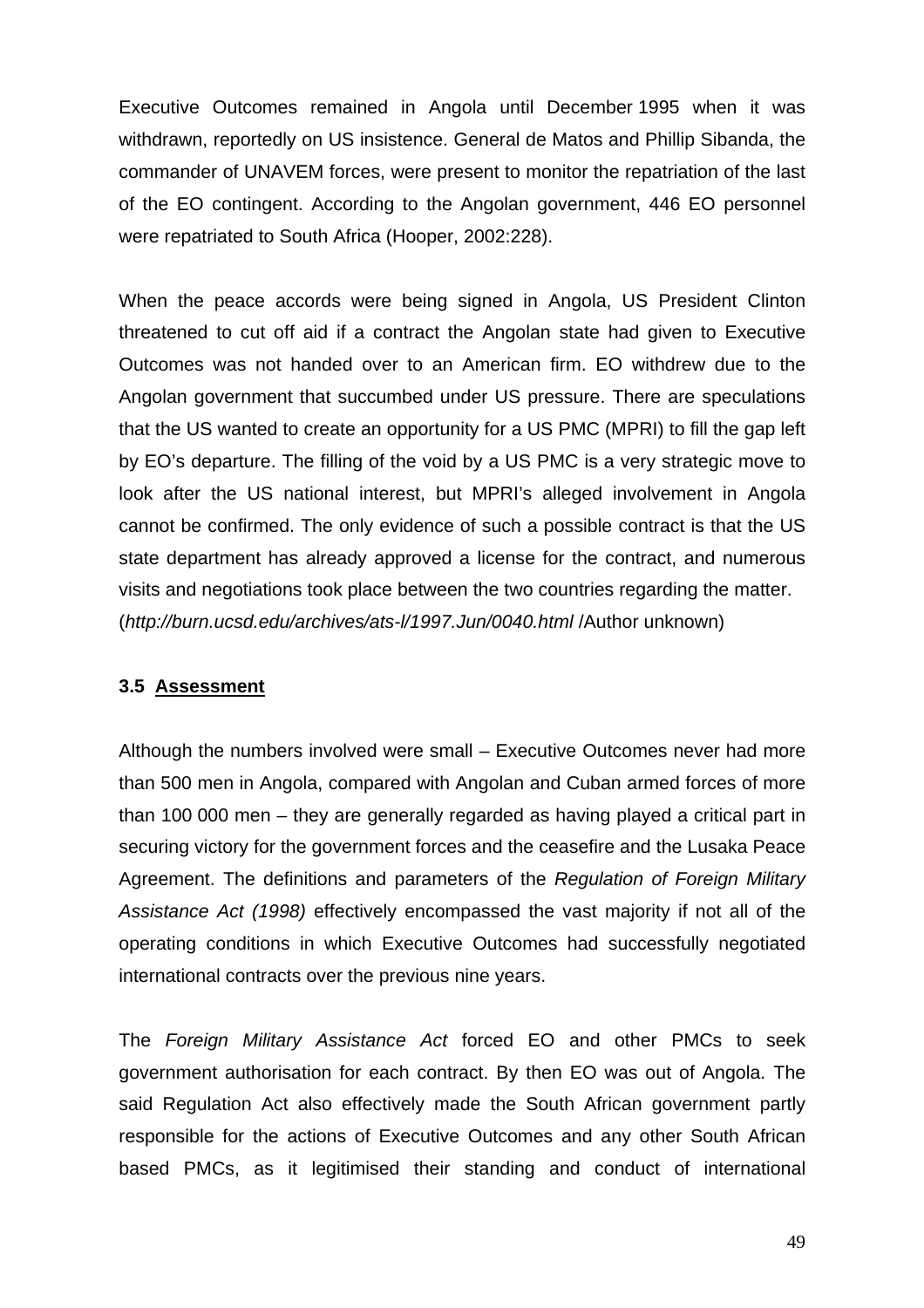Executive Outcomes remained in Angola until December 1995 when it was withdrawn, reportedly on US insistence. General de Matos and Phillip Sibanda, the commander of UNAVEM forces, were present to monitor the repatriation of the last of the EO contingent. According to the Angolan government, 446 EO personnel were repatriated to South Africa (Hooper, 2002:228).

When the peace accords were being signed in Angola, US President Clinton threatened to cut off aid if a contract the Angolan state had given to Executive Outcomes was not handed over to an American firm. EO withdrew due to the Angolan government that succumbed under US pressure. There are speculations that the US wanted to create an opportunity for a US PMC (MPRI) to fill the gap left by EO's departure. The filling of the void by a US PMC is a very strategic move to look after the US national interest, but MPRI's alleged involvement in Angola cannot be confirmed. The only evidence of such a possible contract is that the US state department has already approved a license for the contract, and numerous visits and negotiations took place between the two countries regarding the matter. (*<http://burn.ucsd.edu/archives/ats-l/1997.Jun/0040.html>* /Author unknown)

## **3.5 Assessment**

Although the numbers involved were small – Executive Outcomes never had more than 500 men in Angola, compared with Angolan and Cuban armed forces of more than 100 000 men – they are generally regarded as having played a critical part in securing victory for the government forces and the ceasefire and the Lusaka Peace Agreement. The definitions and parameters of the *Regulation of Foreign Military Assistance Act (1998)* effectively encompassed the vast majority if not all of the operating conditions in which Executive Outcomes had successfully negotiated international contracts over the previous nine years.

The *Foreign Military Assistance Act* forced EO and other PMCs to seek government authorisation for each contract. By then EO was out of Angola. The said Regulation Act also effectively made the South African [government](http://www.globalsecurity.org/cgi-bin/texis.cgi/webinator/search/?query=Continuity+of+government+nuclear+forces&pr=default&order=r&cmd=context&id=42b616763#hit94#hit94) partly responsible for the actions of Executive Outcomes and any other South African based PMCs, as it legitimised their standing and conduct of international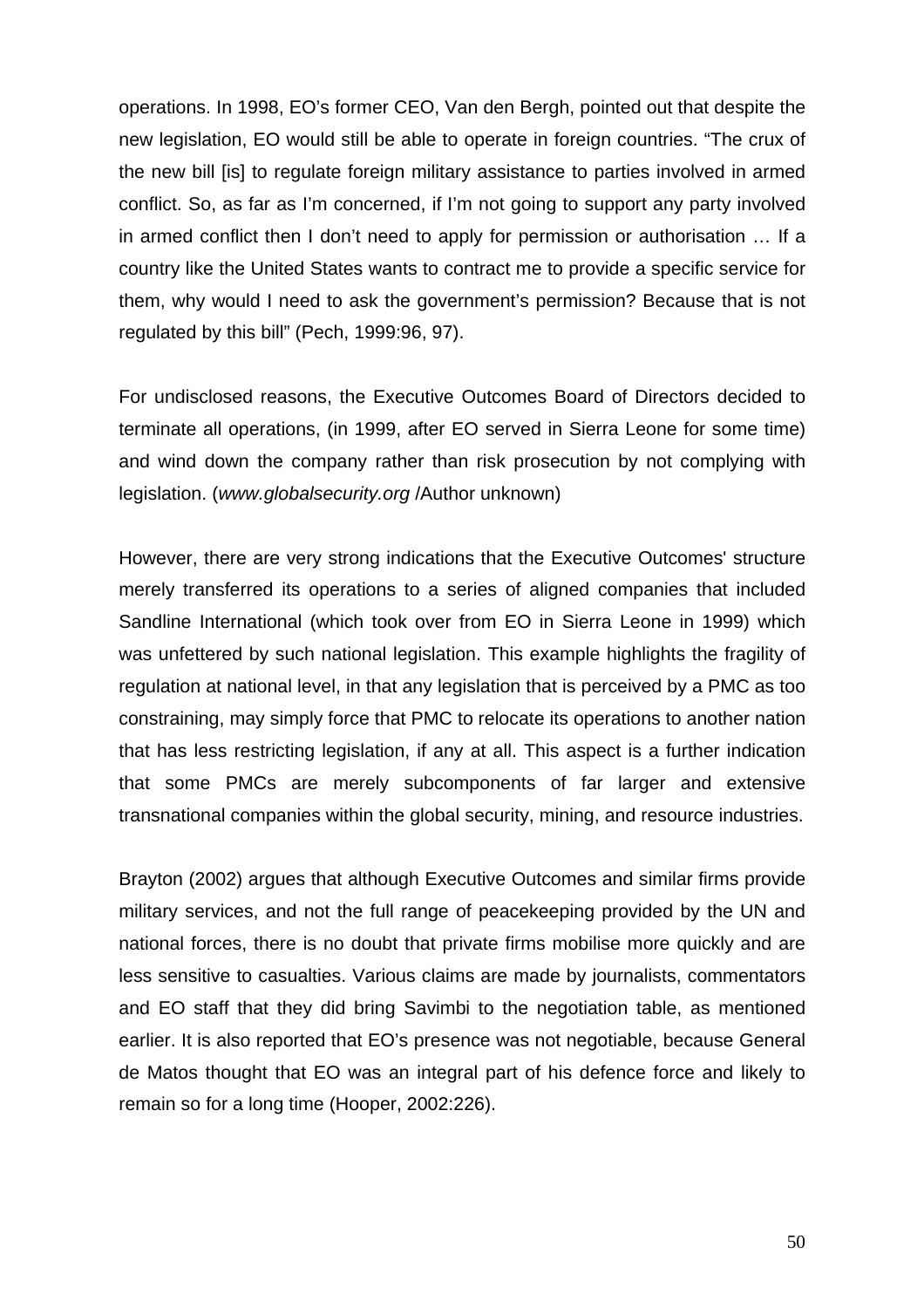operations. In 1998, EO's former CEO, Van den Bergh, pointed out that despite the new legislation, EO would still be able to operate in foreign countries. "The crux of the new bill [is] to regulate foreign military assistance to parties involved in armed conflict. So, as far as I'm concerned, if I'm not going to support any party involved in armed conflict then I don't need to apply for permission or authorisation … If a country like the United States wants to contract me to provide a specific service for them, why would I need to ask the government's permission? Because that is not regulated by this bill" (Pech, 1999:96, 97).

For undisclosed reasons, the Executive Outcomes Board of Directors decided to terminate all operations, (in 1999, after EO served in Sierra Leone for some time) and wind down the company rather than risk prosecution by not complying with legislation. (*[www.globalsecurity.org](http://www.globalsecurity.org/)* /Author unknown)

However, there are very strong indications that the Executive Outcomes' structure merely transferred its operations to a series of aligned companies that included Sandline International (which took over from EO in Sierra Leone in 1999) which was unfettered by such national legislation. This example highlights the fragility of regulation at national level, in that any legislation that is perceived by a PMC as too constraining, may simply force that PMC to relocate its operations to another nation that has less restricting legislation, if any at all. This aspect is a further indication that some PMCs are merely subcomponents of far larger and extensive transnational companies within the global security, mining, and resource industries.

Brayton (2002) argues that although Executive Outcomes and similar firms provide military services, and not the full range of peacekeeping provided by the UN and national forces, there is no doubt that private firms mobilise more quickly and are less sensitive to casualties. Various claims are made by journalists, commentators and EO staff that they did bring Savimbi to the negotiation table, as mentioned earlier. It is also reported that EO's presence was not negotiable, because General de Matos thought that EO was an integral part of his defence force and likely to remain so for a long time (Hooper, 2002:226).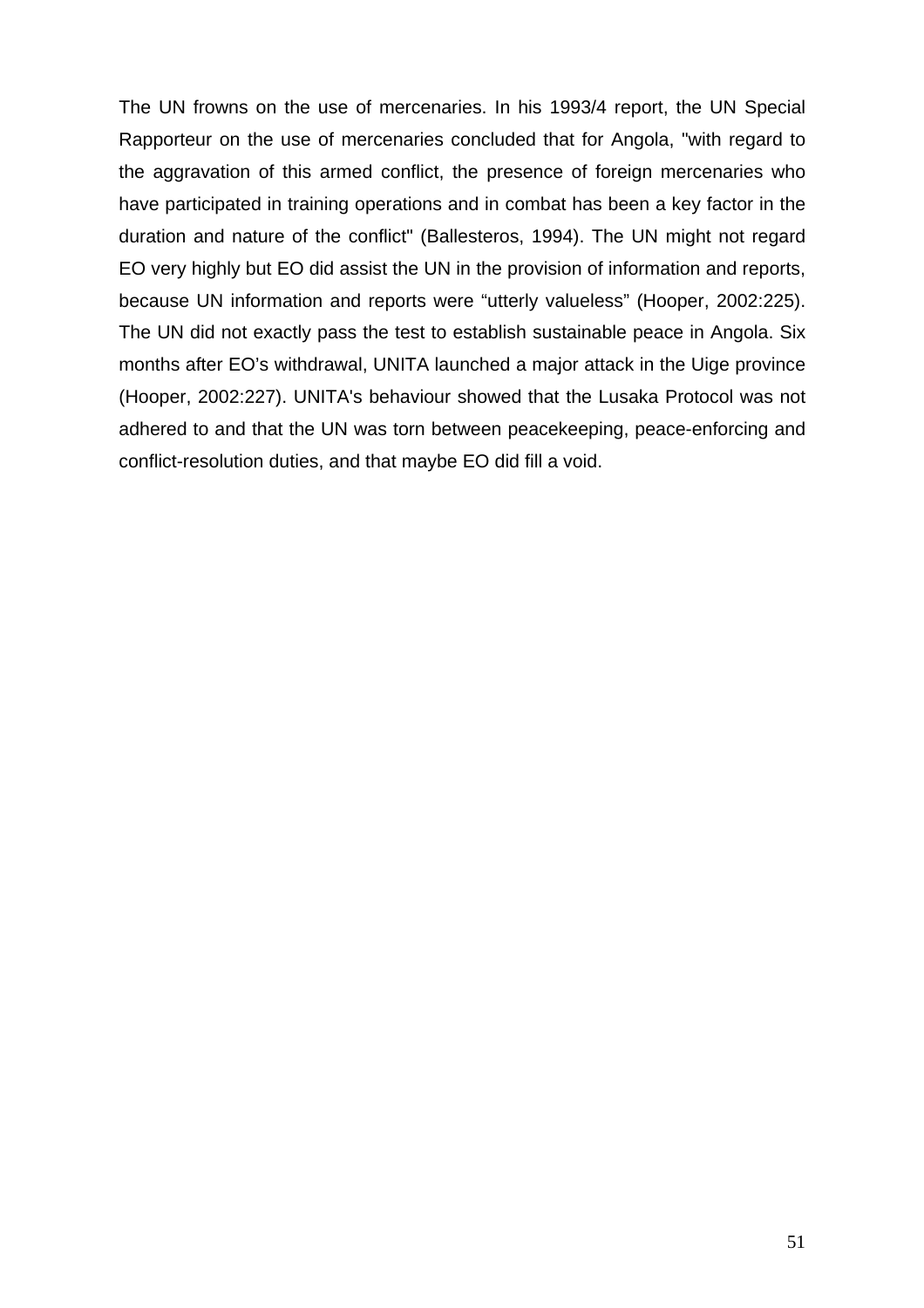The UN frowns on the use of mercenaries. In his 1993/4 report, the UN Special Rapporteur on the use of mercenaries concluded that for Angola, "with regard to the aggravation of this armed conflict, the presence of foreign mercenaries who have participated in training operations and in combat has been a key factor in the duration and nature of the conflict" (Ballesteros, 1994). The UN might not regard EO very highly but EO did assist the UN in the provision of information and reports, because UN information and reports were "utterly valueless" (Hooper, 2002:225). The UN did not exactly pass the test to establish sustainable peace in Angola. Six months after EO's withdrawal, UNITA launched a major attack in the Uige province (Hooper, 2002:227). UNITA's behaviour showed that the Lusaka Protocol was not adhered to and that the UN was torn between peacekeeping, peace-enforcing and conflict-resolution duties, and that maybe EO did fill a void.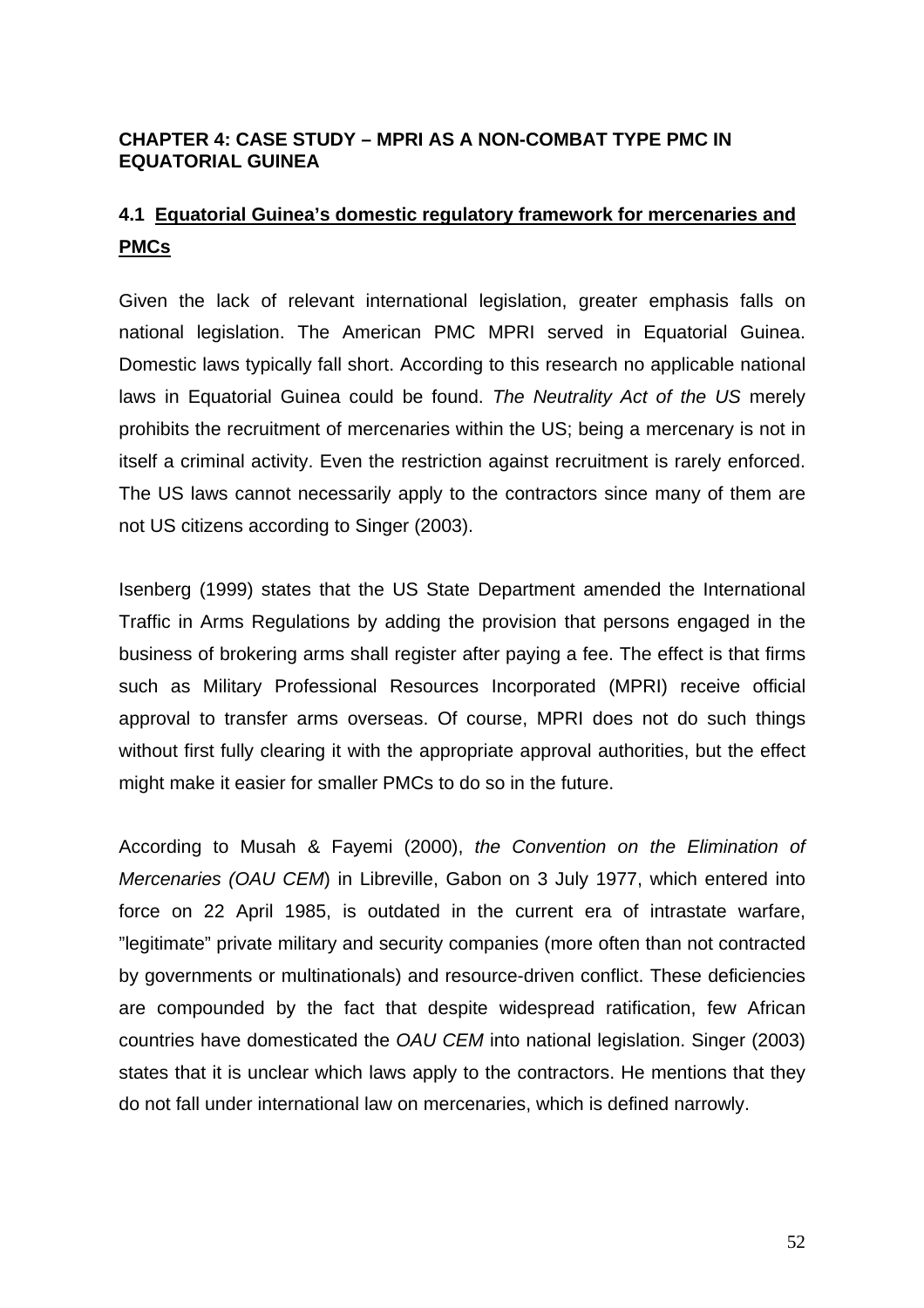## **CHAPTER 4: CASE STUDY – MPRI AS A NON-COMBAT TYPE PMC IN EQUATORIAL GUINEA**

# **4.1 Equatorial Guinea's domestic regulatory framework for mercenaries and PMCs**

Given the lack of relevant international legislation, greater emphasis falls on national legislation. The American PMC MPRI served in Equatorial Guinea. Domestic laws typically fall short. According to this research no applicable national laws in Equatorial Guinea could be found. *The Neutrality Act of the US* merely prohibits the recruitment of mercenaries within the US; being a mercenary is not in itself a criminal activity. Even the restriction against recruitment is rarely enforced. The US laws cannot necessarily apply to the contractors since many of them are not US citizens according to Singer (2003).

Isenberg (1999) states that the US State Department amended the International Traffic in Arms Regulations by adding the provision that persons engaged in the business of brokering arms shall register after paying a fee. The effect is that firms such as Military Professional Resources Incorporated (MPRI) receive official approval to transfer arms overseas. Of course, MPRI does not do such things without first fully clearing it with the appropriate approval authorities, but the effect might make it easier for smaller PMCs to do so in the future.

According to Musah & Fayemi (2000), *the Convention on the Elimination of Mercenaries (OAU CEM*) in Libreville, Gabon on 3 July 1977, which entered into force on 22 April 1985, is outdated in the current era of intrastate warfare, "legitimate" private military and security companies (more often than not contracted by governments or multinationals) and resource-driven conflict. These deficiencies are compounded by the fact that despite widespread ratification, few African countries have domesticated the *OAU CEM* into national legislation. Singer (2003) states that it is unclear which laws apply to the contractors. He mentions that they do not fall under international law on mercenaries, which is defined narrowly.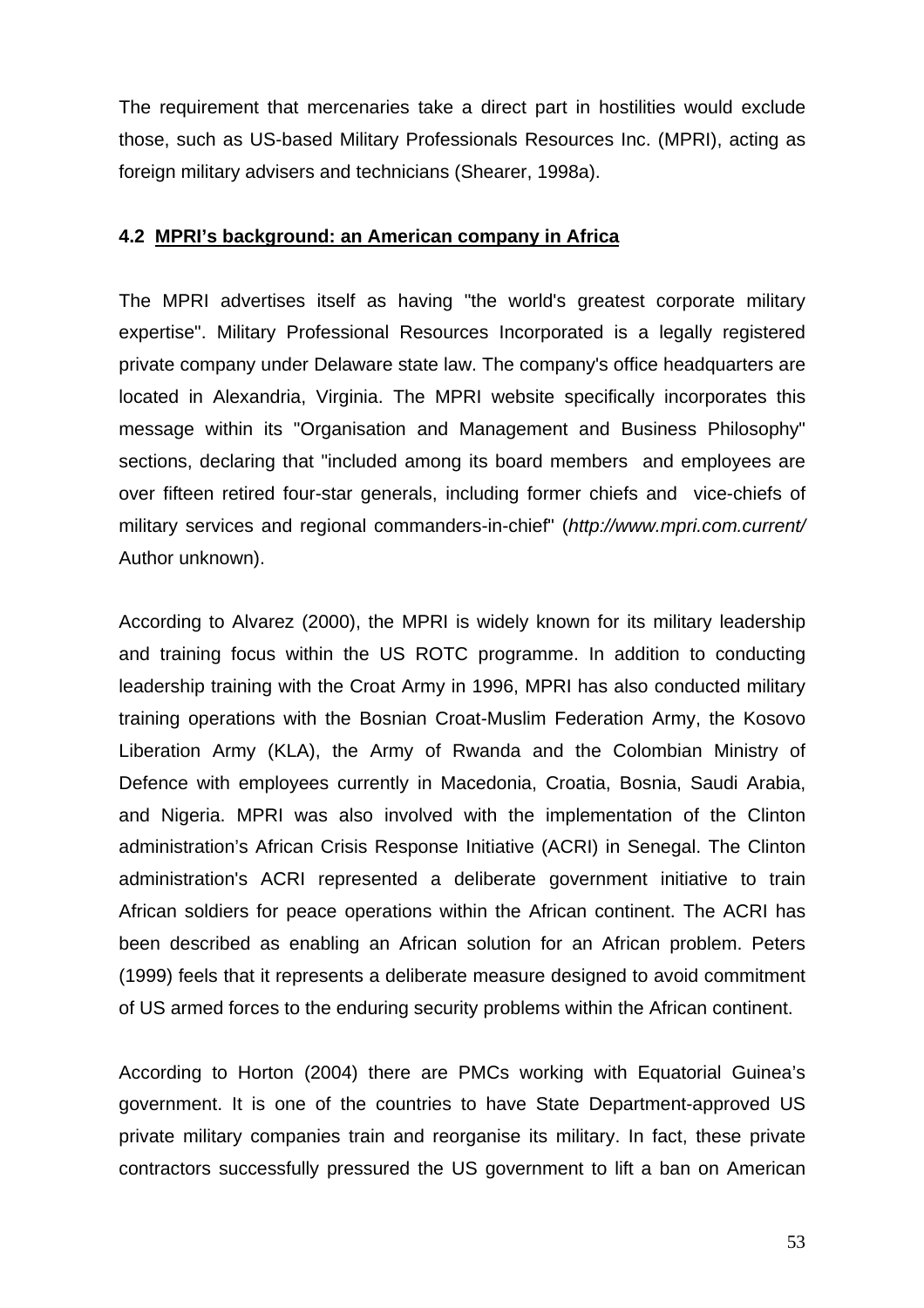The requirement that mercenaries take a direct part in hostilities would exclude those, such as US-based Military Professionals Resources Inc. (MPRI), acting as foreign military advisers and technicians (Shearer, 1998a).

#### **4.2 MPRI's background: an American company in Africa**

The MPRI advertises itself as having "the world's greatest corporate military expertise". Military Professional Resources Incorporated is a legally registered private company under Delaware state law. The company's office headquarters are located in Alexandria, Virginia. The MPRI website specifically incorporates this message within its "Organisation and Management and Business Philosophy" sections, declaring that "included among its board members and employees are over fifteen retired four-star generals, including former chiefs and vice-chiefs of military services and regional commanders-in-chief" (*<http://www.mpri.com.current/>* Author unknown).

According to Alvarez (2000), the MPRI is widely known for its military leadership and training focus within the US ROTC programme. In addition to conducting leadership training with the Croat Army in 1996, MPRI has also conducted military training operations with the Bosnian Croat-Muslim Federation Army, the Kosovo Liberation Army (KLA), the Army of Rwanda and the Colombian Ministry of Defence with employees currently in Macedonia, Croatia, Bosnia, Saudi Arabia, and Nigeria. MPRI was also involved with the implementation of the Clinton administration's African Crisis Response Initiative (ACRI) in Senegal. The Clinton administration's ACRI represented a deliberate [government](http://www.globalsecurity.org/cgi-bin/texis.cgi/webinator/search/?query=Continuity+of+government+nuclear+forces&pr=default&order=r&cmd=context&id=42b616763#hit20#hit20) initiative to train African soldiers for peace operations within the African continent. The ACRI has been described as enabling an African solution for an African problem. Peters (1999) feels that it represents a deliberate measure designed to avoid commitment of US armed [forces](http://www.globalsecurity.org/cgi-bin/texis.cgi/webinator/search/?query=Continuity+of+government+nuclear+forces&pr=default&order=r&cmd=context&id=42b616763#hit21#hit21) to the enduring security problems within the African continent.

According to Horton (2004) there are PMCs working with Equatorial Guinea's government. It is one of the countries to have State Department-approved US private military companies train and reorganise its military. In fact, these private contractors successfully pressured the US government to lift a ban on American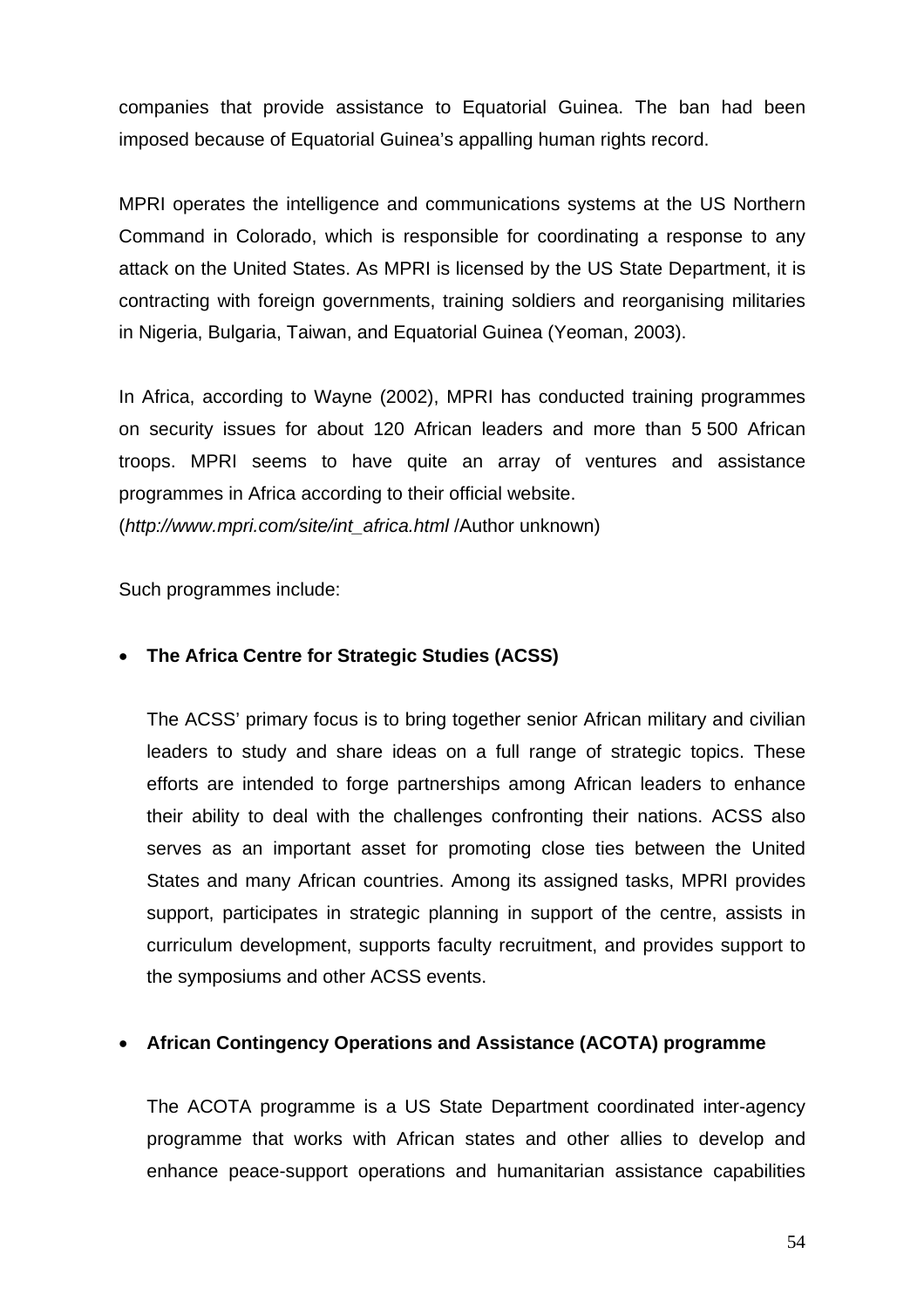companies that provide assistance to Equatorial Guinea. The ban had been imposed because of Equatorial Guinea's appalling human rights record.

MPRI operates the intelligence and communications systems at the US Northern Command in Colorado, which is responsible for coordinating a response to any attack on the United States. As MPRI is licensed by the US State Department, it is contracting with foreign governments, training soldiers and reorganising militaries in Nigeria, Bulgaria, Taiwan, and Equatorial Guinea (Yeoman, 2003).

In Africa, according to Wayne (2002), MPRI has conducted training programmes on security issues for about 120 African leaders and more than 5 500 African troops. MPRI seems to have quite an array of ventures and assistance programmes in Africa according to their official website. (*[http://www.mpri.com/site/int\\_africa.html](http://www.mpri.com/site/int_africa.html)* /Author unknown)

Such programmes include:

## • **The Africa Centre for Strategic Studies (ACSS)**

 The ACSS' primary focus is to bring together senior African military and civilian leaders to study and share ideas on a full range of strategic topics. These efforts are intended to forge partnerships among African leaders to enhance their ability to deal with the challenges confronting their nations. ACSS also serves as an important asset for promoting close ties between the United States and many African countries. Among its assigned tasks, MPRI provides support, participates in strategic planning in support of the centre, assists in curriculum development, supports faculty recruitment, and provides support to the symposiums and other ACSS events.

## • **African Contingency Operations and Assistance (ACOTA) programme**

 The ACOTA programme is a US State Department coordinated inter-agency programme that works with African states and other allies to develop and enhance peace-support operations and humanitarian assistance capabilities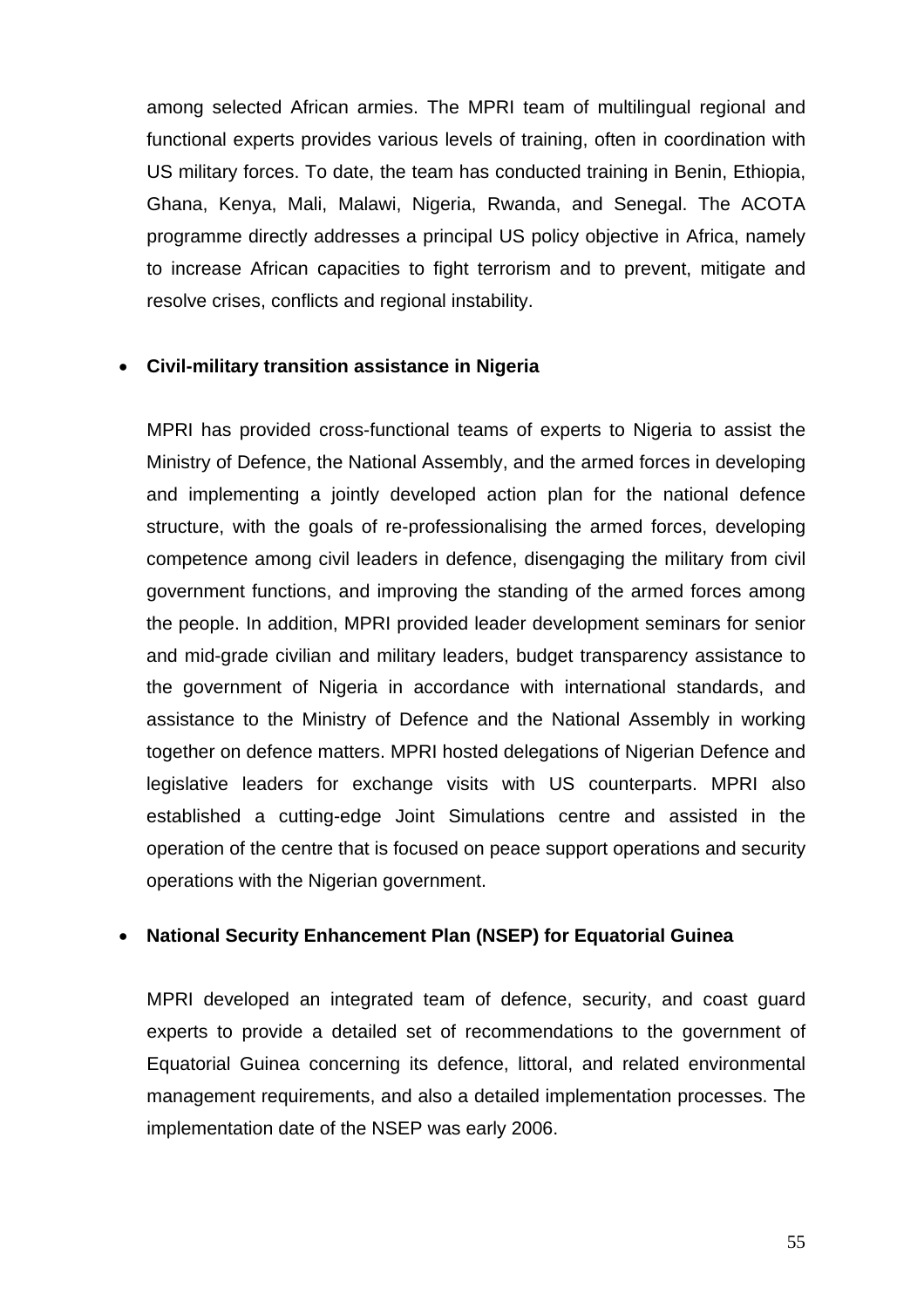among selected African armies. The MPRI team of multilingual regional and functional experts provides various levels of training, often in coordination with US military forces. To date, the team has conducted training in Benin, Ethiopia, Ghana, Kenya, Mali, Malawi, Nigeria, Rwanda, and Senegal. The ACOTA programme directly addresses a principal US policy objective in Africa, namely to increase African capacities to fight terrorism and to prevent, mitigate and resolve crises, conflicts and regional instability.

## • **Civil-military transition assistance in Nigeria**

 MPRI has provided cross-functional teams of experts to Nigeria to assist the Ministry of Defence, the National Assembly, and the armed forces in developing and implementing a jointly developed action plan for the national defence structure, with the goals of re-professionalising the armed forces, developing competence among civil leaders in defence, disengaging the military from civil government functions, and improving the standing of the armed forces among the people. In addition, MPRI provided leader development seminars for senior and mid-grade civilian and military leaders, budget transparency assistance to the government of Nigeria in accordance with international standards, and assistance to the Ministry of Defence and the National Assembly in working together on defence matters. MPRI hosted delegations of Nigerian Defence and legislative leaders for exchange visits with US counterparts. MPRI also established a cutting-edge Joint Simulations centre and assisted in the operation of the centre that is focused on peace support operations and security operations with the Nigerian government.

## • **National Security Enhancement Plan (NSEP) for Equatorial Guinea**

 MPRI developed an integrated team of defence, security, and coast guard experts to provide a detailed set of recommendations to the government of Equatorial Guinea concerning its defence, littoral, and related environmental management requirements, and also a detailed implementation processes. The implementation date of the NSEP was early 2006.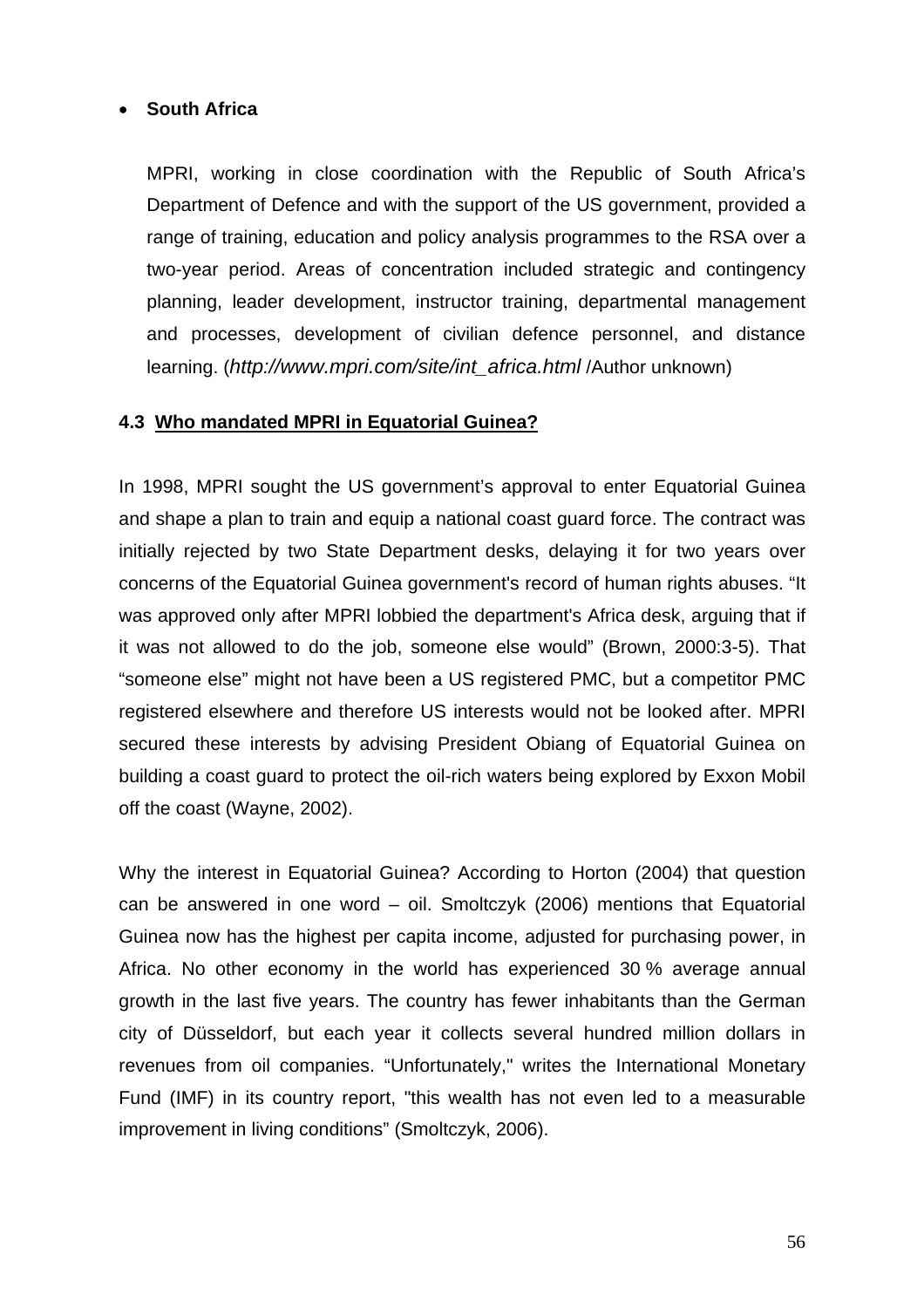## • **South Africa**

 MPRI, working in close coordination with the Republic of South Africa's Department of Defence and with the support of the US government, provided a range of training, education and policy analysis programmes to the RSA over a two-year period. Areas of concentration included strategic and contingency planning, leader development, instructor training, departmental management and processes, development of civilian defence personnel, and distance learning. (*[http://www.mpri.com/site/int\\_africa.html](http://www.mpri.com/site/int_africa.html)* /Author unknown)

## **4.3 Who mandated MPRI in Equatorial Guinea?**

In 1998, MPRI sought the US [government](http://www.globalsecurity.org/cgi-bin/texis.cgi/webinator/search/?query=Continuity+of+government+nuclear+forces&pr=default&order=r&cmd=context&id=42b616763#hit122#hit122)'s approval to enter Equatorial Guinea and shape a plan to train and equip a national coast guard force. The contract was initially rejected by two State Department desks, delaying it for two years over concerns of the Equatorial Guinea government's record of human rights abuses. "It was approved only after MPRI lobbied the department's Africa desk, arguing that if it was not allowed to do the job, someone else would" (Brown, 2000:3-5). That "someone else" might not have been a US registered PMC, but a competitor PMC registered elsewhere and therefore US interests would not be looked after. MPRI secured these interests by advising President Obiang of Equatorial Guinea on building a coast guard to protect the oil-rich waters being explored by Exxon Mobil off the coast (Wayne, 2002).

Why the interest in Equatorial Guinea? According to Horton (2004) that question can be answered in one word – oil. Smoltczyk (2006) mentions that Equatorial Guinea now has the highest per capita income, adjusted for purchasing power, in Africa. No other economy in the world has experienced 30 % average annual growth in the last five years. The country has fewer inhabitants than the German city of Düsseldorf, but each year it collects several hundred million dollars in revenues from oil companies. "Unfortunately," writes the International Monetary Fund (IMF) in its country report, "this wealth has not even led to a measurable improvement in living conditions" (Smoltczyk, 2006).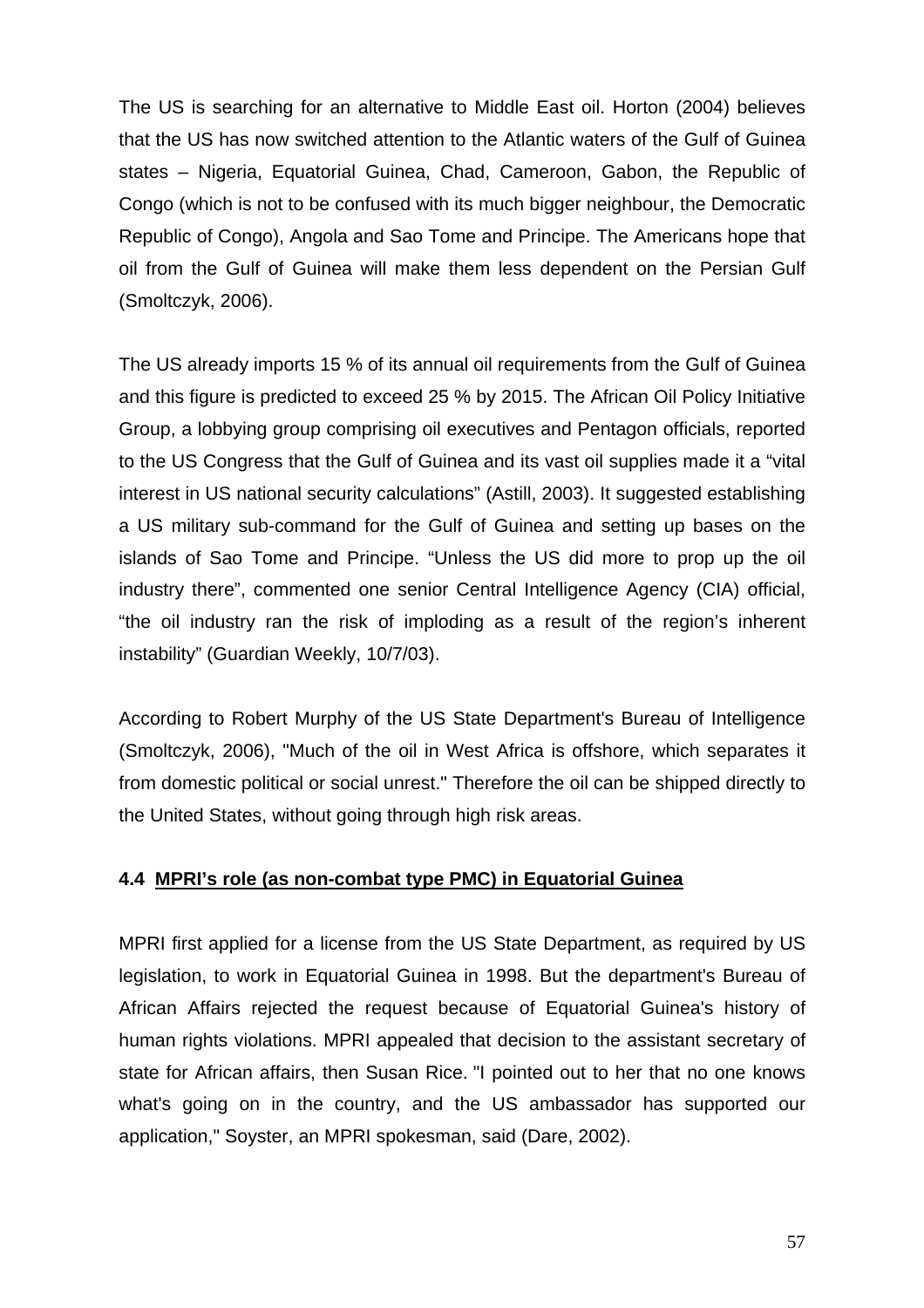The US is searching for an alternative to Middle East oil. Horton (2004) believes that the US has now switched attention to the Atlantic waters of the Gulf of Guinea states – Nigeria, Equatorial Guinea, Chad, Cameroon, Gabon, the Republic of Congo (which is not to be confused with its much bigger neighbour, the Democratic Republic of Congo), Angola and Sao Tome and Principe. The Americans hope that oil from the Gulf of Guinea will make them less dependent on the Persian Gulf (Smoltczyk, 2006).

The US already imports 15 % of its annual oil requirements from the Gulf of Guinea and this figure is predicted to exceed 25 % by 2015. The African Oil Policy Initiative Group, a lobbying group comprising oil executives and Pentagon officials, reported to the US Congress that the Gulf of Guinea and its vast oil supplies made it a "vital interest in US national security calculations" (Astill, 2003). It suggested establishing a US military sub-command for the Gulf of Guinea and setting up bases on the islands of Sao Tome and Principe. "Unless the US did more to prop up the oil industry there", commented one senior Central Intelligence Agency (CIA) official, "the oil industry ran the risk of imploding as a result of the region's inherent instability" (Guardian Weekly, 10/7/03).

According to Robert Murphy of the US State Department's Bureau of Intelligence (Smoltczyk, 2006), "Much of the oil in West Africa is offshore, which separates it from domestic political or social unrest." Therefore the oil can be shipped directly to the United States, without going through high risk areas.

## **4.4 MPRI's role (as non-combat type PMC) in Equatorial Guinea**

MPRI first applied for a license from the US State Department, as required by US legislation, to work in Equatorial Guinea in 1998. But the department's Bureau of African Affairs rejected the request because of Equatorial Guinea's history of human rights violations. MPRI appealed that decision to the assistant secretary of state for African affairs, then Susan Rice. "I pointed out to her that no one knows what's going on in the country, and the US ambassador has supported our application," Soyster, an MPRI spokesman, said (Dare, 2002).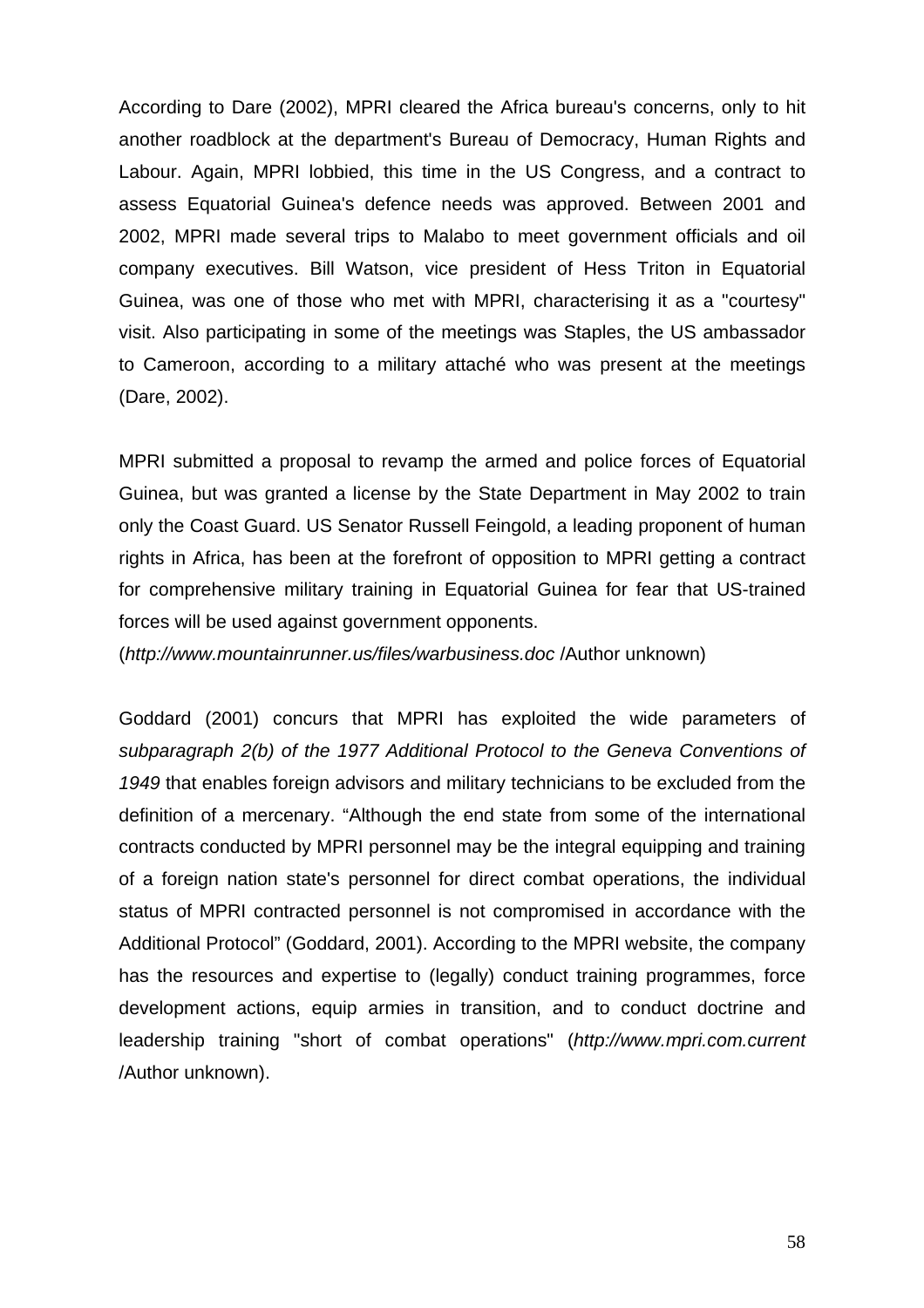According to Dare (2002), MPRI cleared the Africa bureau's concerns, only to hit another roadblock at the department's Bureau of Democracy, Human Rights and Labour. Again, MPRI lobbied, this time in the US Congress, and a contract to assess Equatorial Guinea's defence needs was approved. Between 2001 and 2002, MPRI made several trips to Malabo to meet government officials and oil company executives. Bill Watson, vice president of Hess Triton in Equatorial Guinea, was one of those who met with MPRI, characterising it as a "courtesy" visit. Also participating in some of the meetings was Staples, the US ambassador to Cameroon, according to a military attaché who was present at the meetings (Dare, 2002).

MPRI submitted a proposal to revamp the armed and police forces of Equatorial Guinea, but was granted a license by the State Department in May 2002 to train only the Coast Guard. US Senator Russell Feingold, a leading proponent of human rights in Africa, has been at the forefront of opposition to MPRI getting a contract for comprehensive military training in Equatorial Guinea for fear that US-trained forces will be used against government opponents.

(*<http://www.mountainrunner.us/files/warbusiness.doc>* /Author unknown)

Goddard (2001) concurs that MPRI has exploited the wide parameters of *subparagraph 2(b) of the 1977 Additional Protocol to the Geneva Conventions of 1949* that enables foreign advisors and military technicians to be excluded from the definition of a mercenary. "Although the end state from some of the international contracts conducted by MPRI personnel may be the integral equipping and training of a foreign nation state's personnel for direct combat operations, the individual status of MPRI contracted personnel is not compromised in accordance with the Additional Protocol" (Goddard, 2001). According to the MPRI website, the company has the resources and expertise to (legally) conduct training programmes, force development actions, equip armies in transition, and to conduct doctrine and leadership training "short of combat operations" (*[http://www.mpri.com.current](http://www.mpri.com.current/)* /Author unknown).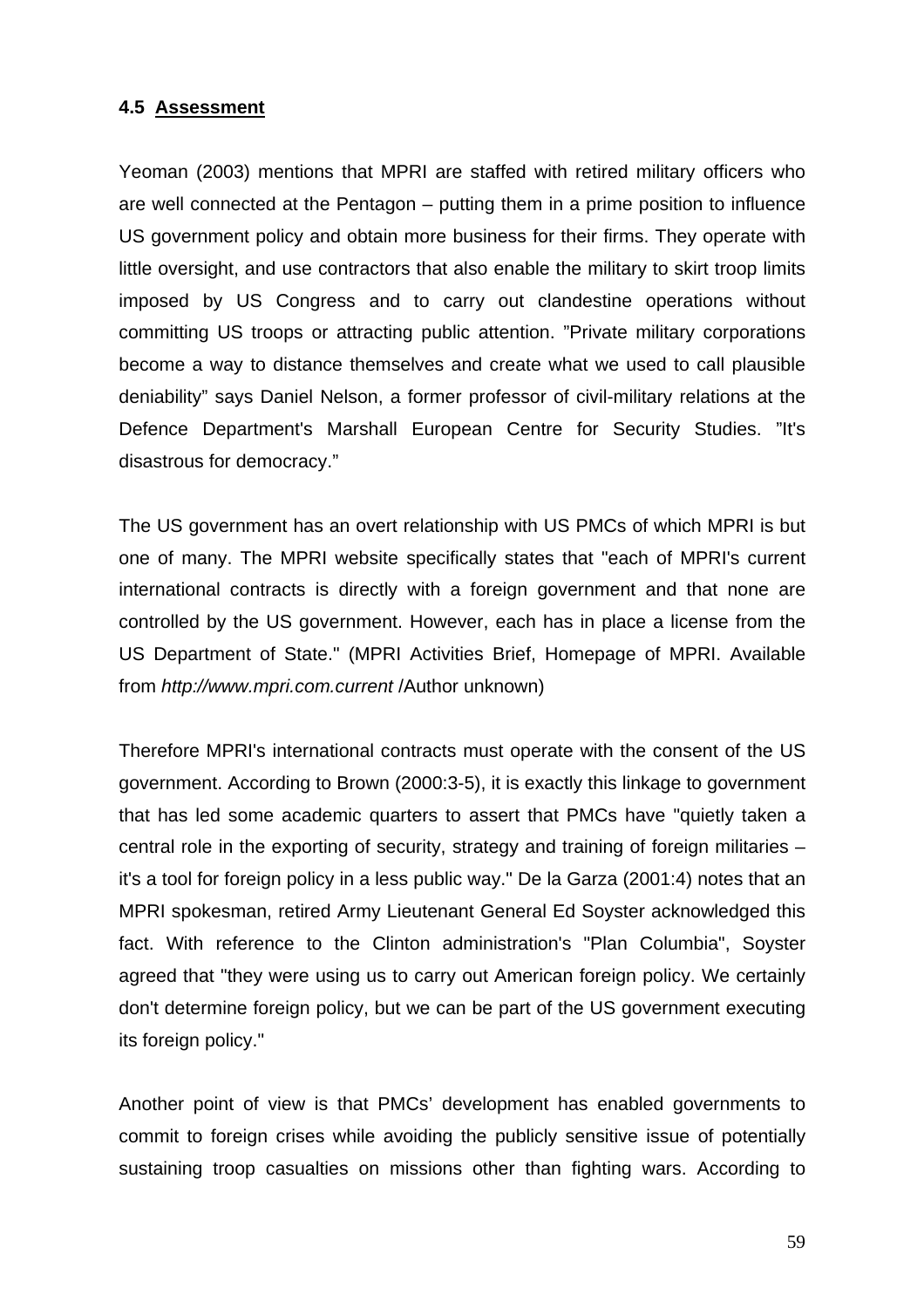#### **4.5 Assessment**

Yeoman (2003) mentions that MPRI are staffed with retired military officers who are well connected at the Pentagon – putting them in a prime position to influence US government policy and obtain more business for their firms. They operate with little oversight, and use contractors that also enable the military to skirt troop limits imposed by US Congress and to carry out clandestine operations without committing US troops or attracting public attention. "Private military corporations become a way to distance themselves and create what we used to call plausible deniability" says Daniel Nelson, a former professor of civil-military relations at the Defence Department's Marshall European Centre for Security Studies. "It's disastrous for democracy."

The US [government](http://www.globalsecurity.org/cgi-bin/texis.cgi/webinator/search/?query=Continuity+of+government+nuclear+forces&pr=default&order=r&cmd=context&id=42b616763#hit52#hit52) has an overt relationship with US PMCs of which MPRI is but one of many. The MPRI website specifically states that "each of MPRI's current international contracts is directly with a foreign [government](http://www.globalsecurity.org/cgi-bin/texis.cgi/webinator/search/?query=Continuity+of+government+nuclear+forces&pr=default&order=r&cmd=context&id=42b616763#hit53#hit53) and that none are controlled by the US [government](http://www.globalsecurity.org/cgi-bin/texis.cgi/webinator/search/?query=Continuity+of+government+nuclear+forces&pr=default&order=r&cmd=context&id=42b616763#hit54#hit54). However, each has in place a license from the US Department of State." (MPRI Activities Brief, Homepage of MPRI. Available from *[http://www.mpri.com.current](http://www.mpri.com.current/)* /Author unknown)

Therefore MPRI's international contracts must operate with the consent of the US [government.](http://www.globalsecurity.org/cgi-bin/texis.cgi/webinator/search/?query=Continuity+of+government+nuclear+forces&pr=default&order=r&cmd=context&id=42b616763#hit55#hit55) According to Brown (2000:3-5), it is exactly this linkage to [government](http://www.globalsecurity.org/cgi-bin/texis.cgi/webinator/search/?query=Continuity+of+government+nuclear+forces&pr=default&order=r&cmd=context&id=42b616763#hit56#hit56) that has led some academic quarters to assert that PMCs have "quietly taken a central role in the exporting of security, strategy and training of foreign militaries – it's a tool for foreign policy in a less public way." De la Garza (2001:4) notes that an MPRI spokesman, retired Army Lieutenant General Ed Soyster acknowledged this fact. With reference to the Clinton administration's "Plan Columbia", Soyster agreed that "they were using us to carry out American foreign policy. We certainly don't determine foreign policy, but we can be part of the US [government](http://www.globalsecurity.org/cgi-bin/texis.cgi/webinator/search/?query=Continuity+of+government+nuclear+forces&pr=default&order=r&cmd=context&id=42b616763#hit57#hit57) executing its foreign policy."

Another point of view is that PMCs' development has enabled governments to commit to foreign crises while avoiding the publicly sensitive issue of potentially sustaining troop casualties on missions other than fighting wars. According to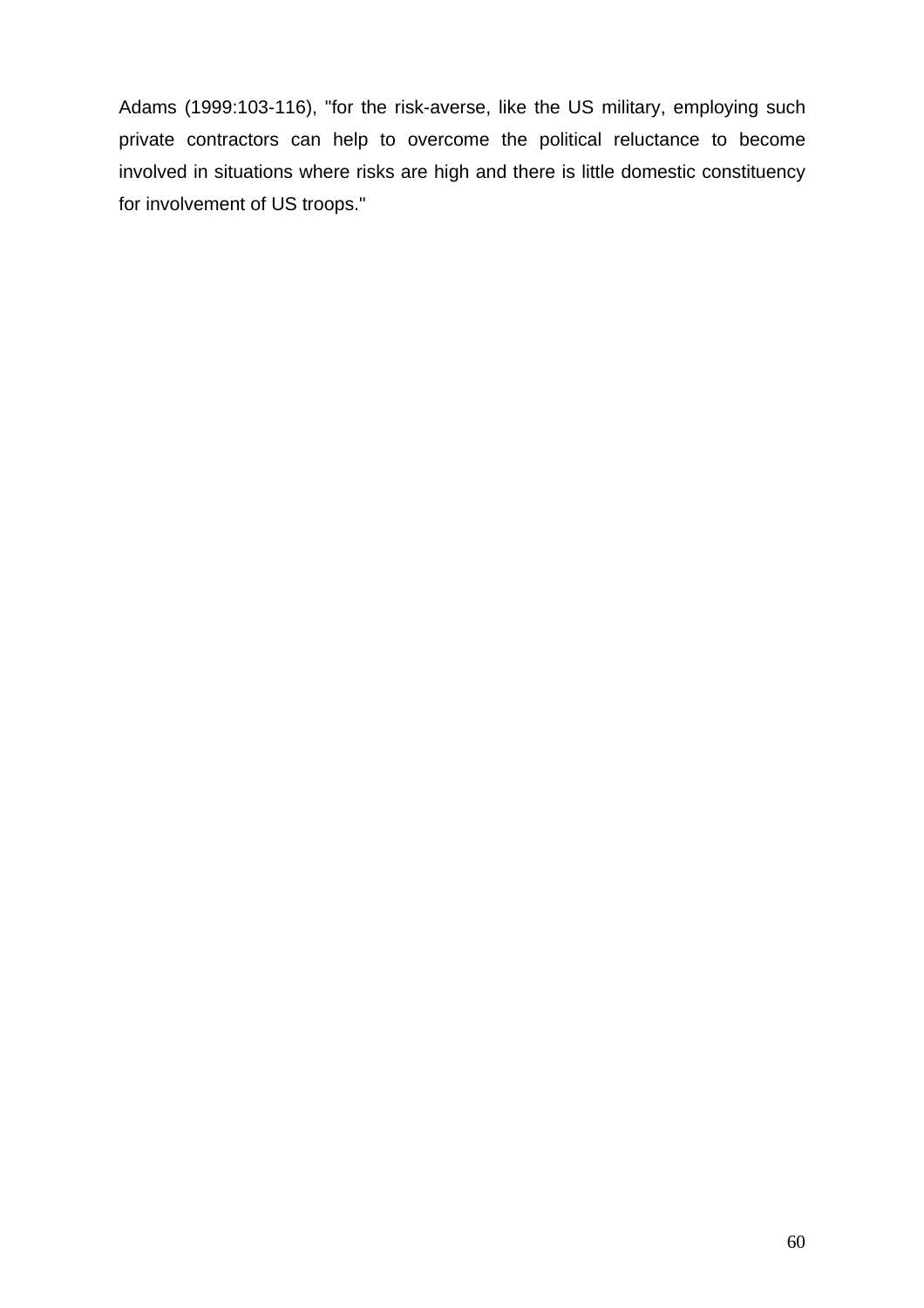Adams (1999:103-116), "for the risk-averse, like the US military, employing such private contractors can help to overcome the political reluctance to become involved in situations where risks are high and there is little domestic constituency for involvement of US troops."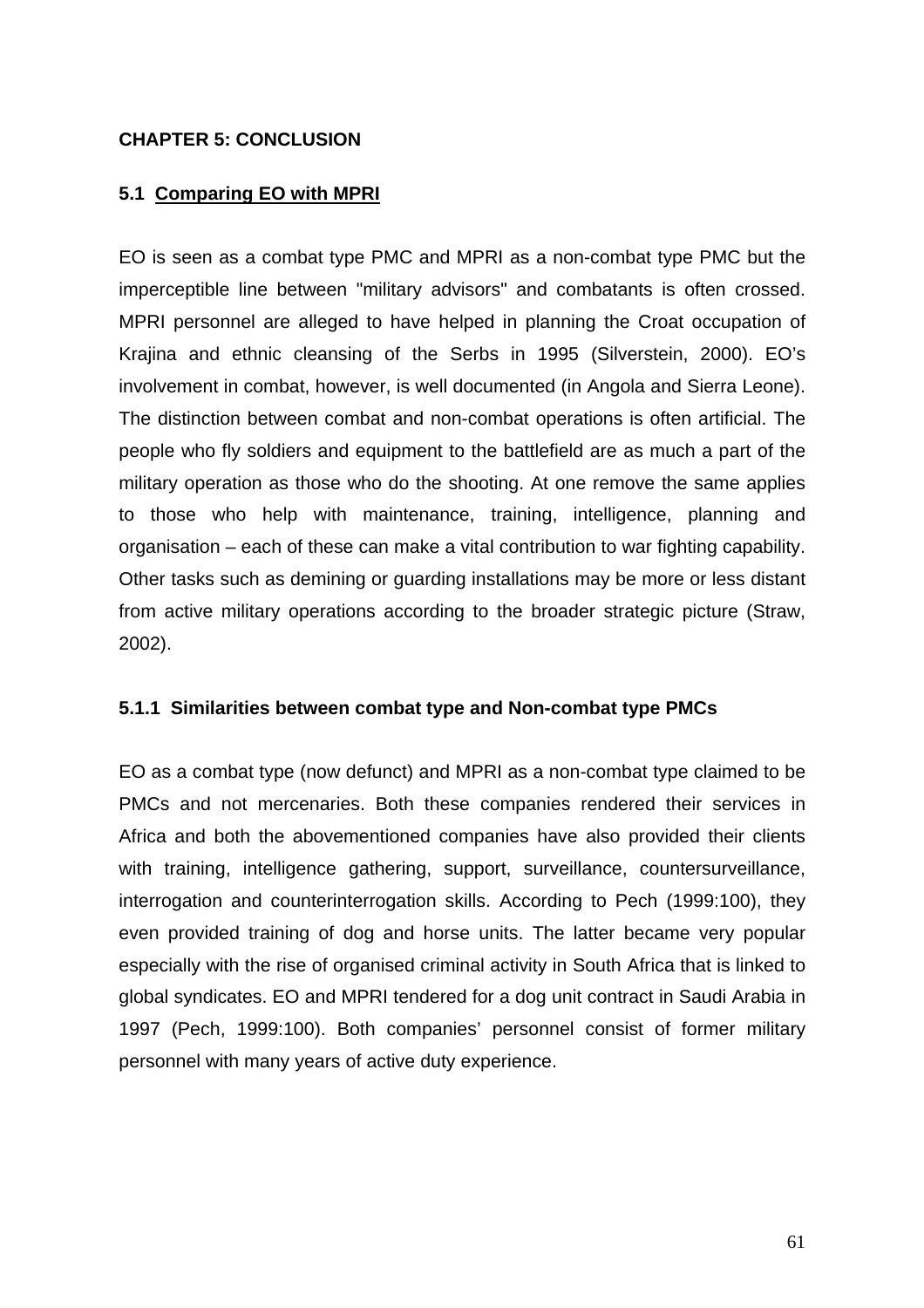## **CHAPTER 5: CONCLUSION**

## **5.1 Comparing EO with MPRI**

EO is seen as a combat type PMC and MPRI as a non-combat type PMC but the imperceptible line between "military advisors" and combatants is often crossed. MPRI personnel are alleged to have helped in planning the Croat occupation of Krajina and ethnic cleansing of the Serbs in 1995 (Silverstein, 2000). EO's involvement in combat, however, is well documented (in Angola and Sierra Leone). The distinction between combat and non-combat operations is often artificial. The people who fly soldiers and equipment to the battlefield are as much a part of the military operation as those who do the shooting. At one remove the same applies to those who help with maintenance, training, intelligence, planning and organisation – each of these can make a vital contribution to war fighting capability. Other tasks such as demining or guarding installations may be more or less distant from active military operations according to the broader strategic picture (Straw, 2002).

## **5.1.1 Similarities between combat type and Non-combat type PMCs**

EO as a combat type (now defunct) and MPRI as a non-combat type claimed to be PMCs and not mercenaries. Both these companies rendered their services in Africa and both the abovementioned companies have also provided their clients with training, intelligence gathering, support, surveillance, countersurveillance, interrogation and counterinterrogation skills. According to Pech (1999:100), they even provided training of dog and horse units. The latter became very popular especially with the rise of organised criminal activity in South Africa that is linked to global syndicates. EO and MPRI tendered for a dog unit contract in Saudi Arabia in 1997 (Pech, 1999:100). Both companies' personnel consist of former military personnel with many years of active duty experience.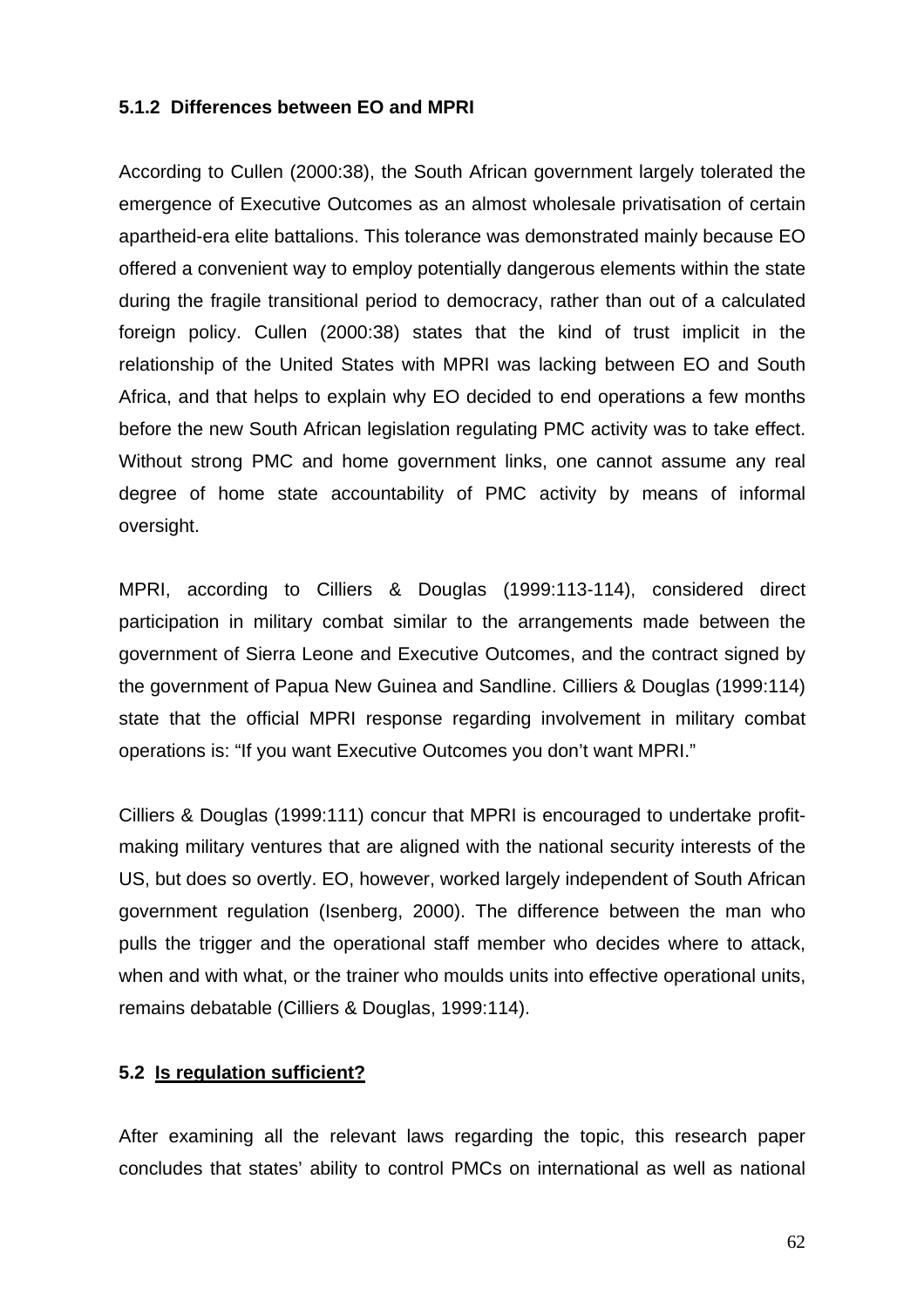## **5.1.2 Differences between EO and MPRI**

According to Cullen (2000:38), the South African government largely tolerated the emergence of Executive Outcomes as an almost wholesale privatisation of certain apartheid-era elite battalions. This tolerance was demonstrated mainly because EO offered a convenient way to employ potentially dangerous elements within the state during the fragile transitional period to democracy, rather than out of a calculated foreign policy. Cullen (2000:38) states that the kind of trust implicit in the relationship of the United States with MPRI was lacking between EO and South Africa, and that helps to explain why EO decided to end operations a few months before the new South African legislation regulating PMC activity was to take effect. Without strong PMC and home government links, one cannot assume any real degree of home state accountability of PMC activity by means of informal oversight.

MPRI, according to Cilliers & Douglas (1999:113-114), considered direct participation in military combat similar to the arrangements made between the government of Sierra Leone and Executive Outcomes, and the contract signed by the government of Papua New Guinea and Sandline. Cilliers & Douglas (1999:114) state that the official MPRI response regarding involvement in military combat operations is: "If you want Executive Outcomes you don't want MPRI."

Cilliers & Douglas (1999:111) concur that MPRI is encouraged to undertake profitmaking military ventures that are aligned with the national security interests of the US, but does so overtly. EO, however, worked largely independent of South African government regulation (Isenberg, 2000). The difference between the man who pulls the trigger and the operational staff member who decides where to attack, when and with what, or the trainer who moulds units into effective operational units, remains debatable (Cilliers & Douglas, 1999:114).

## **5.2 Is regulation sufficient?**

After examining all the relevant laws regarding the topic, this research paper concludes that states' ability to control PMCs on international as well as national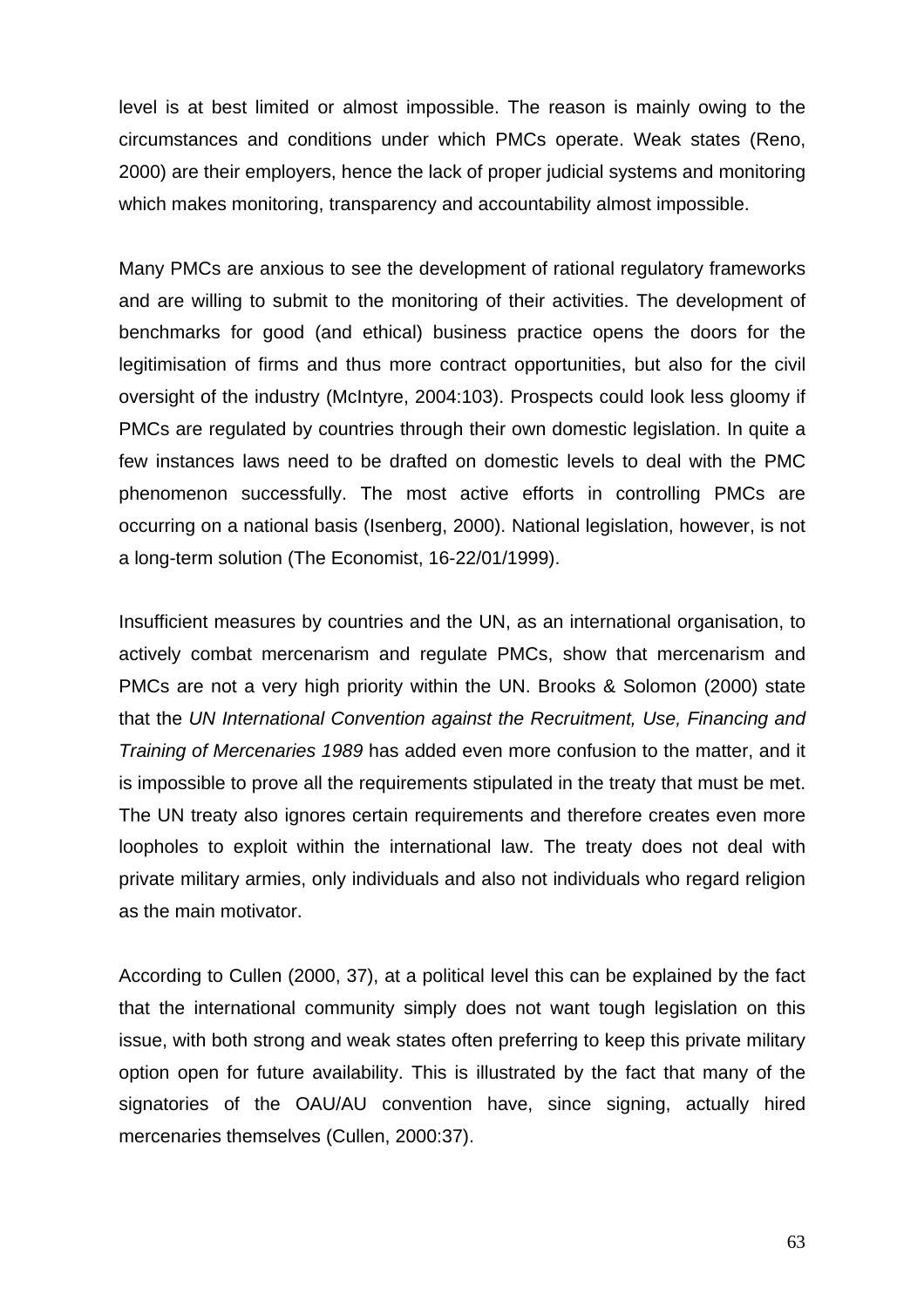level is at best limited or almost impossible. The reason is mainly owing to the circumstances and conditions under which PMCs operate. Weak states (Reno, 2000) are their employers, hence the lack of proper judicial systems and monitoring which makes monitoring, transparency and accountability almost impossible.

Many PMCs are anxious to see the development of rational regulatory frameworks and are willing to submit to the monitoring of their activities. The development of benchmarks for good (and ethical) business practice opens the doors for the legitimisation of firms and thus more contract opportunities, but also for the civil oversight of the industry (McIntyre, 2004:103). Prospects could look less gloomy if PMCs are regulated by countries through their own domestic legislation. In quite a few instances laws need to be drafted on domestic levels to deal with the PMC phenomenon successfully. The most active efforts in controlling PMCs are occurring on a national basis (Isenberg, 2000). National legislation, however, is not a long-term solution (The Economist, 16-22/01/1999).

Insufficient measures by countries and the UN, as an international organisation, to actively combat mercenarism and regulate PMCs, show that mercenarism and PMCs are not a very high priority within the UN. Brooks & Solomon (2000) state that the *UN International Convention against the Recruitment, Use, Financing and Training of Mercenaries 1989* has added even more confusion to the matter, and it is impossible to prove all the requirements stipulated in the treaty that must be met. The UN treaty also ignores certain requirements and therefore creates even more loopholes to exploit within the international law. The treaty does not deal with private military armies, only individuals and also not individuals who regard religion as the main motivator.

According to Cullen (2000, 37), at a political level this can be explained by the fact that the international community simply does not want tough legislation on this issue, with both strong and weak states often preferring to keep this private military option open for future availability. This is illustrated by the fact that many of the signatories of the OAU/AU convention have, since signing, actually hired mercenaries themselves (Cullen, 2000:37).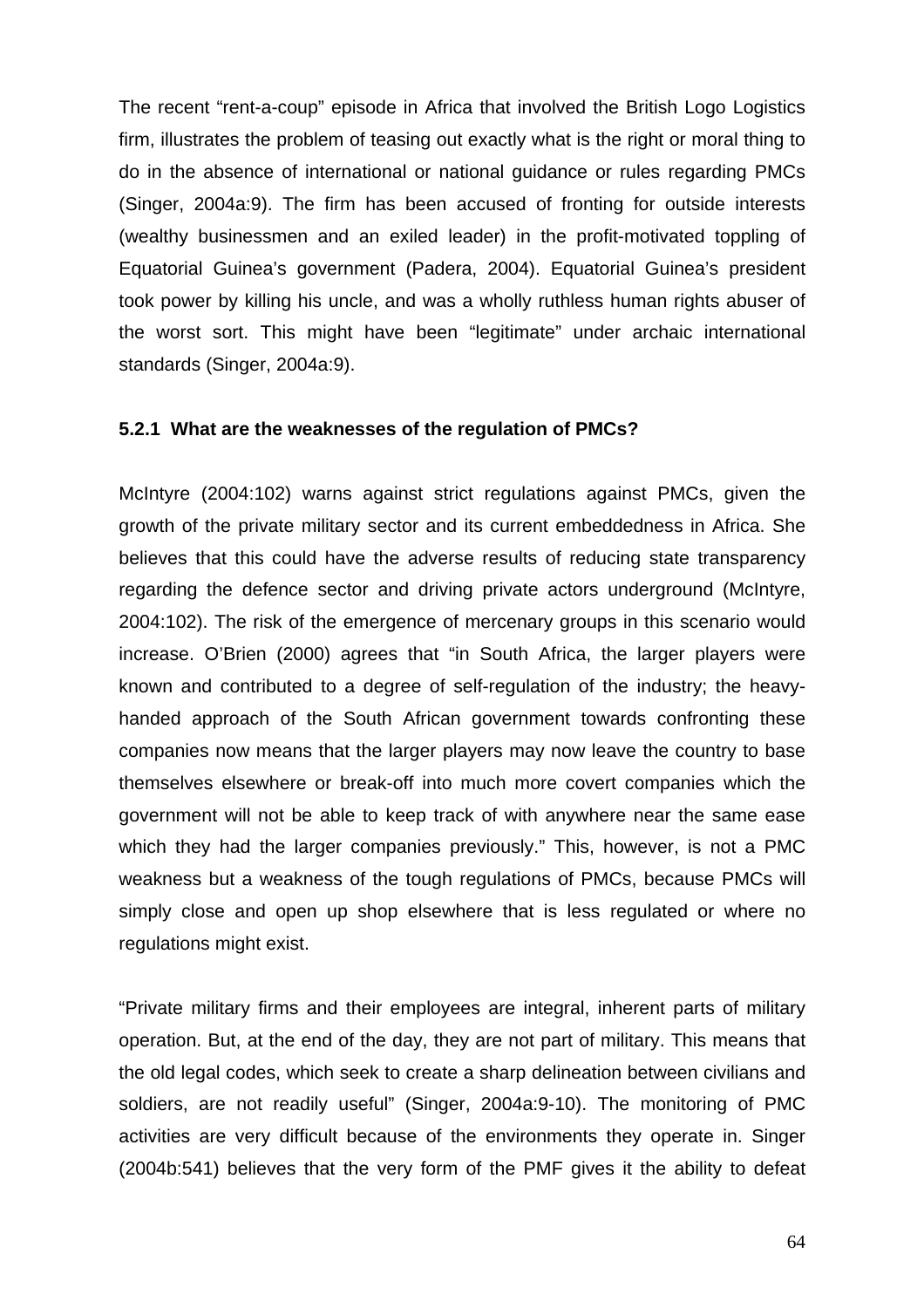The recent "rent-a-coup" episode in Africa that involved the British Logo Logistics firm, illustrates the problem of teasing out exactly what is the right or moral thing to do in the absence of international or national guidance or rules regarding PMCs (Singer, 2004a:9). The firm has been accused of fronting for outside interests (wealthy businessmen and an exiled leader) in the profit-motivated toppling of Equatorial Guinea's government (Padera, 2004). Equatorial Guinea's president took power by killing his uncle, and was a wholly ruthless human rights abuser of the worst sort. This might have been "legitimate" under archaic international standards (Singer, 2004a:9).

#### **5.2.1 What are the weaknesses of the regulation of PMCs?**

McIntyre (2004:102) warns against strict regulations against PMCs, given the growth of the private military sector and its current embeddedness in Africa. She believes that this could have the adverse results of reducing state transparency regarding the defence sector and driving private actors underground (McIntyre, 2004:102). The risk of the emergence of mercenary groups in this scenario would increase. O'Brien (2000) agrees that "in South Africa, the larger players were known and contributed to a degree of self-regulation of the industry; the heavyhanded approach of the South African government towards confronting these companies now means that the larger players may now leave the country to base themselves elsewhere or break-off into much more covert companies which the government will not be able to keep track of with anywhere near the same ease which they had the larger companies previously." This, however, is not a PMC weakness but a weakness of the tough regulations of PMCs, because PMCs will simply close and open up shop elsewhere that is less regulated or where no regulations might exist.

"Private military firms and their employees are integral, inherent parts of military operation. But, at the end of the day, they are not part of military. This means that the old legal codes, which seek to create a sharp delineation between civilians and soldiers, are not readily useful" (Singer, 2004a:9-10). The monitoring of PMC activities are very difficult because of the environments they operate in. Singer (2004b:541) believes that the very form of the PMF gives it the ability to defeat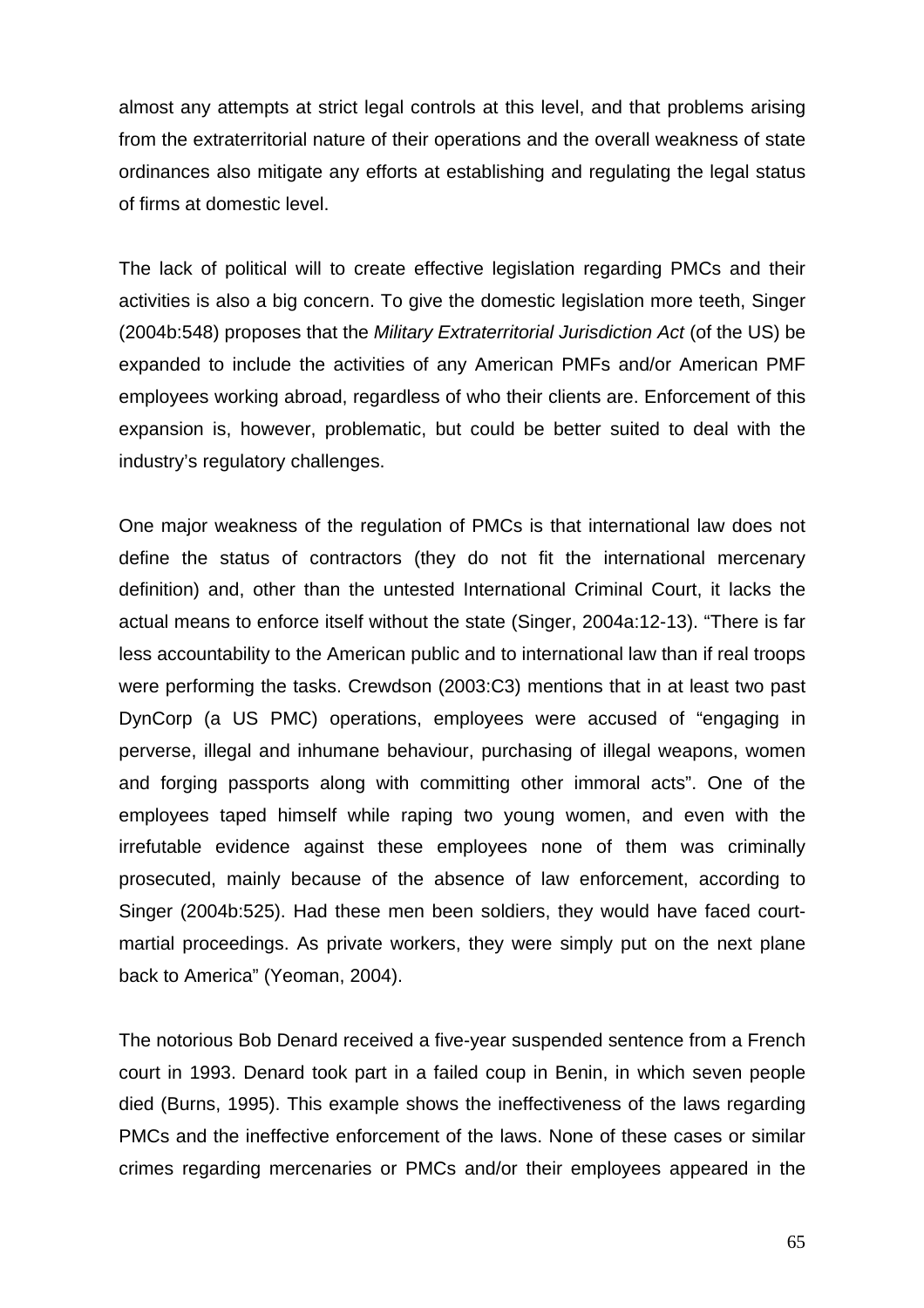almost any attempts at strict legal controls at this level, and that problems arising from the extraterritorial nature of their operations and the overall weakness of state ordinances also mitigate any efforts at establishing and regulating the legal status of firms at domestic level.

The lack of political will to create effective legislation regarding PMCs and their activities is also a big concern. To give the domestic legislation more teeth, Singer (2004b:548) proposes that the *Military Extraterritorial Jurisdiction Act* (of the US) be expanded to include the activities of any American PMFs and/or American PMF employees working abroad, regardless of who their clients are. Enforcement of this expansion is, however, problematic, but could be better suited to deal with the industry's regulatory challenges.

One major weakness of the regulation of PMCs is that international law does not define the status of contractors (they do not fit the international mercenary definition) and, other than the untested International Criminal Court, it lacks the actual means to enforce itself without the state (Singer, 2004a:12-13). "There is far less accountability to the American public and to international law than if real troops were performing the tasks. Crewdson (2003:C3) mentions that in at least two past DynCorp (a US PMC) operations, employees were accused of "engaging in perverse, illegal and inhumane behaviour, purchasing of illegal weapons, women and forging passports along with committing other immoral acts". One of the employees taped himself while raping two young women, and even with the irrefutable evidence against these employees none of them was criminally prosecuted, mainly because of the absence of law enforcement, according to Singer (2004b:525). Had these men been soldiers, they would have faced courtmartial proceedings. As private workers, they were simply put on the next plane back to America" (Yeoman, 2004).

The notorious Bob Denard received a five-year suspended sentence from a French court in 1993. Denard took part in a failed coup in Benin, in which seven people died (Burns, 1995). This example shows the ineffectiveness of the laws regarding PMCs and the ineffective enforcement of the laws. None of these cases or similar crimes regarding mercenaries or PMCs and/or their employees appeared in the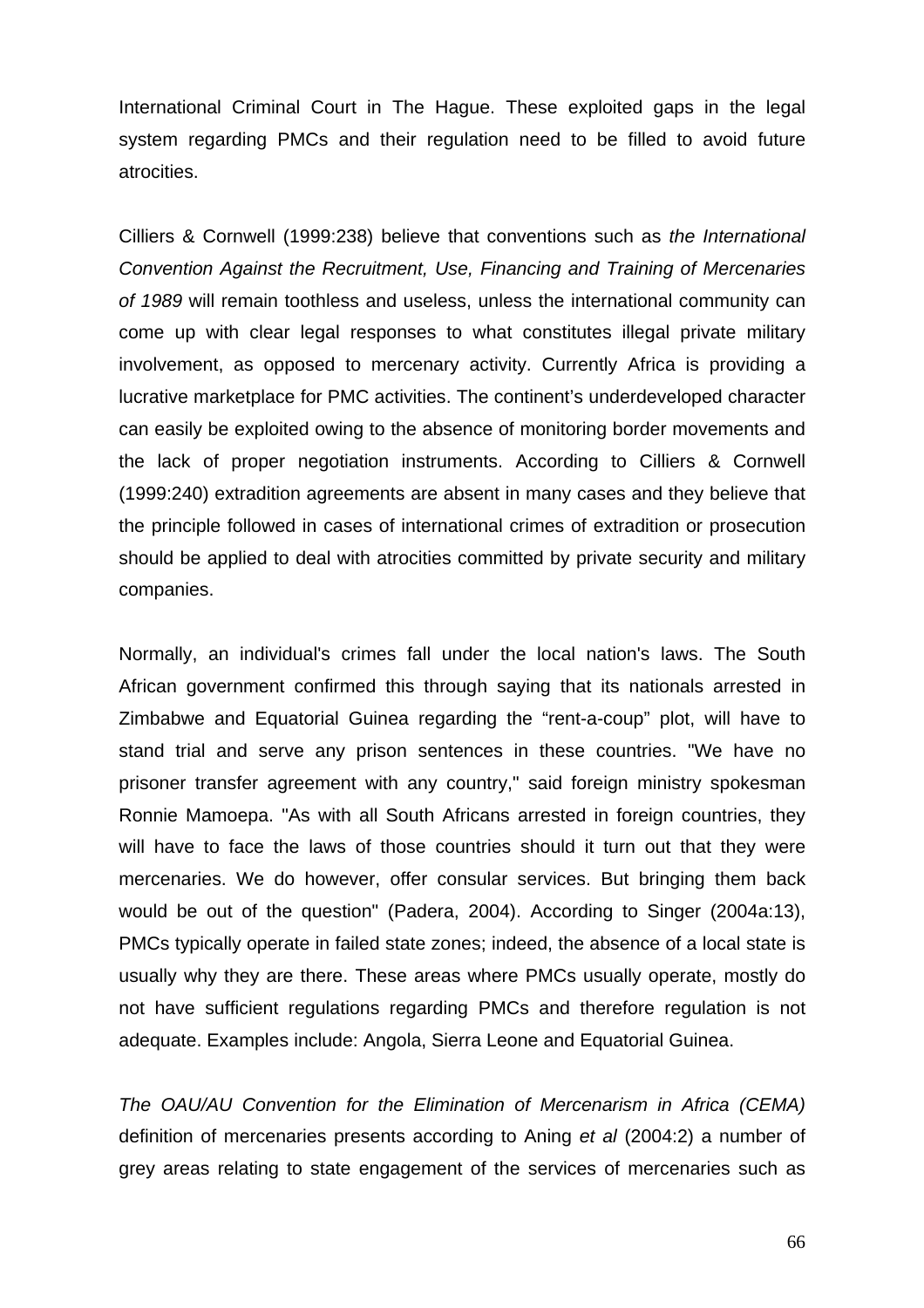International Criminal Court in The Hague. These exploited gaps in the legal system regarding PMCs and their regulation need to be filled to avoid future atrocities.

Cilliers & Cornwell (1999:238) believe that conventions such as *the International Convention Against the Recruitment, Use, Financing and Training of Mercenaries of 1989* will remain toothless and useless, unless the international community can come up with clear legal responses to what constitutes illegal private military involvement, as opposed to mercenary activity. Currently Africa is providing a lucrative marketplace for PMC activities. The continent's underdeveloped character can easily be exploited owing to the absence of monitoring border movements and the lack of proper negotiation instruments. According to Cilliers & Cornwell (1999:240) extradition agreements are absent in many cases and they believe that the principle followed in cases of international crimes of extradition or prosecution should be applied to deal with atrocities committed by private security and military companies.

Normally, an individual's crimes fall under the local nation's laws. The South African government confirmed this through saying that its nationals arrested in Zimbabwe and Equatorial Guinea regarding the "rent-a-coup" plot, will have to stand trial and serve any prison sentences in these countries. "We have no prisoner transfer agreement with any country," said foreign ministry spokesman Ronnie Mamoepa. "As with all South Africans arrested in foreign countries, they will have to face the laws of those countries should it turn out that they were mercenaries. We do however, offer consular services. But bringing them back would be out of the question" (Padera, 2004). According to Singer (2004a:13), PMCs typically operate in failed state zones; indeed, the absence of a local state is usually why they are there. These areas where PMCs usually operate, mostly do not have sufficient regulations regarding PMCs and therefore regulation is not adequate. Examples include: Angola, Sierra Leone and Equatorial Guinea.

*The OAU/AU Convention for the Elimination of Mercenarism in Africa (CEMA)* definition of mercenaries presents according to Aning *et al* (2004:2) a number of grey areas relating to state engagement of the services of mercenaries such as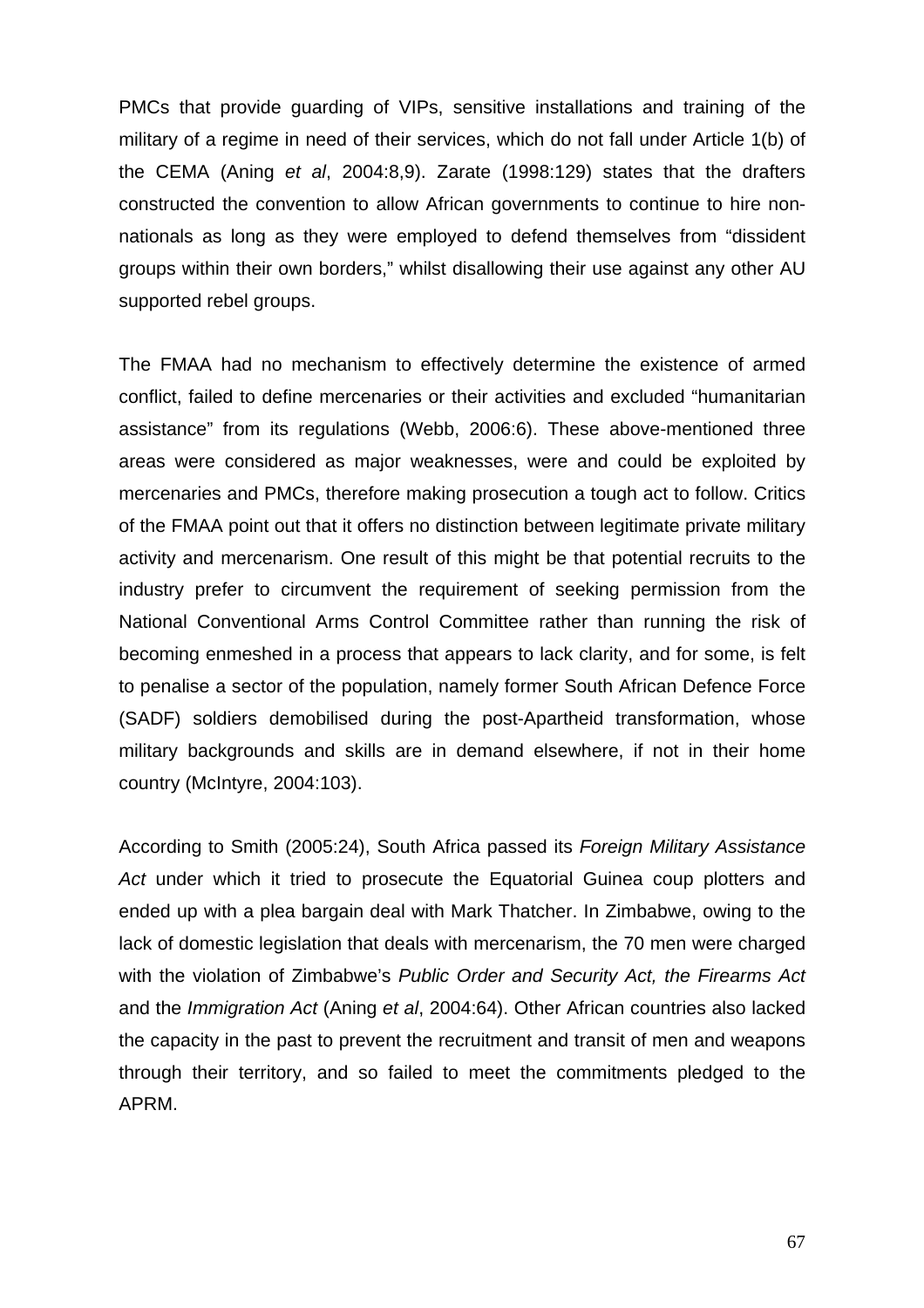PMCs that provide guarding of VIPs, sensitive installations and training of the military of a regime in need of their services, which do not fall under Article 1(b) of the CEMA (Aning *et al*, 2004:8,9). Zarate (1998:129) states that the drafters constructed the convention to allow African governments to continue to hire nonnationals as long as they were employed to defend themselves from "dissident groups within their own borders," whilst disallowing their use against any other AU supported rebel groups.

The FMAA had no mechanism to effectively determine the existence of armed conflict, failed to define mercenaries or their activities and excluded "humanitarian assistance" from its regulations (Webb, 2006:6). These above-mentioned three areas were considered as major weaknesses, were and could be exploited by mercenaries and PMCs, therefore making prosecution a tough act to follow. Critics of the FMAA point out that it offers no distinction between legitimate private military activity and mercenarism. One result of this might be that potential recruits to the industry prefer to circumvent the requirement of seeking permission from the National Conventional Arms Control Committee rather than running the risk of becoming enmeshed in a process that appears to lack clarity, and for some, is felt to penalise a sector of the population, namely former South African Defence Force (SADF) soldiers demobilised during the post-Apartheid transformation, whose military backgrounds and skills are in demand elsewhere, if not in their home country (McIntyre, 2004:103).

According to Smith (2005:24), South Africa passed its *Foreign Military Assistance Act* under which it tried to prosecute the Equatorial Guinea coup plotters and ended up with a plea bargain deal with Mark Thatcher. In Zimbabwe, owing to the lack of domestic legislation that deals with mercenarism, the 70 men were charged with the violation of Zimbabwe's *Public Order and Security Act, the Firearms Act* and the *Immigration Act* (Aning *et al*, 2004:64). Other African countries also lacked the capacity in the past to prevent the recruitment and transit of men and weapons through their territory, and so failed to meet the commitments pledged to the APRM.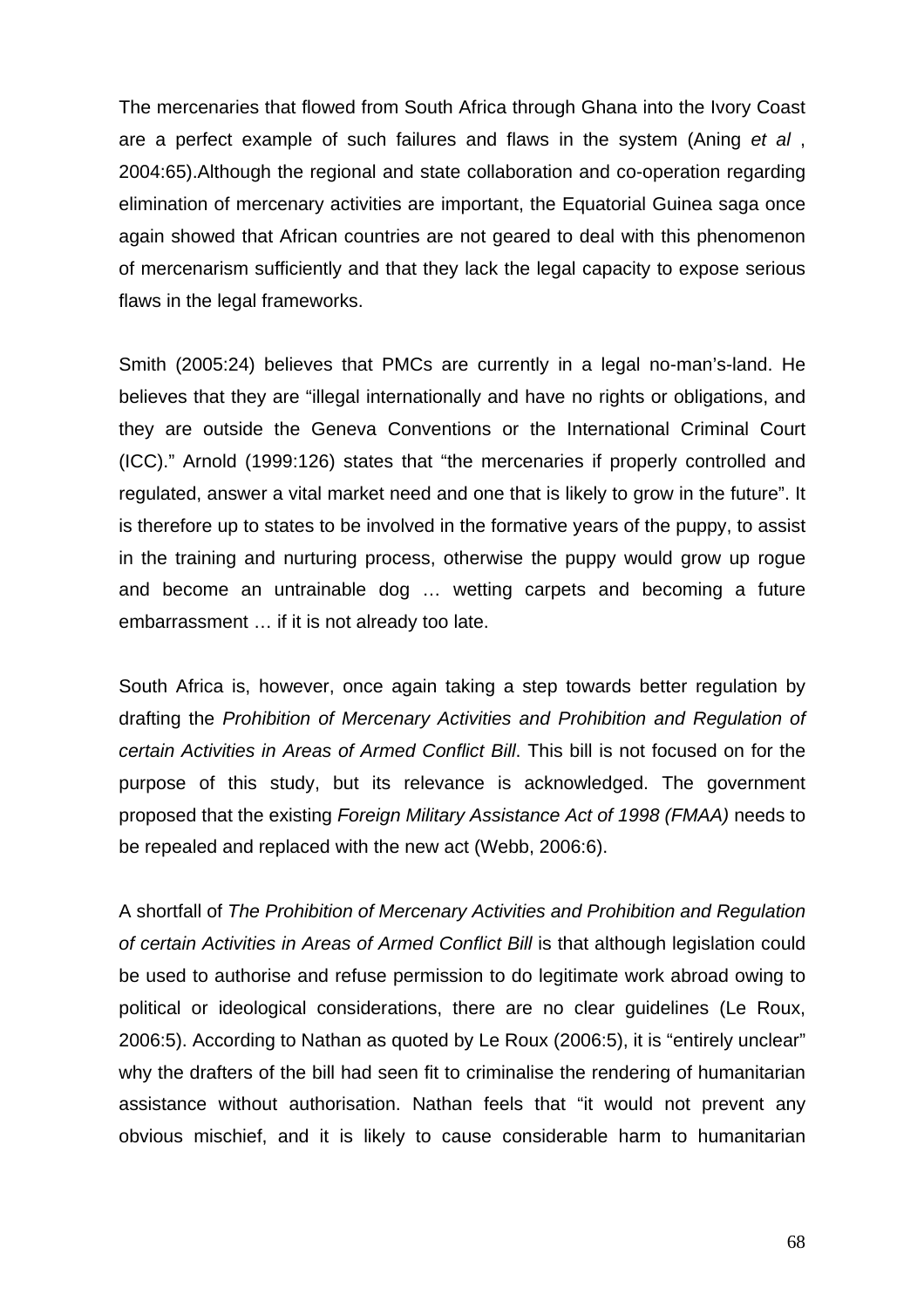The mercenaries that flowed from South Africa through Ghana into the Ivory Coast are a perfect example of such failures and flaws in the system (Aning *et al* , 2004:65).Although the regional and state collaboration and co-operation regarding elimination of mercenary activities are important, the Equatorial Guinea saga once again showed that African countries are not geared to deal with this phenomenon of mercenarism sufficiently and that they lack the legal capacity to expose serious flaws in the legal frameworks.

Smith (2005:24) believes that PMCs are currently in a legal no-man's-land. He believes that they are "illegal internationally and have no rights or obligations, and they are outside the Geneva Conventions or the International Criminal Court (ICC)." Arnold (1999:126) states that "the mercenaries if properly controlled and regulated, answer a vital market need and one that is likely to grow in the future". It is therefore up to states to be involved in the formative years of the puppy, to assist in the training and nurturing process, otherwise the puppy would grow up rogue and become an untrainable dog … wetting carpets and becoming a future embarrassment … if it is not already too late.

South Africa is, however, once again taking a step towards better regulation by drafting the *Prohibition of Mercenary Activities and Prohibition and Regulation of certain Activities in Areas of Armed Conflict Bill*. This bill is not focused on for the purpose of this study, but its relevance is acknowledged. The government proposed that the existing *Foreign Military Assistance Act of 1998 (FMAA)* needs to be repealed and replaced with the new act (Webb, 2006:6).

A shortfall of *The Prohibition of Mercenary Activities and Prohibition and Regulation of certain Activities in Areas of Armed Conflict Bill* is that although legislation could be used to authorise and refuse permission to do legitimate work abroad owing to political or ideological considerations, there are no clear guidelines (Le Roux, 2006:5). According to Nathan as quoted by Le Roux (2006:5), it is "entirely unclear" why the drafters of the bill had seen fit to criminalise the rendering of humanitarian assistance without authorisation. Nathan feels that "it would not prevent any obvious mischief, and it is likely to cause considerable harm to humanitarian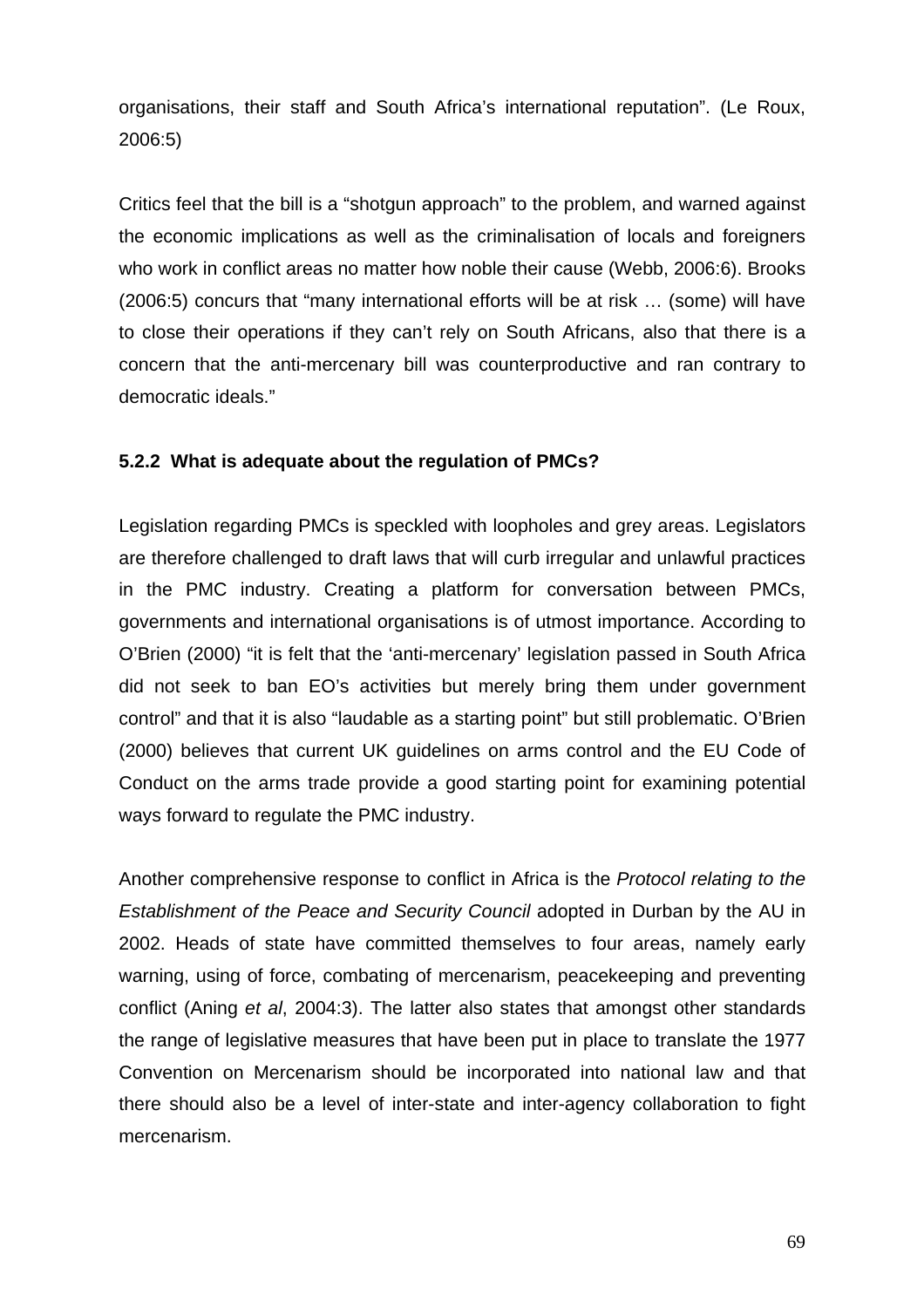organisations, their staff and South Africa's international reputation". (Le Roux, 2006:5)

Critics feel that the bill is a "shotgun approach" to the problem, and warned against the economic implications as well as the criminalisation of locals and foreigners who work in conflict areas no matter how noble their cause (Webb, 2006:6). Brooks (2006:5) concurs that "many international efforts will be at risk … (some) will have to close their operations if they can't rely on South Africans, also that there is a concern that the anti-mercenary bill was counterproductive and ran contrary to democratic ideals."

## **5.2.2 What is adequate about the regulation of PMCs?**

Legislation regarding PMCs is speckled with loopholes and grey areas. Legislators are therefore challenged to draft laws that will curb irregular and unlawful practices in the PMC industry. Creating a platform for conversation between PMCs, governments and international organisations is of utmost importance. According to O'Brien (2000) "it is felt that the 'anti-mercenary' legislation passed in South Africa did not seek to ban EO's activities but merely bring them under government control" and that it is also "laudable as a starting point" but still problematic. O'Brien (2000) believes that current UK guidelines on arms control and the EU Code of Conduct on the arms trade provide a good starting point for examining potential ways forward to regulate the PMC industry.

Another comprehensive response to conflict in Africa is the *Protocol relating to the Establishment of the Peace and Security Council* adopted in Durban by the AU in 2002. Heads of state have committed themselves to four areas, namely early warning, using of force, combating of mercenarism, peacekeeping and preventing conflict (Aning *et al*, 2004:3). The latter also states that amongst other standards the range of legislative measures that have been put in place to translate the 1977 Convention on Mercenarism should be incorporated into national law and that there should also be a level of inter-state and inter-agency collaboration to fight mercenarism.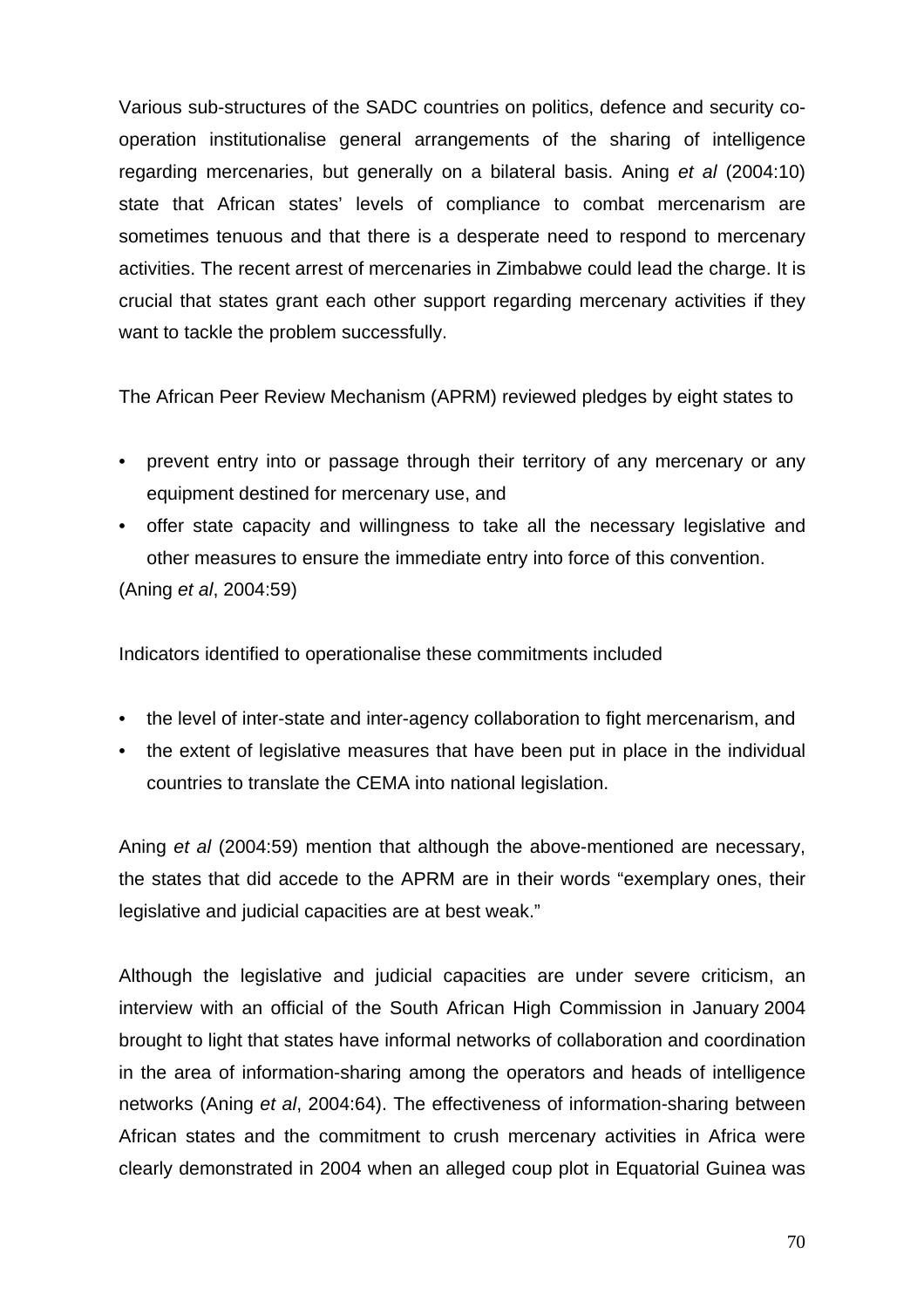Various sub-structures of the SADC countries on politics, defence and security cooperation institutionalise general arrangements of the sharing of intelligence regarding mercenaries, but generally on a bilateral basis. Aning *et al* (2004:10) state that African states' levels of compliance to combat mercenarism are sometimes tenuous and that there is a desperate need to respond to mercenary activities. The recent arrest of mercenaries in Zimbabwe could lead the charge. It is crucial that states grant each other support regarding mercenary activities if they want to tackle the problem successfully.

The African Peer Review Mechanism (APRM) reviewed pledges by eight states to

- prevent entry into or passage through their territory of any mercenary or any equipment destined for mercenary use, and
- offer state capacity and willingness to take all the necessary legislative and other measures to ensure the immediate entry into force of this convention. (Aning *et al*, 2004:59)

Indicators identified to operationalise these commitments included

- the level of inter-state and inter-agency collaboration to fight mercenarism, and
- the extent of legislative measures that have been put in place in the individual countries to translate the CEMA into national legislation.

Aning *et al* (2004:59) mention that although the above-mentioned are necessary, the states that did accede to the APRM are in their words "exemplary ones, their legislative and judicial capacities are at best weak."

Although the legislative and judicial capacities are under severe criticism, an interview with an official of the South African High Commission in January 2004 brought to light that states have informal networks of collaboration and coordination in the area of information-sharing among the operators and heads of intelligence networks (Aning *et al*, 2004:64). The effectiveness of information-sharing between African states and the commitment to crush mercenary activities in Africa were clearly demonstrated in 2004 when an alleged coup plot in Equatorial Guinea was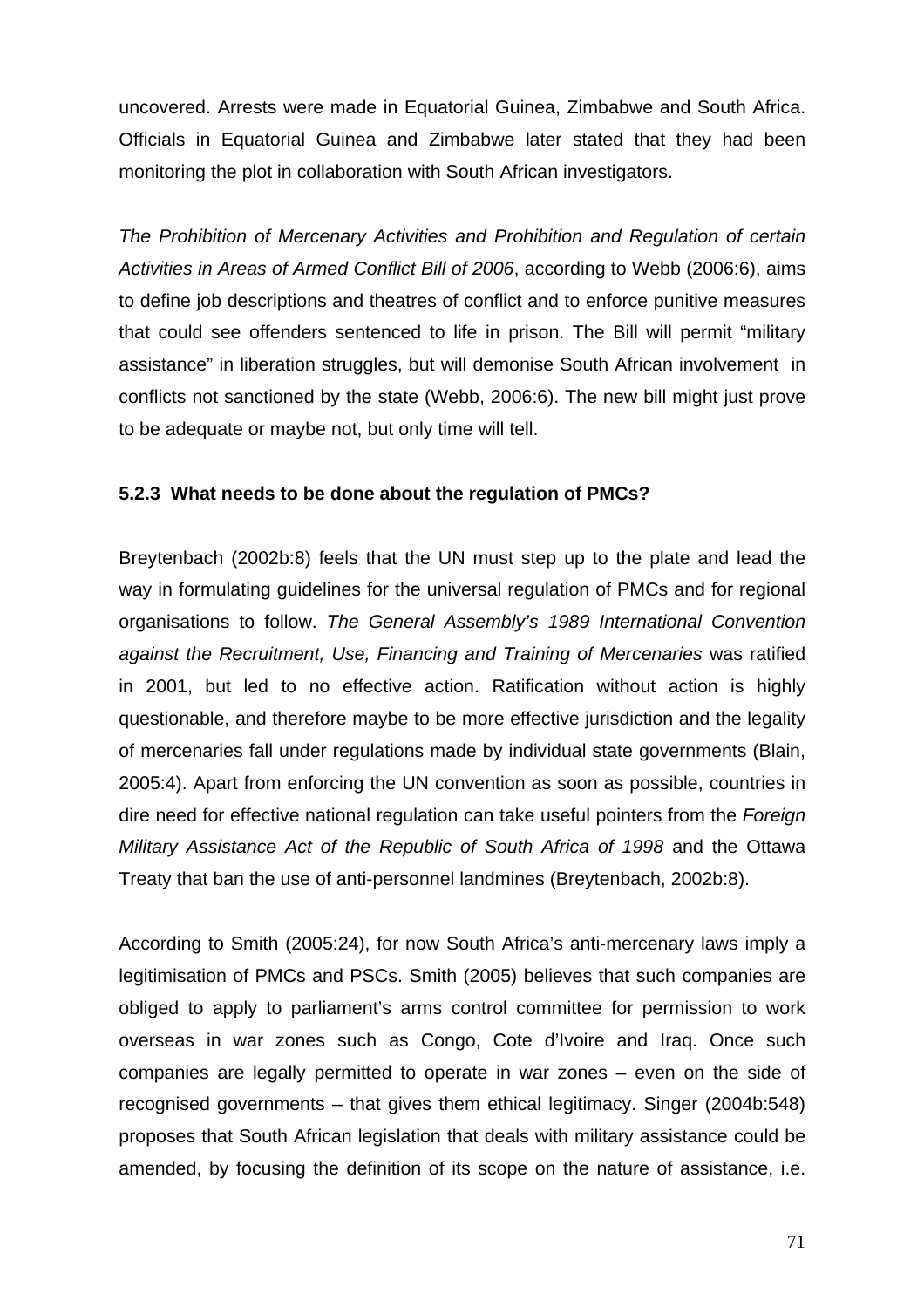uncovered. Arrests were made in Equatorial Guinea, Zimbabwe and South Africa. Officials in Equatorial Guinea and Zimbabwe later stated that they had been monitoring the plot in collaboration with South African investigators.

*The Prohibition of Mercenary Activities and Prohibition and Regulation of certain Activities in Areas of Armed Conflict Bill of 2006*, according to Webb (2006:6), aims to define job descriptions and theatres of conflict and to enforce punitive measures that could see offenders sentenced to life in prison. The Bill will permit "military assistance" in liberation struggles, but will demonise South African involvement in conflicts not sanctioned by the state (Webb, 2006:6). The new bill might just prove to be adequate or maybe not, but only time will tell.

## **5.2.3 What needs to be done about the regulation of PMCs?**

Breytenbach (2002b:8) feels that the UN must step up to the plate and lead the way in formulating guidelines for the universal regulation of PMCs and for regional organisations to follow. *The General Assembly's 1989 International Convention against the Recruitment, Use, Financing and Training of Mercenaries* was ratified in 2001, but led to no effective action. Ratification without action is highly questionable, and therefore maybe to be more effective jurisdiction and the legality of mercenaries fall under regulations made by individual state governments (Blain, 2005:4). Apart from enforcing the UN convention as soon as possible, countries in dire need for effective national regulation can take useful pointers from the *Foreign Military Assistance Act of the Republic of South Africa of 1998* and the Ottawa Treaty that ban the use of anti-personnel landmines (Breytenbach, 2002b:8).

According to Smith (2005:24), for now South Africa's anti-mercenary laws imply a legitimisation of PMCs and PSCs. Smith (2005) believes that such companies are obliged to apply to parliament's arms control committee for permission to work overseas in war zones such as Congo, Cote d'Ivoire and Iraq. Once such companies are legally permitted to operate in war zones – even on the side of recognised governments – that gives them ethical legitimacy. Singer (2004b:548) proposes that South African legislation that deals with military assistance could be amended, by focusing the definition of its scope on the nature of assistance, i.e.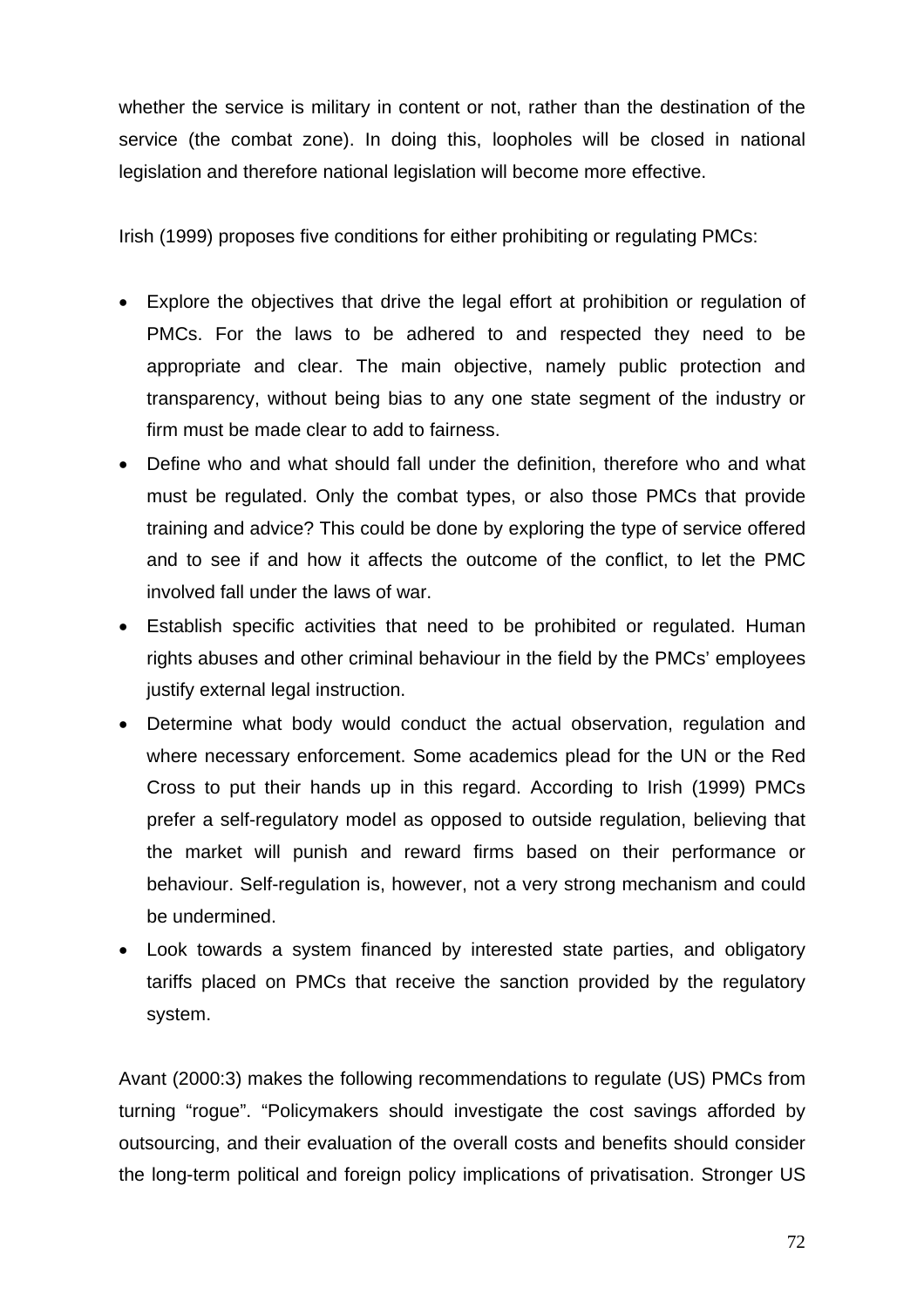whether the service is military in content or not, rather than the destination of the service (the combat zone). In doing this, loopholes will be closed in national legislation and therefore national legislation will become more effective.

Irish (1999) proposes five conditions for either prohibiting or regulating PMCs:

- Explore the objectives that drive the legal effort at prohibition or regulation of PMCs. For the laws to be adhered to and respected they need to be appropriate and clear. The main objective, namely public protection and transparency, without being bias to any one state segment of the industry or firm must be made clear to add to fairness.
- Define who and what should fall under the definition, therefore who and what must be regulated. Only the combat types, or also those PMCs that provide training and advice? This could be done by exploring the type of service offered and to see if and how it affects the outcome of the conflict, to let the PMC involved fall under the laws of war.
- Establish specific activities that need to be prohibited or regulated. Human rights abuses and other criminal behaviour in the field by the PMCs' employees justify external legal instruction.
- Determine what body would conduct the actual observation, regulation and where necessary enforcement. Some academics plead for the UN or the Red Cross to put their hands up in this regard. According to Irish (1999) PMCs prefer a self-regulatory model as opposed to outside regulation, believing that the market will punish and reward firms based on their performance or behaviour. Self-regulation is, however, not a very strong mechanism and could be undermined.
- Look towards a system financed by interested state parties, and obligatory tariffs placed on PMCs that receive the sanction provided by the regulatory system.

Avant (2000:3) makes the following recommendations to regulate (US) PMCs from turning "rogue". "Policymakers should investigate the cost savings afforded by outsourcing, and their evaluation of the overall costs and benefits should consider the long-term political and foreign policy implications of privatisation. Stronger US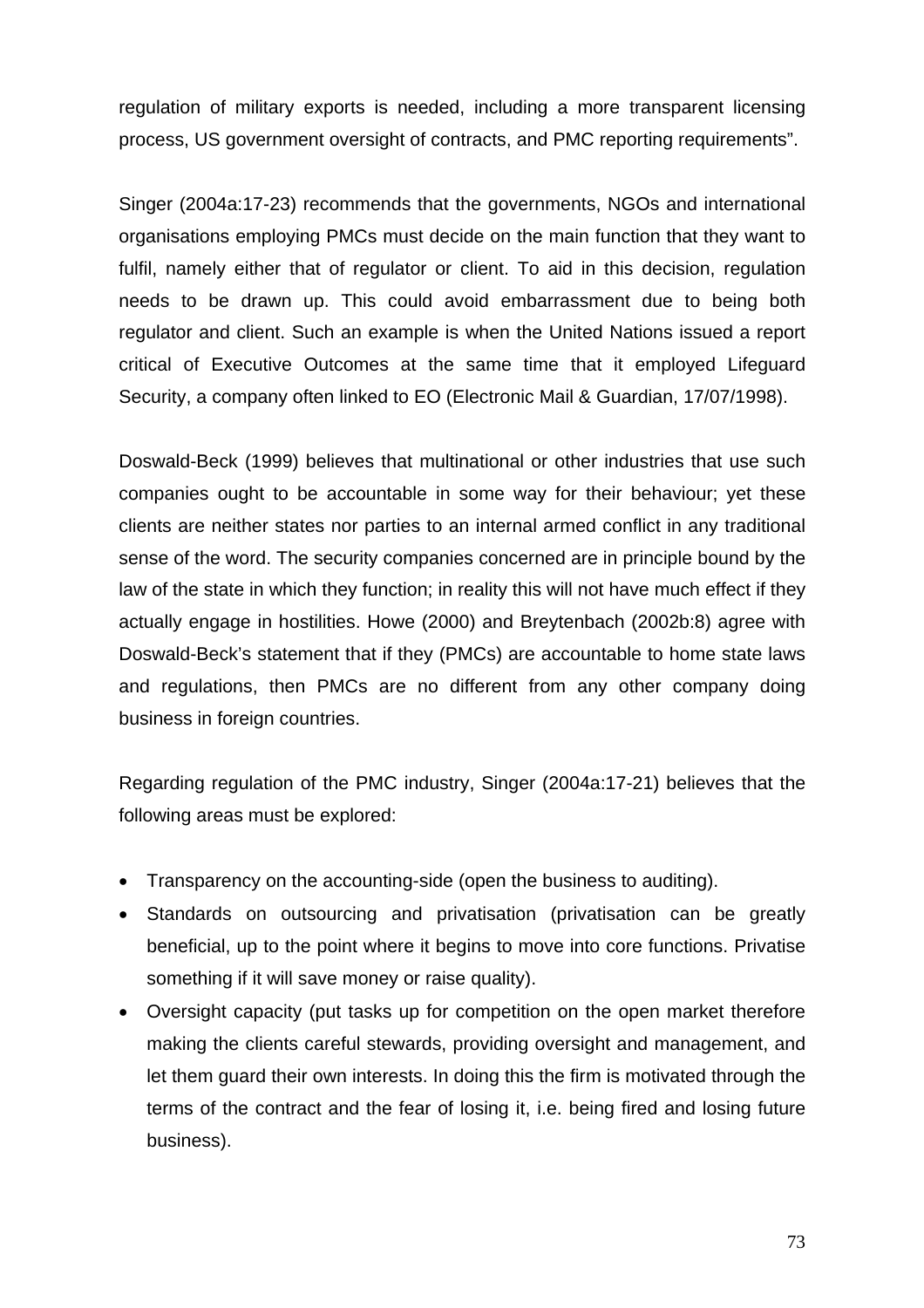regulation of military exports is needed, including a more transparent licensing process, US government oversight of contracts, and PMC reporting requirements".

Singer (2004a:17-23) recommends that the governments, NGOs and international organisations employing PMCs must decide on the main function that they want to fulfil, namely either that of regulator or client. To aid in this decision, regulation needs to be drawn up. This could avoid embarrassment due to being both regulator and client. Such an example is when the United Nations issued a report critical of Executive Outcomes at the same time that it employed Lifeguard Security, a company often linked to EO (Electronic Mail & Guardian, 17/07/1998).

Doswald-Beck (1999) believes that multinational or other industries that use such companies ought to be accountable in some way for their behaviour; yet these clients are neither states nor parties to an internal armed conflict in any traditional sense of the word. The security companies concerned are in principle bound by the law of the state in which they function; in reality this will not have much effect if they actually engage in hostilities. Howe (2000) and Breytenbach (2002b:8) agree with Doswald-Beck's statement that if they (PMCs) are accountable to home state laws and regulations, then PMCs are no different from any other company doing business in foreign countries.

Regarding regulation of the PMC industry, Singer (2004a:17-21) believes that the following areas must be explored:

- Transparency on the accounting-side (open the business to auditing).
- Standards on outsourcing and privatisation (privatisation can be greatly beneficial, up to the point where it begins to move into core functions. Privatise something if it will save money or raise quality).
- Oversight capacity (put tasks up for competition on the open market therefore making the clients careful stewards, providing oversight and management, and let them guard their own interests. In doing this the firm is motivated through the terms of the contract and the fear of losing it, i.e. being fired and losing future business).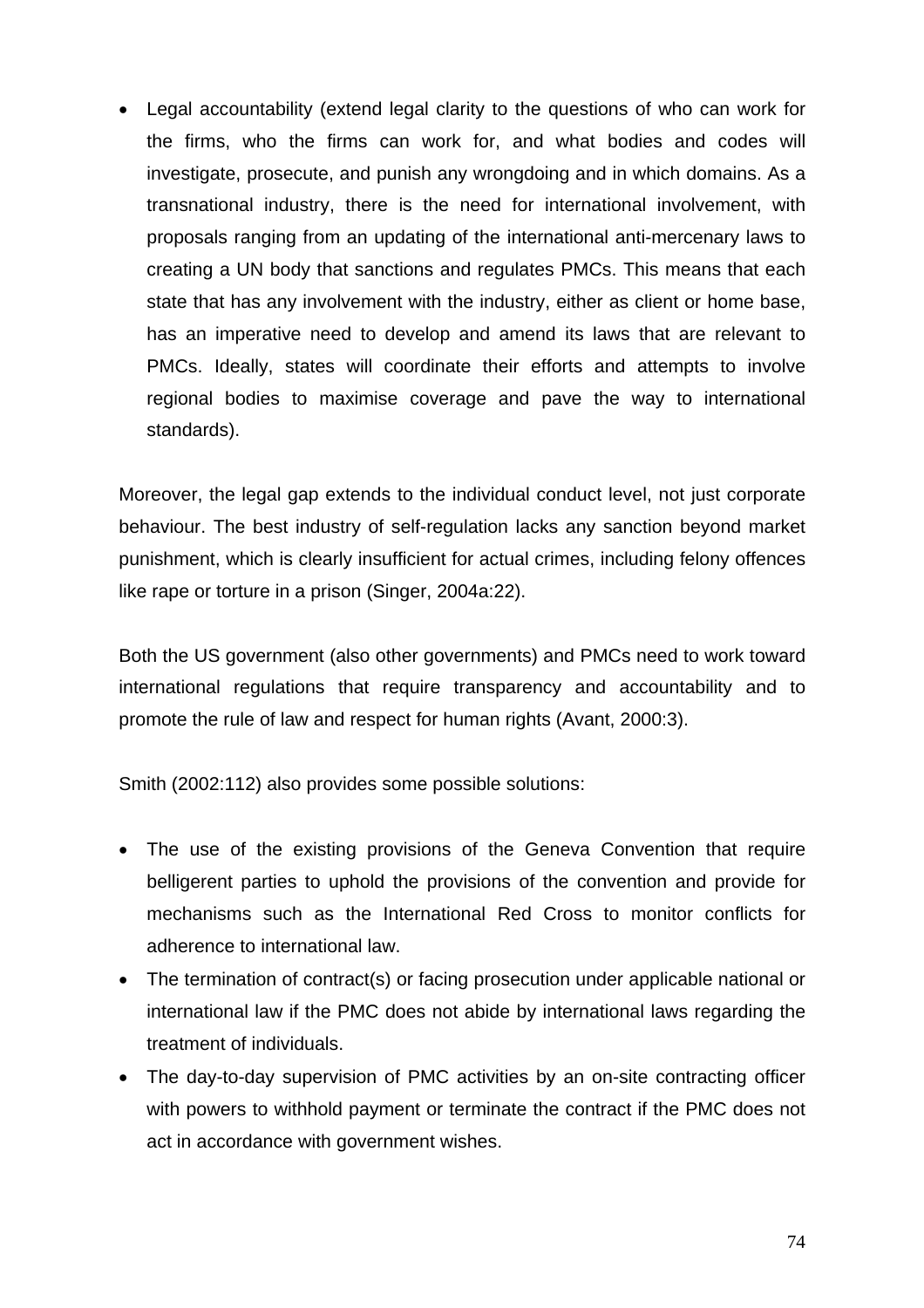• Legal accountability (extend legal clarity to the questions of who can work for the firms, who the firms can work for, and what bodies and codes will investigate, prosecute, and punish any wrongdoing and in which domains. As a transnational industry, there is the need for international involvement, with proposals ranging from an updating of the international anti-mercenary laws to creating a UN body that sanctions and regulates PMCs. This means that each state that has any involvement with the industry, either as client or home base, has an imperative need to develop and amend its laws that are relevant to PMCs. Ideally, states will coordinate their efforts and attempts to involve regional bodies to maximise coverage and pave the way to international standards).

Moreover, the legal gap extends to the individual conduct level, not just corporate behaviour. The best industry of self-regulation lacks any sanction beyond market punishment, which is clearly insufficient for actual crimes, including felony offences like rape or torture in a prison (Singer, 2004a:22).

Both the US government (also other governments) and PMCs need to work toward international regulations that require transparency and accountability and to promote the rule of law and respect for human rights (Avant, 2000:3).

Smith (2002:112) also provides some possible solutions:

- The use of the existing provisions of the Geneva Convention that require belligerent parties to uphold the provisions of the convention and provide for mechanisms such as the International Red Cross to monitor conflicts for adherence to international law.
- The termination of contract(s) or facing prosecution under applicable national or international law if the PMC does not abide by international laws regarding the treatment of individuals.
- The day-to-day supervision of PMC activities by an on-site contracting officer with powers to withhold payment or terminate the contract if the PMC does not act in accordance with government wishes.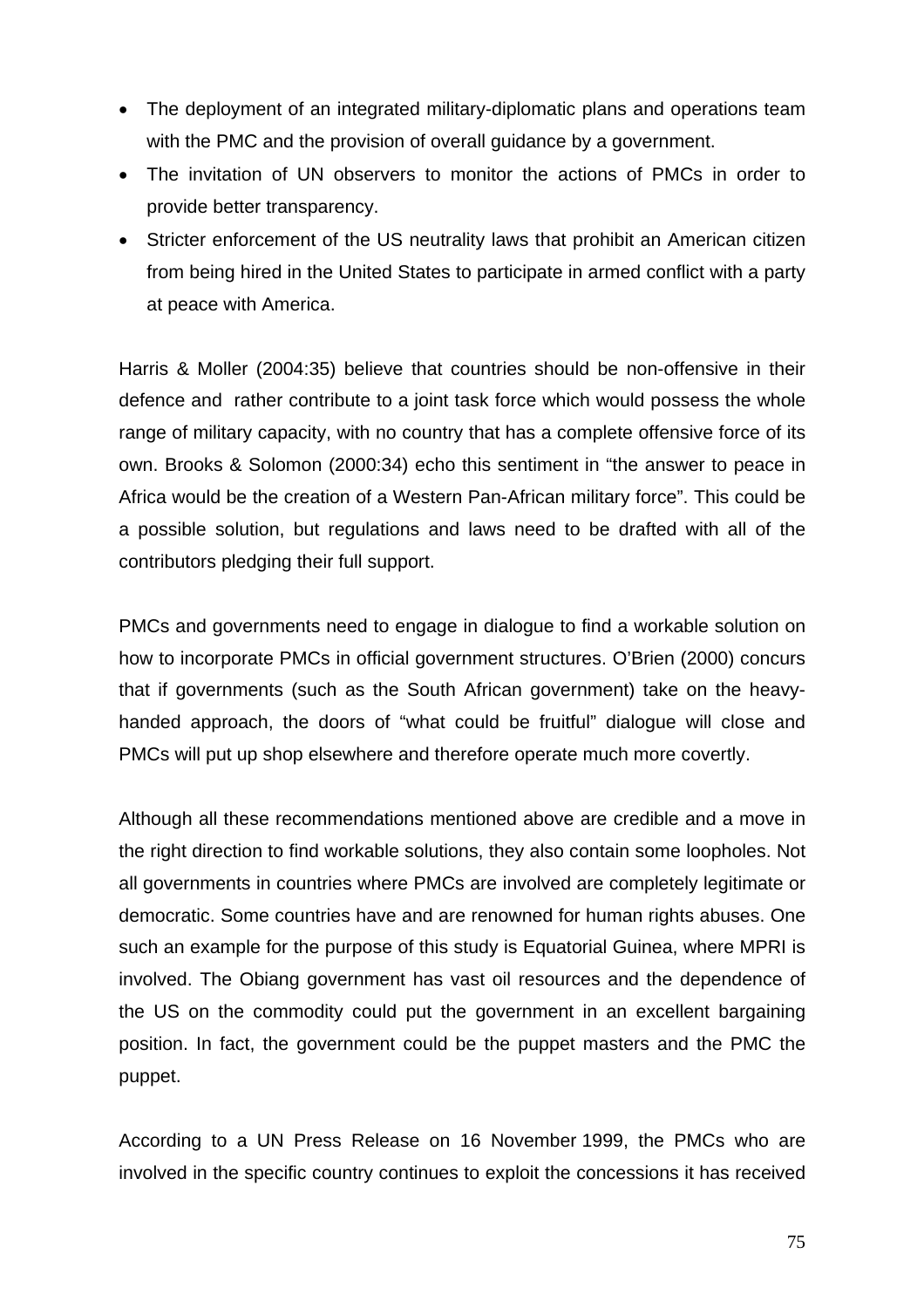- The deployment of an integrated military-diplomatic plans and operations team with the PMC and the provision of overall guidance by a government.
- The invitation of UN observers to monitor the actions of PMCs in order to provide better transparency.
- Stricter enforcement of the US neutrality laws that prohibit an American citizen from being hired in the United States to participate in armed conflict with a party at peace with America.

Harris & Moller (2004:35) believe that countries should be non-offensive in their defence and rather contribute to a joint task force which would possess the whole range of military capacity, with no country that has a complete offensive force of its own. Brooks & Solomon (2000:34) echo this sentiment in "the answer to peace in Africa would be the creation of a Western Pan-African military force". This could be a possible solution, but regulations and laws need to be drafted with all of the contributors pledging their full support.

PMCs and governments need to engage in dialogue to find a workable solution on how to incorporate PMCs in official government structures. O'Brien (2000) concurs that if governments (such as the South African government) take on the heavyhanded approach, the doors of "what could be fruitful" dialogue will close and PMCs will put up shop elsewhere and therefore operate much more covertly.

Although all these recommendations mentioned above are credible and a move in the right direction to find workable solutions, they also contain some loopholes. Not all governments in countries where PMCs are involved are completely legitimate or democratic. Some countries have and are renowned for human rights abuses. One such an example for the purpose of this study is Equatorial Guinea, where MPRI is involved. The Obiang government has vast oil resources and the dependence of the US on the commodity could put the government in an excellent bargaining position. In fact, the government could be the puppet masters and the PMC the puppet.

According to a UN Press Release on 16 November 1999, the PMCs who are involved in the specific country continues to exploit the concessions it has received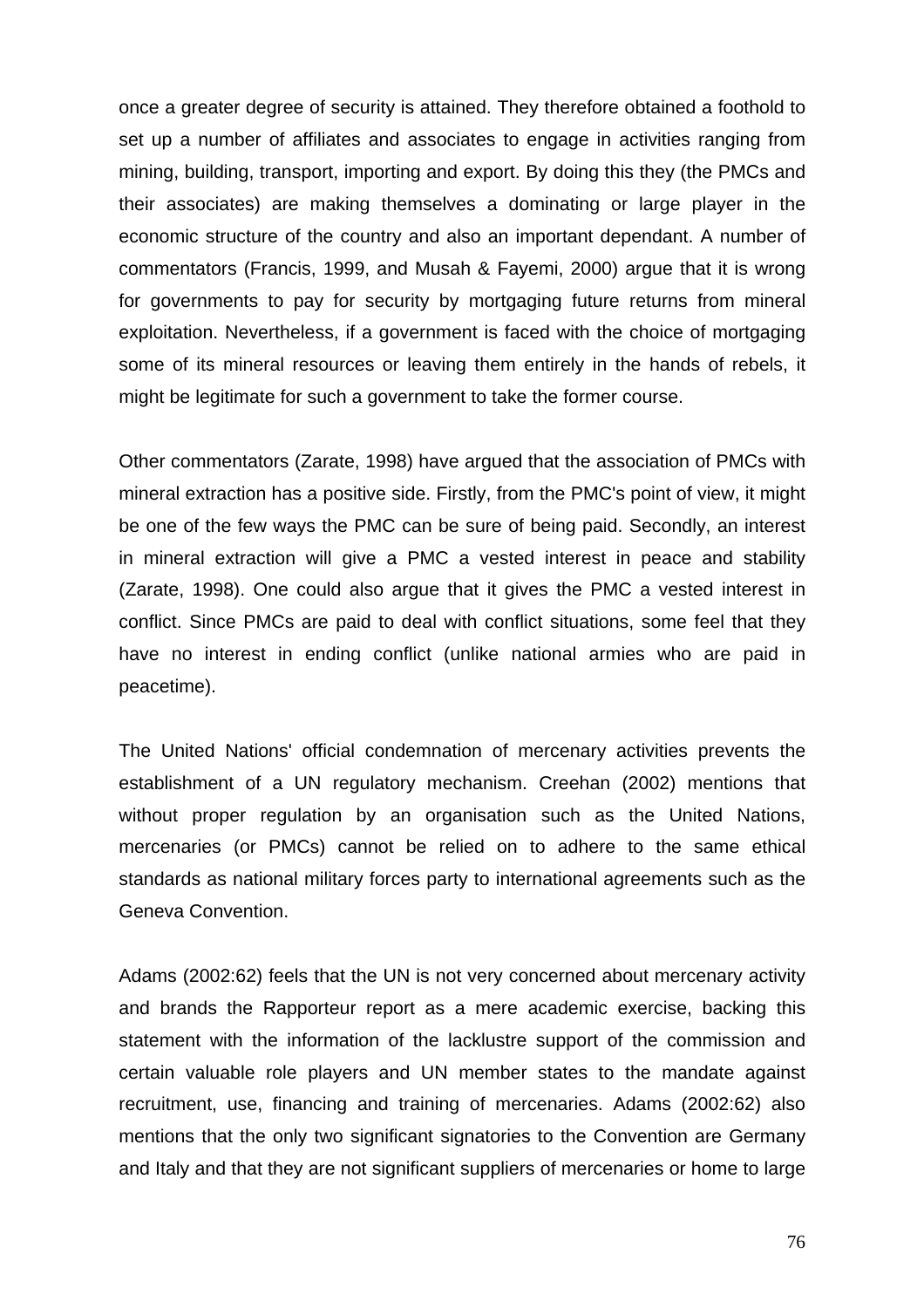once a greater degree of security is attained. They therefore obtained a foothold to set up a number of affiliates and associates to engage in activities ranging from mining, building, transport, importing and export. By doing this they (the PMCs and their associates) are making themselves a dominating or large player in the economic structure of the country and also an important dependant. A number of commentators (Francis, 1999, and Musah & Fayemi, 2000) argue that it is wrong for governments to pay for security by mortgaging future returns from mineral exploitation. Nevertheless, if a government is faced with the choice of mortgaging some of its mineral resources or leaving them entirely in the hands of rebels, it might be legitimate for such a government to take the former course.

Other commentators (Zarate, 1998) have argued that the association of PMCs with mineral extraction has a positive side. Firstly, from the PMC's point of view, it might be one of the few ways the PMC can be sure of being paid. Secondly, an interest in mineral extraction will give a PMC a vested interest in peace and stability (Zarate, 1998). One could also argue that it gives the PMC a vested interest in conflict. Since PMCs are paid to deal with conflict situations, some feel that they have no interest in ending conflict (unlike national armies who are paid in peacetime).

The United Nations' official condemnation of mercenary activities prevents the establishment of a UN regulatory mechanism. Creehan (2002) mentions that without proper regulation by an organisation such as the United Nations, mercenaries (or PMCs) cannot be relied on to adhere to the same ethical standards as national military forces party to international agreements such as the Geneva Convention.

Adams (2002:62) feels that the UN is not very concerned about mercenary activity and brands the Rapporteur report as a mere academic exercise, backing this statement with the information of the lacklustre support of the commission and certain valuable role players and UN member states to the mandate against recruitment, use, financing and training of mercenaries. Adams (2002:62) also mentions that the only two significant signatories to the Convention are Germany and Italy and that they are not significant suppliers of mercenaries or home to large

76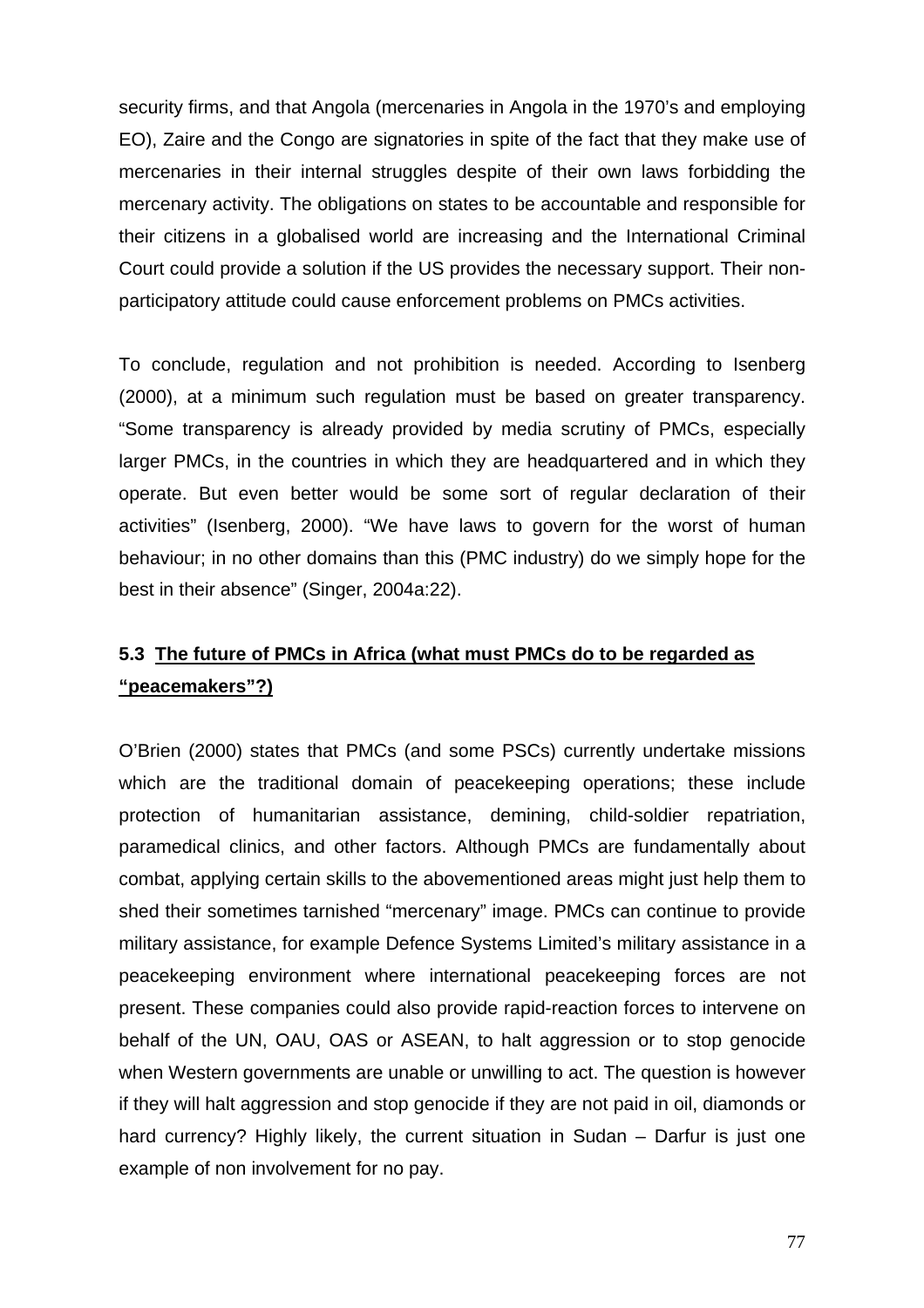security firms, and that Angola (mercenaries in Angola in the 1970's and employing EO), Zaire and the Congo are signatories in spite of the fact that they make use of mercenaries in their internal struggles despite of their own laws forbidding the mercenary activity. The obligations on states to be accountable and responsible for their citizens in a globalised world are increasing and the International Criminal Court could provide a solution if the US provides the necessary support. Their nonparticipatory attitude could cause enforcement problems on PMCs activities.

To conclude, regulation and not prohibition is needed. According to Isenberg (2000), at a minimum such regulation must be based on greater transparency. "Some transparency is already provided by media scrutiny of PMCs, especially larger PMCs, in the countries in which they are headquartered and in which they operate. But even better would be some sort of regular declaration of their activities" (Isenberg, 2000). "We have laws to govern for the worst of human behaviour; in no other domains than this (PMC industry) do we simply hope for the best in their absence" (Singer, 2004a:22).

## **5.3 The future of PMCs in Africa (what must PMCs do to be regarded as "peacemakers"?)**

O'Brien (2000) states that PMCs (and some PSCs) currently undertake missions which are the traditional domain of peacekeeping operations; these include protection of humanitarian assistance, demining, child-soldier repatriation, paramedical clinics, and other factors. Although PMCs are fundamentally about combat, applying certain skills to the abovementioned areas might just help them to shed their sometimes tarnished "mercenary" image. PMCs can continue to provide military assistance, for example Defence Systems Limited's military assistance in a peacekeeping environment where international peacekeeping forces are not present. These companies could also provide rapid-reaction forces to intervene on behalf of the UN, OAU, OAS or ASEAN, to halt aggression or to stop genocide when Western governments are unable or unwilling to act. The question is however if they will halt aggression and stop genocide if they are not paid in oil, diamonds or hard currency? Highly likely, the current situation in Sudan – Darfur is just one example of non involvement for no pay.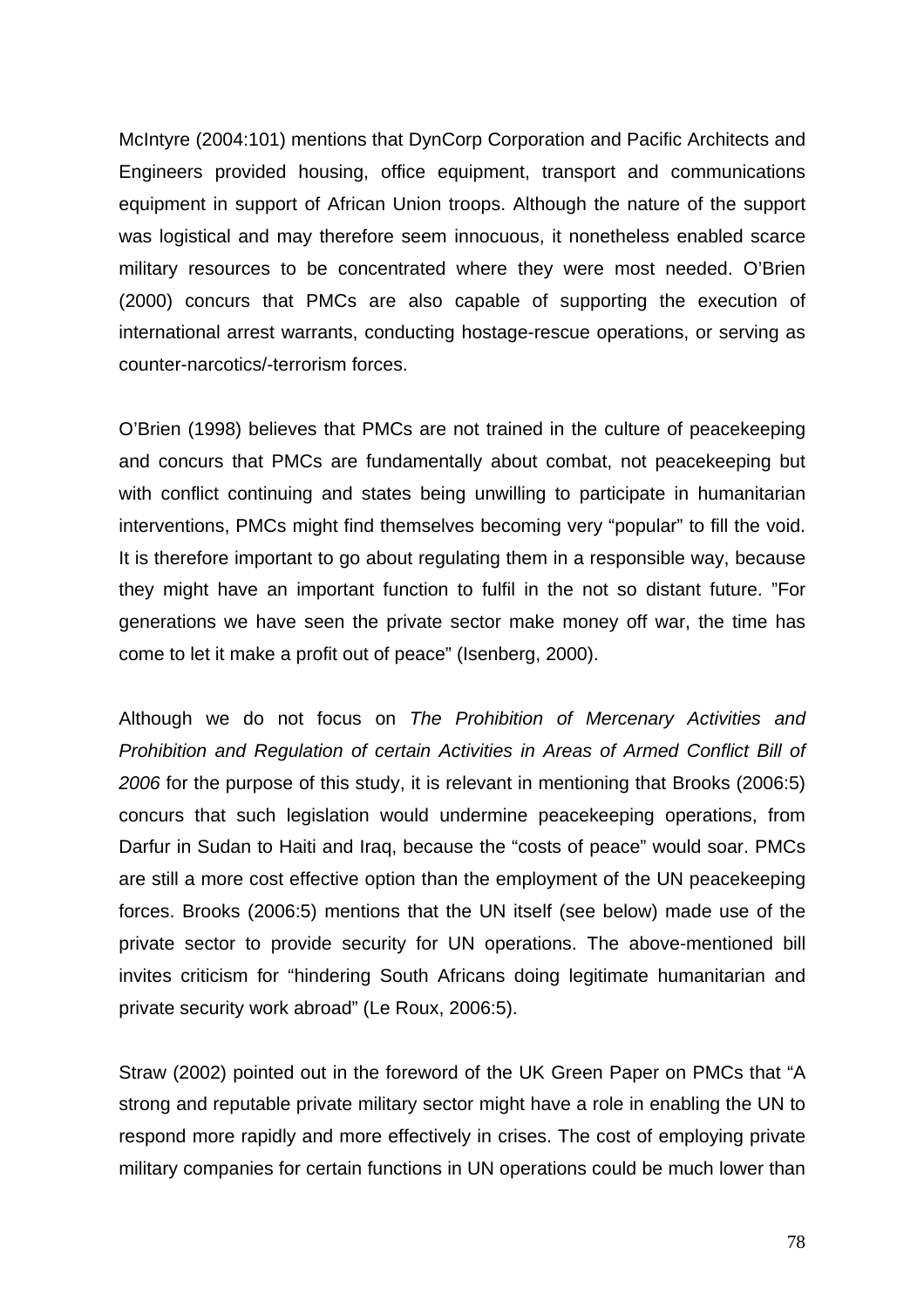McIntyre (2004:101) mentions that DynCorp Corporation and Pacific Architects and Engineers provided housing, office equipment, transport and communications equipment in support of African Union troops. Although the nature of the support was logistical and may therefore seem innocuous, it nonetheless enabled scarce military resources to be concentrated where they were most needed. O'Brien (2000) concurs that PMCs are also capable of supporting the execution of international arrest warrants, conducting hostage-rescue operations, or serving as counter-narcotics/-terrorism forces.

O'Brien (1998) believes that PMCs are not trained in the culture of peacekeeping and concurs that PMCs are fundamentally about combat, not peacekeeping but with conflict continuing and states being unwilling to participate in humanitarian interventions, PMCs might find themselves becoming very "popular" to fill the void. It is therefore important to go about regulating them in a responsible way, because they might have an important function to fulfil in the not so distant future. "For generations we have seen the private sector make money off war, the time has come to let it make a profit out of peace" (Isenberg, 2000).

Although we do not focus on *The Prohibition of Mercenary Activities and Prohibition and Regulation of certain Activities in Areas of Armed Conflict Bill of 2006* for the purpose of this study, it is relevant in mentioning that Brooks (2006:5) concurs that such legislation would undermine peacekeeping operations, from Darfur in Sudan to Haiti and Iraq, because the "costs of peace" would soar. PMCs are still a more cost effective option than the employment of the UN peacekeeping forces. Brooks (2006:5) mentions that the UN itself (see below) made use of the private sector to provide security for UN operations. The above-mentioned bill invites criticism for "hindering South Africans doing legitimate humanitarian and private security work abroad" (Le Roux, 2006:5).

Straw (2002) pointed out in the foreword of the UK Green Paper on PMCs that "A strong and reputable private military sector might have a role in enabling the UN to respond more rapidly and more effectively in crises. The cost of employing private military companies for certain functions in UN operations could be much lower than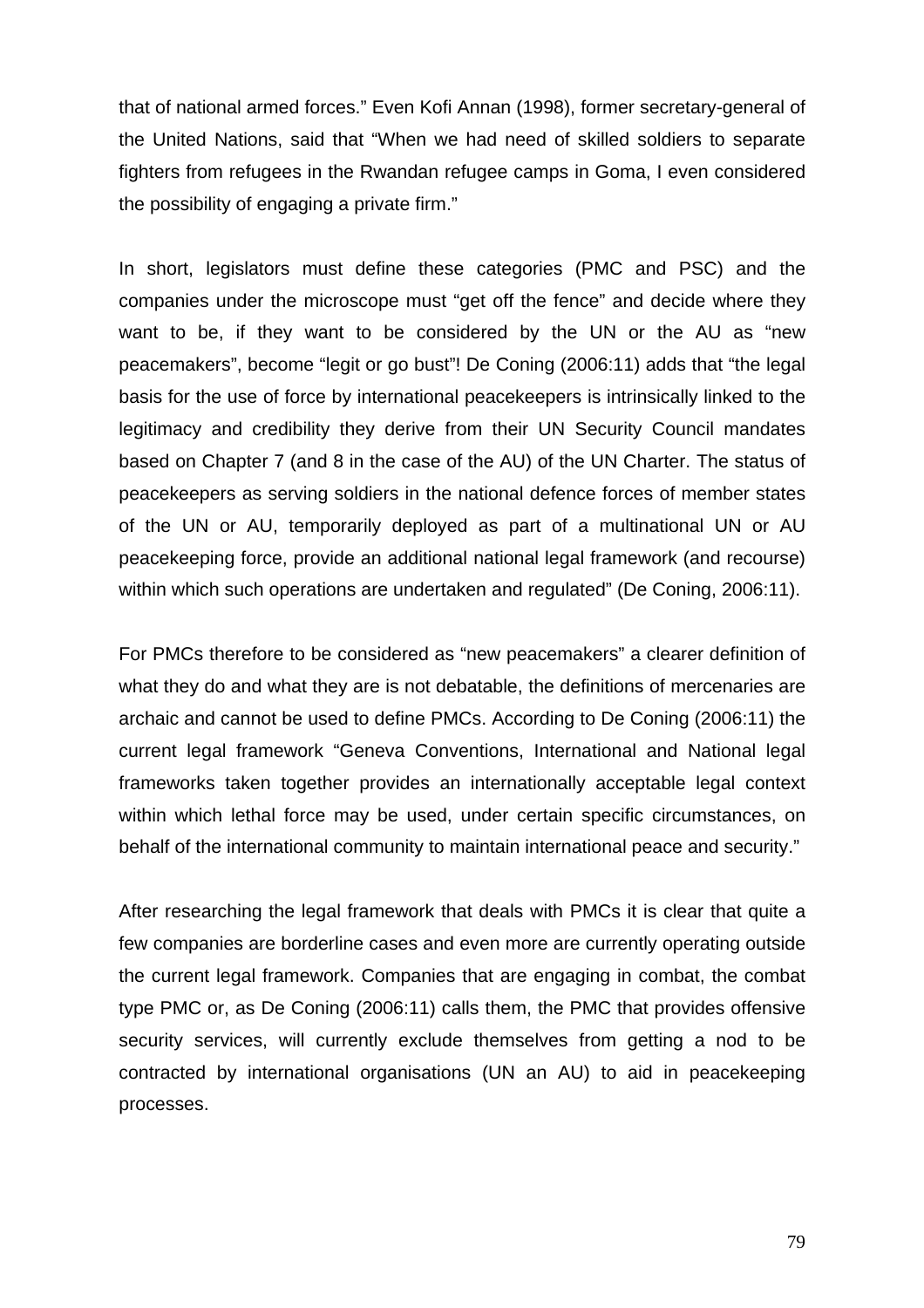that of national armed forces." Even Kofi Annan (1998), former secretary-general of the United Nations, said that "When we had need of skilled soldiers to separate fighters from refugees in the Rwandan refugee camps in Goma, I even considered the possibility of engaging a private firm."

In short, legislators must define these categories (PMC and PSC) and the companies under the microscope must "get off the fence" and decide where they want to be, if they want to be considered by the UN or the AU as "new peacemakers", become "legit or go bust"! De Coning (2006:11) adds that "the legal basis for the use of force by international peacekeepers is intrinsically linked to the legitimacy and credibility they derive from their UN Security Council mandates based on Chapter 7 (and 8 in the case of the AU) of the UN Charter. The status of peacekeepers as serving soldiers in the national defence forces of member states of the UN or AU, temporarily deployed as part of a multinational UN or AU peacekeeping force, provide an additional national legal framework (and recourse) within which such operations are undertaken and regulated" (De Coning, 2006:11).

For PMCs therefore to be considered as "new peacemakers" a clearer definition of what they do and what they are is not debatable, the definitions of mercenaries are archaic and cannot be used to define PMCs. According to De Coning (2006:11) the current legal framework "Geneva Conventions, International and National legal frameworks taken together provides an internationally acceptable legal context within which lethal force may be used, under certain specific circumstances, on behalf of the international community to maintain international peace and security."

After researching the legal framework that deals with PMCs it is clear that quite a few companies are borderline cases and even more are currently operating outside the current legal framework. Companies that are engaging in combat, the combat type PMC or, as De Coning (2006:11) calls them, the PMC that provides offensive security services, will currently exclude themselves from getting a nod to be contracted by international organisations (UN an AU) to aid in peacekeeping processes.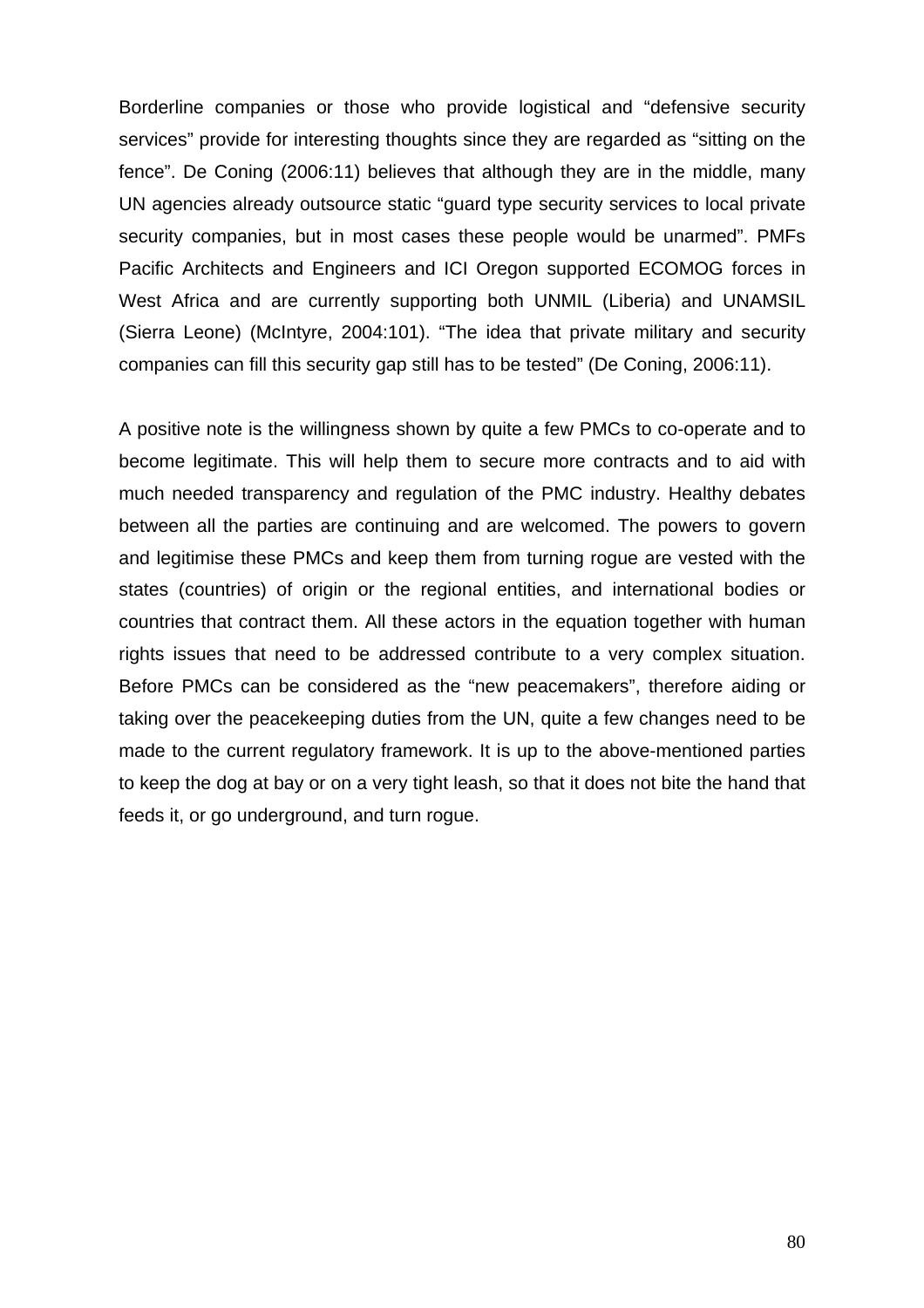Borderline companies or those who provide logistical and "defensive security services" provide for interesting thoughts since they are regarded as "sitting on the fence". De Coning (2006:11) believes that although they are in the middle, many UN agencies already outsource static "guard type security services to local private security companies, but in most cases these people would be unarmed". PMFs Pacific Architects and Engineers and ICI Oregon supported ECOMOG forces in West Africa and are currently supporting both UNMIL (Liberia) and UNAMSIL (Sierra Leone) (McIntyre, 2004:101). "The idea that private military and security companies can fill this security gap still has to be tested" (De Coning, 2006:11).

A positive note is the willingness shown by quite a few PMCs to co-operate and to become legitimate. This will help them to secure more contracts and to aid with much needed transparency and regulation of the PMC industry. Healthy debates between all the parties are continuing and are welcomed. The powers to govern and legitimise these PMCs and keep them from turning rogue are vested with the states (countries) of origin or the regional entities, and international bodies or countries that contract them. All these actors in the equation together with human rights issues that need to be addressed contribute to a very complex situation. Before PMCs can be considered as the "new peacemakers", therefore aiding or taking over the peacekeeping duties from the UN, quite a few changes need to be made to the current regulatory framework. It is up to the above-mentioned parties to keep the dog at bay or on a very tight leash, so that it does not bite the hand that feeds it, or go underground, and turn rogue.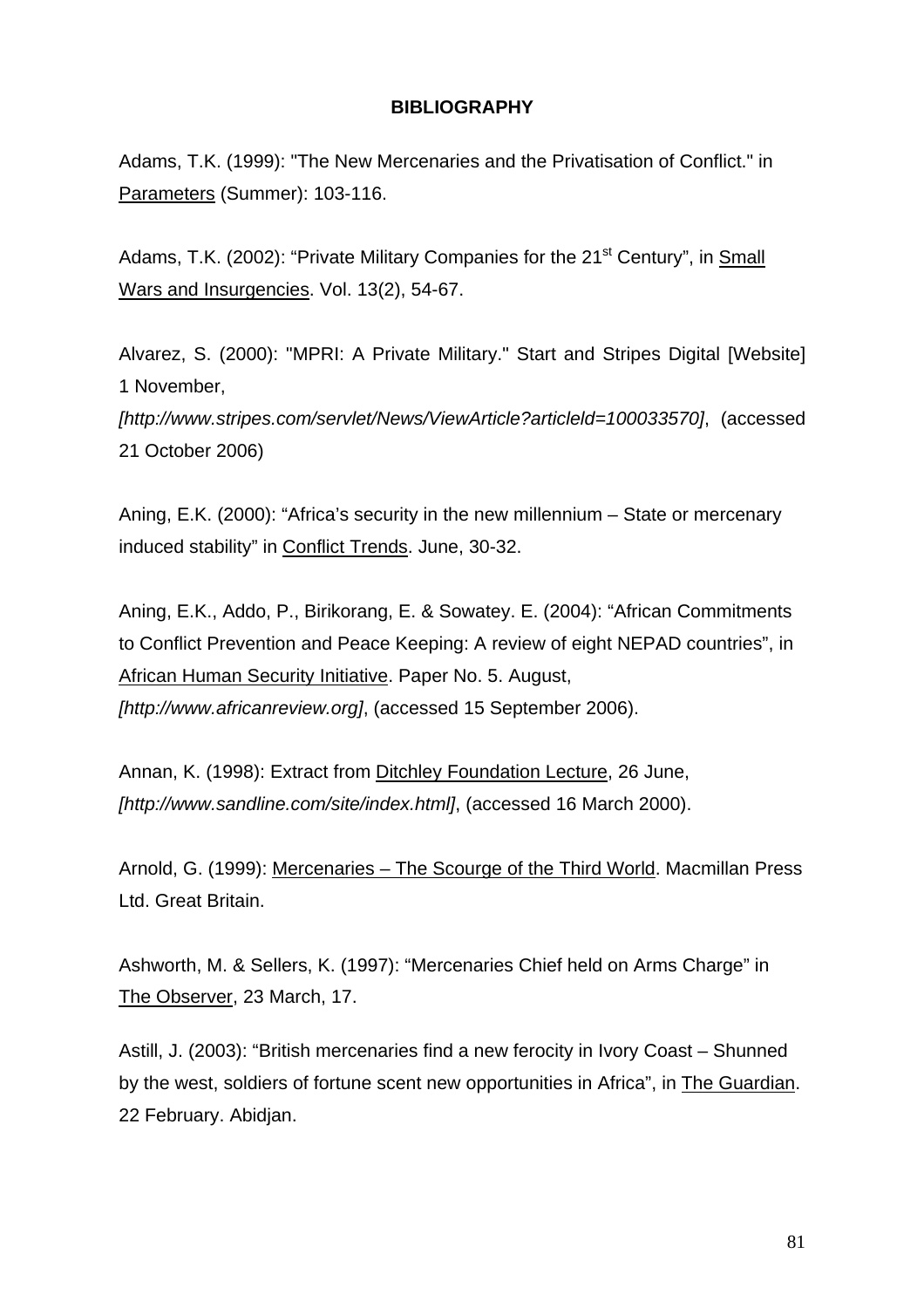## **BIBLIOGRAPHY**

Adams, T.K. (1999): "The New Mercenaries and the Privatisation of Conflict." in Parameters (Summer): 103-116.

Adams, T.K. (2002): "Private Military Companies for the 21<sup>st</sup> Century", in Small Wars and Insurgencies. Vol. 13(2), 54-67.

Alvarez, S. (2000): "MPRI: A Private Military." Start and Stripes Digital [Website] 1 November,

*[http://www.stripes.com/servlet/News/ViewArticle?articleld=100033570]*, (accessed 21 October 2006)

Aning, E.K. (2000): "Africa's security in the new millennium – State or mercenary induced stability" in Conflict Trends. June, 30-32.

Aning, E.K., Addo, P., Birikorang, E. & Sowatey. E. (2004): "African Commitments to Conflict Prevention and Peace Keeping: A review of eight NEPAD countries", in African Human Security Initiative. Paper No. 5. August, *[http://[www.africanreview.org\]](http://www.africanreview.org/)*, (accessed 15 September 2006).

Annan, K. (1998): Extract from Ditchley Foundation Lecture, 26 June, *[[http://www.sandline.com/site/index.html\]](http://www.sandline.com/site/index.html)*, (accessed 16 March 2000).

Arnold, G. (1999): Mercenaries – The Scourge of the Third World. Macmillan Press Ltd. Great Britain.

Ashworth, M. & Sellers, K. (1997): "Mercenaries Chief held on Arms Charge" in The Observer, 23 March, 17.

Astill, J. (2003): "British mercenaries find a new ferocity in Ivory Coast – Shunned by the west, soldiers of fortune scent new opportunities in Africa", in The Guardian. 22 February. Abidjan.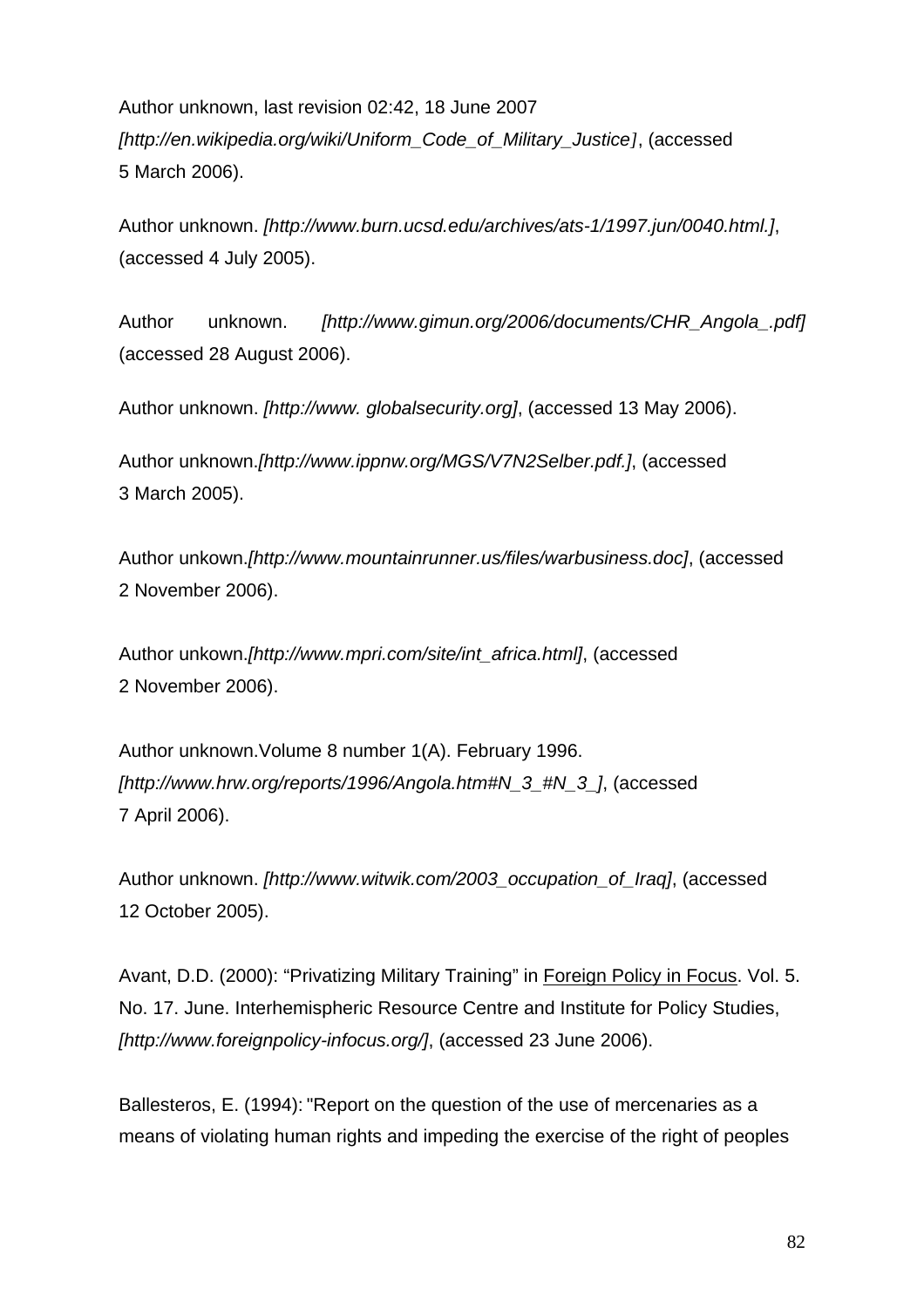Author unknown, last revision 02:42, 18 June 2007 *[[http://en.wikipedia.org/wiki/Uniform\\_Code\\_of\\_Military\\_Justice](http://en.wikipedia.org/wiki/Uniform_Code_of_Military_Justice)]*, (accessed 5 March 2006).

Author unknown. *[http://www.burn.ucsd.edu/archives/ats-1/1997.jun/0040.html.]*, (accessed 4 July 2005).

Author unknown. *[[http://www.gimun.org/2006/documents/CHR\\_Angola\\_.pdf](http://www.gimun.org/2006/documents/CHR_Angola_.pdf)]* (accessed 28 August 2006).

Author unknown. *[http://www. [globalsecurity.org\]](http://www.globalsecurity.org/)*, (accessed 13 May 2006).

Author unknown.*[http://www.ippnw.org/MGS/V7N2Selber.pdf.]*, (accessed 3 March 2005).

Author unkown.*[http://www.mountainrunner.us/files/warbusiness.doc]*, (accessed 2 November 2006).

Author unkown.*[http://www.mpri.com/site/int\_africa.html]*, (accessed 2 November 2006).

Author unknown.Volume 8 number 1(A). February 1996. *[[http://www.hrw.org/reports/1996/Angola.htm#N\\_3\\_#N\\_3\\_\]](http://www.hrw.org/reports/1996/Angola.htm#N_3_#N_3_)*, (accessed 7 April 2006).

Author unknown. *[\[http://www.witwik.com/2003\\_occupation\\_of](http://www.witwik.com/2003_occupation_of)\_Iraq]*, (accessed 12 October 2005).

Avant, D.D. (2000): "Privatizing Military Training" in Foreign Policy in Focus. Vol. 5. No. 17. June. Interhemispheric Resource Centre and Institute for Policy Studies, *[http://www.foreignpolicy-infocus.org/]*, (accessed 23 June 2006).

Ballesteros, E. (1994): "Report on the question of the use of mercenaries as a means of violating human rights and impeding the exercise of the right of peoples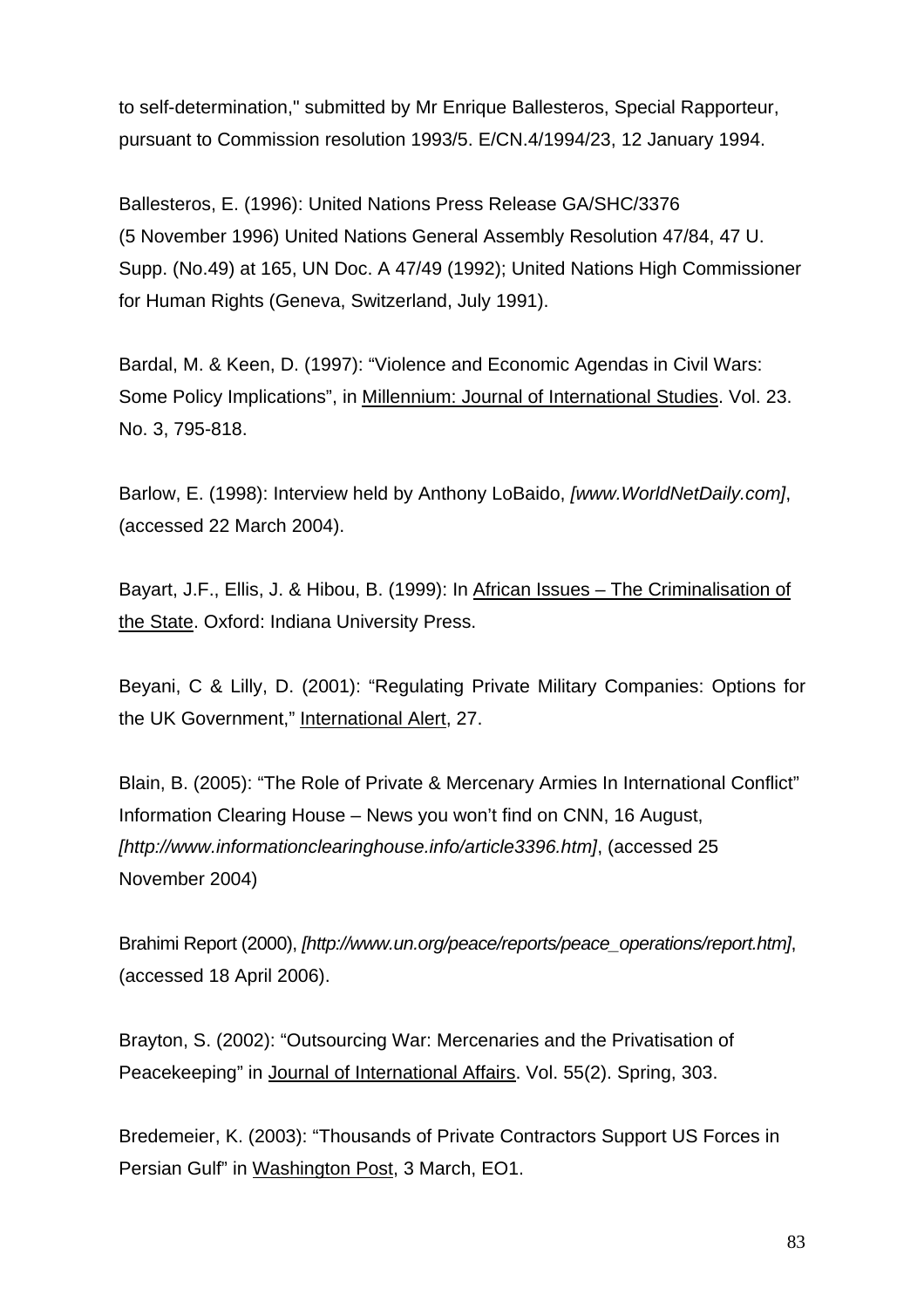to self-determination," submitted by Mr Enrique Ballesteros, Special Rapporteur, pursuant to Commission resolution 1993/5. E/CN.4/1994/23, 12 January 1994.

Ballesteros, E. (1996): United Nations Press Release GA/SHC/3376 (5 November 1996) United Nations General Assembly Resolution 47/84, 47 U. Supp. (No.49) at 165, UN Doc. A 47/49 (1992); United Nations High Commissioner for Human Rights (Geneva, Switzerland, July 1991).

Bardal, M. & Keen, D. (1997): "Violence and Economic Agendas in Civil Wars: Some Policy Implications", in Millennium: Journal of International Studies. Vol. 23. No. 3, 795-818.

Barlow, E. (1998): Interview held by Anthony LoBaido, *[www.WorldNetDaily.com]*, (accessed 22 March 2004).

Bayart, J.F., Ellis, J. & Hibou, B. (1999): In African Issues – The Criminalisation of the State. Oxford: Indiana University Press.

Beyani, C & Lilly, D. (2001): "Regulating Private Military Companies: Options for the UK Government," International Alert, 27.

Blain, B. (2005): "The Role of Private & Mercenary Armies In International Conflict" Information Clearing House – News you won't find on CNN, 16 August, *[http://www.informationclearinghouse.info/article3396.htm]*, (accessed 25 November 2004)

Brahimi Report (2000), *[\[http://www.un.org/peace/reports/peace\\_operations/report.htm\]](http://www.un.org/peace/reports/peace_operations/report.htm)*, (accessed 18 April 2006).

Brayton, S. (2002): "Outsourcing War: Mercenaries and the Privatisation of Peacekeeping" in Journal of International Affairs. Vol. 55(2). Spring, 303.

Bredemeier, K. (2003): "Thousands of Private Contractors Support US Forces in Persian Gulf" in Washington Post, 3 March, EO1.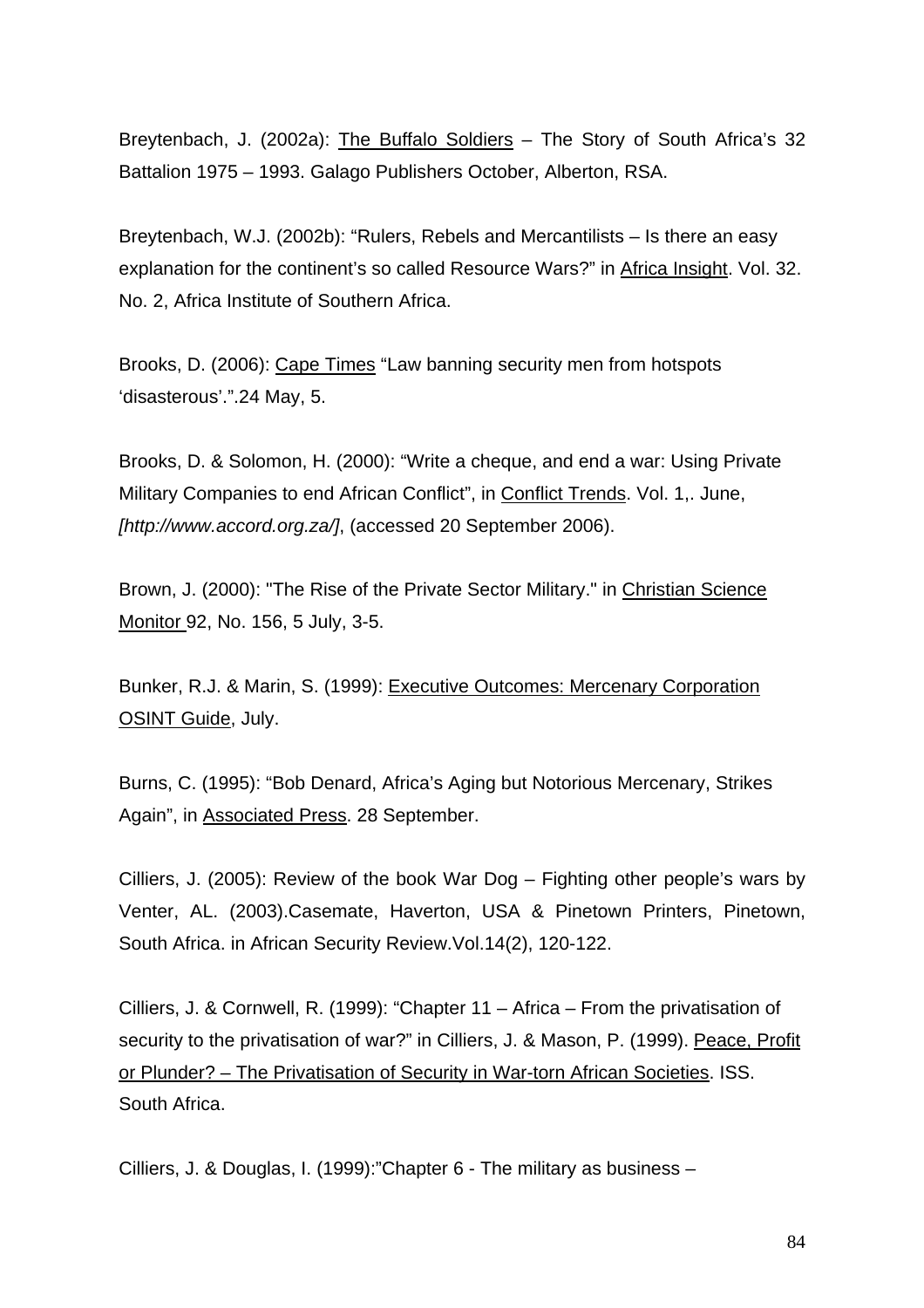Breytenbach, J. (2002a): The Buffalo Soldiers - The Story of South Africa's 32 Battalion 1975 – 1993. Galago Publishers October, Alberton, RSA.

Breytenbach, W.J. (2002b): "Rulers, Rebels and Mercantilists – Is there an easy explanation for the continent's so called Resource Wars?" in Africa Insight. Vol. 32. No. 2, Africa Institute of Southern Africa.

Brooks, D. (2006): Cape Times "Law banning security men from hotspots 'disasterous'.".24 May, 5.

Brooks, D. & Solomon, H. (2000): "Write a cheque, and end a war: Using Private Military Companies to end African Conflict", in Conflict Trends. Vol. 1,. June, *[http://www.accord.org.za/]*, (accessed 20 September 2006).

Brown, J. (2000): "The Rise of the Private Sector Military." in Christian Science Monitor 92, No. 156, 5 July, 3-5.

Bunker, R.J. & Marin, S. (1999): [Executive Outcomes: Mercenary Corporation](http://call.army.mil/fmso/fmsopubs/issues/merc.htm)  [OSINT Guide,](http://call.army.mil/fmso/fmsopubs/issues/merc.htm) July.

Burns, C. (1995): "Bob Denard, Africa's Aging but Notorious Mercenary, Strikes Again", in Associated Press. 28 September.

Cilliers, J. (2005): Review of the book War Dog – Fighting other people's wars by Venter, AL. (2003).Casemate, Haverton, USA & Pinetown Printers, Pinetown, South Africa. in African Security Review.Vol.14(2), 120-122.

Cilliers, J. & Cornwell, R. (1999): "Chapter 11 – Africa – From the privatisation of security to the privatisation of war?" in Cilliers, J. & Mason, P. (1999). Peace, Profit or Plunder? – The Privatisation of Security in War-torn African Societies. ISS. South Africa.

Cilliers, J. & Douglas, I. (1999):"Chapter 6 - The military as business –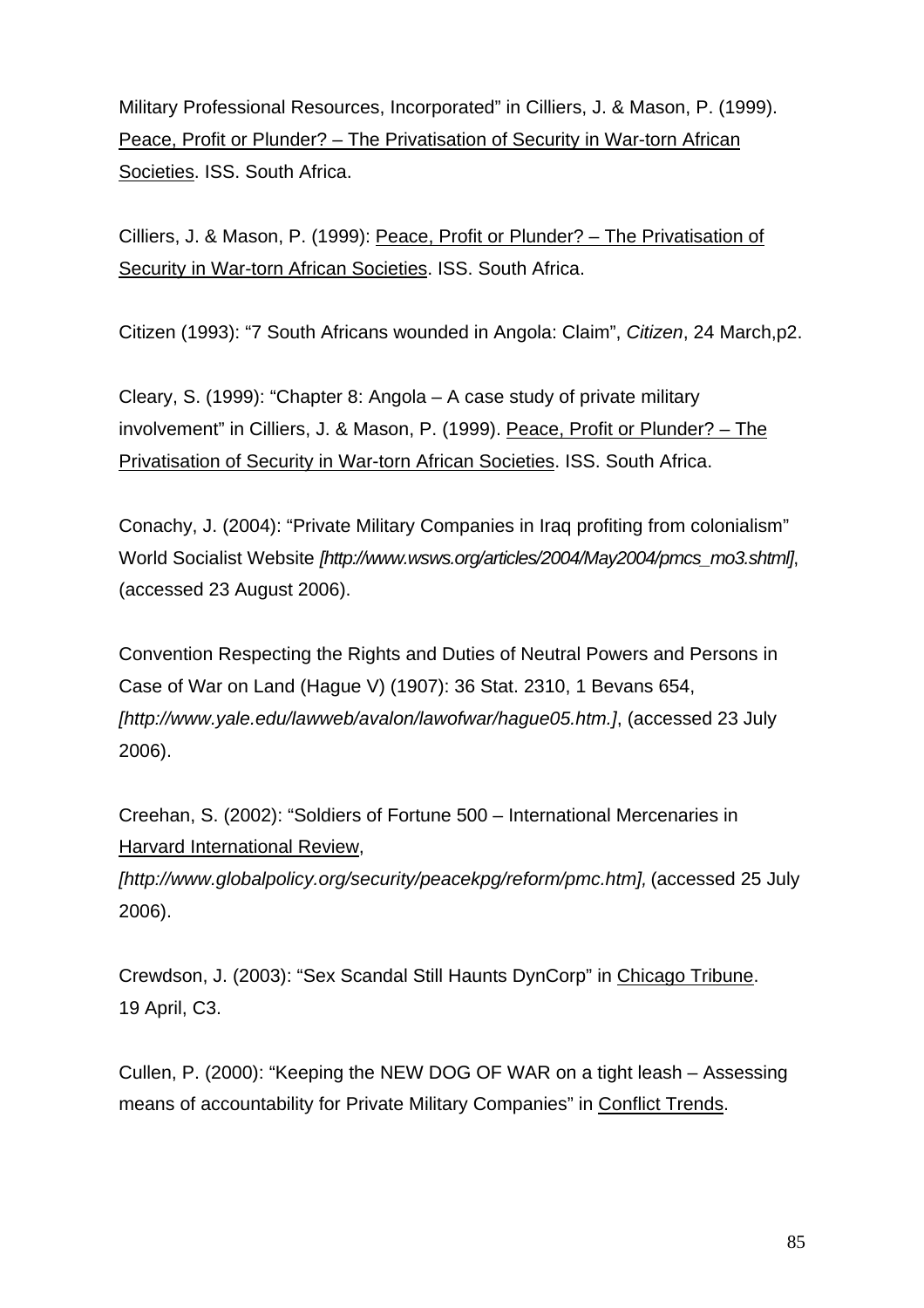Military Professional Resources, Incorporated" in Cilliers, J. & Mason, P. (1999). Peace, Profit or Plunder? – The Privatisation of Security in War-torn African Societies. ISS. South Africa.

Cilliers, J. & Mason, P. (1999): Peace, Profit or Plunder? – The Privatisation of Security in War-torn African Societies. ISS. South Africa.

Citizen (1993): "7 South Africans wounded in Angola: Claim", *Citizen*, 24 March,p2.

Cleary, S. (1999): "Chapter 8: Angola – A case study of private military involvement" in Cilliers, J. & Mason, P. (1999). Peace, Profit or Plunder? – The Privatisation of Security in War-torn African Societies. ISS. South Africa.

Conachy, J. (2004): "Private Military Companies in Iraq profiting from colonialism" World Socialist Website *[http://www.wsws.org/articles/2004/May2004/pmcs\_mo3.shtml]*, (accessed 23 August 2006).

Convention Respecting the Rights and Duties of Neutral Powers and Persons in Case of War on Land (Hague V) (1907): 36 Stat. 2310, 1 Bevans 654, *[http://www.yale.edu/lawweb/avalon/lawofwar/hague05.htm.]*, (accessed 23 July 2006).

Creehan, S. (2002): "Soldiers of Fortune 500 – International Mercenaries in Harvard International Review,

*[http://www.globalpolicy.org/security/peacekpg/reform/pmc.htm],* (accessed 25 July 2006).

Crewdson, J. (2003): "Sex Scandal Still Haunts DynCorp" in Chicago Tribune. 19 April, C3.

Cullen, P. (2000): "Keeping the NEW DOG OF WAR on a tight leash – Assessing means of accountability for Private Military Companies" in Conflict Trends.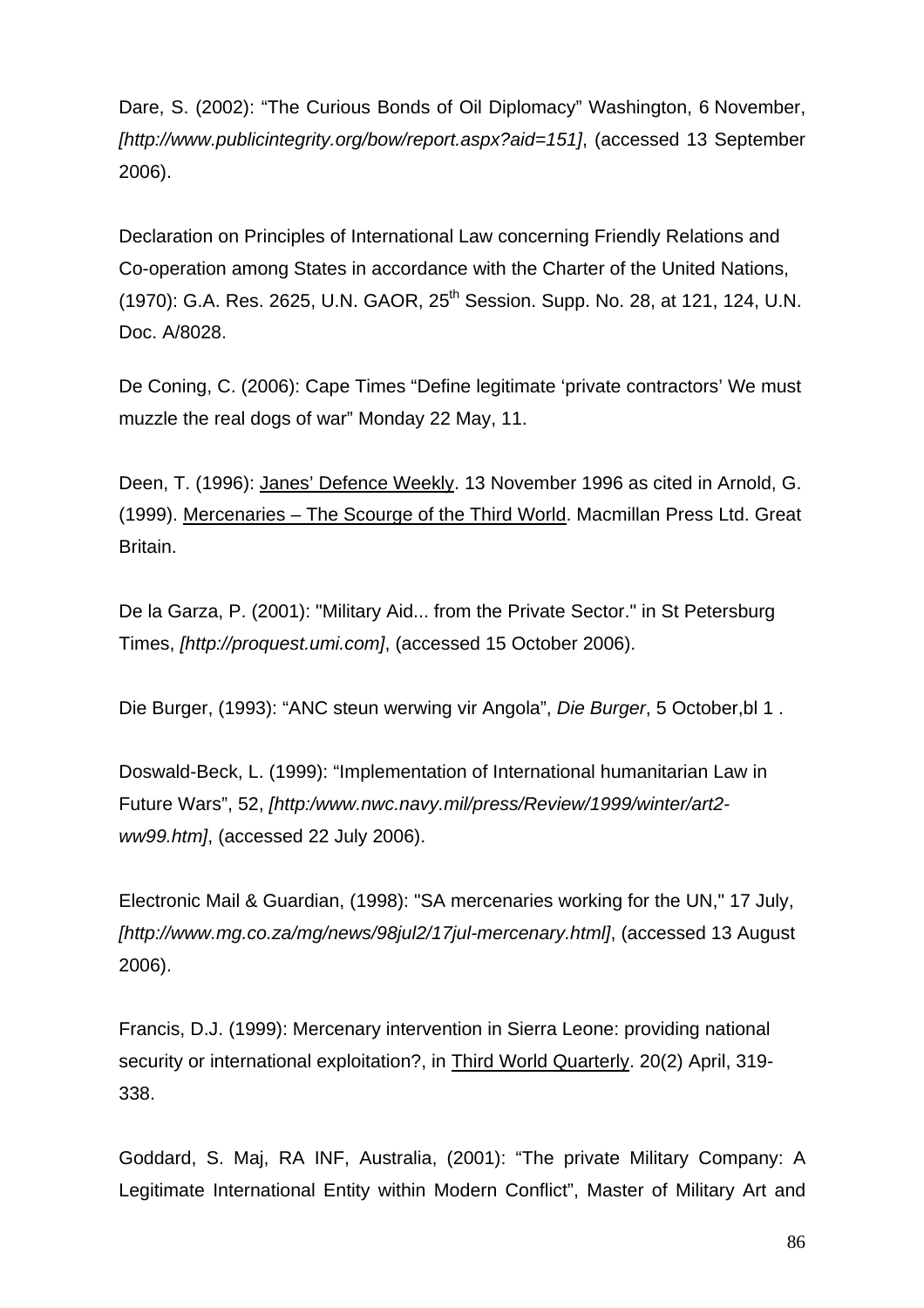Dare, S. (2002): "The Curious Bonds of Oil Diplomacy" Washington, 6 November, *[[http://www.publicintegrity.org/bow/report.aspx?aid=151\]](http://www.publicintegrity.org/bow/report.aspx?aid=151)*, (accessed 13 September 2006).

Declaration on Principles of International Law concerning Friendly Relations and Co-operation among States in accordance with the Charter of the United Nations, (1970): G.A. Res. 2625, U.N. GAOR, 25<sup>th</sup> Session. Supp. No. 28, at 121, 124, U.N. Doc. A/8028.

De Coning, C. (2006): Cape Times "Define legitimate 'private contractors' We must muzzle the real dogs of war" Monday 22 May, 11.

Deen, T. (1996): Janes' Defence Weekly. 13 November 1996 as cited in Arnold, G. (1999). Mercenaries – The Scourge of the Third World. Macmillan Press Ltd. Great Britain.

De la Garza, P. (2001): "Military Aid... from the Private Sector." in St Petersburg Times, *[http://proquest.umi.com]*, (accessed 15 October 2006).

Die Burger, (1993): "ANC steun werwing vir Angola", *Die Burger*, 5 October,bl 1 .

Doswald-Beck, L. (1999): "Implementation of International humanitarian Law in Future Wars", 52, *[http:/www.nwc.navy.mil/press/Review/1999/winter/art2 ww99.htm]*, (accessed 22 July 2006).

Electronic Mail & Guardian, (1998): "SA mercenaries working for the UN," 17 July, *[[http://www.mg.co.za/mg/news/98jul2/17jul-mercenary.html\]](http://www.mg.co.za/mg/news/98jul2/17jul-mercenary.html)*, (accessed 13 August 2006).

Francis, D.J. (1999): Mercenary intervention in Sierra Leone: providing national security or international exploitation?, in Third World Quarterly. 20(2) April, 319- 338.

Goddard, S. Maj, RA INF, Australia, (2001): "The private Military Company: A Legitimate International Entity within Modern Conflict", Master of Military Art and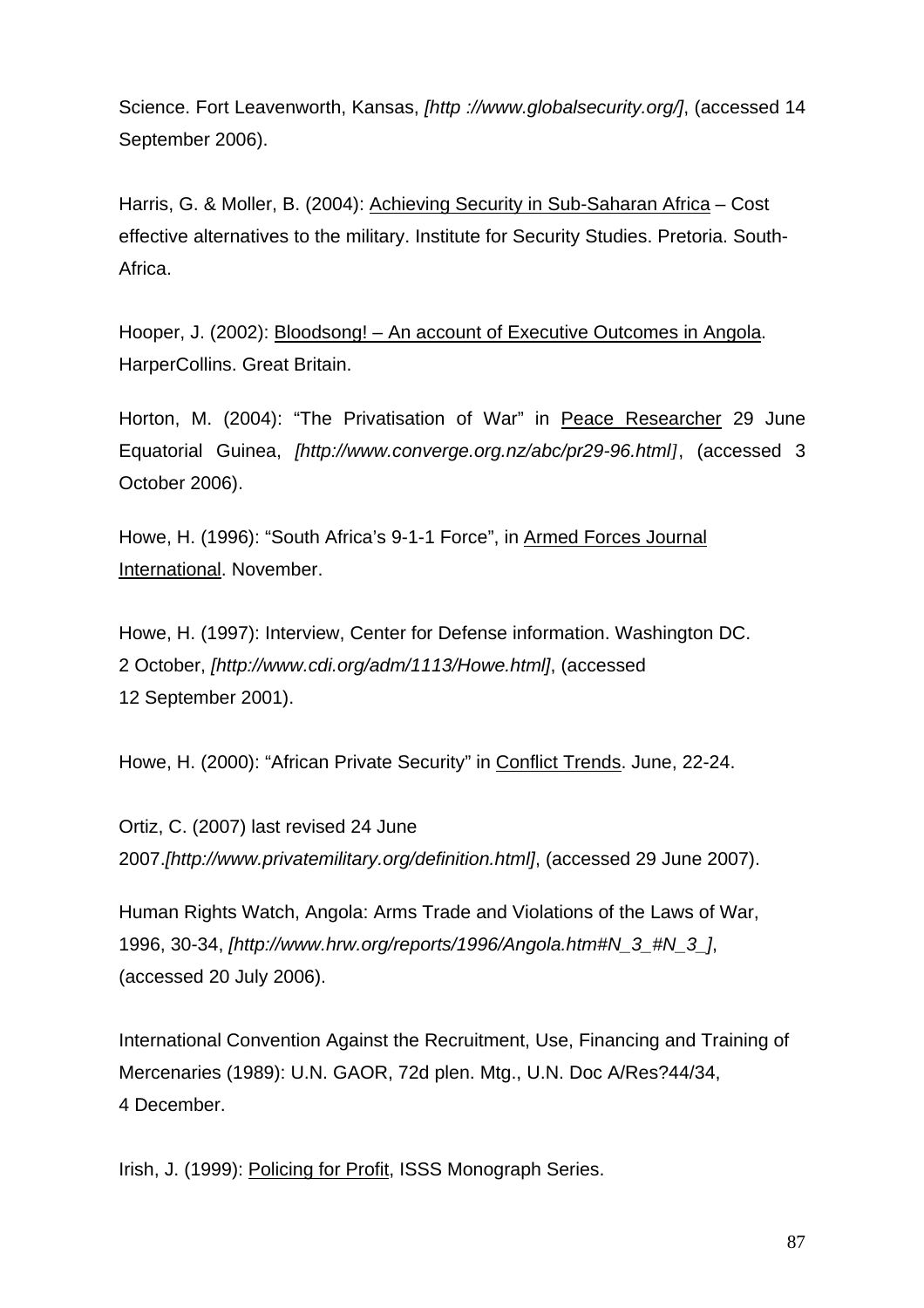Science. Fort Leavenworth, Kansas, *[[http ://www.globalsecurity.org/\]](http://www.globalsecurity.org/military/library/report/2001/pmc-legitimate-entity.pdf)*, (accessed 14 September 2006).

Harris, G. & Moller, B. (2004): Achieving Security in Sub-Saharan Africa – Cost effective alternatives to the military. Institute for Security Studies. Pretoria. South-Africa.

Hooper, J. (2002): Bloodsong! – An account of Executive Outcomes in Angola. HarperCollins. Great Britain.

Horton, M. (2004): "The Privatisation of War" in Peace Researcher 29 June Equatorial Guinea, *[http://www.converge.org.nz/abc/pr29-96.html]*, (accessed 3 October 2006).

Howe, H. (1996): "South Africa's 9-1-1 Force", in Armed Forces Journal International. November.

Howe, H. (1997): Interview, Center for Defense information. Washington DC. 2 October, *[\[http://www.cdi.org/adm/1113/Howe.html](http://www.cdi.org/adm/1113/Howe.html)]*, (accessed 12 September 2001).

Howe, H. (2000): "African Private Security" in Conflict Trends. June, 22-24.

Ortiz, C. (2007) last revised 24 June 2007.*[http://www.privatemilitary.org/definition.html]*, (accessed 29 June 2007).

Human Rights Watch, Angola: Arms Trade and Violations of the Laws of War, 1996, 30-34, *[[http://www.hrw.org/reports/1996/Angola.htm#N\\_3\\_#N\\_3\\_](http://www.hrw.org/reports/1996/Angola.htm#N_3_#N_3_)]*, (accessed 20 July 2006).

International Convention Against the Recruitment, Use, Financing and Training of Mercenaries (1989): U.N. GAOR, 72d plen. Mtg., U.N. Doc A/Res?44/34, 4 December.

Irish, J. (1999): Policing for Profit, ISSS Monograph Series.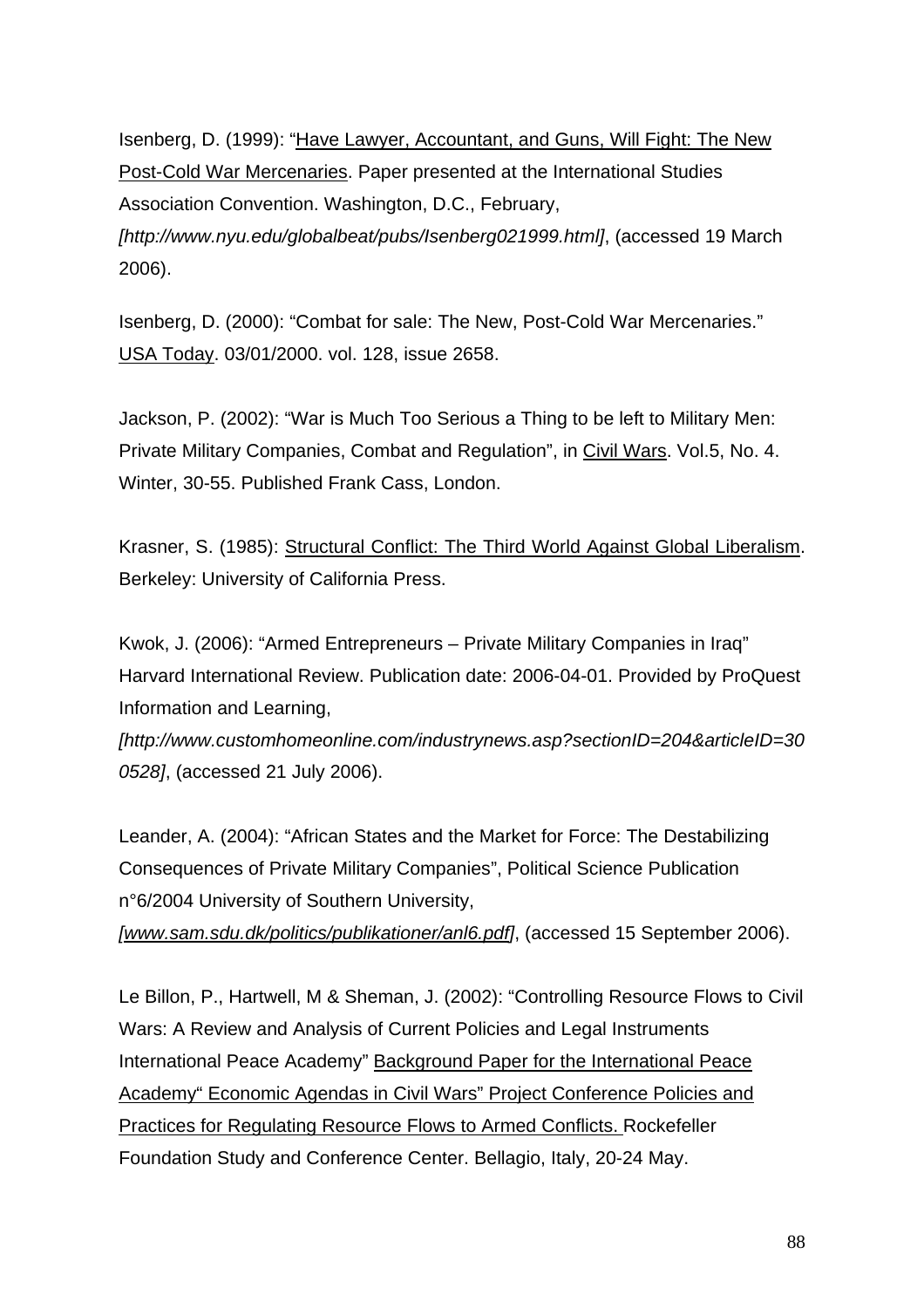Isenberg, D. (1999): "[Have Lawyer, Accountant, and Guns, Will Fight: The New](http://www.nyu.edu/globalbeat/pubs/Isenberg021999.html)  [Post-Cold War Mercenaries.](http://www.nyu.edu/globalbeat/pubs/Isenberg021999.html) Paper presented at the International Studies Association Convention. Washington, D.C., February, *[http://www.nyu.edu/globalbeat/pubs/Isenberg021999.html]*, (accessed 19 March 2006).

Isenberg, D. (2000): "Combat for sale: The New, Post-Cold War Mercenaries." USA Today. 03/01/2000. vol. 128, issue 2658.

Jackson, P. (2002): "War is Much Too Serious a Thing to be left to Military Men: Private Military Companies, Combat and Regulation", in Civil Wars. Vol.5, No. 4. Winter, 30-55. Published Frank Cass, London.

Krasner, S. (1985): Structural Conflict: The Third World Against Global Liberalism. Berkeley: University of California Press.

Kwok, J. (2006): "Armed Entrepreneurs – Private Military Companies in Iraq" Harvard International Review. Publication date: 2006-04-01. Provided by ProQuest Information and Learning,

*[http://www.customhomeonline.com/industrynews.asp?sectionID=204&articleID=30 0528]*, (accessed 21 July 2006).

Leander, A. (2004): "African States and the Market for Force: The Destabilizing Consequences of Private Military Companies", Political Science Publication n°6/2004 University of Southern University,

*[[www.sam.sdu.dk/politics/publikationer/anl6.pdf](http://www.sam.sdu.dk/politics/publikationer/anl6.pdf)]*, (accessed 15 September 2006).

Le Billon, P., Hartwell, M & Sheman, J. (2002): "Controlling Resource Flows to Civil Wars: A Review and Analysis of Current Policies and Legal Instruments International Peace Academy" Background Paper for the International Peace Academy" Economic Agendas in Civil Wars" Project Conference Policies and Practices for Regulating Resource Flows to Armed Conflicts. Rockefeller Foundation Study and Conference Center. Bellagio, Italy, 20-24 May.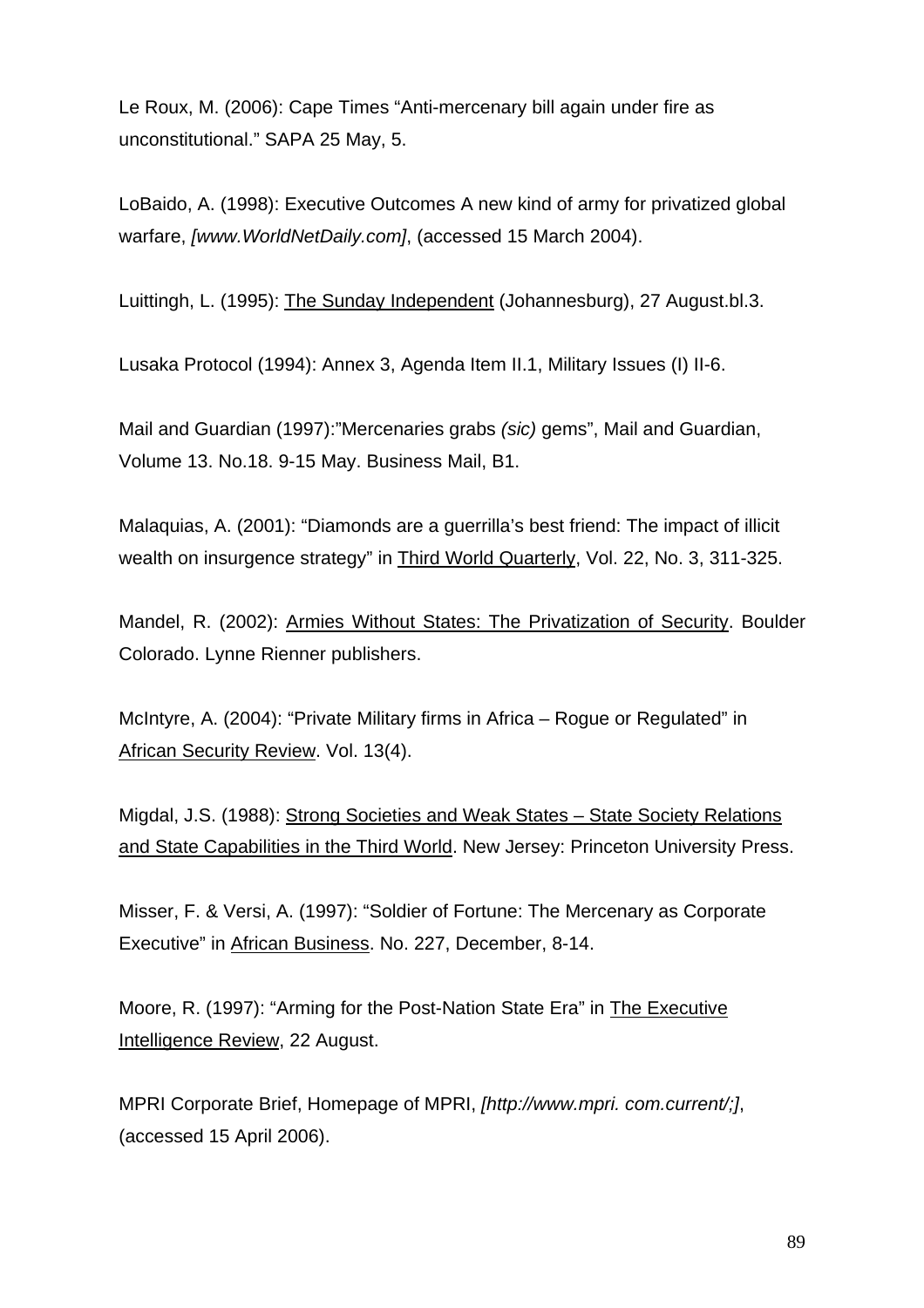Le Roux, M. (2006): Cape Times "Anti-mercenary bill again under fire as unconstitutional." SAPA 25 May, 5.

LoBaido, A. (1998): Executive Outcomes A new kind of army for privatized global warfare, *[www.WorldNetDaily.com]*, (accessed 15 March 2004).

Luittingh, L. (1995): The Sunday Independent (Johannesburg), 27 August.bl.3.

Lusaka Protocol (1994): Annex 3, Agenda Item II.1, Military Issues (I) II-6.

Mail and Guardian (1997):"Mercenaries grabs *(sic)* gems", Mail and Guardian, Volume 13. No.18. 9-15 May. Business Mail, B1.

Malaquias, A. (2001): "Diamonds are a guerrilla's best friend: The impact of illicit wealth on insurgence strategy" in Third World Quarterly, Vol. 22, No. 3, 311-325.

Mandel, R. (2002): Armies Without States: The Privatization of Security. Boulder Colorado. Lynne Rienner publishers.

McIntyre, A. (2004): "Private Military firms in Africa – Rogue or Regulated" in African Security Review. Vol. 13(4).

Migdal, J.S. (1988): Strong Societies and Weak States – State Society Relations and State Capabilities in the Third World. New Jersey: Princeton University Press.

Misser, F. & Versi, A. (1997): "Soldier of Fortune: The Mercenary as Corporate Executive" in African Business. No. 227, December, 8-14.

Moore, R. (1997): "Arming for the Post-Nation State Era" in The Executive Intelligence Review, 22 August.

MPRI Corporate Brief, Homepage of MPRI, *[http://www.mpri. com.current/;]*, (accessed 15 April 2006).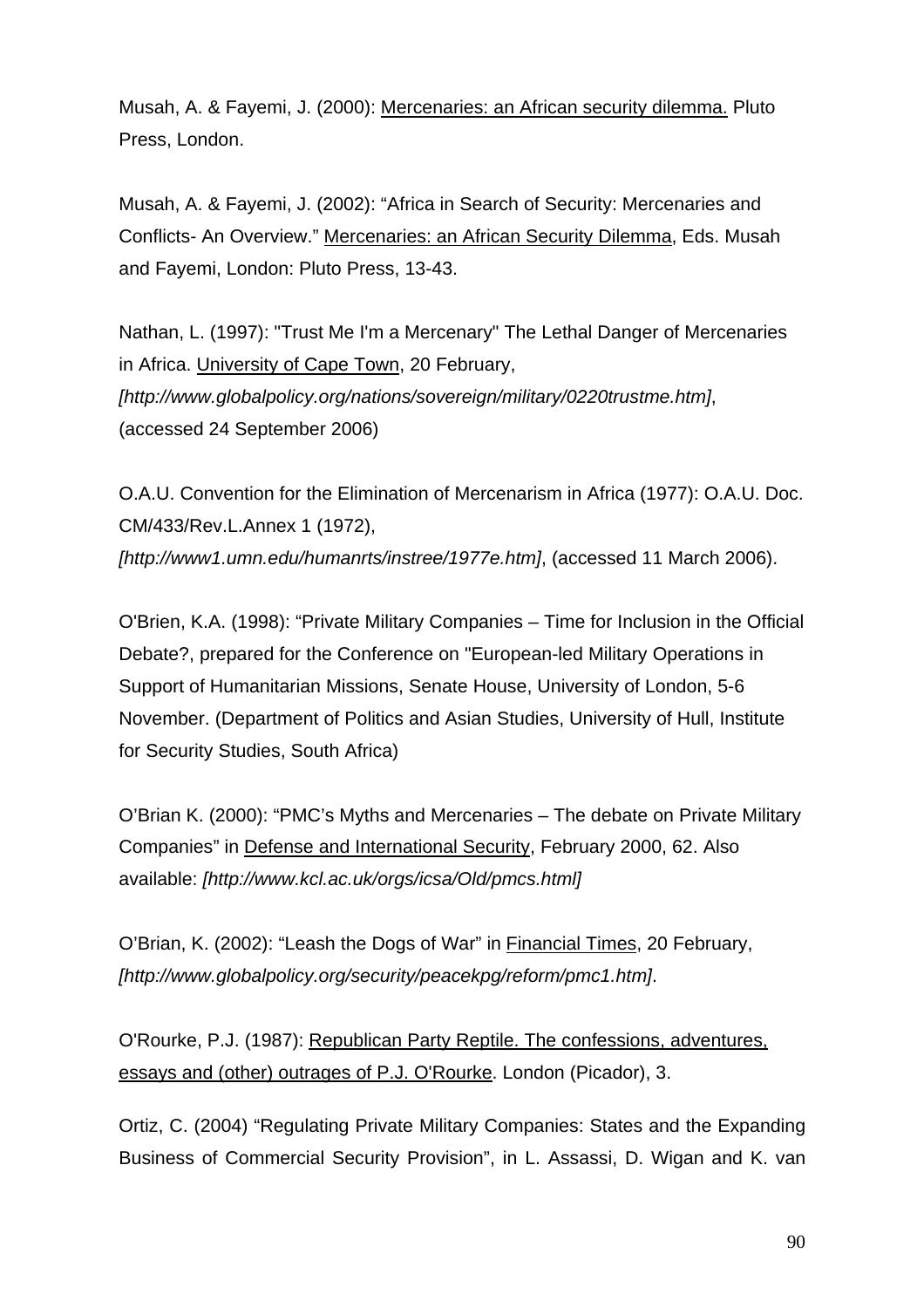Musah, A. & Fayemi, J. (2000): Mercenaries: an African security dilemma. Pluto Press, London.

Musah, A. & Fayemi, J. (2002): "Africa in Search of Security: Mercenaries and Conflicts- An Overview." Mercenaries: an African Security Dilemma, Eds. Musah and Fayemi, London: Pluto Press, 13-43.

Nathan, L. (1997): "Trust Me I'm a Mercenary" The Lethal Danger of Mercenaries in Africa. [University of Cape Town](http://www.uct.ac.za/), 20 February, *[http://www.globalpolicy.org/nations/sovereign/military/0220trustme.htm]*, (accessed 24 September 2006)

O.A.U. Convention for the Elimination of Mercenarism in Africa (1977): O.A.U. Doc. CM/433/Rev.L.Annex 1 (1972), *[http://www1.umn.edu/humanrts/instree/1977e.htm]*, (accessed 11 March 2006).

O'Brien, K.A. (1998): "Private Military Companies – Time for Inclusion in the Official Debate?, prepared for the Conference on "European-led Military Operations in Support of Humanitarian Missions, Senate House, University of London, 5-6 November. (Department of Politics and Asian Studies, University of Hull, Institute for Security Studies, South Africa)

O'Brian K. (2000): "PMC's Myths and Mercenaries – The debate on Private Military Companies" in Defense and International Security, February 2000, 62. Also available: *[http://www.kcl.ac.uk/orgs/icsa/Old/pmcs.html]*

O'Brian, K. (2002): "Leash the Dogs of War" in Financial Times, 20 February, *[[http://www.globalpolicy.org/security/peacekpg/reform/pmc1.htm\]](http://www.globalpolicy.org/security/peacekpg/reform/pmc1.htm)*.

O'Rourke, P.J. (1987): Republican Party Reptile. The confessions, adventures, essays and (other) outrages of P.J. O'Rourke. London (Picador), 3.

Ortiz, C. (2004) "[Regulating Private Military Companies: States and the Expanding](http://www.privatemilitary.org/publications/ortiz_2004_regulating_private_military_companies.pdf)  [Business of Commercial Security Provision](http://www.privatemilitary.org/publications/ortiz_2004_regulating_private_military_companies.pdf)", in L. Assassi, D. Wigan and K. van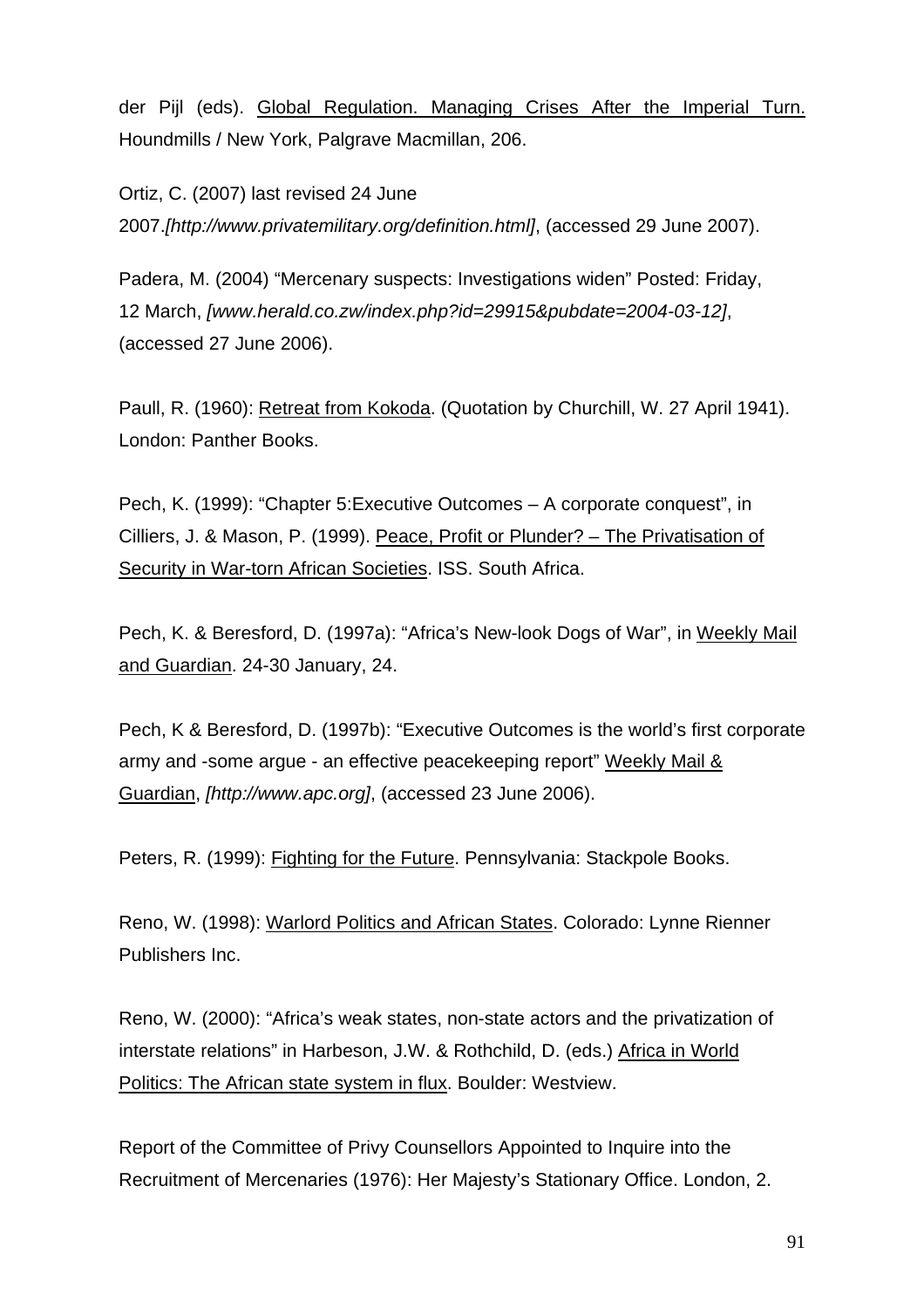der Pijl (eds). [Global Regulation. Managing Crises After the Imperial Turn.](http://www.amazon.co.uk/exec/obidos/ASIN/1403939810/qid%3D1105721658/privatemilita-21) Houndmills / New York, Palgrave Macmillan, 206.

Ortiz, C. (2007) last revised 24 June 2007.*[http://www.privatemilitary.org/definition.html]*, (accessed 29 June 2007).

Padera, M. (2004) "Mercenary suspects: Investigations widen" Posted: Friday, 12 March, *[[www.herald.co.zw/index.php?id=29915&pubdate=2004-03-12\]](http://www.herald.co.zw/index.php?id=29915&pubdate=2004-03-12)*, (accessed 27 June 2006).

Paull, R. (1960): Retreat from Kokoda. (Quotation by Churchill, W. 27 April 1941). London: Panther Books.

Pech, K. (1999): "Chapter 5:Executive Outcomes – A corporate conquest", in Cilliers, J. & Mason, P. (1999). Peace, Profit or Plunder? – The Privatisation of Security in War-torn African Societies. ISS. South Africa.

Pech, K. & Beresford, D. (1997a): "Africa's New-look Dogs of War", in Weekly Mail and Guardian. 24-30 January, 24.

Pech, K & Beresford, D. (1997b): "Executive Outcomes is the world's first corporate army and -some argue - an effective peacekeeping report" Weekly Mail & Guardian, *[[http://www.apc.org](http://www.apc.org/)]*, (accessed 23 June 2006).

Peters, R. (1999): Fighting for the Future. Pennsylvania: Stackpole Books.

Reno, W. (1998): Warlord Politics and African States. Colorado: Lynne Rienner Publishers Inc.

Reno, W. (2000): "Africa's weak states, non-state actors and the privatization of interstate relations" in Harbeson, J.W. & Rothchild, D. (eds.) Africa in World Politics: The African state system in flux. Boulder: Westview.

Report of the Committee of Privy Counsellors Appointed to Inquire into the Recruitment of Mercenaries (1976): Her Majesty's Stationary Office. London, 2.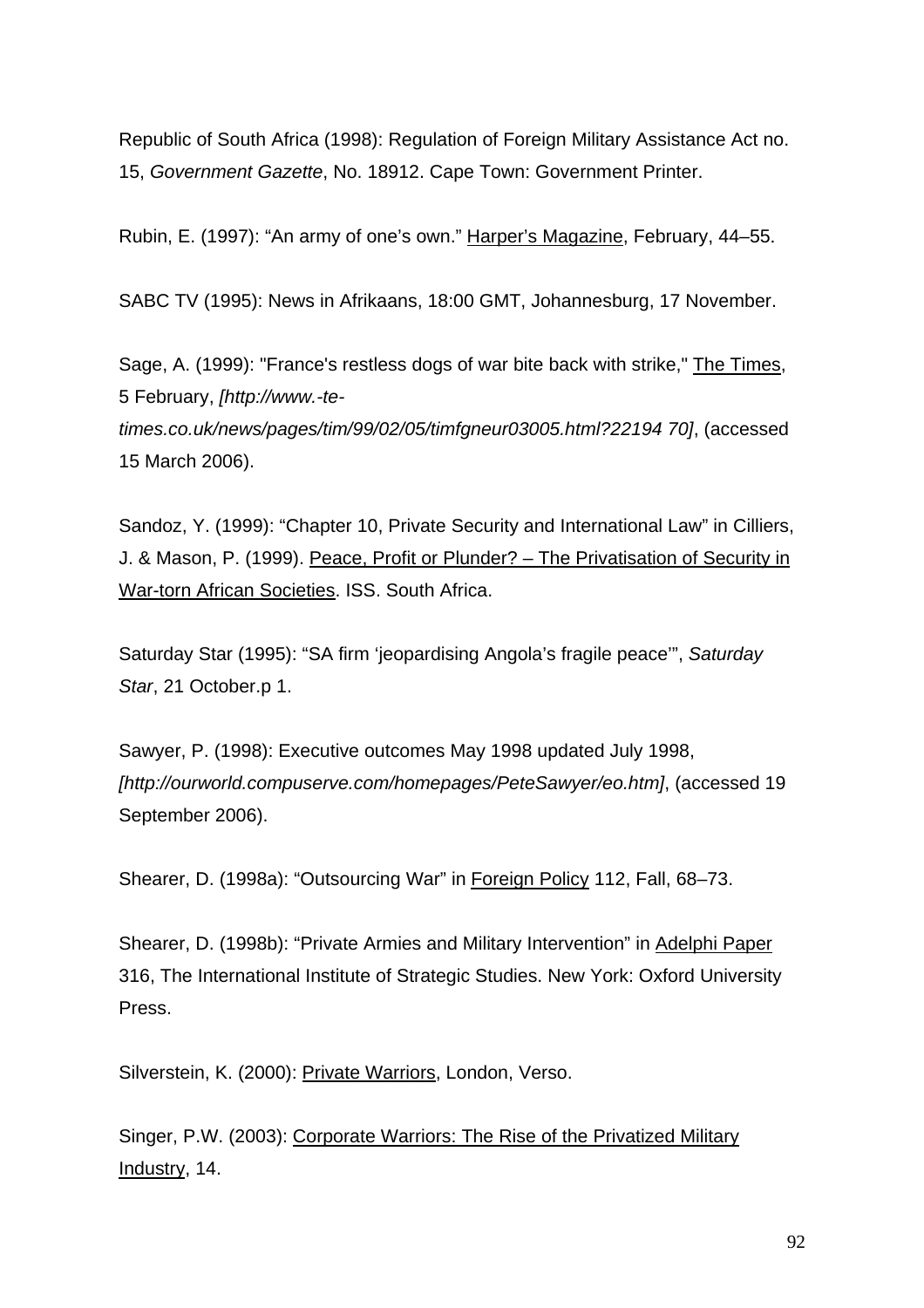Republic of South Africa (1998): Regulation of Foreign Military Assistance Act no. 15, *Government Gazette*, No. 18912. Cape Town: Government Printer.

Rubin, E. (1997): "An army of one's own." Harper's Magazine, February, 44–55.

SABC TV (1995): News in Afrikaans, 18:00 GMT, Johannesburg, 17 November.

Sage, A. (1999): "France's restless dogs of war bite back with strike," The Times, 5 February, *[http://www.-te-*

*times.co.uk/news/pages/tim/99/02/05/timfgneur03005.html?22194 70]*, (accessed 15 March 2006).

Sandoz, Y. (1999): "Chapter 10, Private Security and International Law" in Cilliers, J. & Mason, P. (1999). Peace, Profit or Plunder? – The Privatisation of Security in War-torn African Societies. ISS. South Africa.

Saturday Star (1995): "SA firm 'jeopardising Angola's fragile peace'", *Saturday Star*, 21 October.p 1.

Sawyer, P. (1998): Executive outcomes May 1998 updated July 1998, *[[http://ourworld.compuserve.com/homepages/PeteSawyer/eo.htm\]](http://ourworld.compuserve.com/homepages/PeteSawyer/eo.htm)*, (accessed 19 September 2006).

Shearer, D. (1998a): "Outsourcing War" in Foreign Policy 112, Fall, 68-73.

Shearer, D. (1998b): "Private Armies and Military Intervention" in Adelphi Paper 316, The International Institute of Strategic Studies. New York: Oxford University Press.

Silverstein, K. (2000): Private Warriors, London, Verso.

Singer, P.W. (2003): Corporate Warriors: The Rise of the Privatized Military Industry, 14.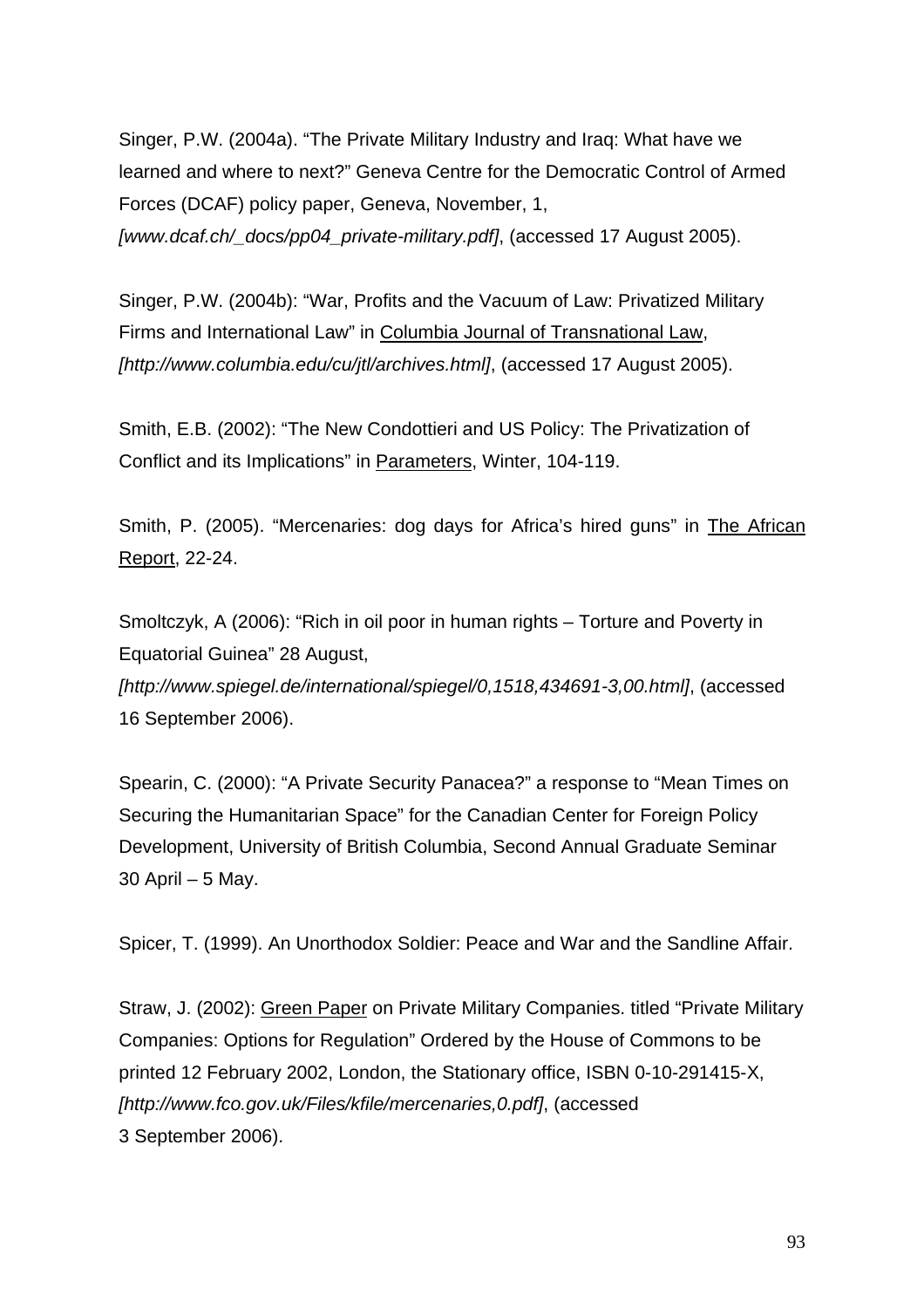Singer, P.W. (2004a). "The Private Military Industry and Iraq: What have we learned and where to next?" Geneva Centre for the Democratic Control of Armed Forces (DCAF) policy paper, Geneva, November, 1,

*[[www.dcaf.ch/\\_docs/pp04\\_private-military.pdf](http://www.dcaf.ch/_docs/pp04_private-military.pdf)]*, (accessed 17 August 2005).

Singer, P.W. (2004b): "War, Profits and the Vacuum of Law: Privatized Military Firms and International Law" in Columbia Journal of Transnational Law, *[http://www.columbia.edu/cu/jtl/archives.html]*, (accessed 17 August 2005).

Smith, E.B. (2002): "The New Condottieri and US Policy: The Privatization of Conflict and its Implications" in Parameters, Winter, 104-119.

Smith, P. (2005). "Mercenaries: dog days for Africa's hired guns" in The African Report, 22-24.

Smoltczyk, A (2006): "Rich in oil poor in human rights – Torture and Poverty in Equatorial Guinea" 28 August,

*[[http://www.spiegel.de/international/spiegel/0,1518,434691-3,00.html\]](http://www.spiegel.de/international/spiegel/0,1518,434691-3,00.html)*, (accessed 16 September 2006).

Spearin, C. (2000): "A Private Security Panacea?" a response to "Mean Times on Securing the Humanitarian Space" for the Canadian Center for Foreign Policy Development, University of British Columbia, Second Annual Graduate Seminar 30 April – 5 May.

Spicer, T. (1999). An Unorthodox Soldier: Peace and War and the Sandline Affair.

Straw, J. (2002): Green Paper on Private Military Companies. titled "Private Military Companies: Options for Regulation" Ordered by the House of Commons to be printed 12 February 2002, London, the Stationary office, ISBN 0-10-291415-X, *[http://www.fco.gov.uk/Files/kfile/mercenaries,0.pdf]*, (accessed 3 September 2006).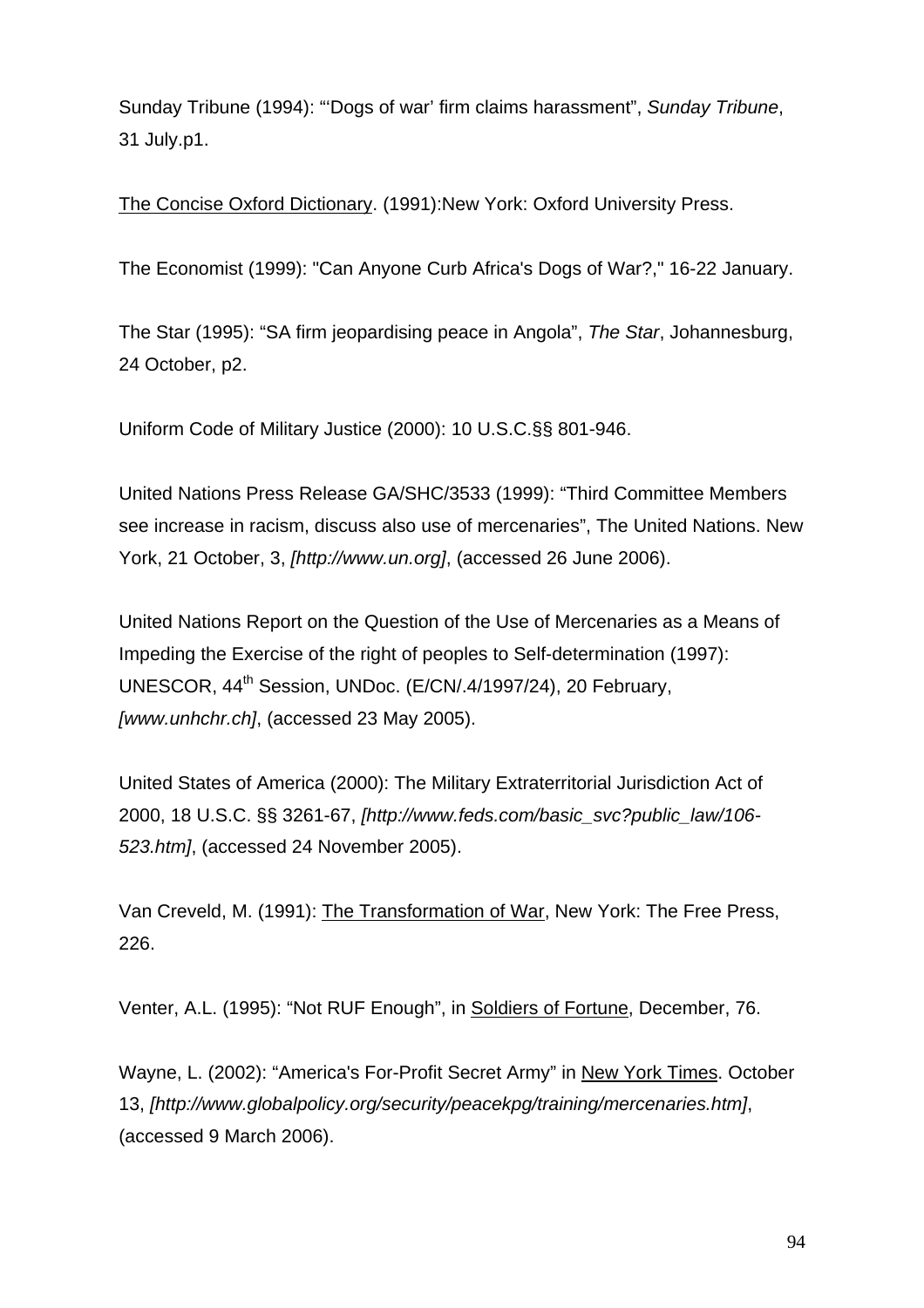Sunday Tribune (1994): "'Dogs of war' firm claims harassment", *Sunday Tribune*, 31 July.p1.

The Concise Oxford Dictionary. (1991):New York: Oxford University Press.

The Economist (1999): "Can Anyone Curb Africa's Dogs of War?," 16-22 January.

The Star (1995): "SA firm jeopardising peace in Angola", *The Star*, Johannesburg, 24 October, p2.

Uniform Code of Military Justice (2000): 10 U.S.C.§§ 801-946.

United Nations Press Release GA/SHC/3533 (1999): "Third Committee Members see increase in racism, discuss also use of mercenaries", The United Nations. New York, 21 October, 3, *[http://www.un.org]*, (accessed 26 June 2006).

United Nations Report on the Question of the Use of Mercenaries as a Means of Impeding the Exercise of the right of peoples to Self-determination (1997): UNESCOR, 44<sup>th</sup> Session, UNDoc. (E/CN/.4/1997/24), 20 February, *[[www.unhchr.ch\]](http://www.unhchr.ch/)*, (accessed 23 May 2005).

United States of America (2000): The Military Extraterritorial Jurisdiction Act of 2000, 18 U.S.C. §§ 3261-67, *[\[http://www.feds.com/basic\\_svc?public\\_law/106-](http://www.feds.com/basic_svc?public_law/106-523.htm) [523.htm\]](http://www.feds.com/basic_svc?public_law/106-523.htm)*, (accessed 24 November 2005).

Van Creveld, M. (1991): The Transformation of War, New York: The Free Press, 226.

Venter, A.L. (1995): "Not RUF Enough", in Soldiers of Fortune, December, 76.

Wayne, L. (2002): "America's For-Profit Secret Army" in [New York Times](http://www.nytimes.com/). October 13, *[http://www.globalpolicy.org/security/peacekpg/training/mercenaries.htm]*, (accessed 9 March 2006).